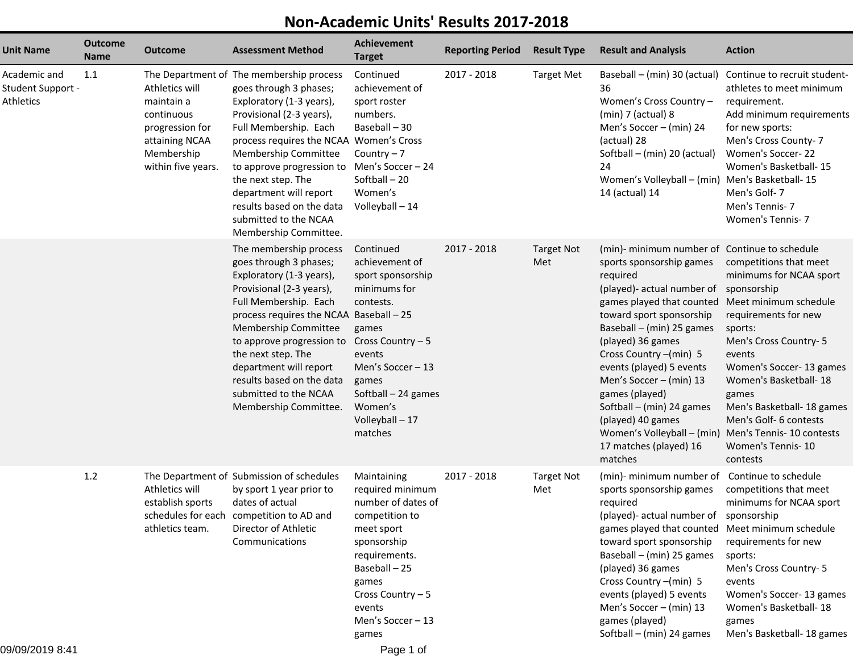## **Non-Academic Units' Results 2017-2018**

| <b>Unit Name</b>                               | <b>Outcome</b><br><b>Name</b> | <b>Outcome</b>                                                                                                      | <b>Assessment Method</b>                                                                                                                                                                                                                                                                                                                                                           | <b>Achievement</b><br><b>Target</b>                                                                                                                                                                                     | <b>Reporting Period</b> | <b>Result Type</b>       | <b>Result and Analysis</b>                                                                                                                                                                                                                                                                                                                                                                                                                              | <b>Action</b>                                                                                                                                                                                                                                                                                                                                        |
|------------------------------------------------|-------------------------------|---------------------------------------------------------------------------------------------------------------------|------------------------------------------------------------------------------------------------------------------------------------------------------------------------------------------------------------------------------------------------------------------------------------------------------------------------------------------------------------------------------------|-------------------------------------------------------------------------------------------------------------------------------------------------------------------------------------------------------------------------|-------------------------|--------------------------|---------------------------------------------------------------------------------------------------------------------------------------------------------------------------------------------------------------------------------------------------------------------------------------------------------------------------------------------------------------------------------------------------------------------------------------------------------|------------------------------------------------------------------------------------------------------------------------------------------------------------------------------------------------------------------------------------------------------------------------------------------------------------------------------------------------------|
| Academic and<br>Student Support -<br>Athletics | 1.1                           | Athletics will<br>maintain a<br>continuous<br>progression for<br>attaining NCAA<br>Membership<br>within five years. | The Department of The membership process<br>goes through 3 phases;<br>Exploratory (1-3 years),<br>Provisional (2-3 years),<br>Full Membership. Each<br>process requires the NCAA Women's Cross<br>Membership Committee<br>to approve progression to<br>the next step. The<br>department will report<br>results based on the data<br>submitted to the NCAA<br>Membership Committee. | Continued<br>achievement of<br>sport roster<br>numbers.<br>Baseball - 30<br>Country $-7$<br>Men's Soccer - 24<br>Softball-20<br>Women's<br>Volleyball - 14                                                              | 2017 - 2018             | <b>Target Met</b>        | Baseball - (min) 30 (actual)<br>36<br>Women's Cross Country -<br>$(min)$ 7 (actual) 8<br>Men's Soccer - (min) 24<br>(actual) 28<br>Softball - (min) 20 (actual)<br>24<br>Women's Volleyball - (min) Men's Basketball-15<br>14 (actual) 14                                                                                                                                                                                                               | Continue to recruit student-<br>athletes to meet minimum<br>requirement.<br>Add minimum requirements<br>for new sports:<br>Men's Cross County- 7<br>Women's Soccer-22<br>Women's Basketball-15<br>Men's Golf-7<br>Men's Tennis-7<br>Women's Tennis- 7                                                                                                |
|                                                |                               |                                                                                                                     | The membership process<br>goes through 3 phases;<br>Exploratory (1-3 years),<br>Provisional (2-3 years),<br>Full Membership. Each<br>process requires the NCAA Baseball - 25<br>Membership Committee<br>to approve progression to<br>the next step. The<br>department will report<br>results based on the data<br>submitted to the NCAA<br>Membership Committee.                   | Continued<br>achievement of<br>sport sponsorship<br>minimums for<br>contests.<br>games<br>Cross Country - 5<br>events<br>Men's Soccer - 13<br>games<br>Softball $-24$ games<br>Women's<br>Volleyball - 17<br>matches    | 2017 - 2018             | <b>Target Not</b><br>Met | (min)- minimum number of Continue to schedule<br>sports sponsorship games<br>required<br>(played)- actual number of<br>games played that counted<br>toward sport sponsorship<br>Baseball - (min) 25 games<br>(played) 36 games<br>Cross Country - (min) 5<br>events (played) 5 events<br>Men's Soccer - (min) 13<br>games (played)<br>Softball - (min) 24 games<br>(played) 40 games<br>Women's Volleyball - (min)<br>17 matches (played) 16<br>matches | competitions that meet<br>minimums for NCAA sport<br>sponsorship<br>Meet minimum schedule<br>requirements for new<br>sports:<br>Men's Cross Country- 5<br>events<br>Women's Soccer- 13 games<br>Women's Basketball-18<br>games<br>Men's Basketball- 18 games<br>Men's Golf- 6 contests<br>Men's Tennis- 10 contests<br>Women's Tennis-10<br>contests |
| 09/09/2019 8:41                                | 1.2                           | Athletics will<br>establish sports<br>athletics team.                                                               | The Department of Submission of schedules<br>by sport 1 year prior to<br>dates of actual<br>schedules for each competition to AD and<br>Director of Athletic<br>Communications                                                                                                                                                                                                     | Maintaining<br>required minimum<br>number of dates of<br>competition to<br>meet sport<br>sponsorship<br>requirements.<br>Baseball-25<br>games<br>Cross Country - 5<br>events<br>Men's Soccer - 13<br>games<br>Page 1 of | 2017 - 2018             | <b>Target Not</b><br>Met | (min)- minimum number of<br>sports sponsorship games<br>required<br>(played)- actual number of sponsorship<br>games played that counted Meet minimum schedule<br>toward sport sponsorship<br>Baseball - (min) 25 games<br>(played) 36 games<br>Cross Country -(min) 5<br>events (played) 5 events<br>Men's Soccer - (min) 13<br>games (played)<br>Softball $-$ (min) 24 games                                                                           | Continue to schedule<br>competitions that meet<br>minimums for NCAA sport<br>requirements for new<br>sports:<br>Men's Cross Country- 5<br>events<br>Women's Soccer- 13 games<br>Women's Basketball-18<br>games<br>Men's Basketball- 18 games                                                                                                         |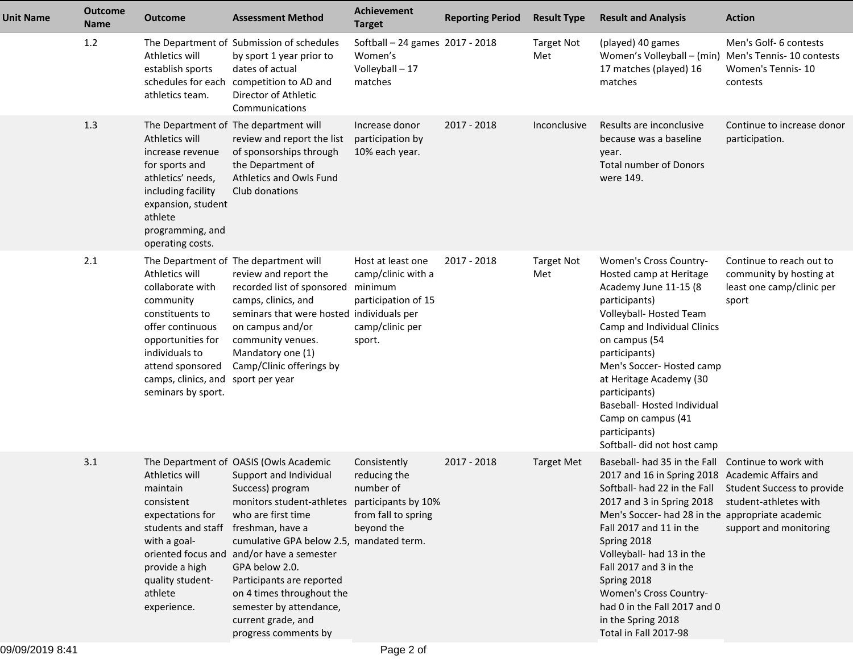| <b>Unit Name</b> | <b>Outcome</b><br>Name | <b>Outcome</b>                                                                                                                                                                                 | <b>Assessment Method</b>                                                                                                                                                                                                                                                                                                                                                                                                      | <b>Achievement</b><br><b>Target</b>                                                                    | <b>Reporting Period</b> | <b>Result Type</b>       | <b>Result and Analysis</b>                                                                                                                                                                                                                                                                                                                                                                                                                                                 | <b>Action</b>                                                                             |
|------------------|------------------------|------------------------------------------------------------------------------------------------------------------------------------------------------------------------------------------------|-------------------------------------------------------------------------------------------------------------------------------------------------------------------------------------------------------------------------------------------------------------------------------------------------------------------------------------------------------------------------------------------------------------------------------|--------------------------------------------------------------------------------------------------------|-------------------------|--------------------------|----------------------------------------------------------------------------------------------------------------------------------------------------------------------------------------------------------------------------------------------------------------------------------------------------------------------------------------------------------------------------------------------------------------------------------------------------------------------------|-------------------------------------------------------------------------------------------|
|                  | 1.2                    | Athletics will<br>establish sports<br>schedules for each<br>athletics team.                                                                                                                    | The Department of Submission of schedules<br>by sport 1 year prior to<br>dates of actual<br>competition to AD and<br>Director of Athletic<br>Communications                                                                                                                                                                                                                                                                   | Softball - 24 games 2017 - 2018<br>Women's<br>Volleyball - 17<br>matches                               |                         | <b>Target Not</b><br>Met | (played) 40 games<br>Women's Volleyball - (min)<br>17 matches (played) 16<br>matches                                                                                                                                                                                                                                                                                                                                                                                       | Men's Golf- 6 contests<br>Men's Tennis- 10 contests<br>Women's Tennis-10<br>contests      |
|                  | 1.3                    | Athletics will<br>increase revenue<br>for sports and<br>athletics' needs,<br>including facility<br>expansion, student<br>athlete<br>programming, and<br>operating costs.                       | The Department of The department will<br>review and report the list<br>of sponsorships through<br>the Department of<br>Athletics and Owls Fund<br>Club donations                                                                                                                                                                                                                                                              | Increase donor<br>participation by<br>10% each year.                                                   | 2017 - 2018             | Inconclusive             | Results are inconclusive<br>because was a baseline<br>year.<br><b>Total number of Donors</b><br>were 149.                                                                                                                                                                                                                                                                                                                                                                  | Continue to increase donor<br>participation.                                              |
|                  | 2.1                    | Athletics will<br>collaborate with<br>community<br>constituents to<br>offer continuous<br>opportunities for<br>individuals to<br>attend sponsored<br>camps, clinics, and<br>seminars by sport. | The Department of The department will<br>review and report the<br>recorded list of sponsored<br>camps, clinics, and<br>seminars that were hosted individuals per<br>on campus and/or<br>community venues.<br>Mandatory one (1)<br>Camp/Clinic offerings by<br>sport per year                                                                                                                                                  | Host at least one<br>camp/clinic with a<br>minimum<br>participation of 15<br>camp/clinic per<br>sport. | 2017 - 2018             | <b>Target Not</b><br>Met | Women's Cross Country-<br>Hosted camp at Heritage<br>Academy June 11-15 (8<br>participants)<br>Volleyball-Hosted Team<br>Camp and Individual Clinics<br>on campus (54<br>participants)<br>Men's Soccer-Hosted camp<br>at Heritage Academy (30<br>participants)<br>Baseball- Hosted Individual<br>Camp on campus (41<br>participants)<br>Softball- did not host camp                                                                                                        | Continue to reach out to<br>community by hosting at<br>least one camp/clinic per<br>sport |
|                  | 3.1                    | Athletics will<br>maintain<br>consistent<br>expectations for<br>students and staff<br>with a goal-<br>provide a high<br>quality student-<br>athlete<br>experience.                             | The Department of OASIS (Owls Academic<br>Support and Individual<br>Success) program<br>monitors student-athletes participants by 10%<br>who are first time<br>freshman, have a<br>cumulative GPA below 2.5, mandated term.<br>oriented focus and and/or have a semester<br>GPA below 2.0.<br>Participants are reported<br>on 4 times throughout the<br>semester by attendance,<br>current grade, and<br>progress comments by | Consistently<br>reducing the<br>number of<br>from fall to spring<br>beyond the                         | 2017 - 2018             | <b>Target Met</b>        | Baseball- had 35 in the Fall Continue to work with<br>2017 and 16 in Spring 2018 Academic Affairs and<br>Softball- had 22 in the Fall Student Success to provide<br>2017 and 3 in Spring 2018<br>Men's Soccer- had 28 in the appropriate academic<br>Fall 2017 and 11 in the<br>Spring 2018<br>Volleyball- had 13 in the<br>Fall 2017 and 3 in the<br>Spring 2018<br>Women's Cross Country-<br>had 0 in the Fall 2017 and 0<br>in the Spring 2018<br>Total in Fall 2017-98 | student-athletes with<br>support and monitoring                                           |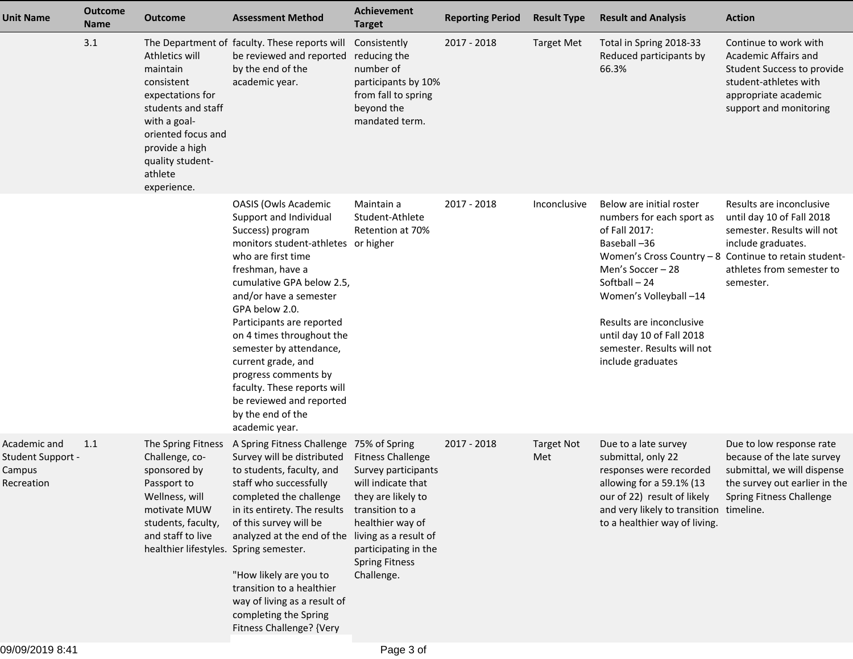| <b>Unit Name</b>                                          | <b>Outcome</b><br>Name | <b>Outcome</b>                                                                                                                                                                             | <b>Assessment Method</b>                                                                                                                                                                                                                                                                                                                                                                                                                                                 | <b>Achievement</b><br><b>Target</b>                                                                                                                                                               | <b>Reporting Period</b> | <b>Result Type</b>       | <b>Result and Analysis</b>                                                                                                                                                                                                                                                                                                | <b>Action</b>                                                                                                                                          |
|-----------------------------------------------------------|------------------------|--------------------------------------------------------------------------------------------------------------------------------------------------------------------------------------------|--------------------------------------------------------------------------------------------------------------------------------------------------------------------------------------------------------------------------------------------------------------------------------------------------------------------------------------------------------------------------------------------------------------------------------------------------------------------------|---------------------------------------------------------------------------------------------------------------------------------------------------------------------------------------------------|-------------------------|--------------------------|---------------------------------------------------------------------------------------------------------------------------------------------------------------------------------------------------------------------------------------------------------------------------------------------------------------------------|--------------------------------------------------------------------------------------------------------------------------------------------------------|
|                                                           | 3.1                    | Athletics will<br>maintain<br>consistent<br>expectations for<br>students and staff<br>with a goal-<br>oriented focus and<br>provide a high<br>quality student-<br>athlete<br>experience.   | The Department of faculty. These reports will<br>be reviewed and reported<br>by the end of the<br>academic year.                                                                                                                                                                                                                                                                                                                                                         | Consistently<br>reducing the<br>number of<br>participants by 10%<br>from fall to spring<br>beyond the<br>mandated term.                                                                           | 2017 - 2018             | <b>Target Met</b>        | Total in Spring 2018-33<br>Reduced participants by<br>66.3%                                                                                                                                                                                                                                                               | Continue to work with<br>Academic Affairs and<br>Student Success to provide<br>student-athletes with<br>appropriate academic<br>support and monitoring |
|                                                           |                        |                                                                                                                                                                                            | <b>OASIS (Owls Academic</b><br>Support and Individual<br>Success) program<br>monitors student-athletes or higher<br>who are first time<br>freshman, have a<br>cumulative GPA below 2.5,<br>and/or have a semester<br>GPA below 2.0.<br>Participants are reported<br>on 4 times throughout the<br>semester by attendance,<br>current grade, and<br>progress comments by<br>faculty. These reports will<br>be reviewed and reported<br>by the end of the<br>academic year. | Maintain a<br>Student-Athlete<br>Retention at 70%                                                                                                                                                 | 2017 - 2018             | Inconclusive             | Below are initial roster<br>numbers for each sport as<br>of Fall 2017:<br>Baseball-36<br>Women's Cross Country - 8 Continue to retain student-<br>Men's Soccer - 28<br>Softball - 24<br>Women's Volleyball-14<br>Results are inconclusive<br>until day 10 of Fall 2018<br>semester. Results will not<br>include graduates | Results are inconclusive<br>until day 10 of Fall 2018<br>semester. Results will not<br>include graduates.<br>athletes from semester to<br>semester.    |
| Academic and<br>Student Support -<br>Campus<br>Recreation | 1.1                    | The Spring Fitness<br>Challenge, co-<br>sponsored by<br>Passport to<br>Wellness, will<br>motivate MUW<br>students, faculty,<br>and staff to live<br>healthier lifestyles. Spring semester. | A Spring Fitness Challenge 75% of Spring<br>Survey will be distributed<br>to students, faculty, and<br>staff who successfully<br>completed the challenge<br>in its entirety. The results<br>of this survey will be<br>analyzed at the end of the living as a result of<br>"How likely are you to<br>transition to a healthier<br>way of living as a result of<br>completing the Spring<br>Fitness Challenge? {Very                                                       | <b>Fitness Challenge</b><br>Survey participants<br>will indicate that<br>they are likely to<br>transition to a<br>healthier way of<br>participating in the<br><b>Spring Fitness</b><br>Challenge. | 2017 - 2018             | <b>Target Not</b><br>Met | Due to a late survey<br>submittal, only 22<br>responses were recorded<br>allowing for a $59.1\%$ (13<br>our of 22) result of likely Spring Fitness Challenge<br>and very likely to transition timeline.<br>to a healthier way of living.                                                                                  | Due to low response rate<br>because of the late survey<br>submittal, we will dispense<br>the survey out earlier in the                                 |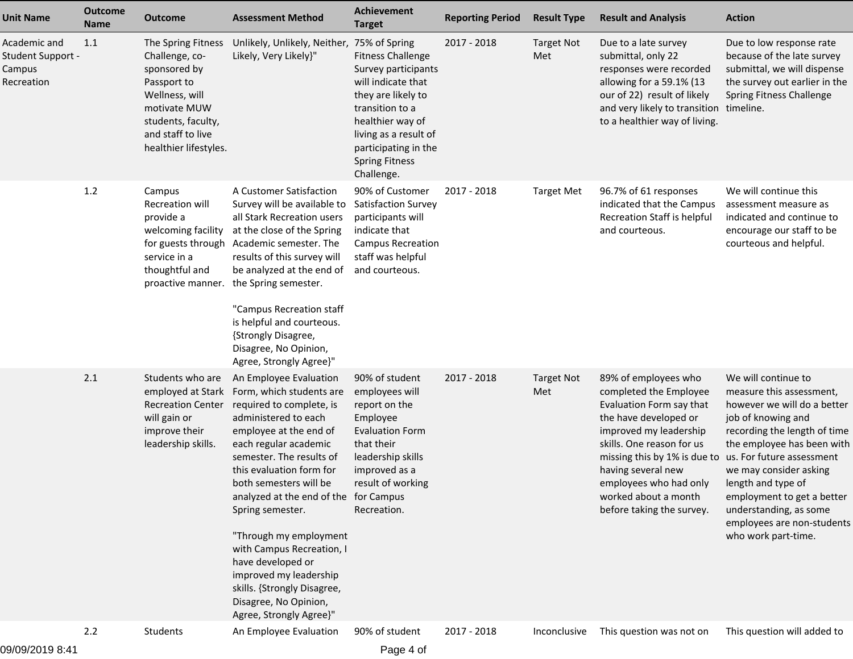| <b>Unit Name</b>                                          | <b>Outcome</b><br><b>Name</b> | <b>Outcome</b>                                                                                                                                                            | <b>Assessment Method</b>                                                                                                                                                                                                                                                                                                                                                                                                                                                                          | <b>Achievement</b><br><b>Target</b>                                                                                                                                                                                                         | <b>Reporting Period</b> | <b>Result Type</b>       | <b>Result and Analysis</b>                                                                                                                                                                                                                                                                      | <b>Action</b>                                                                                                                                                                                                                                                                                                                                                |
|-----------------------------------------------------------|-------------------------------|---------------------------------------------------------------------------------------------------------------------------------------------------------------------------|---------------------------------------------------------------------------------------------------------------------------------------------------------------------------------------------------------------------------------------------------------------------------------------------------------------------------------------------------------------------------------------------------------------------------------------------------------------------------------------------------|---------------------------------------------------------------------------------------------------------------------------------------------------------------------------------------------------------------------------------------------|-------------------------|--------------------------|-------------------------------------------------------------------------------------------------------------------------------------------------------------------------------------------------------------------------------------------------------------------------------------------------|--------------------------------------------------------------------------------------------------------------------------------------------------------------------------------------------------------------------------------------------------------------------------------------------------------------------------------------------------------------|
| Academic and<br>Student Support -<br>Campus<br>Recreation | 1.1                           | The Spring Fitness<br>Challenge, co-<br>sponsored by<br>Passport to<br>Wellness, will<br>motivate MUW<br>students, faculty,<br>and staff to live<br>healthier lifestyles. | Unlikely, Unlikely, Neither,<br>Likely, Very Likely}"                                                                                                                                                                                                                                                                                                                                                                                                                                             | 75% of Spring<br><b>Fitness Challenge</b><br>Survey participants<br>will indicate that<br>they are likely to<br>transition to a<br>healthier way of<br>living as a result of<br>participating in the<br><b>Spring Fitness</b><br>Challenge. | 2017 - 2018             | <b>Target Not</b><br>Met | Due to a late survey<br>submittal, only 22<br>responses were recorded<br>allowing for a 59.1% (13<br>our of 22) result of likely<br>and very likely to transition<br>to a healthier way of living.                                                                                              | Due to low response rate<br>because of the late survey<br>submittal, we will dispense<br>the survey out earlier in the<br>Spring Fitness Challenge<br>timeline.                                                                                                                                                                                              |
|                                                           | 1.2                           | Campus<br><b>Recreation will</b><br>provide a<br>welcoming facility<br>for guests through<br>service in a<br>thoughtful and<br>proactive manner.                          | A Customer Satisfaction<br>Survey will be available to<br>all Stark Recreation users<br>at the close of the Spring<br>Academic semester. The<br>results of this survey will<br>be analyzed at the end of<br>the Spring semester.<br>"Campus Recreation staff<br>is helpful and courteous.<br>{Strongly Disagree,<br>Disagree, No Opinion,<br>Agree, Strongly Agree}"                                                                                                                              | 90% of Customer<br>Satisfaction Survey<br>participants will<br>indicate that<br><b>Campus Recreation</b><br>staff was helpful<br>and courteous.                                                                                             | 2017 - 2018             | <b>Target Met</b>        | 96.7% of 61 responses<br>indicated that the Campus<br>Recreation Staff is helpful<br>and courteous.                                                                                                                                                                                             | We will continue this<br>assessment measure as<br>indicated and continue to<br>encourage our staff to be<br>courteous and helpful.                                                                                                                                                                                                                           |
|                                                           | 2.1                           | Students who are<br>employed at Stark<br><b>Recreation Center</b><br>will gain or<br>improve their<br>leadership skills.                                                  | An Employee Evaluation<br>Form, which students are<br>required to complete, is<br>administered to each<br>employee at the end of<br>each regular academic<br>semester. The results of<br>this evaluation form for<br>both semesters will be<br>analyzed at the end of the for Campus<br>Spring semester.<br>"Through my employment<br>with Campus Recreation, I<br>have developed or<br>improved my leadership<br>skills. {Strongly Disagree,<br>Disagree, No Opinion,<br>Agree, Strongly Agree}" | 90% of student<br>employees will<br>report on the<br>Employee<br><b>Evaluation Form</b><br>that their<br>leadership skills<br>improved as a<br>result of working<br>Recreation.                                                             | 2017 - 2018             | <b>Target Not</b><br>Met | 89% of employees who<br>completed the Employee<br>Evaluation Form say that<br>the have developed or<br>improved my leadership<br>skills. One reason for us<br>missing this by 1% is due to<br>having several new<br>employees who had only<br>worked about a month<br>before taking the survey. | We will continue to<br>measure this assessment,<br>however we will do a better<br>job of knowing and<br>recording the length of time<br>the employee has been with<br>us. For future assessment<br>we may consider asking<br>length and type of<br>employment to get a better<br>understanding, as some<br>employees are non-students<br>who work part-time. |
|                                                           | 2.2                           | Students                                                                                                                                                                  | An Employee Evaluation                                                                                                                                                                                                                                                                                                                                                                                                                                                                            | 90% of student                                                                                                                                                                                                                              | 2017 - 2018             | Inconclusive             | This question was not on                                                                                                                                                                                                                                                                        | This question will added to                                                                                                                                                                                                                                                                                                                                  |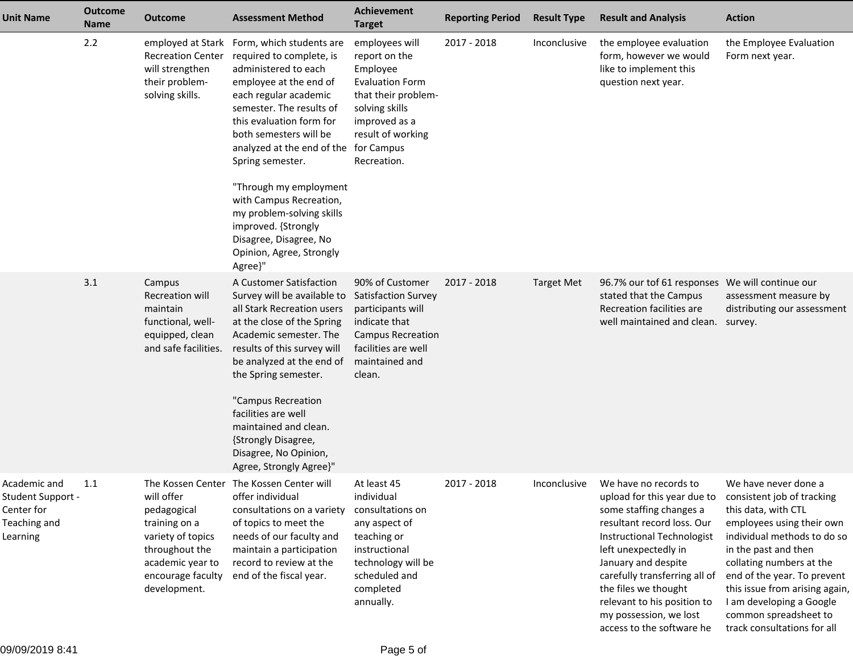| <b>Unit Name</b>                                                            | <b>Outcome</b><br>Name | <b>Outcome</b>                                                                                                                             | <b>Assessment Method</b>                                                                                                                                                                                                                                                                                                                                                                                                                                                   | <b>Achievement</b><br><b>Target</b>                                                                                                                                 | <b>Reporting Period</b> | <b>Result Type</b> | <b>Result and Analysis</b>                                                                                                                                                                                                                                                                                                                       | <b>Action</b>                                                                                                                                                                                                                                                                                                                                  |
|-----------------------------------------------------------------------------|------------------------|--------------------------------------------------------------------------------------------------------------------------------------------|----------------------------------------------------------------------------------------------------------------------------------------------------------------------------------------------------------------------------------------------------------------------------------------------------------------------------------------------------------------------------------------------------------------------------------------------------------------------------|---------------------------------------------------------------------------------------------------------------------------------------------------------------------|-------------------------|--------------------|--------------------------------------------------------------------------------------------------------------------------------------------------------------------------------------------------------------------------------------------------------------------------------------------------------------------------------------------------|------------------------------------------------------------------------------------------------------------------------------------------------------------------------------------------------------------------------------------------------------------------------------------------------------------------------------------------------|
|                                                                             | 2.2                    | <b>Recreation Center</b><br>will strengthen<br>their problem-<br>solving skills.                                                           | employed at Stark Form, which students are<br>required to complete, is<br>administered to each<br>employee at the end of<br>each regular academic<br>semester. The results of<br>this evaluation form for<br>both semesters will be<br>analyzed at the end of the for Campus<br>Spring semester.<br>"Through my employment<br>with Campus Recreation,<br>my problem-solving skills<br>improved. {Strongly<br>Disagree, Disagree, No<br>Opinion, Agree, Strongly<br>Agree}" | employees will<br>report on the<br>Employee<br><b>Evaluation Form</b><br>that their problem-<br>solving skills<br>improved as a<br>result of working<br>Recreation. | 2017 - 2018             | Inconclusive       | the employee evaluation<br>form, however we would<br>like to implement this<br>question next year.                                                                                                                                                                                                                                               | the Employee Evaluation<br>Form next year.                                                                                                                                                                                                                                                                                                     |
|                                                                             | 3.1                    | Campus<br><b>Recreation will</b><br>maintain<br>functional, well-<br>equipped, clean<br>and safe facilities.                               | A Customer Satisfaction<br>Survey will be available to<br>all Stark Recreation users<br>at the close of the Spring<br>Academic semester. The<br>results of this survey will<br>be analyzed at the end of<br>the Spring semester.<br>"Campus Recreation<br>facilities are well<br>maintained and clean.<br>{Strongly Disagree,<br>Disagree, No Opinion,<br>Agree, Strongly Agree}"                                                                                          | 90% of Customer<br>Satisfaction Survey<br>participants will<br>indicate that<br><b>Campus Recreation</b><br>facilities are well<br>maintained and<br>clean.         | 2017 - 2018             | <b>Target Met</b>  | 96.7% our tof 61 responses We will continue our<br>stated that the Campus<br>Recreation facilities are<br>well maintained and clean.                                                                                                                                                                                                             | assessment measure by<br>distributing our assessment<br>survey.                                                                                                                                                                                                                                                                                |
| Academic and<br>Student Support -<br>Center for<br>Teaching and<br>Learning | 1.1                    | will offer<br>pedagogical<br>training on a<br>variety of topics<br>throughout the<br>academic year to<br>encourage faculty<br>development. | The Kossen Center The Kossen Center will<br>offer individual<br>consultations on a variety<br>of topics to meet the<br>needs of our faculty and<br>maintain a participation<br>record to review at the<br>end of the fiscal year.                                                                                                                                                                                                                                          | At least 45<br>individual<br>consultations on<br>any aspect of<br>teaching or<br>instructional<br>technology will be<br>scheduled and<br>completed<br>annually.     | 2017 - 2018             | Inconclusive       | We have no records to<br>upload for this year due to<br>some staffing changes a<br>resultant record loss. Our<br><b>Instructional Technologist</b><br>left unexpectedly in<br>January and despite<br>carefully transferring all of<br>the files we thought<br>relevant to his position to<br>my possession, we lost<br>access to the software he | We have never done a<br>consistent job of tracking<br>this data, with CTL<br>employees using their own<br>individual methods to do so<br>in the past and then<br>collating numbers at the<br>end of the year. To prevent<br>this issue from arising again,<br>I am developing a Google<br>common spreadsheet to<br>track consultations for all |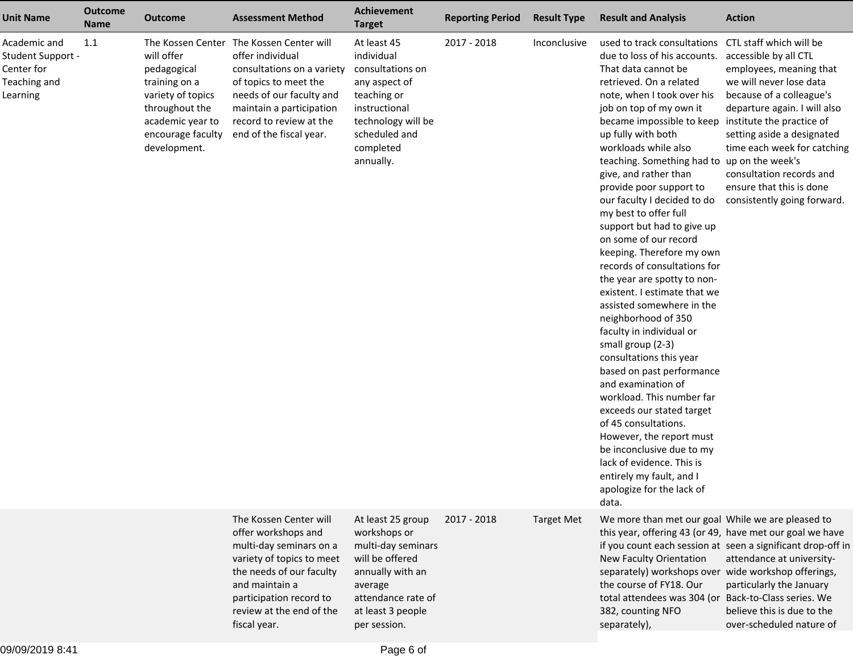| <b>Unit Name</b>                                                            | <b>Outcome</b><br><b>Name</b> | <b>Outcome</b>                                                                                                                                                  | <b>Assessment Method</b>                                                                                                                                                                                                   | Achievement<br><b>Target</b>                                                                                                                                         | <b>Reporting Period</b> | <b>Result Type</b> | <b>Result and Analysis</b>                                                                                                                                                                                                                                                                                                                                                                                                                                                                                                                                                                                                                                                                                                                                                                                                                                                                                                                                                                                                                                                     | <b>Action</b>                                                                                                                                                                                                                                                                               |
|-----------------------------------------------------------------------------|-------------------------------|-----------------------------------------------------------------------------------------------------------------------------------------------------------------|----------------------------------------------------------------------------------------------------------------------------------------------------------------------------------------------------------------------------|----------------------------------------------------------------------------------------------------------------------------------------------------------------------|-------------------------|--------------------|--------------------------------------------------------------------------------------------------------------------------------------------------------------------------------------------------------------------------------------------------------------------------------------------------------------------------------------------------------------------------------------------------------------------------------------------------------------------------------------------------------------------------------------------------------------------------------------------------------------------------------------------------------------------------------------------------------------------------------------------------------------------------------------------------------------------------------------------------------------------------------------------------------------------------------------------------------------------------------------------------------------------------------------------------------------------------------|---------------------------------------------------------------------------------------------------------------------------------------------------------------------------------------------------------------------------------------------------------------------------------------------|
| Academic and<br>Student Support -<br>Center for<br>Teaching and<br>Learning | 1.1                           | The Kossen Center<br>will offer<br>pedagogical<br>training on a<br>variety of topics<br>throughout the<br>academic year to<br>encourage faculty<br>development. | The Kossen Center will<br>offer individual<br>consultations on a variety<br>of topics to meet the<br>needs of our faculty and<br>maintain a participation<br>record to review at the<br>end of the fiscal year.            | At least 45<br>individual<br>consultations on<br>any aspect of<br>teaching or<br>instructional<br>technology will be<br>scheduled and<br>completed<br>annually.      | 2017 - 2018             | Inconclusive       | used to track consultations CTL staff which will be<br>due to loss of his accounts.<br>That data cannot be<br>retrieved. On a related<br>note, when I took over his<br>job on top of my own it<br>became impossible to keep institute the practice of<br>up fully with both<br>workloads while also<br>teaching. Something had to up on the week's<br>give, and rather than<br>provide poor support to<br>our faculty I decided to do<br>my best to offer full<br>support but had to give up<br>on some of our record<br>keeping. Therefore my own<br>records of consultations for<br>the year are spotty to non-<br>existent. I estimate that we<br>assisted somewhere in the<br>neighborhood of 350<br>faculty in individual or<br>small group (2-3)<br>consultations this year<br>based on past performance<br>and examination of<br>workload. This number far<br>exceeds our stated target<br>of 45 consultations.<br>However, the report must<br>be inconclusive due to my<br>lack of evidence. This is<br>entirely my fault, and I<br>apologize for the lack of<br>data. | accessible by all CTL<br>employees, meaning that<br>we will never lose data<br>because of a colleague's<br>departure again. I will also<br>setting aside a designated<br>time each week for catching<br>consultation records and<br>ensure that this is done<br>consistently going forward. |
|                                                                             |                               |                                                                                                                                                                 | The Kossen Center will<br>offer workshops and<br>multi-day seminars on a<br>variety of topics to meet<br>the needs of our faculty<br>and maintain a<br>participation record to<br>review at the end of the<br>fiscal year. | At least 25 group<br>workshops or<br>multi-day seminars<br>will be offered<br>annually with an<br>average<br>attendance rate of<br>at least 3 people<br>per session. | 2017 - 2018             | <b>Target Met</b>  | We more than met our goal While we are pleased to<br>this year, offering 43 (or 49, have met our goal we have<br>New Faculty Orientation<br>separately) workshops over wide workshop offerings,<br>the course of FY18. Our<br>total attendees was 304 (or Back-to-Class series. We<br>382, counting NFO<br>separately),                                                                                                                                                                                                                                                                                                                                                                                                                                                                                                                                                                                                                                                                                                                                                        | if you count each session at seen a significant drop-off in<br>attendance at university-<br>particularly the January<br>believe this is due to the<br>over-scheduled nature of                                                                                                              |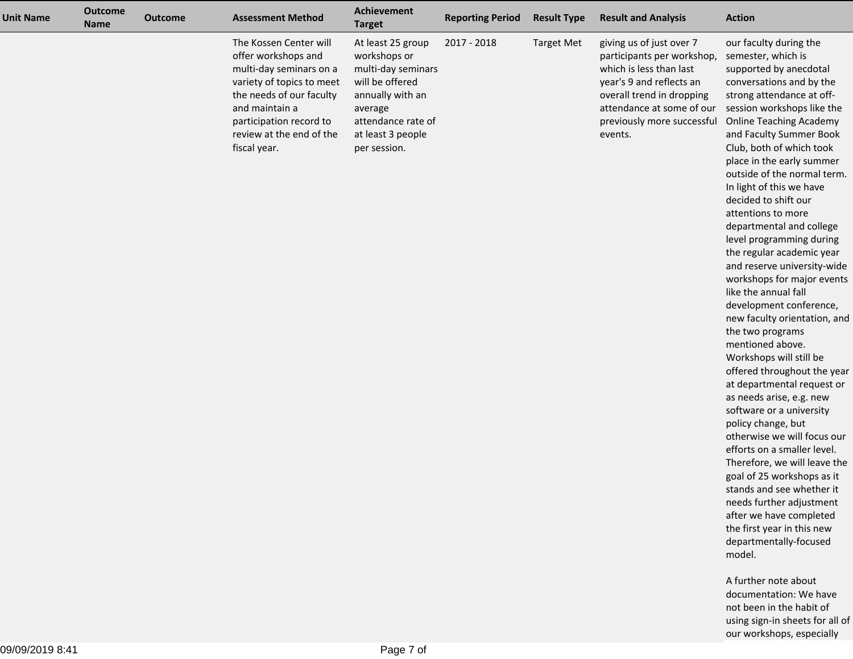| <b>Unit Name</b> | <b>Outcome</b><br><b>Name</b> | <b>Outcome</b> | <b>Assessment Method</b>                                                                                                                                                                                                   | Achievement<br><b>Target</b>                                                                                                                                         | <b>Reporting Period</b> | <b>Result Type</b> | <b>Result and Analysis</b>                                                                                                                                                                                       | <b>Action</b>                                                                                                                                                                                                                                                                                                                                                                                                                                                                                                                                                                                                                                                                                                                                                                                                                                                                                                                                                                                                                                                                                                                                             |
|------------------|-------------------------------|----------------|----------------------------------------------------------------------------------------------------------------------------------------------------------------------------------------------------------------------------|----------------------------------------------------------------------------------------------------------------------------------------------------------------------|-------------------------|--------------------|------------------------------------------------------------------------------------------------------------------------------------------------------------------------------------------------------------------|-----------------------------------------------------------------------------------------------------------------------------------------------------------------------------------------------------------------------------------------------------------------------------------------------------------------------------------------------------------------------------------------------------------------------------------------------------------------------------------------------------------------------------------------------------------------------------------------------------------------------------------------------------------------------------------------------------------------------------------------------------------------------------------------------------------------------------------------------------------------------------------------------------------------------------------------------------------------------------------------------------------------------------------------------------------------------------------------------------------------------------------------------------------|
|                  |                               |                | The Kossen Center will<br>offer workshops and<br>multi-day seminars on a<br>variety of topics to meet<br>the needs of our faculty<br>and maintain a<br>participation record to<br>review at the end of the<br>fiscal year. | At least 25 group<br>workshops or<br>multi-day seminars<br>will be offered<br>annually with an<br>average<br>attendance rate of<br>at least 3 people<br>per session. | 2017 - 2018             | <b>Target Met</b>  | giving us of just over 7<br>participants per workshop,<br>which is less than last<br>year's 9 and reflects an<br>overall trend in dropping<br>attendance at some of our<br>previously more successful<br>events. | our faculty during the<br>semester, which is<br>supported by anecdotal<br>conversations and by the<br>strong attendance at off-<br>session workshops like the<br><b>Online Teaching Academy</b><br>and Faculty Summer Book<br>Club, both of which took<br>place in the early summer<br>outside of the normal term.<br>In light of this we have<br>decided to shift our<br>attentions to more<br>departmental and college<br>level programming during<br>the regular academic year<br>and reserve university-wide<br>workshops for major events<br>like the annual fall<br>development conference,<br>new faculty orientation, and<br>the two programs<br>mentioned above.<br>Workshops will still be<br>offered throughout the year<br>at departmental request or<br>as needs arise, e.g. new<br>software or a university<br>policy change, but<br>otherwise we will focus our<br>efforts on a smaller level.<br>Therefore, we will leave the<br>goal of 25 workshops as it<br>stands and see whether it<br>needs further adjustment<br>after we have completed<br>the first year in this new<br>departmentally-focused<br>model.<br>A further note about |
|                  |                               |                |                                                                                                                                                                                                                            |                                                                                                                                                                      |                         |                    |                                                                                                                                                                                                                  | documentation: We have<br>not been in the habit of<br>using sign-in sheets for all of                                                                                                                                                                                                                                                                                                                                                                                                                                                                                                                                                                                                                                                                                                                                                                                                                                                                                                                                                                                                                                                                     |

our workshops, especially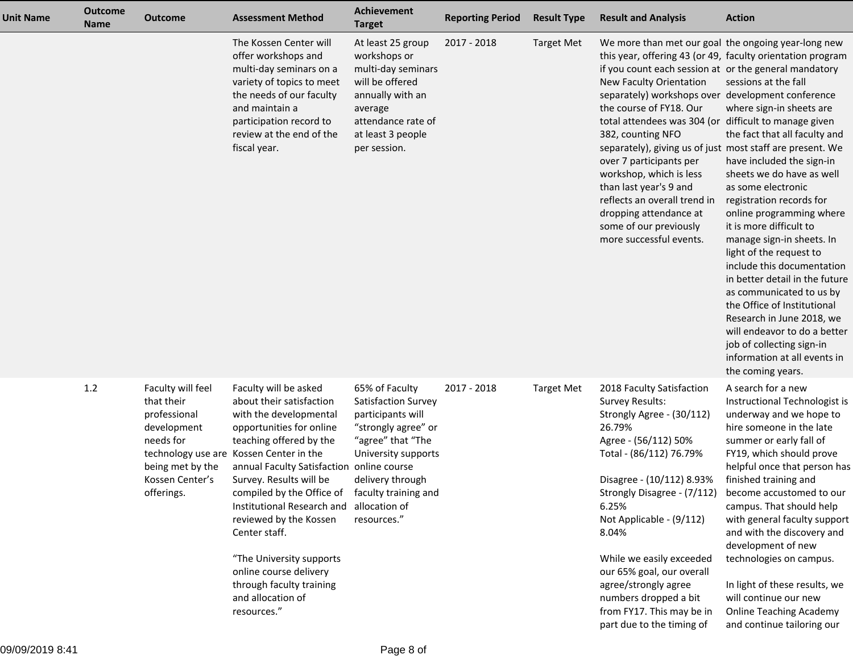| <b>Unit Name</b> | <b>Outcome</b><br><b>Name</b> | <b>Outcome</b>                                                                                                                   | <b>Assessment Method</b>                                                                                                                                                                                                                                                                                                                                                                                                                                                          | <b>Achievement</b><br><b>Target</b>                                                                                                                                                                       | <b>Reporting Period</b> | <b>Result Type</b> | <b>Result and Analysis</b>                                                                                                                                                                                                                                                                                                                                                                                                                                                                                                                                                                                                      | <b>Action</b>                                                                                                                                                                                                                                                                                                                                                                                                                                                                                                                                                                          |
|------------------|-------------------------------|----------------------------------------------------------------------------------------------------------------------------------|-----------------------------------------------------------------------------------------------------------------------------------------------------------------------------------------------------------------------------------------------------------------------------------------------------------------------------------------------------------------------------------------------------------------------------------------------------------------------------------|-----------------------------------------------------------------------------------------------------------------------------------------------------------------------------------------------------------|-------------------------|--------------------|---------------------------------------------------------------------------------------------------------------------------------------------------------------------------------------------------------------------------------------------------------------------------------------------------------------------------------------------------------------------------------------------------------------------------------------------------------------------------------------------------------------------------------------------------------------------------------------------------------------------------------|----------------------------------------------------------------------------------------------------------------------------------------------------------------------------------------------------------------------------------------------------------------------------------------------------------------------------------------------------------------------------------------------------------------------------------------------------------------------------------------------------------------------------------------------------------------------------------------|
|                  |                               |                                                                                                                                  | The Kossen Center will<br>offer workshops and<br>multi-day seminars on a<br>variety of topics to meet<br>the needs of our faculty<br>and maintain a<br>participation record to<br>review at the end of the<br>fiscal year.                                                                                                                                                                                                                                                        | At least 25 group<br>workshops or<br>multi-day seminars<br>will be offered<br>annually with an<br>average<br>attendance rate of<br>at least 3 people<br>per session.                                      | 2017 - 2018             | <b>Target Met</b>  | We more than met our goal the ongoing year-long new<br>this year, offering 43 (or 49, faculty orientation program<br>if you count each session at or the general mandatory<br>New Faculty Orientation<br>separately) workshops over development conference<br>the course of FY18. Our<br>total attendees was 304 (or difficult to manage given<br>382, counting NFO<br>separately), giving us of just most staff are present. We<br>over 7 participants per<br>workshop, which is less<br>than last year's 9 and<br>reflects an overall trend in<br>dropping attendance at<br>some of our previously<br>more successful events. | sessions at the fall<br>where sign-in sheets are<br>the fact that all faculty and<br>have included the sign-in<br>sheets we do have as well<br>as some electronic<br>registration records for<br>online programming where<br>it is more difficult to<br>manage sign-in sheets. In<br>light of the request to<br>include this documentation<br>in better detail in the future<br>as communicated to us by<br>the Office of Institutional<br>Research in June 2018, we<br>will endeavor to do a better<br>job of collecting sign-in<br>information at all events in<br>the coming years. |
|                  | $1.2\,$                       | Faculty will feel<br>that their<br>professional<br>development<br>needs for<br>being met by the<br>Kossen Center's<br>offerings. | Faculty will be asked<br>about their satisfaction<br>with the developmental<br>opportunities for online<br>teaching offered by the<br>technology use are Kossen Center in the<br>annual Faculty Satisfaction online course<br>Survey. Results will be<br>compiled by the Office of<br>Institutional Research and<br>reviewed by the Kossen<br>Center staff.<br>"The University supports<br>online course delivery<br>through faculty training<br>and allocation of<br>resources." | 65% of Faculty<br>Satisfaction Survey<br>participants will<br>"strongly agree" or<br>"agree" that "The<br>University supports<br>delivery through<br>faculty training and<br>allocation of<br>resources." | 2017 - 2018             | <b>Target Met</b>  | 2018 Faculty Satisfaction<br>Survey Results:<br>Strongly Agree - (30/112)<br>26.79%<br>Agree - (56/112) 50%<br>Total - (86/112) 76.79%<br>Disagree - (10/112) 8.93%<br>Strongly Disagree - (7/112)<br>6.25%<br>Not Applicable - (9/112)<br>8.04%<br>While we easily exceeded<br>our 65% goal, our overall<br>agree/strongly agree<br>numbers dropped a bit<br>from FY17. This may be in<br>part due to the timing of                                                                                                                                                                                                            | A search for a new<br>Instructional Technologist is<br>underway and we hope to<br>hire someone in the late<br>summer or early fall of<br>FY19, which should prove<br>helpful once that person has<br>finished training and<br>become accustomed to our<br>campus. That should help<br>with general faculty support<br>and with the discovery and<br>development of new<br>technologies on campus.<br>In light of these results, we<br>will continue our new<br><b>Online Teaching Academy</b><br>and continue tailoring our                                                            |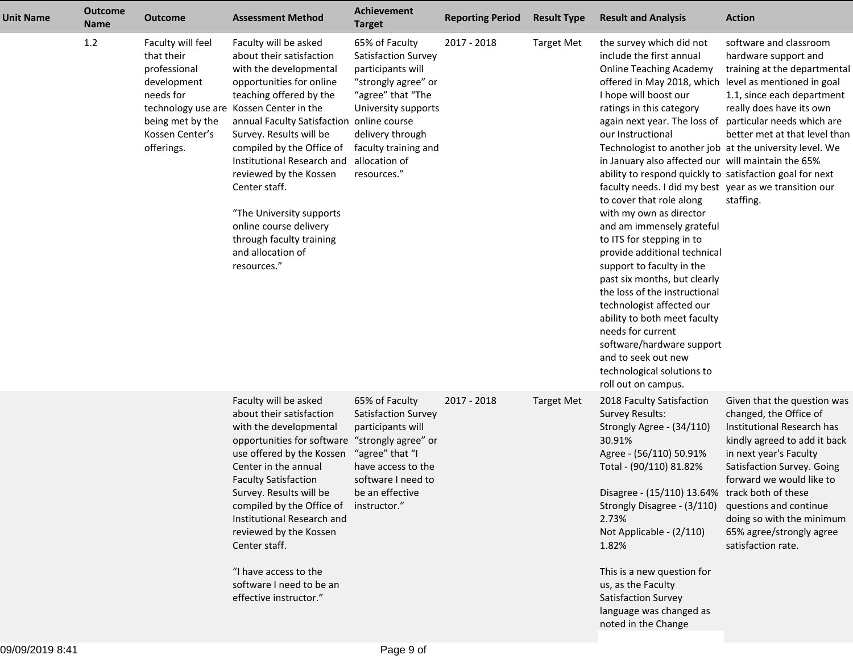| <b>Unit Name</b> | <b>Outcome</b><br><b>Name</b> | <b>Outcome</b>                                                                                                                   | <b>Assessment Method</b>                                                                                                                                                                                                                                                                                                                                                                                                                                                          | Achievement<br><b>Target</b>                                                                                                                                                                              | <b>Reporting Period</b> | <b>Result Type</b>                                                                          | <b>Result and Analysis</b>                                                                                                                                                                                                                                                                                                                                                                                                                                                                                                                                                                                                                                                                                                                                                                                                                                                                                      | <b>Action</b>                                                                                                                                                                                                                                                                          |
|------------------|-------------------------------|----------------------------------------------------------------------------------------------------------------------------------|-----------------------------------------------------------------------------------------------------------------------------------------------------------------------------------------------------------------------------------------------------------------------------------------------------------------------------------------------------------------------------------------------------------------------------------------------------------------------------------|-----------------------------------------------------------------------------------------------------------------------------------------------------------------------------------------------------------|-------------------------|---------------------------------------------------------------------------------------------|-----------------------------------------------------------------------------------------------------------------------------------------------------------------------------------------------------------------------------------------------------------------------------------------------------------------------------------------------------------------------------------------------------------------------------------------------------------------------------------------------------------------------------------------------------------------------------------------------------------------------------------------------------------------------------------------------------------------------------------------------------------------------------------------------------------------------------------------------------------------------------------------------------------------|----------------------------------------------------------------------------------------------------------------------------------------------------------------------------------------------------------------------------------------------------------------------------------------|
|                  | 1.2                           | Faculty will feel<br>that their<br>professional<br>development<br>needs for<br>being met by the<br>Kossen Center's<br>offerings. | Faculty will be asked<br>about their satisfaction<br>with the developmental<br>opportunities for online<br>teaching offered by the<br>technology use are Kossen Center in the<br>annual Faculty Satisfaction online course<br>Survey. Results will be<br>compiled by the Office of<br>Institutional Research and<br>reviewed by the Kossen<br>Center staff.<br>"The University supports<br>online course delivery<br>through faculty training<br>and allocation of<br>resources." | 65% of Faculty<br>Satisfaction Survey<br>participants will<br>"strongly agree" or<br>"agree" that "The<br>University supports<br>delivery through<br>faculty training and<br>allocation of<br>resources." | 2017 - 2018             | <b>Target Met</b>                                                                           | the survey which did not<br>include the first annual<br><b>Online Teaching Academy</b><br>offered in May 2018, which<br>I hope will boost our<br>ratings in this category<br>again next year. The loss of<br>our Instructional<br>Technologist to another job at the university level. We<br>in January also affected our will maintain the 65%<br>ability to respond quickly to satisfaction goal for next<br>faculty needs. I did my best year as we transition our<br>to cover that role along<br>with my own as director<br>and am immensely grateful<br>to ITS for stepping in to<br>provide additional technical<br>support to faculty in the<br>past six months, but clearly<br>the loss of the instructional<br>technologist affected our<br>ability to both meet faculty<br>needs for current<br>software/hardware support<br>and to seek out new<br>technological solutions to<br>roll out on campus. | software and classroom<br>hardware support and<br>training at the departmental<br>level as mentioned in goal<br>1.1, since each department<br>really does have its own<br>particular needs which are<br>better met at that level than<br>staffing.                                     |
|                  |                               |                                                                                                                                  | Faculty will be asked<br>about their satisfaction<br>with the developmental<br>opportunities for software<br>use offered by the Kossen<br>Center in the annual<br><b>Faculty Satisfaction</b><br>Survey. Results will be<br>compiled by the Office of<br>Institutional Research and<br>reviewed by the Kossen<br>Center staff.<br>"I have access to the                                                                                                                           | 65% of Faculty<br>Satisfaction Survey<br>participants will<br>"strongly agree" or<br>"agree" that "I<br>have access to the<br>software I need to<br>be an effective<br>instructor."                       | 2017 - 2018             | <b>Target Met</b>                                                                           | 2018 Faculty Satisfaction<br><b>Survey Results:</b><br>Strongly Agree - (34/110)<br>30.91%<br>Agree - (56/110) 50.91%<br>Total - (90/110) 81.82%<br>Disagree - (15/110) 13.64% track both of these<br>Strongly Disagree - (3/110) questions and continue<br>2.73%<br>Not Applicable - (2/110)<br>1.82%<br>This is a new question for                                                                                                                                                                                                                                                                                                                                                                                                                                                                                                                                                                            | Given that the question was<br>changed, the Office of<br>Institutional Research has<br>kindly agreed to add it back<br>in next year's Faculty<br>Satisfaction Survey. Going<br>forward we would like to<br>doing so with the minimum<br>65% agree/strongly agree<br>satisfaction rate. |
|                  |                               | software I need to be an<br>effective instructor."                                                                               |                                                                                                                                                                                                                                                                                                                                                                                                                                                                                   |                                                                                                                                                                                                           |                         | us, as the Faculty<br>Satisfaction Survey<br>language was changed as<br>noted in the Change |                                                                                                                                                                                                                                                                                                                                                                                                                                                                                                                                                                                                                                                                                                                                                                                                                                                                                                                 |                                                                                                                                                                                                                                                                                        |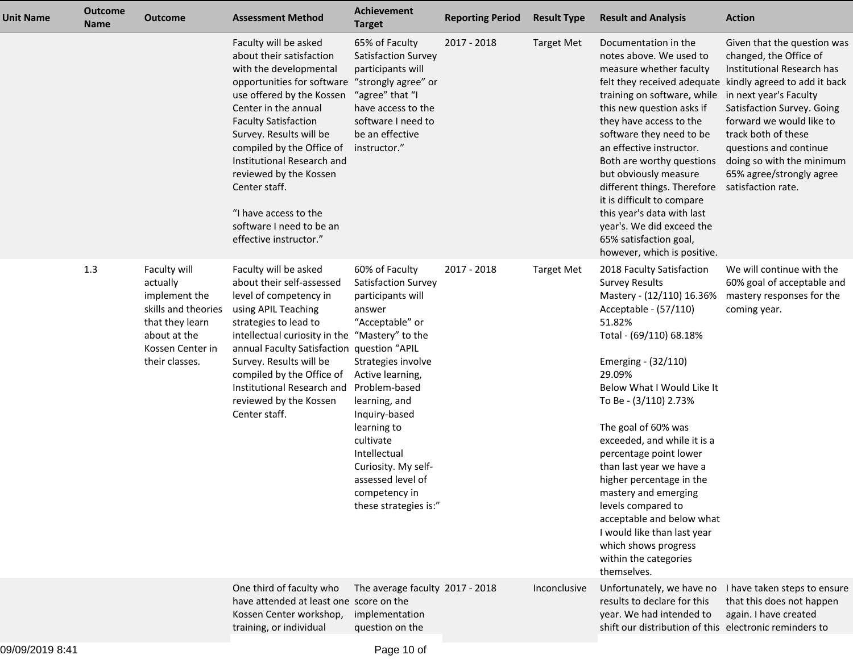| <b>Unit Name</b> | <b>Outcome</b><br><b>Name</b> | <b>Outcome</b>                                                                                                                            | <b>Assessment Method</b>                                                                                                                                                                                                                                                                                                                                                                                                          | <b>Achievement</b><br><b>Target</b>                                                                                                                                                                                                                                                                                    | <b>Reporting Period</b> | <b>Result Type</b> | <b>Result and Analysis</b>                                                                                                                                                                                                                                                                                                                                                                                                                                                                                                                              | <b>Action</b>                                                                                                                                                                                                                                                                                                                                                       |
|------------------|-------------------------------|-------------------------------------------------------------------------------------------------------------------------------------------|-----------------------------------------------------------------------------------------------------------------------------------------------------------------------------------------------------------------------------------------------------------------------------------------------------------------------------------------------------------------------------------------------------------------------------------|------------------------------------------------------------------------------------------------------------------------------------------------------------------------------------------------------------------------------------------------------------------------------------------------------------------------|-------------------------|--------------------|---------------------------------------------------------------------------------------------------------------------------------------------------------------------------------------------------------------------------------------------------------------------------------------------------------------------------------------------------------------------------------------------------------------------------------------------------------------------------------------------------------------------------------------------------------|---------------------------------------------------------------------------------------------------------------------------------------------------------------------------------------------------------------------------------------------------------------------------------------------------------------------------------------------------------------------|
|                  |                               |                                                                                                                                           | Faculty will be asked<br>about their satisfaction<br>with the developmental<br>opportunities for software "strongly agree" or<br>use offered by the Kossen<br>Center in the annual<br><b>Faculty Satisfaction</b><br>Survey. Results will be<br>compiled by the Office of<br>Institutional Research and<br>reviewed by the Kossen<br>Center staff.<br>"I have access to the<br>software I need to be an<br>effective instructor." | 65% of Faculty<br>Satisfaction Survey<br>participants will<br>"agree" that "I<br>have access to the<br>software I need to<br>be an effective<br>instructor."                                                                                                                                                           | 2017 - 2018             | <b>Target Met</b>  | Documentation in the<br>notes above. We used to<br>measure whether faculty<br>training on software, while<br>this new question asks if<br>they have access to the<br>software they need to be<br>an effective instructor.<br>Both are worthy questions<br>but obviously measure<br>different things. Therefore<br>it is difficult to compare<br>this year's data with last<br>year's. We did exceed the<br>65% satisfaction goal,<br>however, which is positive.                                                                                        | Given that the question was<br>changed, the Office of<br>Institutional Research has<br>felt they received adequate kindly agreed to add it back<br>in next year's Faculty<br>Satisfaction Survey. Going<br>forward we would like to<br>track both of these<br>questions and continue<br>doing so with the minimum<br>65% agree/strongly agree<br>satisfaction rate. |
|                  | 1.3                           | Faculty will<br>actually<br>implement the<br>skills and theories<br>that they learn<br>about at the<br>Kossen Center in<br>their classes. | Faculty will be asked<br>about their self-assessed<br>level of competency in<br>using APIL Teaching<br>strategies to lead to<br>intellectual curiosity in the "Mastery" to the<br>annual Faculty Satisfaction question "APIL<br>Survey. Results will be<br>compiled by the Office of<br>Institutional Research and<br>reviewed by the Kossen<br>Center staff.                                                                     | 60% of Faculty<br>Satisfaction Survey<br>participants will<br>answer<br>"Acceptable" or<br>Strategies involve<br>Active learning,<br>Problem-based<br>learning, and<br>Inquiry-based<br>learning to<br>cultivate<br>Intellectual<br>Curiosity. My self-<br>assessed level of<br>competency in<br>these strategies is:" | 2017 - 2018             | <b>Target Met</b>  | 2018 Faculty Satisfaction<br><b>Survey Results</b><br>Mastery - (12/110) 16.36%<br>Acceptable - (57/110)<br>51.82%<br>Total - (69/110) 68.18%<br>Emerging - (32/110)<br>29.09%<br>Below What I Would Like It<br>To Be - (3/110) 2.73%<br>The goal of 60% was<br>exceeded, and while it is a<br>percentage point lower<br>than last year we have a<br>higher percentage in the<br>mastery and emerging<br>levels compared to<br>acceptable and below what<br>I would like than last year<br>which shows progress<br>within the categories<br>themselves. | We will continue with the<br>60% goal of acceptable and<br>mastery responses for the<br>coming year.                                                                                                                                                                                                                                                                |
|                  |                               |                                                                                                                                           | One third of faculty who<br>have attended at least one score on the<br>Kossen Center workshop,<br>training, or individual                                                                                                                                                                                                                                                                                                         | The average faculty 2017 - 2018<br>implementation<br>question on the                                                                                                                                                                                                                                                   |                         | Inconclusive       | Unfortunately, we have no<br>results to declare for this<br>year. We had intended to<br>shift our distribution of this electronic reminders to                                                                                                                                                                                                                                                                                                                                                                                                          | I have taken steps to ensure<br>that this does not happen<br>again. I have created                                                                                                                                                                                                                                                                                  |
|                  |                               |                                                                                                                                           |                                                                                                                                                                                                                                                                                                                                                                                                                                   |                                                                                                                                                                                                                                                                                                                        |                         |                    |                                                                                                                                                                                                                                                                                                                                                                                                                                                                                                                                                         |                                                                                                                                                                                                                                                                                                                                                                     |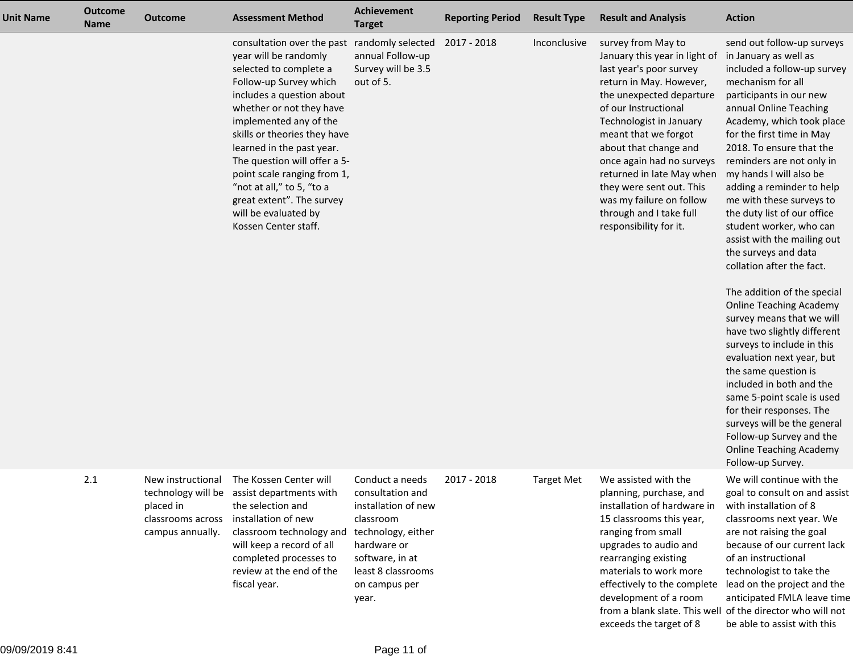| <b>Unit Name</b> | <b>Outcome</b><br><b>Name</b> | <b>Outcome</b>                                                          | <b>Assessment Method</b>                                                                                                                                                                                                                                                                                                                                                                                                                                       | <b>Achievement</b><br><b>Target</b>                                                                                                                                             | <b>Reporting Period</b> | <b>Result Type</b> | <b>Result and Analysis</b>                                                                                                                                                                                                                                                                                                                                                                                       | <b>Action</b>                                                                                                                                                                                                                                                                                                                                                                                                                                                                                                                                                                                                                                                                                                                                                                                                                                                                                                                             |
|------------------|-------------------------------|-------------------------------------------------------------------------|----------------------------------------------------------------------------------------------------------------------------------------------------------------------------------------------------------------------------------------------------------------------------------------------------------------------------------------------------------------------------------------------------------------------------------------------------------------|---------------------------------------------------------------------------------------------------------------------------------------------------------------------------------|-------------------------|--------------------|------------------------------------------------------------------------------------------------------------------------------------------------------------------------------------------------------------------------------------------------------------------------------------------------------------------------------------------------------------------------------------------------------------------|-------------------------------------------------------------------------------------------------------------------------------------------------------------------------------------------------------------------------------------------------------------------------------------------------------------------------------------------------------------------------------------------------------------------------------------------------------------------------------------------------------------------------------------------------------------------------------------------------------------------------------------------------------------------------------------------------------------------------------------------------------------------------------------------------------------------------------------------------------------------------------------------------------------------------------------------|
|                  |                               |                                                                         | consultation over the past randomly selected 2017 - 2018<br>year will be randomly<br>selected to complete a<br>Follow-up Survey which<br>includes a question about<br>whether or not they have<br>implemented any of the<br>skills or theories they have<br>learned in the past year.<br>The question will offer a 5-<br>point scale ranging from 1,<br>"not at all," to 5, "to a<br>great extent". The survey<br>will be evaluated by<br>Kossen Center staff. | annual Follow-up<br>Survey will be 3.5<br>out of 5.                                                                                                                             |                         | Inconclusive       | survey from May to<br>January this year in light of<br>last year's poor survey<br>return in May. However,<br>the unexpected departure<br>of our Instructional<br>Technologist in January<br>meant that we forgot<br>about that change and<br>once again had no surveys<br>returned in late May when<br>they were sent out. This<br>was my failure on follow<br>through and I take full<br>responsibility for it. | send out follow-up surveys<br>in January as well as<br>included a follow-up survey<br>mechanism for all<br>participants in our new<br>annual Online Teaching<br>Academy, which took place<br>for the first time in May<br>2018. To ensure that the<br>reminders are not only in<br>my hands I will also be<br>adding a reminder to help<br>me with these surveys to<br>the duty list of our office<br>student worker, who can<br>assist with the mailing out<br>the surveys and data<br>collation after the fact.<br>The addition of the special<br><b>Online Teaching Academy</b><br>survey means that we will<br>have two slightly different<br>surveys to include in this<br>evaluation next year, but<br>the same question is<br>included in both and the<br>same 5-point scale is used<br>for their responses. The<br>surveys will be the general<br>Follow-up Survey and the<br><b>Online Teaching Academy</b><br>Follow-up Survey. |
|                  | 2.1                           | New instructional<br>placed in<br>classrooms across<br>campus annually. | The Kossen Center will<br>technology will be assist departments with<br>the selection and<br>installation of new<br>classroom technology and<br>will keep a record of all<br>completed processes to<br>review at the end of the<br>fiscal year.                                                                                                                                                                                                                | Conduct a needs<br>consultation and<br>installation of new<br>classroom<br>technology, either<br>hardware or<br>software, in at<br>least 8 classrooms<br>on campus per<br>year. | 2017 - 2018             | <b>Target Met</b>  | We assisted with the<br>planning, purchase, and<br>installation of hardware in<br>15 classrooms this year,<br>ranging from small<br>upgrades to audio and<br>rearranging existing<br>materials to work more<br>effectively to the complete<br>development of a room                                                                                                                                              | We will continue with the<br>goal to consult on and assist<br>with installation of 8<br>classrooms next year. We<br>are not raising the goal<br>because of our current lack<br>of an instructional<br>technologist to take the<br>lead on the project and the<br>anticipated FMLA leave time                                                                                                                                                                                                                                                                                                                                                                                                                                                                                                                                                                                                                                              |

from a blank slate. This well of the director who will not

be able to assist with this

exceeds the target of 8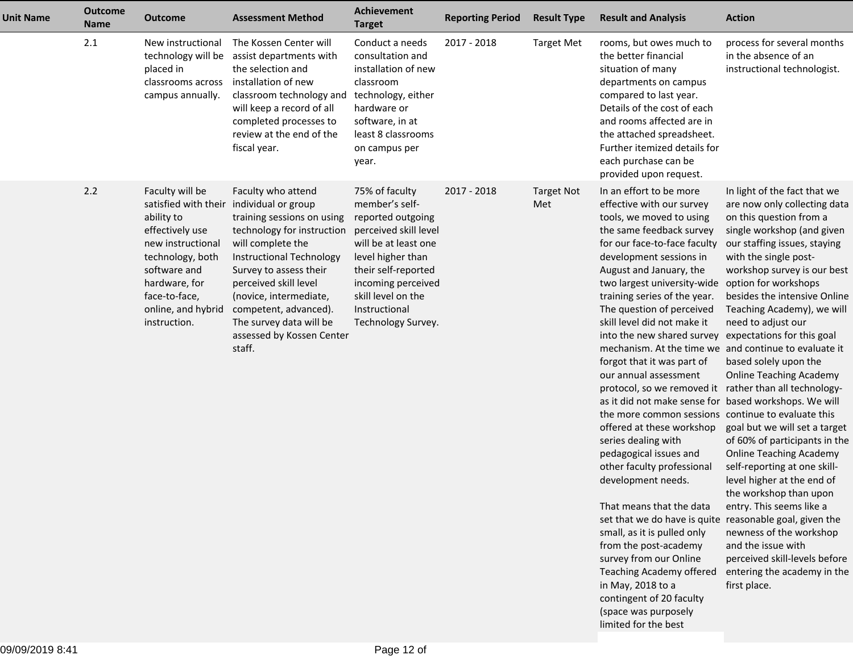| <b>Unit Name</b> | <b>Outcome</b><br><b>Name</b> | <b>Outcome</b>                                                                                                                                                                    | <b>Assessment Method</b>                                                                                                                                                                                                                                                                                                                            | <b>Achievement</b><br><b>Target</b>                                                                                                                                                                                                   | <b>Reporting Period</b> | <b>Result Type</b>       | <b>Result and Analysis</b>                                                                                                                                                                                                                                                                                                                                                                                                                                                                                                                                                                                                                                                                                                                                                                                                                                                                                                                                                                                                           | <b>Action</b>                                                                                                                                                                                                                                                                                                                                                                                                                                                                                                                                                                                                                                                                                                                                                                                                                             |
|------------------|-------------------------------|-----------------------------------------------------------------------------------------------------------------------------------------------------------------------------------|-----------------------------------------------------------------------------------------------------------------------------------------------------------------------------------------------------------------------------------------------------------------------------------------------------------------------------------------------------|---------------------------------------------------------------------------------------------------------------------------------------------------------------------------------------------------------------------------------------|-------------------------|--------------------------|--------------------------------------------------------------------------------------------------------------------------------------------------------------------------------------------------------------------------------------------------------------------------------------------------------------------------------------------------------------------------------------------------------------------------------------------------------------------------------------------------------------------------------------------------------------------------------------------------------------------------------------------------------------------------------------------------------------------------------------------------------------------------------------------------------------------------------------------------------------------------------------------------------------------------------------------------------------------------------------------------------------------------------------|-------------------------------------------------------------------------------------------------------------------------------------------------------------------------------------------------------------------------------------------------------------------------------------------------------------------------------------------------------------------------------------------------------------------------------------------------------------------------------------------------------------------------------------------------------------------------------------------------------------------------------------------------------------------------------------------------------------------------------------------------------------------------------------------------------------------------------------------|
|                  | 2.1                           | New instructional<br>placed in<br>classrooms across<br>campus annually.                                                                                                           | The Kossen Center will<br>technology will be assist departments with<br>the selection and<br>installation of new<br>classroom technology and<br>will keep a record of all<br>completed processes to<br>review at the end of the<br>fiscal year.                                                                                                     | Conduct a needs<br>consultation and<br>installation of new<br>classroom<br>technology, either<br>hardware or<br>software, in at<br>least 8 classrooms<br>on campus per<br>year.                                                       | 2017 - 2018             | <b>Target Met</b>        | rooms, but owes much to<br>the better financial<br>situation of many<br>departments on campus<br>compared to last year.<br>Details of the cost of each<br>and rooms affected are in<br>the attached spreadsheet.<br>Further itemized details for<br>each purchase can be<br>provided upon request.                                                                                                                                                                                                                                                                                                                                                                                                                                                                                                                                                                                                                                                                                                                                   | process for several months<br>in the absence of an<br>instructional technologist.                                                                                                                                                                                                                                                                                                                                                                                                                                                                                                                                                                                                                                                                                                                                                         |
|                  | 2.2                           | Faculty will be<br>ability to<br>effectively use<br>new instructional<br>technology, both<br>software and<br>hardware, for<br>face-to-face,<br>online, and hybrid<br>instruction. | Faculty who attend<br>satisfied with their individual or group<br>training sessions on using<br>technology for instruction<br>will complete the<br>Instructional Technology<br>Survey to assess their<br>perceived skill level<br>(novice, intermediate,<br>competent, advanced).<br>The survey data will be<br>assessed by Kossen Center<br>staff. | 75% of faculty<br>member's self-<br>reported outgoing<br>perceived skill level<br>will be at least one<br>level higher than<br>their self-reported<br>incoming perceived<br>skill level on the<br>Instructional<br>Technology Survey. | 2017 - 2018             | <b>Target Not</b><br>Met | In an effort to be more<br>effective with our survey<br>tools, we moved to using<br>the same feedback survey<br>for our face-to-face faculty<br>development sessions in<br>August and January, the<br>two largest university-wide<br>training series of the year.<br>The question of perceived<br>skill level did not make it<br>into the new shared survey<br>mechanism. At the time we<br>forgot that it was part of<br>our annual assessment<br>protocol, so we removed it<br>as it did not make sense for based workshops. We will<br>the more common sessions continue to evaluate this<br>offered at these workshop<br>series dealing with<br>pedagogical issues and<br>other faculty professional<br>development needs.<br>That means that the data<br>set that we do have is quite reasonable goal, given the<br>small, as it is pulled only<br>from the post-academy<br>survey from our Online<br>Teaching Academy offered<br>in May, 2018 to a<br>contingent of 20 faculty<br>(space was purposely<br>limited for the best | In light of the fact that we<br>are now only collecting data<br>on this question from a<br>single workshop (and given<br>our staffing issues, staying<br>with the single post-<br>workshop survey is our best<br>option for workshops<br>besides the intensive Online<br>Teaching Academy), we will<br>need to adjust our<br>expectations for this goal<br>and continue to evaluate it<br>based solely upon the<br><b>Online Teaching Academy</b><br>rather than all technology-<br>goal but we will set a target<br>of 60% of participants in the<br><b>Online Teaching Academy</b><br>self-reporting at one skill-<br>level higher at the end of<br>the workshop than upon<br>entry. This seems like a<br>newness of the workshop<br>and the issue with<br>perceived skill-levels before<br>entering the academy in the<br>first place. |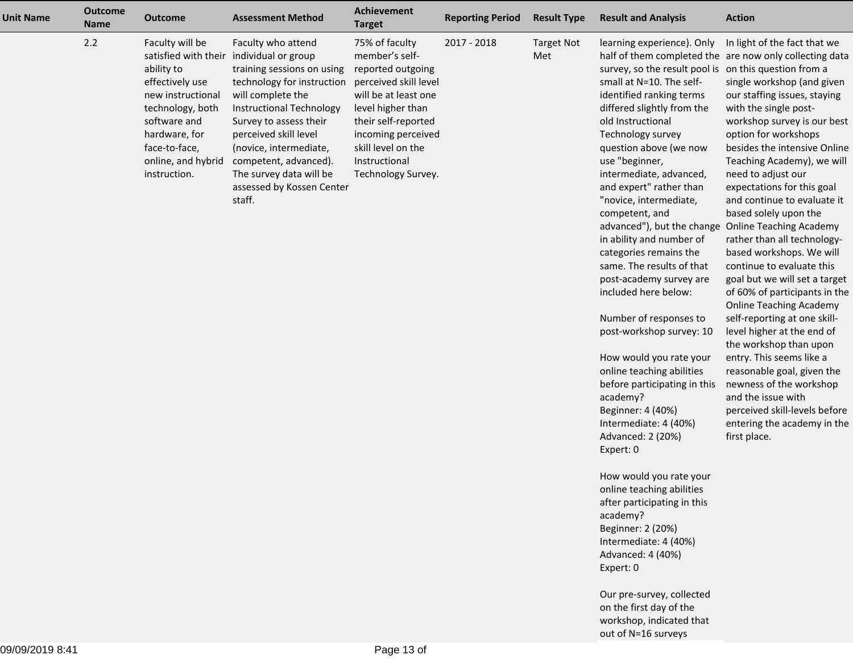| <b>Unit Name</b> | <b>Outcome</b><br><b>Name</b> | <b>Outcome</b>                                                                                                                                                                                            | <b>Assessment Method</b>                                                                                                                                                                                                                                                                                                       | Achievement<br><b>Target</b>                                                                                                                                                                                                          | <b>Reporting Period</b> | <b>Result Type</b>       | <b>Result and Analysis</b>                                                                                                                                                                                                                                                                                                                                                                                                                                                                                                                                                                                                                                                                                                                                                                                                                                                                                                                                                                                                                                                    | <b>Action</b>                                                                                                                                                                                                                                                                                                                                                                                                                                                                                                                                                                                                                                                                                                                                                                                                                                                                                                                    |
|------------------|-------------------------------|-----------------------------------------------------------------------------------------------------------------------------------------------------------------------------------------------------------|--------------------------------------------------------------------------------------------------------------------------------------------------------------------------------------------------------------------------------------------------------------------------------------------------------------------------------|---------------------------------------------------------------------------------------------------------------------------------------------------------------------------------------------------------------------------------------|-------------------------|--------------------------|-------------------------------------------------------------------------------------------------------------------------------------------------------------------------------------------------------------------------------------------------------------------------------------------------------------------------------------------------------------------------------------------------------------------------------------------------------------------------------------------------------------------------------------------------------------------------------------------------------------------------------------------------------------------------------------------------------------------------------------------------------------------------------------------------------------------------------------------------------------------------------------------------------------------------------------------------------------------------------------------------------------------------------------------------------------------------------|----------------------------------------------------------------------------------------------------------------------------------------------------------------------------------------------------------------------------------------------------------------------------------------------------------------------------------------------------------------------------------------------------------------------------------------------------------------------------------------------------------------------------------------------------------------------------------------------------------------------------------------------------------------------------------------------------------------------------------------------------------------------------------------------------------------------------------------------------------------------------------------------------------------------------------|
|                  | 2.2                           | Faculty will be<br>satisfied with their<br>ability to<br>effectively use<br>new instructional<br>technology, both<br>software and<br>hardware, for<br>face-to-face,<br>online, and hybrid<br>instruction. | Faculty who attend<br>individual or group<br>training sessions on using<br>technology for instruction<br>will complete the<br>Instructional Technology<br>Survey to assess their<br>perceived skill level<br>(novice, intermediate,<br>competent, advanced).<br>The survey data will be<br>assessed by Kossen Center<br>staff. | 75% of faculty<br>member's self-<br>reported outgoing<br>perceived skill level<br>will be at least one<br>level higher than<br>their self-reported<br>incoming perceived<br>skill level on the<br>Instructional<br>Technology Survey. | 2017 - 2018             | <b>Target Not</b><br>Met | learning experience). Only<br>survey, so the result pool is on this question from a<br>small at N=10. The self-<br>identified ranking terms<br>differed slightly from the<br>old Instructional<br>Technology survey<br>question above (we now<br>use "beginner,<br>intermediate, advanced,<br>and expert" rather than<br>"novice, intermediate,<br>competent, and<br>advanced"), but the change<br>in ability and number of<br>categories remains the<br>same. The results of that<br>post-academy survey are<br>included here below:<br>Number of responses to<br>post-workshop survey: 10<br>How would you rate your<br>online teaching abilities<br>before participating in this<br>academy?<br>Beginner: 4 (40%)<br>Intermediate: 4 (40%)<br>Advanced: 2 (20%)<br>Expert: 0<br>How would you rate your<br>online teaching abilities<br>after participating in this<br>academy?<br>Beginner: 2 (20%)<br>Intermediate: 4 (40%)<br>Advanced: 4 (40%)<br>Expert: 0<br>Our pre-survey, collected<br>on the first day of the<br>workshop, indicated that<br>out of N=16 surveys | In light of the fact that we<br>half of them completed the are now only collecting data<br>single workshop (and given<br>our staffing issues, staying<br>with the single post-<br>workshop survey is our best<br>option for workshops<br>besides the intensive Online<br>Teaching Academy), we will<br>need to adjust our<br>expectations for this goal<br>and continue to evaluate it<br>based solely upon the<br><b>Online Teaching Academy</b><br>rather than all technology-<br>based workshops. We will<br>continue to evaluate this<br>goal but we will set a target<br>of 60% of participants in the<br><b>Online Teaching Academy</b><br>self-reporting at one skill-<br>level higher at the end of<br>the workshop than upon<br>entry. This seems like a<br>reasonable goal, given the<br>newness of the workshop<br>and the issue with<br>perceived skill-levels before<br>entering the academy in the<br>first place. |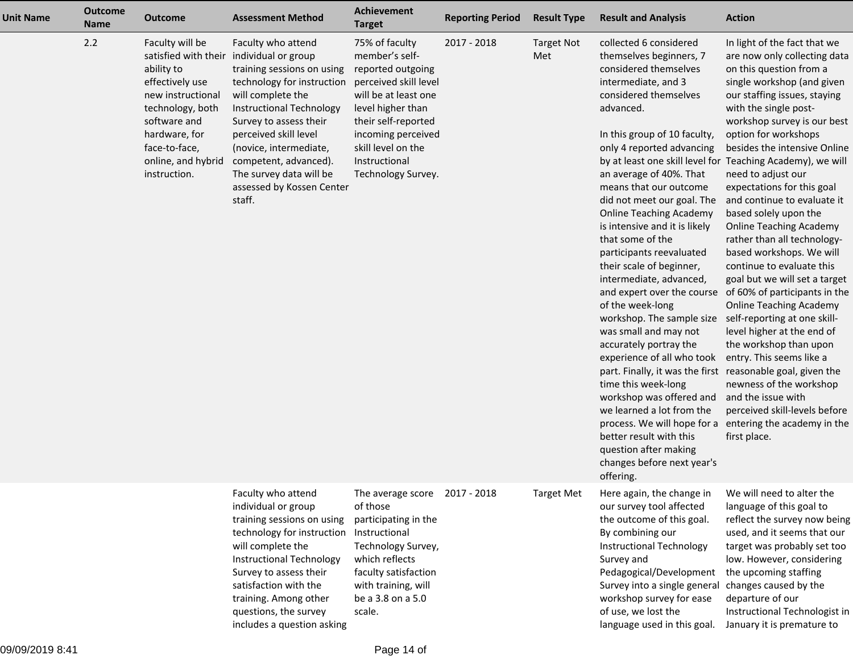| <b>Unit Name</b> | <b>Outcome</b><br><b>Name</b> | <b>Outcome</b>                                                                                                                                                                                            | <b>Assessment Method</b>                                                                                                                                                                                                                                                                                                              | Achievement<br><b>Target</b>                                                                                                                                                                                                          | <b>Reporting Period</b> | <b>Result Type</b>       | <b>Result and Analysis</b>                                                                                                                                                                                                                                                                                                                                                                                                                                                                                                                                                                                                                                                                                                                                                                                                                                                         | <b>Action</b>                                                                                                                                                                                                                                                                                                                                                                                                                                                                                                                                                                                                                                                                                                                                                                                                                                                                                                                                                    |
|------------------|-------------------------------|-----------------------------------------------------------------------------------------------------------------------------------------------------------------------------------------------------------|---------------------------------------------------------------------------------------------------------------------------------------------------------------------------------------------------------------------------------------------------------------------------------------------------------------------------------------|---------------------------------------------------------------------------------------------------------------------------------------------------------------------------------------------------------------------------------------|-------------------------|--------------------------|------------------------------------------------------------------------------------------------------------------------------------------------------------------------------------------------------------------------------------------------------------------------------------------------------------------------------------------------------------------------------------------------------------------------------------------------------------------------------------------------------------------------------------------------------------------------------------------------------------------------------------------------------------------------------------------------------------------------------------------------------------------------------------------------------------------------------------------------------------------------------------|------------------------------------------------------------------------------------------------------------------------------------------------------------------------------------------------------------------------------------------------------------------------------------------------------------------------------------------------------------------------------------------------------------------------------------------------------------------------------------------------------------------------------------------------------------------------------------------------------------------------------------------------------------------------------------------------------------------------------------------------------------------------------------------------------------------------------------------------------------------------------------------------------------------------------------------------------------------|
|                  | 2.2                           | Faculty will be<br>satisfied with their<br>ability to<br>effectively use<br>new instructional<br>technology, both<br>software and<br>hardware, for<br>face-to-face,<br>online, and hybrid<br>instruction. | Faculty who attend<br>individual or group<br>training sessions on using<br>technology for instruction<br>will complete the<br><b>Instructional Technology</b><br>Survey to assess their<br>perceived skill level<br>(novice, intermediate,<br>competent, advanced).<br>The survey data will be<br>assessed by Kossen Center<br>staff. | 75% of faculty<br>member's self-<br>reported outgoing<br>perceived skill level<br>will be at least one<br>level higher than<br>their self-reported<br>incoming perceived<br>skill level on the<br>Instructional<br>Technology Survey. | 2017 - 2018             | <b>Target Not</b><br>Met | collected 6 considered<br>themselves beginners, 7<br>considered themselves<br>intermediate, and 3<br>considered themselves<br>advanced.<br>In this group of 10 faculty,<br>only 4 reported advancing<br>an average of 40%. That<br>means that our outcome<br>did not meet our goal. The<br><b>Online Teaching Academy</b><br>is intensive and it is likely<br>that some of the<br>participants reevaluated<br>their scale of beginner,<br>intermediate, advanced,<br>and expert over the course<br>of the week-long<br>workshop. The sample size<br>was small and may not<br>accurately portray the<br>experience of all who took<br>part. Finally, it was the first<br>time this week-long<br>workshop was offered and<br>we learned a lot from the<br>process. We will hope for a<br>better result with this<br>question after making<br>changes before next year's<br>offering. | In light of the fact that we<br>are now only collecting data<br>on this question from a<br>single workshop (and given<br>our staffing issues, staying<br>with the single post-<br>workshop survey is our best<br>option for workshops<br>besides the intensive Online<br>by at least one skill level for Teaching Academy), we will<br>need to adjust our<br>expectations for this goal<br>and continue to evaluate it<br>based solely upon the<br><b>Online Teaching Academy</b><br>rather than all technology-<br>based workshops. We will<br>continue to evaluate this<br>goal but we will set a target<br>of 60% of participants in the<br><b>Online Teaching Academy</b><br>self-reporting at one skill-<br>level higher at the end of<br>the workshop than upon<br>entry. This seems like a<br>reasonable goal, given the<br>newness of the workshop<br>and the issue with<br>perceived skill-levels before<br>entering the academy in the<br>first place. |
|                  |                               |                                                                                                                                                                                                           | Faculty who attend<br>individual or group<br>training sessions on using<br>technology for instruction<br>will complete the<br>Instructional Technology<br>Survey to assess their<br>satisfaction with the<br>training. Among other<br>questions, the survey<br>includes a question asking                                             | The average score 2017 - 2018<br>of those<br>participating in the<br>Instructional<br>Technology Survey,<br>which reflects<br>faculty satisfaction<br>with training, will<br>be a 3.8 on a 5.0<br>scale.                              |                         | Target Met               | Here again, the change in<br>our survey tool affected<br>the outcome of this goal.<br>By combining our<br>Instructional Technology<br>Survey and<br>Pedagogical/Development<br>Survey into a single general<br>workshop survey for ease<br>of use, we lost the<br>language used in this goal.                                                                                                                                                                                                                                                                                                                                                                                                                                                                                                                                                                                      | We will need to alter the<br>language of this goal to<br>reflect the survey now being<br>used, and it seems that our<br>target was probably set too<br>low. However, considering<br>the upcoming staffing<br>changes caused by the<br>departure of our<br>Instructional Technologist in<br>January it is premature to                                                                                                                                                                                                                                                                                                                                                                                                                                                                                                                                                                                                                                            |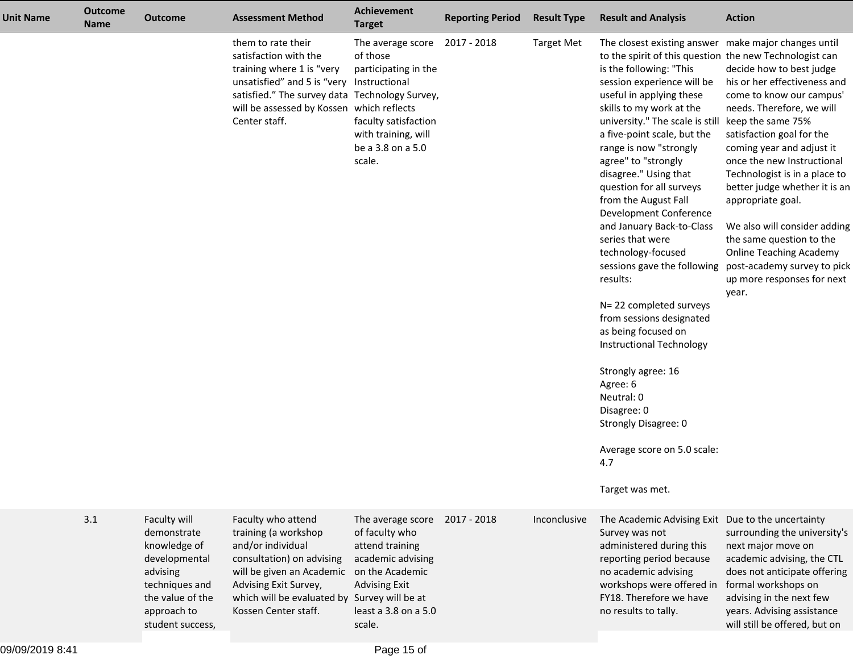| <b>Unit Name</b> | <b>Outcome</b><br><b>Name</b> | <b>Outcome</b>                                                                                                                                    | <b>Assessment Method</b>                                                                                                                                                                                                              | <b>Achievement</b><br><b>Target</b>                                                                                                                                           | <b>Reporting Period</b> | <b>Result Type</b> | <b>Result and Analysis</b>                                                                                                                                                                                                                                                                                                                                                                                                                                                                                                                                                                                                                                                                                                                                                                                                             | <b>Action</b>                                                                                                                                                                                                                                                                                                                                                                                                                                                                             |
|------------------|-------------------------------|---------------------------------------------------------------------------------------------------------------------------------------------------|---------------------------------------------------------------------------------------------------------------------------------------------------------------------------------------------------------------------------------------|-------------------------------------------------------------------------------------------------------------------------------------------------------------------------------|-------------------------|--------------------|----------------------------------------------------------------------------------------------------------------------------------------------------------------------------------------------------------------------------------------------------------------------------------------------------------------------------------------------------------------------------------------------------------------------------------------------------------------------------------------------------------------------------------------------------------------------------------------------------------------------------------------------------------------------------------------------------------------------------------------------------------------------------------------------------------------------------------------|-------------------------------------------------------------------------------------------------------------------------------------------------------------------------------------------------------------------------------------------------------------------------------------------------------------------------------------------------------------------------------------------------------------------------------------------------------------------------------------------|
|                  |                               |                                                                                                                                                   | them to rate their<br>satisfaction with the<br>training where 1 is "very<br>unsatisfied" and 5 is "very Instructional<br>satisfied." The survey data Technology Survey,<br>will be assessed by Kossen which reflects<br>Center staff. | The average score<br>of those<br>participating in the<br>faculty satisfaction<br>with training, will<br>be a 3.8 on a 5.0<br>scale.                                           | 2017 - 2018             | <b>Target Met</b>  | The closest existing answer make major changes until<br>to the spirit of this question the new Technologist can<br>is the following: "This<br>session experience will be<br>useful in applying these<br>skills to my work at the<br>university." The scale is still<br>a five-point scale, but the<br>range is now "strongly<br>agree" to "strongly<br>disagree." Using that<br>question for all surveys<br>from the August Fall<br>Development Conference<br>and January Back-to-Class<br>series that were<br>technology-focused<br>sessions gave the following<br>results:<br>N= 22 completed surveys<br>from sessions designated<br>as being focused on<br>Instructional Technology<br>Strongly agree: 16<br>Agree: 6<br>Neutral: 0<br>Disagree: 0<br>Strongly Disagree: 0<br>Average score on 5.0 scale:<br>4.7<br>Target was met. | decide how to best judge<br>his or her effectiveness and<br>come to know our campus'<br>needs. Therefore, we will<br>keep the same 75%<br>satisfaction goal for the<br>coming year and adjust it<br>once the new Instructional<br>Technologist is in a place to<br>better judge whether it is an<br>appropriate goal.<br>We also will consider adding<br>the same question to the<br><b>Online Teaching Academy</b><br>post-academy survey to pick<br>up more responses for next<br>year. |
|                  | 3.1                           | Faculty will<br>demonstrate<br>knowledge of<br>developmental<br>advising<br>techniques and<br>the value of the<br>approach to<br>student success, | Faculty who attend<br>training (a workshop<br>and/or individual<br>consultation) on advising<br>will be given an Academic<br>Advising Exit Survey,<br>which will be evaluated by<br>Kossen Center staff.                              | The average score<br>of faculty who<br>attend training<br>academic advising<br>on the Academic<br><b>Advising Exit</b><br>Survey will be at<br>least a 3.8 on a 5.0<br>scale. | 2017 - 2018             | Inconclusive       | The Academic Advising Exit<br>Survey was not<br>administered during this<br>reporting period because<br>no academic advising<br>workshops were offered in<br>FY18. Therefore we have<br>no results to tally.                                                                                                                                                                                                                                                                                                                                                                                                                                                                                                                                                                                                                           | Due to the uncertainty<br>surrounding the university's<br>next major move on<br>academic advising, the CTL<br>does not anticipate offering<br>formal workshops on<br>advising in the next few<br>years. Advising assistance<br>will still be offered, but on                                                                                                                                                                                                                              |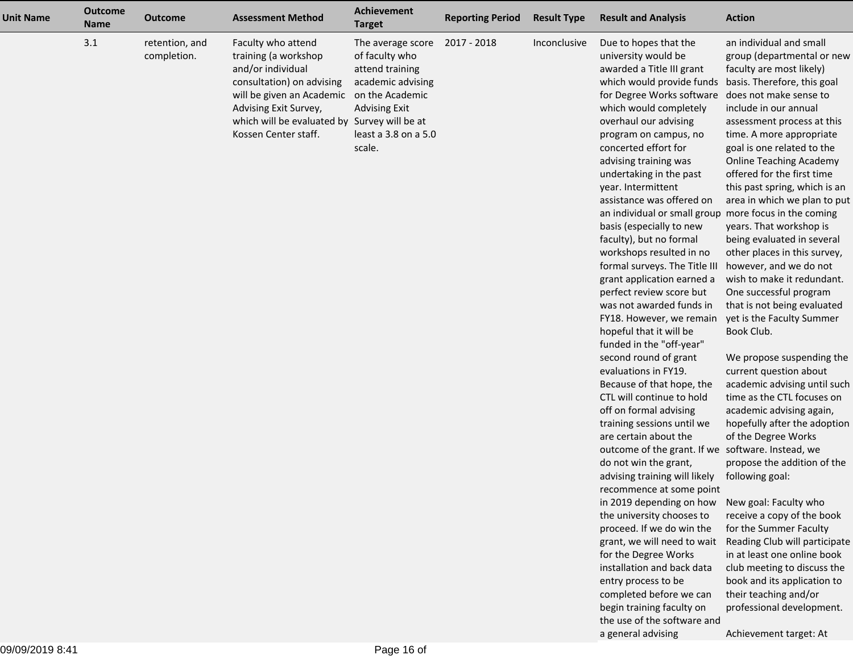| <b>Unit Name</b> | <b>Outcome</b><br><b>Name</b> | <b>Outcome</b>                | <b>Assessment Method</b>                                                                                                                                                                                                                   | <b>Achievement</b><br><b>Target</b>                                                                                                   | <b>Reporting Period</b> | <b>Result Type</b> | <b>Result and Analysis</b>                                                                                                                                                                                                                                                                                                                                                                                                                                                                                                                                                                                                                                                                                                                                                                                                                                                                                                                                                                                                                                                                                                                                                                                                                                                                                                                                 | <b>Action</b>                                                                                                                                                                                                                                                                                                                                                                                                                                                                                                                                                                                                                                                                                                                                                                                                                                                                                                                                                                                                                                                                                                                                                                                              |
|------------------|-------------------------------|-------------------------------|--------------------------------------------------------------------------------------------------------------------------------------------------------------------------------------------------------------------------------------------|---------------------------------------------------------------------------------------------------------------------------------------|-------------------------|--------------------|------------------------------------------------------------------------------------------------------------------------------------------------------------------------------------------------------------------------------------------------------------------------------------------------------------------------------------------------------------------------------------------------------------------------------------------------------------------------------------------------------------------------------------------------------------------------------------------------------------------------------------------------------------------------------------------------------------------------------------------------------------------------------------------------------------------------------------------------------------------------------------------------------------------------------------------------------------------------------------------------------------------------------------------------------------------------------------------------------------------------------------------------------------------------------------------------------------------------------------------------------------------------------------------------------------------------------------------------------------|------------------------------------------------------------------------------------------------------------------------------------------------------------------------------------------------------------------------------------------------------------------------------------------------------------------------------------------------------------------------------------------------------------------------------------------------------------------------------------------------------------------------------------------------------------------------------------------------------------------------------------------------------------------------------------------------------------------------------------------------------------------------------------------------------------------------------------------------------------------------------------------------------------------------------------------------------------------------------------------------------------------------------------------------------------------------------------------------------------------------------------------------------------------------------------------------------------|
|                  | 3.1                           | retention, and<br>completion. | Faculty who attend<br>training (a workshop<br>and/or individual<br>consultation) on advising<br>will be given an Academic on the Academic<br>Advising Exit Survey,<br>which will be evaluated by Survey will be at<br>Kossen Center staff. | The average score<br>of faculty who<br>attend training<br>academic advising<br><b>Advising Exit</b><br>least a 3.8 on a 5.0<br>scale. | 2017 - 2018             | Inconclusive       | Due to hopes that the<br>university would be<br>awarded a Title III grant<br>which would provide funds<br>for Degree Works software<br>which would completely<br>overhaul our advising<br>program on campus, no<br>concerted effort for<br>advising training was<br>undertaking in the past<br>year. Intermittent<br>assistance was offered on<br>an individual or small group more focus in the coming<br>basis (especially to new<br>faculty), but no formal<br>workshops resulted in no<br>formal surveys. The Title III<br>grant application earned a<br>perfect review score but<br>was not awarded funds in<br>FY18. However, we remain<br>hopeful that it will be<br>funded in the "off-year"<br>second round of grant<br>evaluations in FY19.<br>Because of that hope, the<br>CTL will continue to hold<br>off on formal advising<br>training sessions until we<br>are certain about the<br>outcome of the grant. If we software. Instead, we<br>do not win the grant,<br>advising training will likely<br>recommence at some point<br>in 2019 depending on how<br>the university chooses to<br>proceed. If we do win the<br>grant, we will need to wait<br>for the Degree Works<br>installation and back data<br>entry process to be<br>completed before we can<br>begin training faculty on<br>the use of the software and<br>a general advising | an individual and small<br>group (departmental or new<br>faculty are most likely)<br>basis. Therefore, this goal<br>does not make sense to<br>include in our annual<br>assessment process at this<br>time. A more appropriate<br>goal is one related to the<br><b>Online Teaching Academy</b><br>offered for the first time<br>this past spring, which is an<br>area in which we plan to put<br>years. That workshop is<br>being evaluated in several<br>other places in this survey,<br>however, and we do not<br>wish to make it redundant.<br>One successful program<br>that is not being evaluated<br>yet is the Faculty Summer<br>Book Club.<br>We propose suspending the<br>current question about<br>academic advising until such<br>time as the CTL focuses on<br>academic advising again,<br>hopefully after the adoption<br>of the Degree Works<br>propose the addition of the<br>following goal:<br>New goal: Faculty who<br>receive a copy of the book<br>for the Summer Faculty<br>Reading Club will participate<br>in at least one online book<br>club meeting to discuss the<br>book and its application to<br>their teaching and/or<br>professional development.<br>Achievement target: At |
| 09/09/2019 8:41  |                               |                               |                                                                                                                                                                                                                                            | Page 16 of                                                                                                                            |                         |                    |                                                                                                                                                                                                                                                                                                                                                                                                                                                                                                                                                                                                                                                                                                                                                                                                                                                                                                                                                                                                                                                                                                                                                                                                                                                                                                                                                            |                                                                                                                                                                                                                                                                                                                                                                                                                                                                                                                                                                                                                                                                                                                                                                                                                                                                                                                                                                                                                                                                                                                                                                                                            |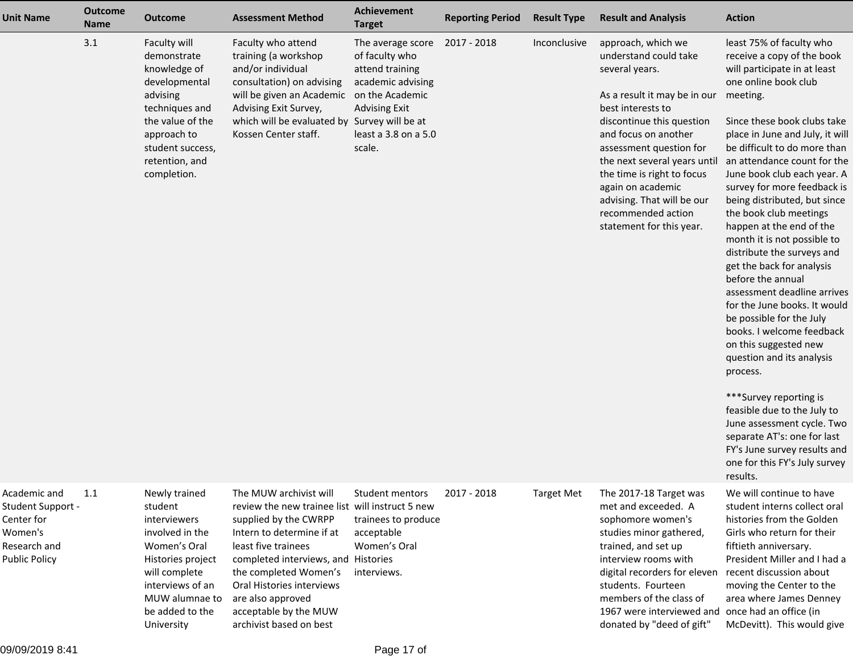| <b>Unit Name</b>                                                                                   | <b>Outcome</b><br><b>Name</b> | <b>Outcome</b>                                                                                                                                                                           | <b>Assessment Method</b>                                                                                                                                                                                                                                                                                                     | <b>Achievement</b><br><b>Target</b>                                                                                                   | <b>Reporting Period</b> | <b>Result Type</b> | <b>Result and Analysis</b>                                                                                                                                                                                                                                                                                                                                            | <b>Action</b>                                                                                                                                                                                                                                                                                                                                                                                                                                                                                                                                                                                                                                                                                                                                                                                                                                                                                                               |
|----------------------------------------------------------------------------------------------------|-------------------------------|------------------------------------------------------------------------------------------------------------------------------------------------------------------------------------------|------------------------------------------------------------------------------------------------------------------------------------------------------------------------------------------------------------------------------------------------------------------------------------------------------------------------------|---------------------------------------------------------------------------------------------------------------------------------------|-------------------------|--------------------|-----------------------------------------------------------------------------------------------------------------------------------------------------------------------------------------------------------------------------------------------------------------------------------------------------------------------------------------------------------------------|-----------------------------------------------------------------------------------------------------------------------------------------------------------------------------------------------------------------------------------------------------------------------------------------------------------------------------------------------------------------------------------------------------------------------------------------------------------------------------------------------------------------------------------------------------------------------------------------------------------------------------------------------------------------------------------------------------------------------------------------------------------------------------------------------------------------------------------------------------------------------------------------------------------------------------|
|                                                                                                    | 3.1                           | Faculty will<br>demonstrate<br>knowledge of<br>developmental<br>advising<br>techniques and<br>the value of the<br>approach to<br>student success,<br>retention, and<br>completion.       | Faculty who attend<br>training (a workshop<br>and/or individual<br>consultation) on advising<br>will be given an Academic on the Academic<br>Advising Exit Survey,<br>which will be evaluated by Survey will be at<br>Kossen Center staff.                                                                                   | The average score<br>of faculty who<br>attend training<br>academic advising<br><b>Advising Exit</b><br>least a 3.8 on a 5.0<br>scale. | 2017 - 2018             | Inconclusive       | approach, which we<br>understand could take<br>several years.<br>As a result it may be in our<br>best interests to<br>discontinue this question<br>and focus on another<br>assessment question for<br>the next several years until<br>the time is right to focus<br>again on academic<br>advising. That will be our<br>recommended action<br>statement for this year. | least 75% of faculty who<br>receive a copy of the book<br>will participate in at least<br>one online book club<br>meeting.<br>Since these book clubs take<br>place in June and July, it will<br>be difficult to do more than<br>an attendance count for the<br>June book club each year. A<br>survey for more feedback is<br>being distributed, but since<br>the book club meetings<br>happen at the end of the<br>month it is not possible to<br>distribute the surveys and<br>get the back for analysis<br>before the annual<br>assessment deadline arrives<br>for the June books. It would<br>be possible for the July<br>books. I welcome feedback<br>on this suggested new<br>question and its analysis<br>process.<br>***Survey reporting is<br>feasible due to the July to<br>June assessment cycle. Two<br>separate AT's: one for last<br>FY's June survey results and<br>one for this FY's July survey<br>results. |
| Academic and<br>Student Support -<br>Center for<br>Women's<br>Research and<br><b>Public Policy</b> | 1.1                           | Newly trained<br>student<br>interviewers<br>involved in the<br>Women's Oral<br>Histories project<br>will complete<br>interviews of an<br>MUW alumnae to<br>be added to the<br>University | The MUW archivist will<br>review the new trainee list will instruct 5 new<br>supplied by the CWRPP<br>Intern to determine if at<br>least five trainees<br>completed interviews, and Histories<br>the completed Women's<br>Oral Histories interviews<br>are also approved<br>acceptable by the MUW<br>archivist based on best | Student mentors<br>trainees to produce<br>acceptable<br>Women's Oral<br>interviews.                                                   | 2017 - 2018             | Target Met         | The 2017-18 Target was<br>met and exceeded. A<br>sophomore women's<br>studies minor gathered,<br>trained, and set up<br>interview rooms with<br>digital recorders for eleven<br>students. Fourteen<br>members of the class of<br>1967 were interviewed and<br>donated by "deed of gift"                                                                               | We will continue to have<br>student interns collect oral<br>histories from the Golden<br>Girls who return for their<br>fiftieth anniversary.<br>President Miller and I had a<br>recent discussion about<br>moving the Center to the<br>area where James Denney<br>once had an office (in<br>McDevitt). This would give                                                                                                                                                                                                                                                                                                                                                                                                                                                                                                                                                                                                      |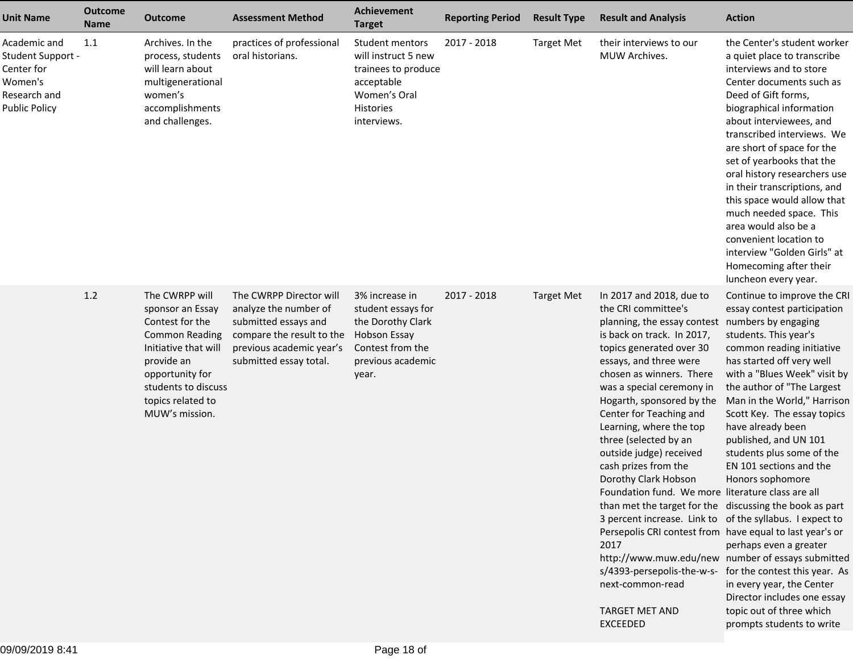| <b>Unit Name</b>                                                                                   | <b>Outcome</b><br><b>Name</b> | <b>Outcome</b>                                                                                                                                                                                        | <b>Assessment Method</b>                                                                                                                                    | <b>Achievement</b><br><b>Target</b>                                                                                                | <b>Reporting Period</b> | <b>Result Type</b> | <b>Result and Analysis</b>                                                                                                                                                                                                                                                                                                                                                                                                                                                                                                                                                                                                                                                                                                                                                                                                                          | <b>Action</b>                                                                                                                                                                                                                                                                                                                                                                                                                                                                                                                                                            |
|----------------------------------------------------------------------------------------------------|-------------------------------|-------------------------------------------------------------------------------------------------------------------------------------------------------------------------------------------------------|-------------------------------------------------------------------------------------------------------------------------------------------------------------|------------------------------------------------------------------------------------------------------------------------------------|-------------------------|--------------------|-----------------------------------------------------------------------------------------------------------------------------------------------------------------------------------------------------------------------------------------------------------------------------------------------------------------------------------------------------------------------------------------------------------------------------------------------------------------------------------------------------------------------------------------------------------------------------------------------------------------------------------------------------------------------------------------------------------------------------------------------------------------------------------------------------------------------------------------------------|--------------------------------------------------------------------------------------------------------------------------------------------------------------------------------------------------------------------------------------------------------------------------------------------------------------------------------------------------------------------------------------------------------------------------------------------------------------------------------------------------------------------------------------------------------------------------|
| Academic and<br>Student Support -<br>Center for<br>Women's<br>Research and<br><b>Public Policy</b> | 1.1                           | Archives. In the<br>process, students<br>will learn about<br>multigenerational<br>women's<br>accomplishments<br>and challenges.                                                                       | practices of professional<br>oral historians.                                                                                                               | Student mentors<br>will instruct 5 new<br>trainees to produce<br>acceptable<br>Women's Oral<br><b>Histories</b><br>interviews.     | 2017 - 2018             | <b>Target Met</b>  | their interviews to our<br>MUW Archives.                                                                                                                                                                                                                                                                                                                                                                                                                                                                                                                                                                                                                                                                                                                                                                                                            | the Center's student worker<br>a quiet place to transcribe<br>interviews and to store<br>Center documents such as<br>Deed of Gift forms,<br>biographical information<br>about interviewees, and<br>transcribed interviews. We<br>are short of space for the<br>set of yearbooks that the<br>oral history researchers use<br>in their transcriptions, and<br>this space would allow that<br>much needed space. This<br>area would also be a<br>convenient location to<br>interview "Golden Girls" at<br>Homecoming after their<br>luncheon every year.                    |
|                                                                                                    | $1.2$                         | The CWRPP will<br>sponsor an Essay<br>Contest for the<br><b>Common Reading</b><br>Initiative that will<br>provide an<br>opportunity for<br>students to discuss<br>topics related to<br>MUW's mission. | The CWRPP Director will<br>analyze the number of<br>submitted essays and<br>compare the result to the<br>previous academic year's<br>submitted essay total. | 3% increase in<br>student essays for<br>the Dorothy Clark<br><b>Hobson Essay</b><br>Contest from the<br>previous academic<br>year. | 2017 - 2018             | <b>Target Met</b>  | In 2017 and 2018, due to<br>the CRI committee's<br>planning, the essay contest<br>is back on track. In 2017,<br>topics generated over 30<br>essays, and three were<br>chosen as winners. There<br>was a special ceremony in<br>Hogarth, sponsored by the<br>Center for Teaching and<br>Learning, where the top<br>three (selected by an<br>outside judge) received<br>cash prizes from the<br>Dorothy Clark Hobson<br>Foundation fund. We more literature class are all<br>than met the target for the discussing the book as part<br>3 percent increase. Link to of the syllabus. I expect to<br>Persepolis CRI contest from have equal to last year's or<br>2017<br>http://www.muw.edu/new number of essays submitted<br>s/4393-persepolis-the-w-s- for the contest this year. As<br>next-common-read<br><b>TARGET MET AND</b><br><b>EXCEEDED</b> | Continue to improve the CR<br>essay contest participation<br>numbers by engaging<br>students. This year's<br>common reading initiative<br>has started off very well<br>with a "Blues Week" visit by<br>the author of "The Largest<br>Man in the World," Harrison<br>Scott Key. The essay topics<br>have already been<br>published, and UN 101<br>students plus some of the<br>EN 101 sections and the<br>Honors sophomore<br>perhaps even a greater<br>in every year, the Center<br>Director includes one essay<br>topic out of three which<br>prompts students to write |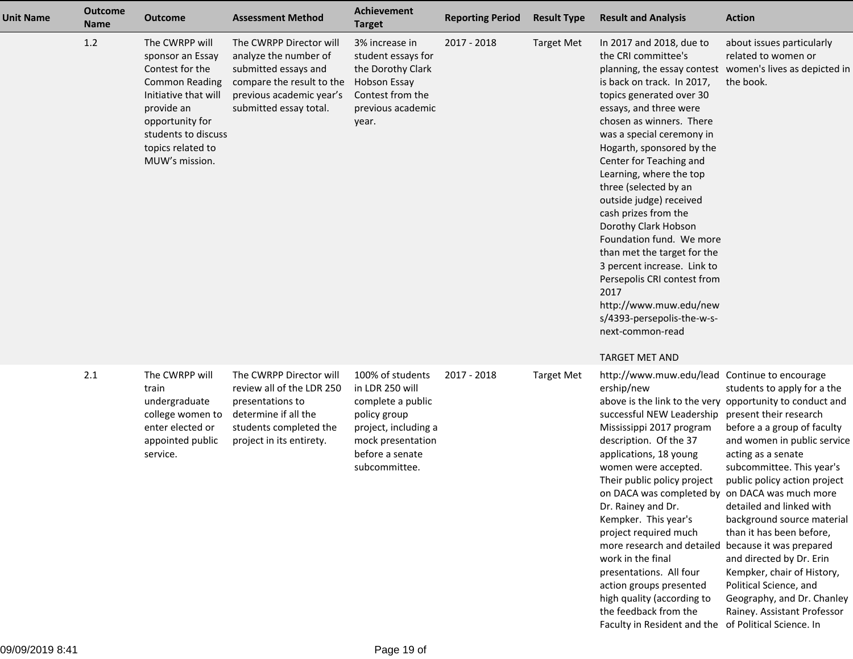| <b>Unit Name</b> | <b>Outcome</b><br><b>Name</b> | <b>Outcome</b>                                                                                                                                                                                        | <b>Assessment Method</b>                                                                                                                                    | <b>Achievement</b><br><b>Target</b>                                                                                                                       | <b>Reporting Period</b> | <b>Result Type</b> | <b>Result and Analysis</b>                                                                                                                                                                                                                                                                                                                                                                                                                                                                                                                                                                                                | <b>Action</b>                                                                                                                                                                                                                                                                                                                                                                                                                                                                                                                        |
|------------------|-------------------------------|-------------------------------------------------------------------------------------------------------------------------------------------------------------------------------------------------------|-------------------------------------------------------------------------------------------------------------------------------------------------------------|-----------------------------------------------------------------------------------------------------------------------------------------------------------|-------------------------|--------------------|---------------------------------------------------------------------------------------------------------------------------------------------------------------------------------------------------------------------------------------------------------------------------------------------------------------------------------------------------------------------------------------------------------------------------------------------------------------------------------------------------------------------------------------------------------------------------------------------------------------------------|--------------------------------------------------------------------------------------------------------------------------------------------------------------------------------------------------------------------------------------------------------------------------------------------------------------------------------------------------------------------------------------------------------------------------------------------------------------------------------------------------------------------------------------|
|                  | 1.2                           | The CWRPP will<br>sponsor an Essay<br>Contest for the<br><b>Common Reading</b><br>Initiative that will<br>provide an<br>opportunity for<br>students to discuss<br>topics related to<br>MUW's mission. | The CWRPP Director will<br>analyze the number of<br>submitted essays and<br>compare the result to the<br>previous academic year's<br>submitted essay total. | 3% increase in<br>student essays for<br>the Dorothy Clark<br><b>Hobson Essay</b><br>Contest from the<br>previous academic<br>year.                        | 2017 - 2018             | <b>Target Met</b>  | In 2017 and 2018, due to<br>the CRI committee's<br>is back on track. In 2017,<br>topics generated over 30<br>essays, and three were<br>chosen as winners. There<br>was a special ceremony in<br>Hogarth, sponsored by the<br>Center for Teaching and<br>Learning, where the top<br>three (selected by an<br>outside judge) received<br>cash prizes from the<br>Dorothy Clark Hobson<br>Foundation fund. We more<br>than met the target for the<br>3 percent increase. Link to<br>Persepolis CRI contest from<br>2017<br>http://www.muw.edu/new<br>s/4393-persepolis-the-w-s-<br>next-common-read<br><b>TARGET MET AND</b> | about issues particularly<br>related to women or<br>planning, the essay contest women's lives as depicted in<br>the book.                                                                                                                                                                                                                                                                                                                                                                                                            |
|                  | 2.1                           | The CWRPP will<br>train<br>undergraduate<br>college women to<br>enter elected or<br>appointed public<br>service.                                                                                      | The CWRPP Director will<br>review all of the LDR 250<br>presentations to<br>determine if all the<br>students completed the<br>project in its entirety.      | 100% of students<br>in LDR 250 will<br>complete a public<br>policy group<br>project, including a<br>mock presentation<br>before a senate<br>subcommittee. | 2017 - 2018             | <b>Target Met</b>  | http://www.muw.edu/lead Continue to encourage<br>ership/new<br>successful NEW Leadership<br>Mississippi 2017 program<br>description. Of the 37<br>applications, 18 young<br>women were accepted.<br>Their public policy project<br>on DACA was completed by on DACA was much more<br>Dr. Rainey and Dr.<br>Kempker. This year's<br>project required much<br>more research and detailed<br>work in the final<br>presentations. All four<br>action groups presented<br>high quality (according to<br>the feedback from the<br>Faculty in Resident and the of Political Science. In                                          | students to apply for a the<br>above is the link to the very opportunity to conduct and<br>present their research<br>before a a group of faculty<br>and women in public service<br>acting as a senate<br>subcommittee. This year's<br>public policy action project<br>detailed and linked with<br>background source material<br>than it has been before,<br>because it was prepared<br>and directed by Dr. Erin<br>Kempker, chair of History,<br>Political Science, and<br>Geography, and Dr. Chanley<br>Rainey. Assistant Professor |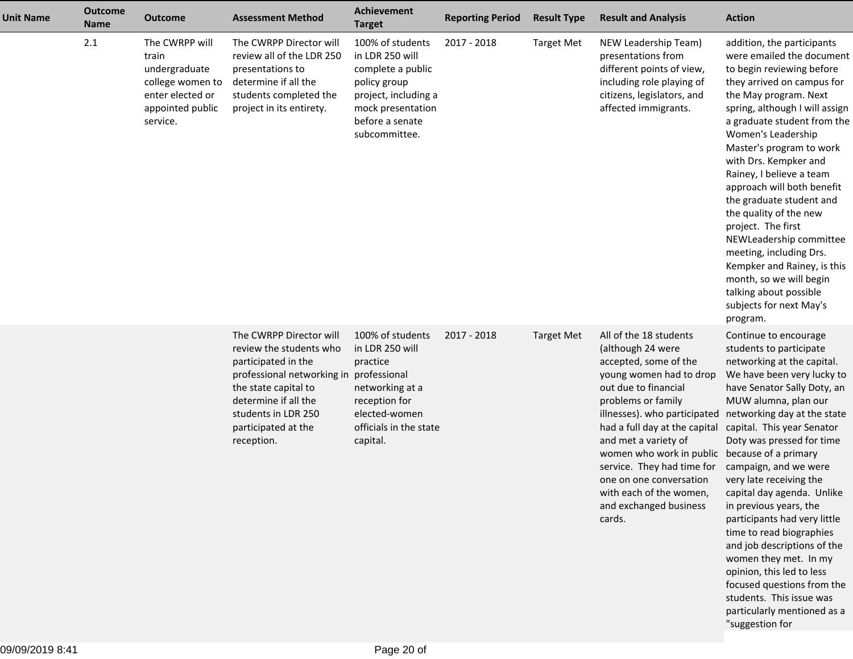| <b>Unit Name</b> | <b>Outcome</b><br><b>Name</b> | <b>Outcome</b>                                                                                                   | <b>Assessment Method</b>                                                                                                                                                                                            | <b>Achievement</b><br><b>Target</b>                                                                                                                        | <b>Reporting Period</b> | <b>Result Type</b> | <b>Result and Analysis</b>                                                                                                                                                                                                                                                                                                                                                                 | <b>Action</b>                                                                                                                                                                                                                                                                                                                                                                                                                                                                                                                                                                                                                                                  |
|------------------|-------------------------------|------------------------------------------------------------------------------------------------------------------|---------------------------------------------------------------------------------------------------------------------------------------------------------------------------------------------------------------------|------------------------------------------------------------------------------------------------------------------------------------------------------------|-------------------------|--------------------|--------------------------------------------------------------------------------------------------------------------------------------------------------------------------------------------------------------------------------------------------------------------------------------------------------------------------------------------------------------------------------------------|----------------------------------------------------------------------------------------------------------------------------------------------------------------------------------------------------------------------------------------------------------------------------------------------------------------------------------------------------------------------------------------------------------------------------------------------------------------------------------------------------------------------------------------------------------------------------------------------------------------------------------------------------------------|
|                  | 2.1                           | The CWRPP will<br>train<br>undergraduate<br>college women to<br>enter elected or<br>appointed public<br>service. | The CWRPP Director will<br>review all of the LDR 250<br>presentations to<br>determine if all the<br>students completed the<br>project in its entirety.                                                              | 100% of students<br>in LDR 250 will<br>complete a public<br>policy group<br>project, including a<br>mock presentation<br>before a senate<br>subcommittee.  | 2017 - 2018             | <b>Target Met</b>  | NEW Leadership Team)<br>presentations from<br>different points of view,<br>including role playing of<br>citizens, legislators, and<br>affected immigrants.                                                                                                                                                                                                                                 | addition, the participants<br>were emailed the document<br>to begin reviewing before<br>they arrived on campus for<br>the May program. Next<br>spring, although I will assign<br>a graduate student from the<br>Women's Leadership<br>Master's program to work<br>with Drs. Kempker and<br>Rainey, I believe a team<br>approach will both benefit<br>the graduate student and<br>the quality of the new<br>project. The first<br>NEWLeadership committee<br>meeting, including Drs.<br>Kempker and Rainey, is this<br>month, so we will begin<br>talking about possible<br>subjects for next May's<br>program.                                                 |
|                  |                               |                                                                                                                  | The CWRPP Director will<br>review the students who<br>participated in the<br>professional networking in<br>the state capital to<br>determine if all the<br>students in LDR 250<br>participated at the<br>reception. | 100% of students<br>in LDR 250 will<br>practice<br>professional<br>networking at a<br>reception for<br>elected-women<br>officials in the state<br>capital. | 2017 - 2018             | <b>Target Met</b>  | All of the 18 students<br>(although 24 were<br>accepted, some of the<br>young women had to drop<br>out due to financial<br>problems or family<br>illnesses). who participated<br>had a full day at the capital<br>and met a variety of<br>women who work in public<br>service. They had time for<br>one on one conversation<br>with each of the women,<br>and exchanged business<br>cards. | Continue to encourage<br>students to participate<br>networking at the capital.<br>We have been very lucky to<br>have Senator Sally Doty, an<br>MUW alumna, plan our<br>networking day at the state<br>capital. This year Senator<br>Doty was pressed for time<br>because of a primary<br>campaign, and we were<br>very late receiving the<br>capital day agenda. Unlike<br>in previous years, the<br>participants had very little<br>time to read biographies<br>and job descriptions of the<br>women they met. In my<br>opinion, this led to less<br>focused questions from the<br>students. This issue was<br>particularly mentioned as a<br>"suggestion for |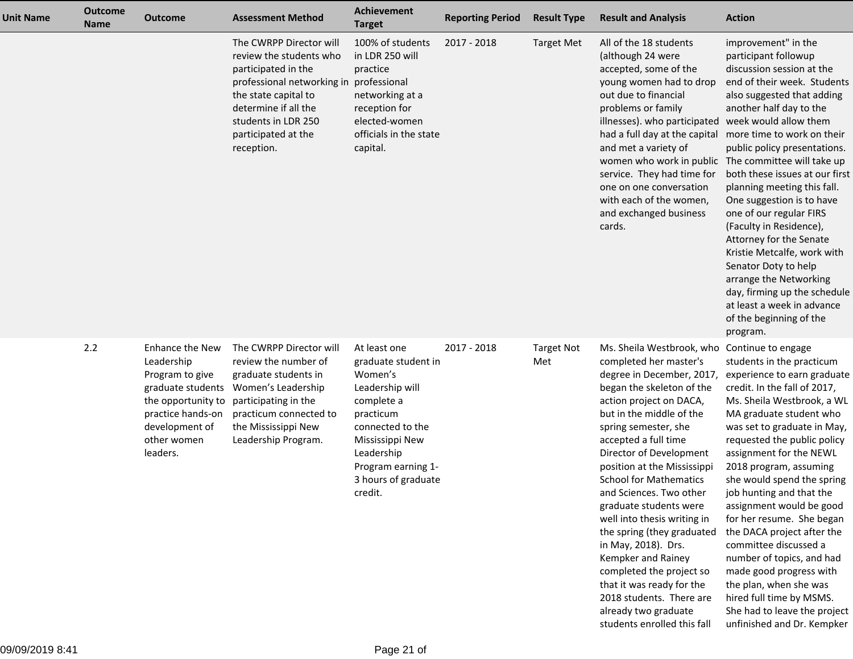| <b>Unit Name</b> | <b>Outcome</b><br><b>Name</b> | <b>Outcome</b>                                                                                                                                                | <b>Assessment Method</b>                                                                                                                                                                                                         | Achievement<br><b>Target</b>                                                                                                                                                                              | <b>Reporting Period</b> | <b>Result Type</b>       | <b>Result and Analysis</b>                                                                                                                                                                                                                                                                                                                                                                                                                                                                                                                                                                                                 | <b>Action</b>                                                                                                                                                                                                                                                                                                                                                                                                                                                                                                                                                                                                                                              |
|------------------|-------------------------------|---------------------------------------------------------------------------------------------------------------------------------------------------------------|----------------------------------------------------------------------------------------------------------------------------------------------------------------------------------------------------------------------------------|-----------------------------------------------------------------------------------------------------------------------------------------------------------------------------------------------------------|-------------------------|--------------------------|----------------------------------------------------------------------------------------------------------------------------------------------------------------------------------------------------------------------------------------------------------------------------------------------------------------------------------------------------------------------------------------------------------------------------------------------------------------------------------------------------------------------------------------------------------------------------------------------------------------------------|------------------------------------------------------------------------------------------------------------------------------------------------------------------------------------------------------------------------------------------------------------------------------------------------------------------------------------------------------------------------------------------------------------------------------------------------------------------------------------------------------------------------------------------------------------------------------------------------------------------------------------------------------------|
|                  |                               |                                                                                                                                                               | The CWRPP Director will<br>review the students who<br>participated in the<br>professional networking in professional<br>the state capital to<br>determine if all the<br>students in LDR 250<br>participated at the<br>reception. | 100% of students<br>in LDR 250 will<br>practice<br>networking at a<br>reception for<br>elected-women<br>officials in the state<br>capital.                                                                | 2017 - 2018             | <b>Target Met</b>        | All of the 18 students<br>(although 24 were<br>accepted, some of the<br>young women had to drop<br>out due to financial<br>problems or family<br>illnesses). who participated<br>had a full day at the capital<br>and met a variety of<br>women who work in public<br>service. They had time for<br>one on one conversation<br>with each of the women,<br>and exchanged business<br>cards.                                                                                                                                                                                                                                 | improvement" in the<br>participant followup<br>discussion session at the<br>end of their week. Students<br>also suggested that adding<br>another half day to the<br>week would allow them<br>more time to work on their<br>public policy presentations.<br>The committee will take up<br>both these issues at our first<br>planning meeting this fall.<br>One suggestion is to have<br>one of our regular FIRS<br>(Faculty in Residence),<br>Attorney for the Senate<br>Kristie Metcalfe, work with<br>Senator Doty to help<br>arrange the Networking<br>day, firming up the schedule<br>at least a week in advance<br>of the beginning of the<br>program. |
|                  | 2.2                           | Enhance the New<br>Leadership<br>Program to give<br>graduate students<br>the opportunity to<br>practice hands-on<br>development of<br>other women<br>leaders. | The CWRPP Director will<br>review the number of<br>graduate students in<br>Women's Leadership<br>participating in the<br>practicum connected to<br>the Mississippi New<br>Leadership Program.                                    | At least one<br>graduate student in<br>Women's<br>Leadership will<br>complete a<br>practicum<br>connected to the<br>Mississippi New<br>Leadership<br>Program earning 1-<br>3 hours of graduate<br>credit. | 2017 - 2018             | <b>Target Not</b><br>Met | Ms. Sheila Westbrook, who<br>completed her master's<br>degree in December, 2017,<br>began the skeleton of the<br>action project on DACA,<br>but in the middle of the<br>spring semester, she<br>accepted a full time<br>Director of Development<br>position at the Mississippi<br><b>School for Mathematics</b><br>and Sciences. Two other<br>graduate students were<br>well into thesis writing in<br>the spring (they graduated<br>in May, 2018). Drs.<br>Kempker and Rainey<br>completed the project so<br>that it was ready for the<br>2018 students. There are<br>already two graduate<br>students enrolled this fall | Continue to engage<br>students in the practicum<br>experience to earn graduate<br>credit. In the fall of 2017,<br>Ms. Sheila Westbrook, a WL<br>MA graduate student who<br>was set to graduate in May,<br>requested the public policy<br>assignment for the NEWL<br>2018 program, assuming<br>she would spend the spring<br>job hunting and that the<br>assignment would be good<br>for her resume. She began<br>the DACA project after the<br>committee discussed a<br>number of topics, and had<br>made good progress with<br>the plan, when she was<br>hired full time by MSMS.<br>She had to leave the project<br>unfinished and Dr. Kempker           |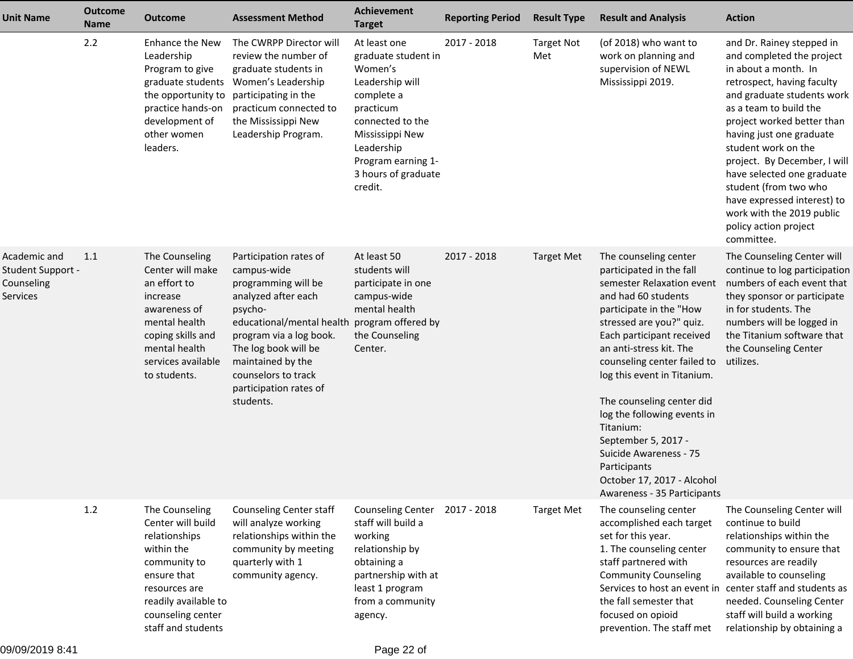| <b>Unit Name</b>                                            | <b>Outcome</b><br><b>Name</b> | <b>Outcome</b>                                                                                                                                                                        | <b>Assessment Method</b>                                                                                                                                                                                                                                                             | <b>Achievement</b><br><b>Target</b>                                                                                                                                                                       | <b>Reporting Period</b> | <b>Result Type</b>       | <b>Result and Analysis</b>                                                                                                                                                                                                                                                                                                                                                                                                                                                                | <b>Action</b>                                                                                                                                                                                                                                                                                                                                                                                                                                   |
|-------------------------------------------------------------|-------------------------------|---------------------------------------------------------------------------------------------------------------------------------------------------------------------------------------|--------------------------------------------------------------------------------------------------------------------------------------------------------------------------------------------------------------------------------------------------------------------------------------|-----------------------------------------------------------------------------------------------------------------------------------------------------------------------------------------------------------|-------------------------|--------------------------|-------------------------------------------------------------------------------------------------------------------------------------------------------------------------------------------------------------------------------------------------------------------------------------------------------------------------------------------------------------------------------------------------------------------------------------------------------------------------------------------|-------------------------------------------------------------------------------------------------------------------------------------------------------------------------------------------------------------------------------------------------------------------------------------------------------------------------------------------------------------------------------------------------------------------------------------------------|
|                                                             | 2.2                           | Enhance the New<br>Leadership<br>Program to give<br>graduate students<br>the opportunity to<br>practice hands-on<br>development of<br>other women<br>leaders.                         | The CWRPP Director will<br>review the number of<br>graduate students in<br>Women's Leadership<br>participating in the<br>practicum connected to<br>the Mississippi New<br>Leadership Program.                                                                                        | At least one<br>graduate student in<br>Women's<br>Leadership will<br>complete a<br>practicum<br>connected to the<br>Mississippi New<br>Leadership<br>Program earning 1-<br>3 hours of graduate<br>credit. | 2017 - 2018             | <b>Target Not</b><br>Met | (of 2018) who want to<br>work on planning and<br>supervision of NEWL<br>Mississippi 2019.                                                                                                                                                                                                                                                                                                                                                                                                 | and Dr. Rainey stepped in<br>and completed the project<br>in about a month. In<br>retrospect, having faculty<br>and graduate students work<br>as a team to build the<br>project worked better than<br>having just one graduate<br>student work on the<br>project. By December, I will<br>have selected one graduate<br>student (from two who<br>have expressed interest) to<br>work with the 2019 public<br>policy action project<br>committee. |
| Academic and<br>Student Support -<br>Counseling<br>Services | 1.1                           | The Counseling<br>Center will make<br>an effort to<br>increase<br>awareness of<br>mental health<br>coping skills and<br>mental health<br>services available<br>to students.           | Participation rates of<br>campus-wide<br>programming will be<br>analyzed after each<br>psycho-<br>educational/mental health program offered by<br>program via a log book.<br>The log book will be<br>maintained by the<br>counselors to track<br>participation rates of<br>students. | At least 50<br>students will<br>participate in one<br>campus-wide<br>mental health<br>the Counseling<br>Center.                                                                                           | 2017 - 2018             | <b>Target Met</b>        | The counseling center<br>participated in the fall<br>semester Relaxation event<br>and had 60 students<br>participate in the "How<br>stressed are you?" quiz.<br>Each participant received<br>an anti-stress kit. The<br>counseling center failed to<br>log this event in Titanium.<br>The counseling center did<br>log the following events in<br>Titanium:<br>September 5, 2017 -<br>Suicide Awareness - 75<br>Participants<br>October 17, 2017 - Alcohol<br>Awareness - 35 Participants | The Counseling Center will<br>continue to log participation<br>numbers of each event that<br>they sponsor or participate<br>in for students. The<br>numbers will be logged in<br>the Titanium software that<br>the Counseling Center<br>utilizes.                                                                                                                                                                                               |
|                                                             | 1.2                           | The Counseling<br>Center will build<br>relationships<br>within the<br>community to<br>ensure that<br>resources are<br>readily available to<br>counseling center<br>staff and students | <b>Counseling Center staff</b><br>will analyze working<br>relationships within the<br>community by meeting<br>quarterly with 1<br>community agency.                                                                                                                                  | <b>Counseling Center</b><br>staff will build a<br>working<br>relationship by<br>obtaining a<br>partnership with at<br>least 1 program<br>from a community<br>agency.                                      | 2017 - 2018             | <b>Target Met</b>        | The counseling center<br>accomplished each target<br>set for this year.<br>1. The counseling center<br>staff partnered with<br><b>Community Counseling</b><br>Services to host an event in<br>the fall semester that<br>focused on opioid<br>prevention. The staff met                                                                                                                                                                                                                    | The Counseling Center will<br>continue to build<br>relationships within the<br>community to ensure that<br>resources are readily<br>available to counseling<br>center staff and students as<br>needed. Counseling Center<br>staff will build a working<br>relationship by obtaining a                                                                                                                                                           |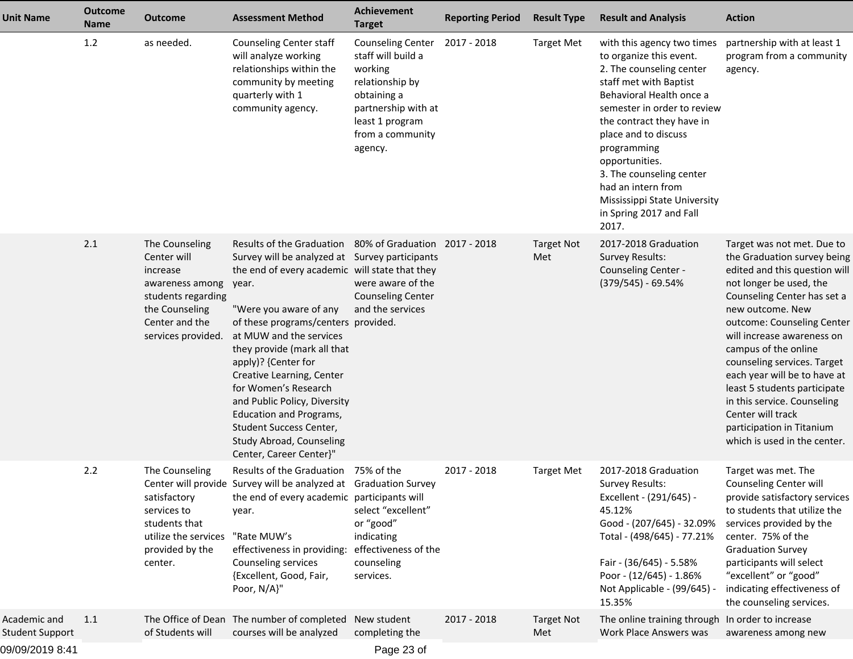| <b>Unit Name</b>                       | <b>Outcome</b><br><b>Name</b> | <b>Outcome</b>                                                                                                                               | <b>Assessment Method</b>                                                                                                                                                                                                                                                                                                                                                                                                                                                                                                        | <b>Achievement</b><br><b>Target</b>                                                                                                                                  | <b>Reporting Period</b> | <b>Result Type</b>       | <b>Result and Analysis</b>                                                                                                                                                                                                                                                                                                                                                         | <b>Action</b>                                                                                                                                                                                                                                                                                                                                                                                                                                                                |
|----------------------------------------|-------------------------------|----------------------------------------------------------------------------------------------------------------------------------------------|---------------------------------------------------------------------------------------------------------------------------------------------------------------------------------------------------------------------------------------------------------------------------------------------------------------------------------------------------------------------------------------------------------------------------------------------------------------------------------------------------------------------------------|----------------------------------------------------------------------------------------------------------------------------------------------------------------------|-------------------------|--------------------------|------------------------------------------------------------------------------------------------------------------------------------------------------------------------------------------------------------------------------------------------------------------------------------------------------------------------------------------------------------------------------------|------------------------------------------------------------------------------------------------------------------------------------------------------------------------------------------------------------------------------------------------------------------------------------------------------------------------------------------------------------------------------------------------------------------------------------------------------------------------------|
|                                        | 1.2                           | as needed.                                                                                                                                   | Counseling Center staff<br>will analyze working<br>relationships within the<br>community by meeting<br>quarterly with 1<br>community agency.                                                                                                                                                                                                                                                                                                                                                                                    | <b>Counseling Center</b><br>staff will build a<br>working<br>relationship by<br>obtaining a<br>partnership with at<br>least 1 program<br>from a community<br>agency. | 2017 - 2018             | <b>Target Met</b>        | with this agency two times<br>to organize this event.<br>2. The counseling center<br>staff met with Baptist<br>Behavioral Health once a<br>semester in order to review<br>the contract they have in<br>place and to discuss<br>programming<br>opportunities.<br>3. The counseling center<br>had an intern from<br>Mississippi State University<br>in Spring 2017 and Fall<br>2017. | partnership with at least 1<br>program from a community<br>agency.                                                                                                                                                                                                                                                                                                                                                                                                           |
|                                        | 2.1                           | The Counseling<br>Center will<br>increase<br>awareness among<br>students regarding<br>the Counseling<br>Center and the<br>services provided. | Results of the Graduation 80% of Graduation 2017 - 2018<br>Survey will be analyzed at Survey participants<br>the end of every academic will state that they<br>year.<br>"Were you aware of any<br>of these programs/centers provided.<br>at MUW and the services<br>they provide (mark all that<br>apply)? {Center for<br>Creative Learning, Center<br>for Women's Research<br>and Public Policy, Diversity<br><b>Education and Programs,</b><br>Student Success Center,<br>Study Abroad, Counseling<br>Center, Career Center}" | were aware of the<br><b>Counseling Center</b><br>and the services                                                                                                    |                         | <b>Target Not</b><br>Met | 2017-2018 Graduation<br><b>Survey Results:</b><br>Counseling Center -<br>$(379/545) - 69.54%$                                                                                                                                                                                                                                                                                      | Target was not met. Due to<br>the Graduation survey being<br>edited and this question will<br>not longer be used, the<br>Counseling Center has set a<br>new outcome. New<br>outcome: Counseling Center<br>will increase awareness on<br>campus of the online<br>counseling services. Target<br>each year will be to have at<br>least 5 students participate<br>in this service. Counseling<br>Center will track<br>participation in Titanium<br>which is used in the center. |
|                                        | 2.2                           | The Counseling<br>satisfactory<br>services to<br>students that<br>utilize the services<br>provided by the<br>center.                         | Results of the Graduation 75% of the<br>Center will provide Survey will be analyzed at Graduation Survey<br>the end of every academic participants will<br>year.<br>"Rate MUW's<br>effectiveness in providing:<br>Counseling services<br>{Excellent, Good, Fair,<br>Poor, N/A}"                                                                                                                                                                                                                                                 | select "excellent"<br>or "good"<br>indicating<br>effectiveness of the<br>counseling<br>services.                                                                     | 2017 - 2018             | <b>Target Met</b>        | 2017-2018 Graduation<br>Survey Results:<br>Excellent - (291/645) -<br>45.12%<br>Good - (207/645) - 32.09%<br>Total - (498/645) - 77.21%<br>Fair - (36/645) - 5.58%<br>Poor - (12/645) - 1.86%<br>Not Applicable - (99/645) -<br>15.35%                                                                                                                                             | Target was met. The<br>Counseling Center will<br>provide satisfactory services<br>to students that utilize the<br>services provided by the<br>center. 75% of the<br><b>Graduation Survey</b><br>participants will select<br>"excellent" or "good"<br>indicating effectiveness of<br>the counseling services.                                                                                                                                                                 |
| Academic and<br><b>Student Support</b> | 1.1                           | of Students will                                                                                                                             | The Office of Dean The number of completed New student<br>courses will be analyzed                                                                                                                                                                                                                                                                                                                                                                                                                                              | completing the                                                                                                                                                       | 2017 - 2018             | <b>Target Not</b><br>Met | The online training through In order to increase<br>Work Place Answers was                                                                                                                                                                                                                                                                                                         | awareness among new                                                                                                                                                                                                                                                                                                                                                                                                                                                          |
| 09/09/2019 8:41                        |                               |                                                                                                                                              |                                                                                                                                                                                                                                                                                                                                                                                                                                                                                                                                 | Page 23 of                                                                                                                                                           |                         |                          |                                                                                                                                                                                                                                                                                                                                                                                    |                                                                                                                                                                                                                                                                                                                                                                                                                                                                              |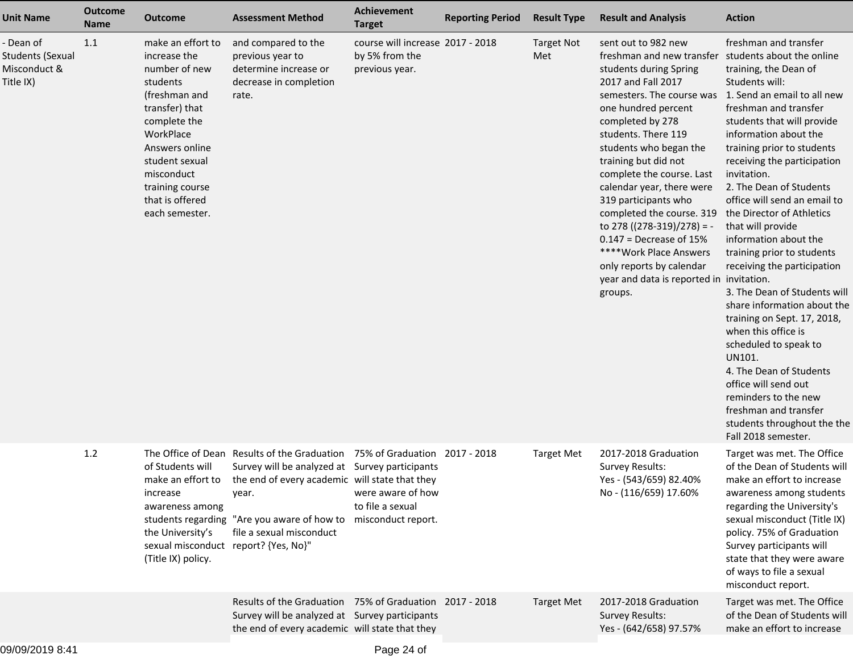| <b>Unit Name</b>                                                  | <b>Outcome</b><br><b>Name</b> | Outcome                                                                                                                                                                                                                                  | <b>Assessment Method</b>                                                                                                                                                                                                                                           | Achievement<br><b>Target</b>                                         | <b>Reporting Period</b> | <b>Result Type</b>       | <b>Result and Analysis</b>                                                                                                                                                                                                                                                                                                                                                                                                                                                                                                       | <b>Action</b>                                                                                                                                                                                                                                                                                                                                                                                                                                                                                                                                                                                                                                                                                                                                                                                                                |
|-------------------------------------------------------------------|-------------------------------|------------------------------------------------------------------------------------------------------------------------------------------------------------------------------------------------------------------------------------------|--------------------------------------------------------------------------------------------------------------------------------------------------------------------------------------------------------------------------------------------------------------------|----------------------------------------------------------------------|-------------------------|--------------------------|----------------------------------------------------------------------------------------------------------------------------------------------------------------------------------------------------------------------------------------------------------------------------------------------------------------------------------------------------------------------------------------------------------------------------------------------------------------------------------------------------------------------------------|------------------------------------------------------------------------------------------------------------------------------------------------------------------------------------------------------------------------------------------------------------------------------------------------------------------------------------------------------------------------------------------------------------------------------------------------------------------------------------------------------------------------------------------------------------------------------------------------------------------------------------------------------------------------------------------------------------------------------------------------------------------------------------------------------------------------------|
| - Dean of<br><b>Students (Sexual</b><br>Misconduct &<br>Title IX) | 1.1                           | make an effort to<br>increase the<br>number of new<br>students<br>(freshman and<br>transfer) that<br>complete the<br>WorkPlace<br>Answers online<br>student sexual<br>misconduct<br>training course<br>that is offered<br>each semester. | and compared to the<br>previous year to<br>determine increase or<br>decrease in completion<br>rate.                                                                                                                                                                | course will increase 2017 - 2018<br>by 5% from the<br>previous year. |                         | <b>Target Not</b><br>Met | sent out to 982 new<br>freshman and new transfer<br>students during Spring<br>2017 and Fall 2017<br>semesters. The course was<br>one hundred percent<br>completed by 278<br>students. There 119<br>students who began the<br>training but did not<br>complete the course. Last<br>calendar year, there were<br>319 participants who<br>completed the course. 319<br>to 278 ( $(278-319)/278$ ) = -<br>$0.147$ = Decrease of 15%<br>****Work Place Answers<br>only reports by calendar<br>year and data is reported in<br>groups. | freshman and transfer<br>students about the online<br>training, the Dean of<br>Students will:<br>1. Send an email to all new<br>freshman and transfer<br>students that will provide<br>information about the<br>training prior to students<br>receiving the participation<br>invitation.<br>2. The Dean of Students<br>office will send an email to<br>the Director of Athletics<br>that will provide<br>information about the<br>training prior to students<br>receiving the participation<br>invitation.<br>3. The Dean of Students will<br>share information about the<br>training on Sept. 17, 2018,<br>when this office is<br>scheduled to speak to<br>UN101.<br>4. The Dean of Students<br>office will send out<br>reminders to the new<br>freshman and transfer<br>students throughout the the<br>Fall 2018 semester. |
|                                                                   | 1.2                           | of Students will<br>make an effort to<br>increase<br>awareness among<br>the University's<br>sexual misconduct report? {Yes, No}"<br>(Title IX) policy.                                                                                   | The Office of Dean Results of the Graduation 75% of Graduation 2017 - 2018<br>Survey will be analyzed at Survey participants<br>the end of every academic will state that they<br>year.<br>students regarding "Are you aware of how to<br>file a sexual misconduct | were aware of how<br>to file a sexual<br>misconduct report.          |                         | <b>Target Met</b>        | 2017-2018 Graduation<br>Survey Results:<br>Yes - (543/659) 82.40%<br>No - (116/659) 17.60%                                                                                                                                                                                                                                                                                                                                                                                                                                       | Target was met. The Office<br>of the Dean of Students will<br>make an effort to increase<br>awareness among students<br>regarding the University's<br>sexual misconduct (Title IX)<br>policy. 75% of Graduation<br>Survey participants will<br>state that they were aware<br>of ways to file a sexual<br>misconduct report.                                                                                                                                                                                                                                                                                                                                                                                                                                                                                                  |
|                                                                   |                               |                                                                                                                                                                                                                                          | Results of the Graduation 75% of Graduation 2017 - 2018<br>Survey will be analyzed at Survey participants<br>the end of every academic will state that they                                                                                                        |                                                                      |                         | <b>Target Met</b>        | 2017-2018 Graduation<br><b>Survey Results:</b><br>Yes - (642/658) 97.57%                                                                                                                                                                                                                                                                                                                                                                                                                                                         | Target was met. The Office<br>of the Dean of Students will<br>make an effort to increase                                                                                                                                                                                                                                                                                                                                                                                                                                                                                                                                                                                                                                                                                                                                     |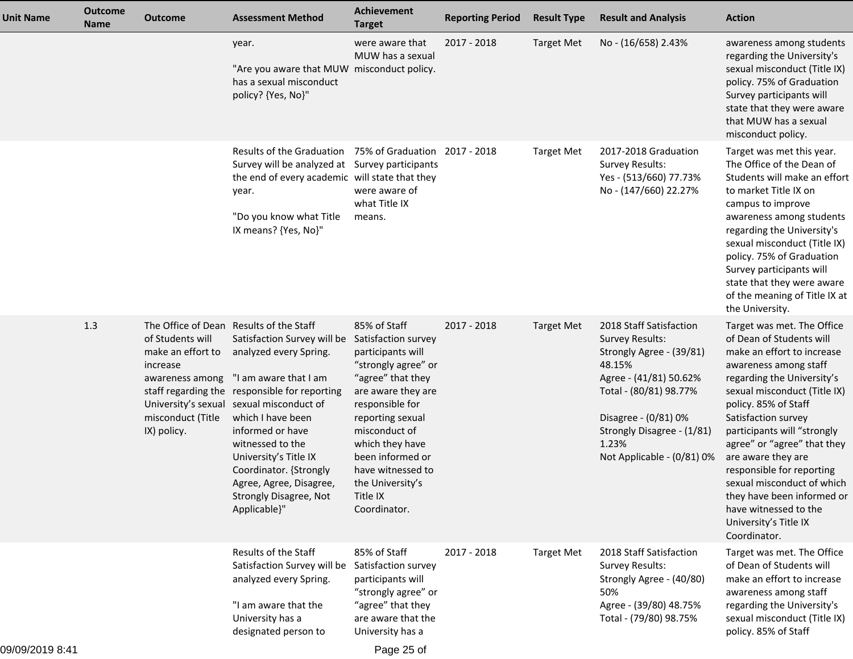| <b>Unit Name</b> | <b>Outcome</b><br><b>Name</b> | <b>Outcome</b>                                                                                           | <b>Assessment Method</b>                                                                                                                                                                                                                                                                                                                                                                                    | <b>Achievement</b><br><b>Target</b>                                                                                                                                                                                                                                                            | <b>Reporting Period</b> | <b>Result Type</b> | <b>Result and Analysis</b>                                                                                                                                                                                                               | <b>Action</b>                                                                                                                                                                                                                                                                                                                                                                                                                                                             |
|------------------|-------------------------------|----------------------------------------------------------------------------------------------------------|-------------------------------------------------------------------------------------------------------------------------------------------------------------------------------------------------------------------------------------------------------------------------------------------------------------------------------------------------------------------------------------------------------------|------------------------------------------------------------------------------------------------------------------------------------------------------------------------------------------------------------------------------------------------------------------------------------------------|-------------------------|--------------------|------------------------------------------------------------------------------------------------------------------------------------------------------------------------------------------------------------------------------------------|---------------------------------------------------------------------------------------------------------------------------------------------------------------------------------------------------------------------------------------------------------------------------------------------------------------------------------------------------------------------------------------------------------------------------------------------------------------------------|
|                  |                               |                                                                                                          | year.<br>"Are you aware that MUW misconduct policy.<br>has a sexual misconduct<br>policy? {Yes, No}"                                                                                                                                                                                                                                                                                                        | were aware that<br>MUW has a sexual                                                                                                                                                                                                                                                            | 2017 - 2018             | <b>Target Met</b>  | No - (16/658) 2.43%                                                                                                                                                                                                                      | awareness among students<br>regarding the University's<br>sexual misconduct (Title IX)<br>policy. 75% of Graduation<br>Survey participants will<br>state that they were aware<br>that MUW has a sexual<br>misconduct policy.                                                                                                                                                                                                                                              |
|                  |                               |                                                                                                          | Results of the Graduation<br>Survey will be analyzed at Survey participants<br>the end of every academic will state that they<br>year.<br>"Do you know what Title<br>IX means? {Yes, No}"                                                                                                                                                                                                                   | 75% of Graduation 2017 - 2018<br>were aware of<br>what Title IX<br>means.                                                                                                                                                                                                                      |                         | <b>Target Met</b>  | 2017-2018 Graduation<br><b>Survey Results:</b><br>Yes - (513/660) 77.73%<br>No - (147/660) 22.27%                                                                                                                                        | Target was met this year.<br>The Office of the Dean of<br>Students will make an effort<br>to market Title IX on<br>campus to improve<br>awareness among students<br>regarding the University's<br>sexual misconduct (Title IX)<br>policy. 75% of Graduation<br>Survey participants will<br>state that they were aware<br>of the meaning of Title IX at<br>the University.                                                                                                 |
|                  | 1.3                           | of Students will<br>make an effort to<br>increase<br>awareness among<br>misconduct (Title<br>IX) policy. | The Office of Dean Results of the Staff<br>Satisfaction Survey will be<br>analyzed every Spring.<br>"I am aware that I am<br>staff regarding the responsible for reporting<br>University's sexual sexual misconduct of<br>which I have been<br>informed or have<br>witnessed to the<br>University's Title IX<br>Coordinator. {Strongly<br>Agree, Agree, Disagree,<br>Strongly Disagree, Not<br>Applicable}" | 85% of Staff<br>Satisfaction survey<br>participants will<br>"strongly agree" or<br>"agree" that they<br>are aware they are<br>responsible for<br>reporting sexual<br>misconduct of<br>which they have<br>been informed or<br>have witnessed to<br>the University's<br>Title IX<br>Coordinator. | 2017 - 2018             | <b>Target Met</b>  | 2018 Staff Satisfaction<br><b>Survey Results:</b><br>Strongly Agree - (39/81)<br>48.15%<br>Agree - (41/81) 50.62%<br>Total - (80/81) 98.77%<br>Disagree - (0/81) 0%<br>Strongly Disagree - (1/81)<br>1.23%<br>Not Applicable - (0/81) 0% | Target was met. The Office<br>of Dean of Students will<br>make an effort to increase<br>awareness among staff<br>regarding the University's<br>sexual misconduct (Title IX)<br>policy. 85% of Staff<br>Satisfaction survey<br>participants will "strongly<br>agree" or "agree" that they<br>are aware they are<br>responsible for reporting<br>sexual misconduct of which<br>they have been informed or<br>have witnessed to the<br>University's Title IX<br>Coordinator. |
|                  |                               |                                                                                                          | Results of the Staff<br>Satisfaction Survey will be<br>analyzed every Spring.<br>"I am aware that the<br>University has a<br>designated person to                                                                                                                                                                                                                                                           | 85% of Staff<br>Satisfaction survey<br>participants will<br>"strongly agree" or<br>"agree" that they<br>are aware that the<br>University has a                                                                                                                                                 | 2017 - 2018             | <b>Target Met</b>  | 2018 Staff Satisfaction<br><b>Survey Results:</b><br>Strongly Agree - (40/80)<br>50%<br>Agree - (39/80) 48.75%<br>Total - (79/80) 98.75%                                                                                                 | Target was met. The Office<br>of Dean of Students will<br>make an effort to increase<br>awareness among staff<br>regarding the University's<br>sexual misconduct (Title IX)<br>policy. 85% of Staff                                                                                                                                                                                                                                                                       |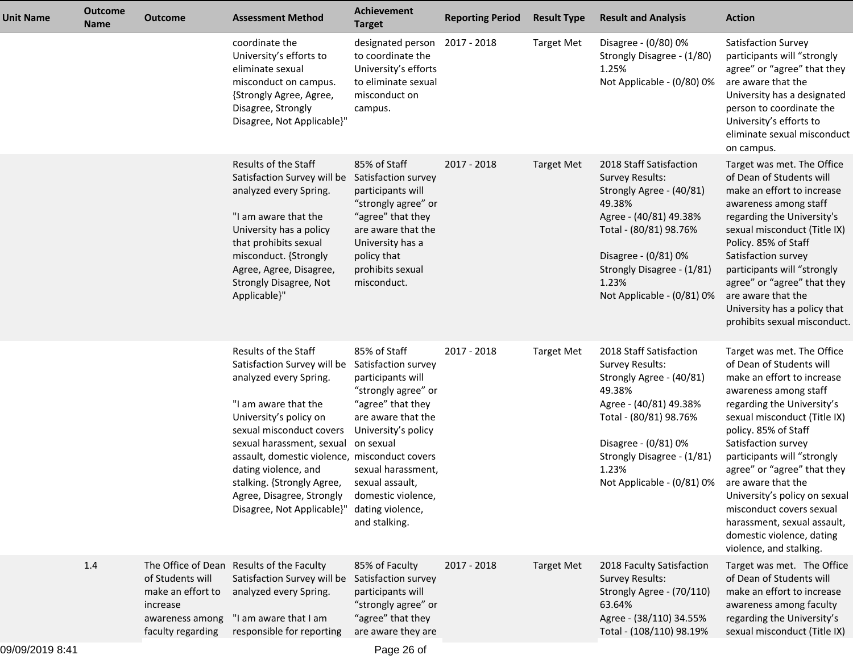| <b>Unit Name</b> | <b>Outcome</b><br><b>Name</b> | <b>Outcome</b>                                                                            | <b>Assessment Method</b>                                                                                                                                                                                                                                                                                                                                   | <b>Achievement</b><br><b>Target</b>                                                                                                                                                                                                                                | <b>Reporting Period</b> | <b>Result Type</b> | <b>Result and Analysis</b>                                                                                                                                                                                                               | <b>Action</b>                                                                                                                                                                                                                                                                                                                                                                                                                                                      |
|------------------|-------------------------------|-------------------------------------------------------------------------------------------|------------------------------------------------------------------------------------------------------------------------------------------------------------------------------------------------------------------------------------------------------------------------------------------------------------------------------------------------------------|--------------------------------------------------------------------------------------------------------------------------------------------------------------------------------------------------------------------------------------------------------------------|-------------------------|--------------------|------------------------------------------------------------------------------------------------------------------------------------------------------------------------------------------------------------------------------------------|--------------------------------------------------------------------------------------------------------------------------------------------------------------------------------------------------------------------------------------------------------------------------------------------------------------------------------------------------------------------------------------------------------------------------------------------------------------------|
|                  |                               |                                                                                           | coordinate the<br>University's efforts to<br>eliminate sexual<br>misconduct on campus.<br>{Strongly Agree, Agree,<br>Disagree, Strongly<br>Disagree, Not Applicable}"                                                                                                                                                                                      | designated person 2017 - 2018<br>to coordinate the<br>University's efforts<br>to eliminate sexual<br>misconduct on<br>campus.                                                                                                                                      |                         | <b>Target Met</b>  | Disagree - (0/80) 0%<br>Strongly Disagree - (1/80)<br>1.25%<br>Not Applicable - (0/80) 0%                                                                                                                                                | Satisfaction Survey<br>participants will "strongly<br>agree" or "agree" that they<br>are aware that the<br>University has a designated<br>person to coordinate the<br>University's efforts to<br>eliminate sexual misconduct<br>on campus.                                                                                                                                                                                                                         |
|                  |                               |                                                                                           | Results of the Staff<br>Satisfaction Survey will be<br>analyzed every Spring.<br>"I am aware that the<br>University has a policy<br>that prohibits sexual<br>misconduct. {Strongly<br>Agree, Agree, Disagree,<br>Strongly Disagree, Not<br>Applicable}"                                                                                                    | 85% of Staff<br>Satisfaction survey<br>participants will<br>"strongly agree" or<br>"agree" that they<br>are aware that the<br>University has a<br>policy that<br>prohibits sexual<br>misconduct.                                                                   | 2017 - 2018             | <b>Target Met</b>  | 2018 Staff Satisfaction<br><b>Survey Results:</b><br>Strongly Agree - (40/81)<br>49.38%<br>Agree - (40/81) 49.38%<br>Total - (80/81) 98.76%<br>Disagree - (0/81) 0%<br>Strongly Disagree - (1/81)<br>1.23%<br>Not Applicable - (0/81) 0% | Target was met. The Office<br>of Dean of Students will<br>make an effort to increase<br>awareness among staff<br>regarding the University's<br>sexual misconduct (Title IX)<br>Policy. 85% of Staff<br>Satisfaction survey<br>participants will "strongly<br>agree" or "agree" that they<br>are aware that the<br>University has a policy that<br>prohibits sexual misconduct.                                                                                     |
|                  |                               |                                                                                           | Results of the Staff<br>Satisfaction Survey will be<br>analyzed every Spring.<br>"I am aware that the<br>University's policy on<br>sexual misconduct covers<br>sexual harassment, sexual<br>assault, domestic violence, misconduct covers<br>dating violence, and<br>stalking. {Strongly Agree,<br>Agree, Disagree, Strongly<br>Disagree, Not Applicable}" | 85% of Staff<br>Satisfaction survey<br>participants will<br>"strongly agree" or<br>"agree" that they<br>are aware that the<br>University's policy<br>on sexual<br>sexual harassment,<br>sexual assault,<br>domestic violence,<br>dating violence,<br>and stalking. | 2017 - 2018             | <b>Target Met</b>  | 2018 Staff Satisfaction<br><b>Survey Results:</b><br>Strongly Agree - (40/81)<br>49.38%<br>Agree - (40/81) 49.38%<br>Total - (80/81) 98.76%<br>Disagree - (0/81) 0%<br>Strongly Disagree - (1/81)<br>1.23%<br>Not Applicable - (0/81) 0% | Target was met. The Office<br>of Dean of Students will<br>make an effort to increase<br>awareness among staff<br>regarding the University's<br>sexual misconduct (Title IX)<br>policy. 85% of Staff<br>Satisfaction survey<br>participants will "strongly<br>agree" or "agree" that they<br>are aware that the<br>University's policy on sexual<br>misconduct covers sexual<br>harassment, sexual assault,<br>domestic violence, dating<br>violence, and stalking. |
|                  | 1.4                           | of Students will<br>make an effort to<br>increase<br>awareness among<br>faculty regarding | The Office of Dean Results of the Faculty<br>Satisfaction Survey will be<br>analyzed every Spring.<br>"I am aware that I am<br>responsible for reporting                                                                                                                                                                                                   | 85% of Faculty<br>Satisfaction survey<br>participants will<br>"strongly agree" or<br>"agree" that they<br>are aware they are                                                                                                                                       | 2017 - 2018             | <b>Target Met</b>  | 2018 Faculty Satisfaction<br><b>Survey Results:</b><br>Strongly Agree - (70/110)<br>63.64%<br>Agree - (38/110) 34.55%<br>Total - (108/110) 98.19%                                                                                        | Target was met. The Office<br>of Dean of Students will<br>make an effort to increase<br>awareness among faculty<br>regarding the University's<br>sexual misconduct (Title IX)                                                                                                                                                                                                                                                                                      |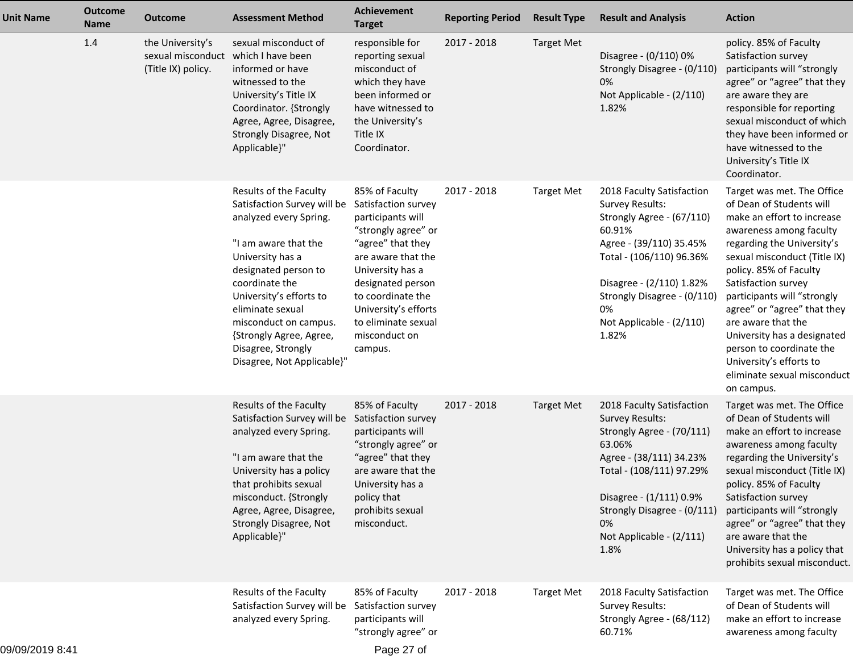| <b>Unit Name</b> | <b>Outcome</b><br><b>Name</b> | <b>Outcome</b>                                              | <b>Assessment Method</b>                                                                                                                                                                                                                                                                                                                         | Achievement<br><b>Target</b>                                                                                                                                                                                                                   | <b>Reporting Period</b> | <b>Result Type</b> | <b>Result and Analysis</b>                                                                                                                                                                                                                            | <b>Action</b>                                                                                                                                                                                                                                                                                                                                                                                                                                         |
|------------------|-------------------------------|-------------------------------------------------------------|--------------------------------------------------------------------------------------------------------------------------------------------------------------------------------------------------------------------------------------------------------------------------------------------------------------------------------------------------|------------------------------------------------------------------------------------------------------------------------------------------------------------------------------------------------------------------------------------------------|-------------------------|--------------------|-------------------------------------------------------------------------------------------------------------------------------------------------------------------------------------------------------------------------------------------------------|-------------------------------------------------------------------------------------------------------------------------------------------------------------------------------------------------------------------------------------------------------------------------------------------------------------------------------------------------------------------------------------------------------------------------------------------------------|
|                  | 1.4                           | the University's<br>sexual misconduct<br>(Title IX) policy. | sexual misconduct of<br>which I have been<br>informed or have<br>witnessed to the<br>University's Title IX<br>Coordinator. {Strongly<br>Agree, Agree, Disagree,<br>Strongly Disagree, Not<br>Applicable}"                                                                                                                                        | responsible for<br>reporting sexual<br>misconduct of<br>which they have<br>been informed or<br>have witnessed to<br>the University's<br>Title IX<br>Coordinator.                                                                               | 2017 - 2018             | <b>Target Met</b>  | Disagree - (0/110) 0%<br>Strongly Disagree - (0/110)<br>0%<br>Not Applicable - (2/110)<br>1.82%                                                                                                                                                       | policy. 85% of Faculty<br>Satisfaction survey<br>participants will "strongly<br>agree" or "agree" that they<br>are aware they are<br>responsible for reporting<br>sexual misconduct of which<br>they have been informed or<br>have witnessed to the<br>University's Title IX<br>Coordinator.                                                                                                                                                          |
|                  |                               |                                                             | Results of the Faculty<br>Satisfaction Survey will be Satisfaction survey<br>analyzed every Spring.<br>"I am aware that the<br>University has a<br>designated person to<br>coordinate the<br>University's efforts to<br>eliminate sexual<br>misconduct on campus.<br>{Strongly Agree, Agree,<br>Disagree, Strongly<br>Disagree, Not Applicable}" | 85% of Faculty<br>participants will<br>"strongly agree" or<br>"agree" that they<br>are aware that the<br>University has a<br>designated person<br>to coordinate the<br>University's efforts<br>to eliminate sexual<br>misconduct on<br>campus. | 2017 - 2018             | <b>Target Met</b>  | 2018 Faculty Satisfaction<br>Survey Results:<br>Strongly Agree - (67/110)<br>60.91%<br>Agree - (39/110) 35.45%<br>Total - (106/110) 96.36%<br>Disagree - (2/110) 1.82%<br>Strongly Disagree - (0/110)<br>0%<br>Not Applicable - (2/110)<br>1.82%      | Target was met. The Office<br>of Dean of Students will<br>make an effort to increase<br>awareness among faculty<br>regarding the University's<br>sexual misconduct (Title IX)<br>policy. 85% of Faculty<br>Satisfaction survey<br>participants will "strongly<br>agree" or "agree" that they<br>are aware that the<br>University has a designated<br>person to coordinate the<br>University's efforts to<br>eliminate sexual misconduct<br>on campus. |
|                  |                               |                                                             | Results of the Faculty<br>Satisfaction Survey will be Satisfaction survey<br>analyzed every Spring.<br>"I am aware that the<br>University has a policy<br>that prohibits sexual<br>misconduct. {Strongly<br>Agree, Agree, Disagree,<br><b>Strongly Disagree, Not</b><br>Applicable}"                                                             | 85% of Faculty<br>participants will<br>"strongly agree" or<br>"agree" that they<br>are aware that the<br>University has a<br>policy that<br>prohibits sexual<br>misconduct.                                                                    | 2017 - 2018             | <b>Target Met</b>  | 2018 Faculty Satisfaction<br><b>Survey Results:</b><br>Strongly Agree - (70/111)<br>63.06%<br>Agree - (38/111) 34.23%<br>Total - (108/111) 97.29%<br>Disagree - (1/111) 0.9%<br>Strongly Disagree - (0/111)<br>0%<br>Not Applicable - (2/111)<br>1.8% | Target was met. The Office<br>of Dean of Students will<br>make an effort to increase<br>awareness among faculty<br>regarding the University's<br>sexual misconduct (Title IX)<br>policy. 85% of Faculty<br>Satisfaction survey<br>participants will "strongly<br>agree" or "agree" that they<br>are aware that the<br>University has a policy that<br>prohibits sexual misconduct.                                                                    |
| 100100100        |                               |                                                             | Results of the Faculty<br>Satisfaction Survey will be Satisfaction survey<br>analyzed every Spring.                                                                                                                                                                                                                                              | 85% of Faculty<br>participants will<br>"strongly agree" or                                                                                                                                                                                     | 2017 - 2018             | <b>Target Met</b>  | 2018 Faculty Satisfaction<br>Survey Results:<br>Strongly Agree - (68/112)<br>60.71%                                                                                                                                                                   | Target was met. The Office<br>of Dean of Students will<br>make an effort to increase<br>awareness among faculty                                                                                                                                                                                                                                                                                                                                       |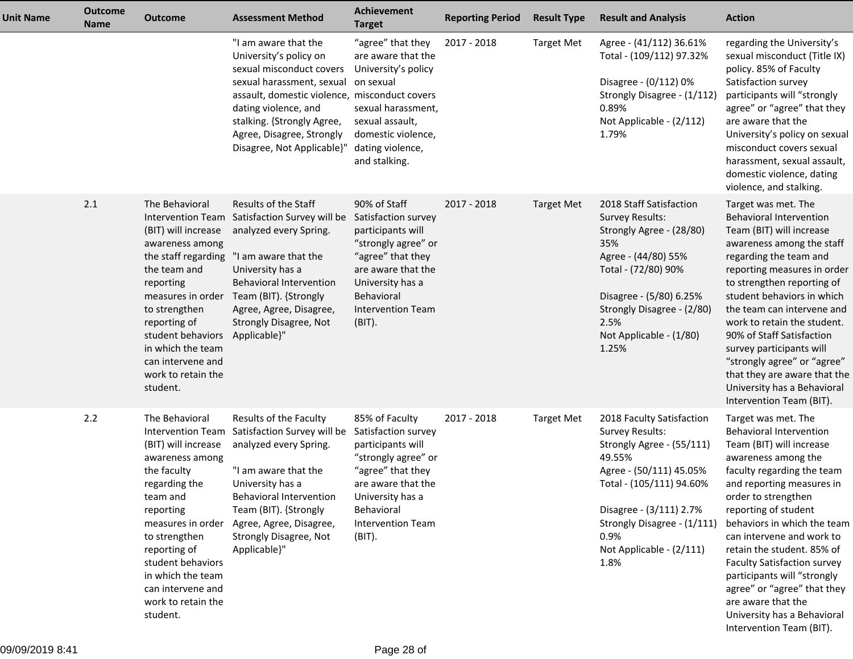| <b>Unit Name</b> | <b>Outcome</b><br><b>Name</b> | <b>Outcome</b>                                                                                                                                                                                                                                                           | <b>Assessment Method</b>                                                                                                                                                                                                                                                    | <b>Achievement</b><br><b>Target</b>                                                                                                                                                                  | <b>Reporting Period</b> | <b>Result Type</b> | <b>Result and Analysis</b>                                                                                                                                                                                                                              | <b>Action</b>                                                                                                                                                                                                                                                                                                                                                                                                                                                                                     |
|------------------|-------------------------------|--------------------------------------------------------------------------------------------------------------------------------------------------------------------------------------------------------------------------------------------------------------------------|-----------------------------------------------------------------------------------------------------------------------------------------------------------------------------------------------------------------------------------------------------------------------------|------------------------------------------------------------------------------------------------------------------------------------------------------------------------------------------------------|-------------------------|--------------------|---------------------------------------------------------------------------------------------------------------------------------------------------------------------------------------------------------------------------------------------------------|---------------------------------------------------------------------------------------------------------------------------------------------------------------------------------------------------------------------------------------------------------------------------------------------------------------------------------------------------------------------------------------------------------------------------------------------------------------------------------------------------|
|                  |                               |                                                                                                                                                                                                                                                                          | "I am aware that the<br>University's policy on<br>sexual misconduct covers<br>sexual harassment, sexual<br>assault, domestic violence, misconduct covers<br>dating violence, and<br>stalking. {Strongly Agree,<br>Agree, Disagree, Strongly<br>Disagree, Not Applicable}"   | "agree" that they<br>are aware that the<br>University's policy<br>on sexual<br>sexual harassment,<br>sexual assault,<br>domestic violence,<br>dating violence,<br>and stalking.                      | 2017 - 2018             | <b>Target Met</b>  | Agree - (41/112) 36.61%<br>Total - (109/112) 97.32%<br>Disagree - (0/112) 0%<br>Strongly Disagree - (1/112)<br>0.89%<br>Not Applicable - (2/112)<br>1.79%                                                                                               | regarding the University's<br>sexual misconduct (Title IX)<br>policy. 85% of Faculty<br>Satisfaction survey<br>participants will "strongly<br>agree" or "agree" that they<br>are aware that the<br>University's policy on sexual<br>misconduct covers sexual<br>harassment, sexual assault,<br>domestic violence, dating<br>violence, and stalking.                                                                                                                                               |
|                  | 2.1                           | The Behavioral<br>(BIT) will increase<br>awareness among<br>the staff regarding<br>the team and<br>reporting<br>measures in order<br>to strengthen<br>reporting of<br>student behaviors<br>in which the team<br>can intervene and<br>work to retain the<br>student.      | Results of the Staff<br>Intervention Team Satisfaction Survey will be<br>analyzed every Spring.<br>"I am aware that the<br>University has a<br><b>Behavioral Intervention</b><br>Team (BIT). {Strongly<br>Agree, Agree, Disagree,<br>Strongly Disagree, Not<br>Applicable}" | 90% of Staff<br>Satisfaction survey<br>participants will<br>"strongly agree" or<br>"agree" that they<br>are aware that the<br>University has a<br>Behavioral<br><b>Intervention Team</b><br>(BIT).   | 2017 - 2018             | <b>Target Met</b>  | 2018 Staff Satisfaction<br><b>Survey Results:</b><br>Strongly Agree - (28/80)<br>35%<br>Agree - (44/80) 55%<br>Total - (72/80) 90%<br>Disagree - (5/80) 6.25%<br>Strongly Disagree - (2/80)<br>2.5%<br>Not Applicable - (1/80)<br>1.25%                 | Target was met. The<br><b>Behavioral Intervention</b><br>Team (BIT) will increase<br>awareness among the staff<br>regarding the team and<br>reporting measures in order<br>to strengthen reporting of<br>student behaviors in which<br>the team can intervene and<br>work to retain the student.<br>90% of Staff Satisfaction<br>survey participants will<br>"strongly agree" or "agree"<br>that they are aware that the<br>University has a Behavioral<br>Intervention Team (BIT).               |
|                  | 2.2                           | The Behavioral<br>(BIT) will increase<br>awareness among<br>the faculty<br>regarding the<br>team and<br>reporting<br>measures in order<br>to strengthen<br>reporting of<br>student behaviors<br>in which the team<br>can intervene and<br>work to retain the<br>student. | Results of the Faculty<br>Intervention Team Satisfaction Survey will be<br>analyzed every Spring.<br>"I am aware that the<br>University has a<br>Behavioral Intervention<br>Team (BIT). {Strongly<br>Agree, Agree, Disagree,<br>Strongly Disagree, Not<br>Applicable}"      | 85% of Faculty<br>Satisfaction survey<br>participants will<br>"strongly agree" or<br>"agree" that they<br>are aware that the<br>University has a<br>Behavioral<br><b>Intervention Team</b><br>(BIT). | 2017 - 2018             | <b>Target Met</b>  | 2018 Faculty Satisfaction<br><b>Survey Results:</b><br>Strongly Agree - (55/111)<br>49.55%<br>Agree - (50/111) 45.05%<br>Total - (105/111) 94.60%<br>Disagree - (3/111) 2.7%<br>Strongly Disagree - (1/111)<br>0.9%<br>Not Applicable - (2/111)<br>1.8% | Target was met. The<br><b>Behavioral Intervention</b><br>Team (BIT) will increase<br>awareness among the<br>faculty regarding the team<br>and reporting measures in<br>order to strengthen<br>reporting of student<br>behaviors in which the team<br>can intervene and work to<br>retain the student. 85% of<br><b>Faculty Satisfaction survey</b><br>participants will "strongly<br>agree" or "agree" that they<br>are aware that the<br>University has a Behavioral<br>Intervention Team (BIT). |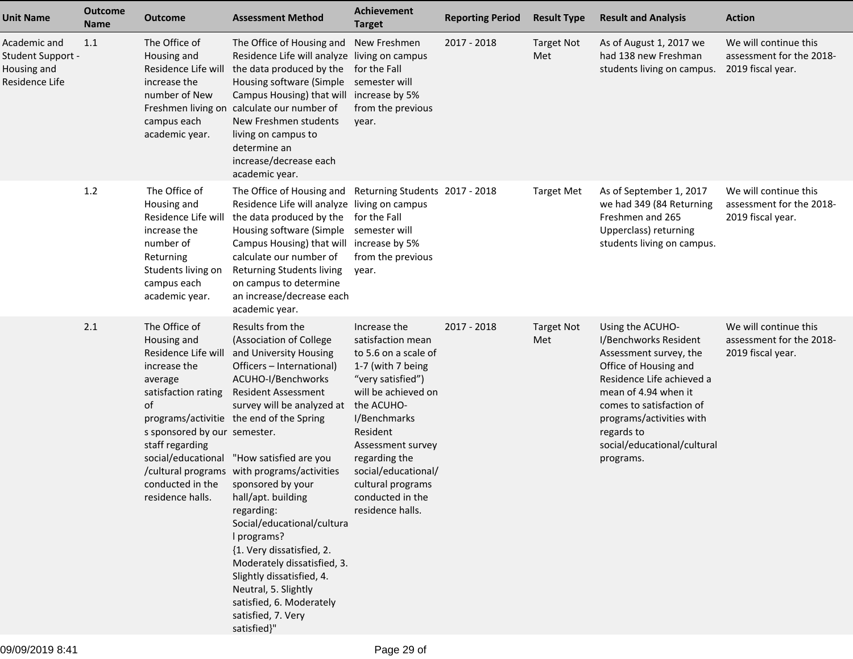| <b>Unit Name</b>                                                   | <b>Outcome</b><br><b>Name</b> | <b>Outcome</b>                                                                                                                                                                                                           | <b>Assessment Method</b>                                                                                                                                                                                                                                                                                                                                                                                                                                                                                                                                                                                   | <b>Achievement</b><br><b>Target</b>                                                                                                                                                                                                                                              | <b>Reporting Period</b> | <b>Result Type</b>       | <b>Result and Analysis</b>                                                                                                                                                                                                                                          | <b>Action</b>                                                          |
|--------------------------------------------------------------------|-------------------------------|--------------------------------------------------------------------------------------------------------------------------------------------------------------------------------------------------------------------------|------------------------------------------------------------------------------------------------------------------------------------------------------------------------------------------------------------------------------------------------------------------------------------------------------------------------------------------------------------------------------------------------------------------------------------------------------------------------------------------------------------------------------------------------------------------------------------------------------------|----------------------------------------------------------------------------------------------------------------------------------------------------------------------------------------------------------------------------------------------------------------------------------|-------------------------|--------------------------|---------------------------------------------------------------------------------------------------------------------------------------------------------------------------------------------------------------------------------------------------------------------|------------------------------------------------------------------------|
| Academic and<br>Student Support -<br>Housing and<br>Residence Life | 1.1                           | The Office of<br>Housing and<br>Residence Life will<br>increase the<br>number of New<br>Freshmen living on<br>campus each<br>academic year.                                                                              | The Office of Housing and New Freshmen<br>Residence Life will analyze living on campus<br>the data produced by the<br>Housing software (Simple<br>Campus Housing) that will increase by 5%<br>calculate our number of<br>New Freshmen students<br>living on campus to<br>determine an<br>increase/decrease each<br>academic year.                                                                                                                                                                                                                                                                          | for the Fall<br>semester will<br>from the previous<br>year.                                                                                                                                                                                                                      | 2017 - 2018             | <b>Target Not</b><br>Met | As of August 1, 2017 we<br>had 138 new Freshman<br>students living on campus.                                                                                                                                                                                       | We will continue this<br>assessment for the 2018-<br>2019 fiscal year. |
|                                                                    | 1.2                           | The Office of<br>Housing and<br>Residence Life will<br>increase the<br>number of<br>Returning<br>Students living on<br>campus each<br>academic year.                                                                     | The Office of Housing and Returning Students 2017 - 2018<br>Residence Life will analyze living on campus<br>the data produced by the for the Fall<br>Housing software (Simple semester will<br>Campus Housing) that will increase by 5%<br>calculate our number of<br>Returning Students living<br>on campus to determine<br>an increase/decrease each<br>academic year.                                                                                                                                                                                                                                   | from the previous<br>year.                                                                                                                                                                                                                                                       |                         | <b>Target Met</b>        | As of September 1, 2017<br>we had 349 (84 Returning<br>Freshmen and 265<br>Upperclass) returning<br>students living on campus.                                                                                                                                      | We will continue this<br>assessment for the 2018-<br>2019 fiscal year. |
|                                                                    | 2.1                           | The Office of<br>Housing and<br>Residence Life will<br>increase the<br>average<br>satisfaction rating<br>of<br>s sponsored by our semester.<br>staff regarding<br>conducted in the sponsored by your<br>residence halls. | Results from the<br>(Association of College<br>and University Housing<br>Officers - International)<br>ACUHO-I/Benchworks<br><b>Resident Assessment</b><br>survey will be analyzed at the ACUHO-<br>programs/activitie the end of the Spring<br>social/educational "How satisfied are you<br>/cultural programs with programs/activities<br>hall/apt. building<br>regarding:<br>Social/educational/cultura<br>I programs?<br>{1. Very dissatisfied, 2.<br>Moderately dissatisfied, 3.<br>Slightly dissatisfied, 4.<br>Neutral, 5. Slightly<br>satisfied, 6. Moderately<br>satisfied, 7. Very<br>satisfied}" | Increase the<br>satisfaction mean<br>to 5.6 on a scale of<br>1-7 (with 7 being<br>"very satisfied")<br>will be achieved on<br>I/Benchmarks<br>Resident<br>Assessment survey<br>regarding the<br>social/educational/<br>cultural programs<br>conducted in the<br>residence halls. | 2017 - 2018             | <b>Target Not</b><br>Met | Using the ACUHO-<br>I/Benchworks Resident<br>Assessment survey, the<br>Office of Housing and<br>Residence Life achieved a<br>mean of 4.94 when it<br>comes to satisfaction of<br>programs/activities with<br>regards to<br>social/educational/cultural<br>programs. | We will continue this<br>assessment for the 2018-<br>2019 fiscal year. |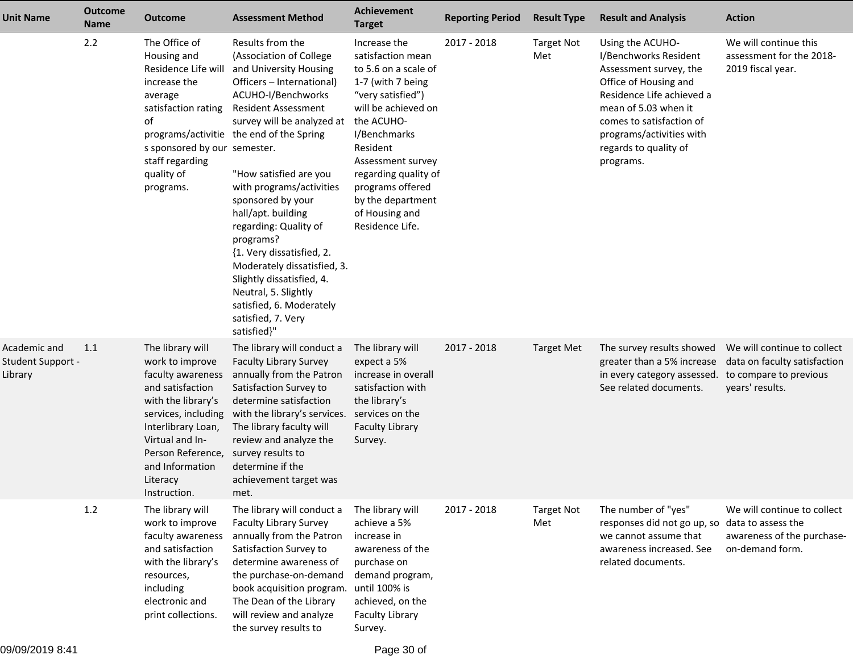| <b>Unit Name</b>                             | <b>Outcome</b><br><b>Name</b> | <b>Outcome</b>                                                                                                                                                                                                                         | <b>Assessment Method</b>                                                                                                                                                                                                                                                                                                                                                                                                                                                                                                                                             | <b>Achievement</b><br><b>Target</b>                                                                                                                                                                                                                                               | <b>Reporting Period</b> | <b>Result Type</b>       | <b>Result and Analysis</b>                                                                                                                                                                                                                      | <b>Action</b>                                                                                            |
|----------------------------------------------|-------------------------------|----------------------------------------------------------------------------------------------------------------------------------------------------------------------------------------------------------------------------------------|----------------------------------------------------------------------------------------------------------------------------------------------------------------------------------------------------------------------------------------------------------------------------------------------------------------------------------------------------------------------------------------------------------------------------------------------------------------------------------------------------------------------------------------------------------------------|-----------------------------------------------------------------------------------------------------------------------------------------------------------------------------------------------------------------------------------------------------------------------------------|-------------------------|--------------------------|-------------------------------------------------------------------------------------------------------------------------------------------------------------------------------------------------------------------------------------------------|----------------------------------------------------------------------------------------------------------|
|                                              | 2.2                           | The Office of<br>Housing and<br>Residence Life will<br>increase the<br>average<br>satisfaction rating<br>of<br>s sponsored by our semester.<br>staff regarding<br>quality of<br>programs.                                              | Results from the<br>(Association of College<br>and University Housing<br>Officers - International)<br>ACUHO-I/Benchworks<br><b>Resident Assessment</b><br>survey will be analyzed at the ACUHO-<br>programs/activitie the end of the Spring<br>"How satisfied are you<br>with programs/activities<br>sponsored by your<br>hall/apt. building<br>regarding: Quality of<br>programs?<br>{1. Very dissatisfied, 2.<br>Moderately dissatisfied, 3.<br>Slightly dissatisfied, 4.<br>Neutral, 5. Slightly<br>satisfied, 6. Moderately<br>satisfied, 7. Very<br>satisfied}" | Increase the<br>satisfaction mean<br>to 5.6 on a scale of<br>1-7 (with 7 being<br>"very satisfied")<br>will be achieved on<br>I/Benchmarks<br>Resident<br>Assessment survey<br>regarding quality of<br>programs offered<br>by the department<br>of Housing and<br>Residence Life. | 2017 - 2018             | <b>Target Not</b><br>Met | Using the ACUHO-<br>I/Benchworks Resident<br>Assessment survey, the<br>Office of Housing and<br>Residence Life achieved a<br>mean of 5.03 when it<br>comes to satisfaction of<br>programs/activities with<br>regards to quality of<br>programs. | We will continue this<br>assessment for the 2018-<br>2019 fiscal year.                                   |
| Academic and<br>Student Support -<br>Library | 1.1                           | The library will<br>work to improve<br>faculty awareness<br>and satisfaction<br>with the library's<br>services, including<br>Interlibrary Loan,<br>Virtual and In-<br>Person Reference,<br>and Information<br>Literacy<br>Instruction. | The library will conduct a<br><b>Faculty Library Survey</b><br>annually from the Patron<br>Satisfaction Survey to<br>determine satisfaction<br>with the library's services.<br>The library faculty will<br>review and analyze the<br>survey results to<br>determine if the<br>achievement target was<br>met.                                                                                                                                                                                                                                                         | The library will<br>expect a 5%<br>increase in overall<br>satisfaction with<br>the library's<br>services on the<br><b>Faculty Library</b><br>Survey.                                                                                                                              | 2017 - 2018             | <b>Target Met</b>        | The survey results showed<br>greater than a 5% increase<br>in every category assessed.<br>See related documents.                                                                                                                                | We will continue to collect<br>data on faculty satisfaction<br>to compare to previous<br>years' results. |
|                                              | $1.2$                         | The library will<br>work to improve<br>faculty awareness<br>and satisfaction<br>with the library's<br>resources,<br>including<br>electronic and<br>print collections.                                                                  | The library will conduct a<br><b>Faculty Library Survey</b><br>annually from the Patron<br>Satisfaction Survey to<br>determine awareness of<br>the purchase-on-demand<br>book acquisition program.<br>The Dean of the Library<br>will review and analyze<br>the survey results to                                                                                                                                                                                                                                                                                    | The library will<br>achieve a 5%<br>increase in<br>awareness of the<br>purchase on<br>demand program,<br>until 100% is<br>achieved, on the<br><b>Faculty Library</b><br>Survey.                                                                                                   | 2017 - 2018             | <b>Target Not</b><br>Met | The number of "yes"<br>responses did not go up, so<br>we cannot assume that<br>awareness increased. See<br>related documents.                                                                                                                   | We will continue to collect<br>data to assess the<br>awareness of the purchase-<br>on-demand form.       |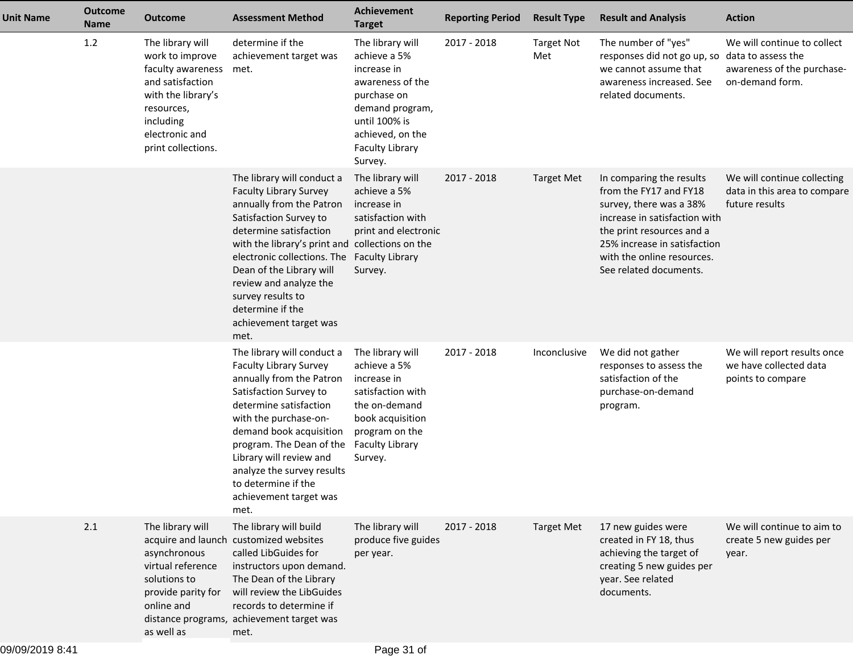| <b>Unit Name</b> | <b>Outcome</b><br><b>Name</b> | <b>Outcome</b>                                                                                                                                                        | <b>Assessment Method</b>                                                                                                                                                                                                                                                                                                                                                       | Achievement<br><b>Target</b>                                                                                                                                                    | <b>Reporting Period</b> | <b>Result Type</b>       | <b>Result and Analysis</b>                                                                                                                                                                                                          | <b>Action</b>                                                                                      |
|------------------|-------------------------------|-----------------------------------------------------------------------------------------------------------------------------------------------------------------------|--------------------------------------------------------------------------------------------------------------------------------------------------------------------------------------------------------------------------------------------------------------------------------------------------------------------------------------------------------------------------------|---------------------------------------------------------------------------------------------------------------------------------------------------------------------------------|-------------------------|--------------------------|-------------------------------------------------------------------------------------------------------------------------------------------------------------------------------------------------------------------------------------|----------------------------------------------------------------------------------------------------|
|                  | 1.2                           | The library will<br>work to improve<br>faculty awareness<br>and satisfaction<br>with the library's<br>resources,<br>including<br>electronic and<br>print collections. | determine if the<br>achievement target was<br>met.                                                                                                                                                                                                                                                                                                                             | The library will<br>achieve a 5%<br>increase in<br>awareness of the<br>purchase on<br>demand program,<br>until 100% is<br>achieved, on the<br><b>Faculty Library</b><br>Survey. | 2017 - 2018             | <b>Target Not</b><br>Met | The number of "yes"<br>responses did not go up, so<br>we cannot assume that<br>awareness increased. See<br>related documents.                                                                                                       | We will continue to collect<br>data to assess the<br>awareness of the purchase-<br>on-demand form. |
|                  |                               |                                                                                                                                                                       | The library will conduct a<br><b>Faculty Library Survey</b><br>annually from the Patron<br>Satisfaction Survey to<br>determine satisfaction<br>with the library's print and collections on the<br>electronic collections. The Faculty Library<br>Dean of the Library will<br>review and analyze the<br>survey results to<br>determine if the<br>achievement target was<br>met. | The library will<br>achieve a 5%<br>increase in<br>satisfaction with<br>print and electronic<br>Survey.                                                                         | 2017 - 2018             | <b>Target Met</b>        | In comparing the results<br>from the FY17 and FY18<br>survey, there was a 38%<br>increase in satisfaction with<br>the print resources and a<br>25% increase in satisfaction<br>with the online resources.<br>See related documents. | We will continue collecting<br>data in this area to compare<br>future results                      |
|                  |                               |                                                                                                                                                                       | The library will conduct a<br><b>Faculty Library Survey</b><br>annually from the Patron<br>Satisfaction Survey to<br>determine satisfaction<br>with the purchase-on-<br>demand book acquisition<br>program. The Dean of the<br>Library will review and<br>analyze the survey results<br>to determine if the<br>achievement target was<br>met.                                  | The library will<br>achieve a 5%<br>increase in<br>satisfaction with<br>the on-demand<br>book acquisition<br>program on the<br><b>Faculty Library</b><br>Survey.                | 2017 - 2018             | Inconclusive             | We did not gather<br>responses to assess the<br>satisfaction of the<br>purchase-on-demand<br>program.                                                                                                                               | We will report results once<br>we have collected data<br>points to compare                         |
|                  | 2.1                           | The library will<br>asynchronous<br>virtual reference<br>solutions to<br>provide parity for<br>online and<br>as well as                                               | The library will build<br>acquire and launch customized websites<br>called LibGuides for<br>instructors upon demand.<br>The Dean of the Library<br>will review the LibGuides<br>records to determine if<br>distance programs, achievement target was<br>met.                                                                                                                   | The library will<br>produce five guides<br>per year.                                                                                                                            | 2017 - 2018             | <b>Target Met</b>        | 17 new guides were<br>created in FY 18, thus<br>achieving the target of<br>creating 5 new guides per<br>year. See related<br>documents.                                                                                             | We will continue to aim to<br>create 5 new guides per<br>year.                                     |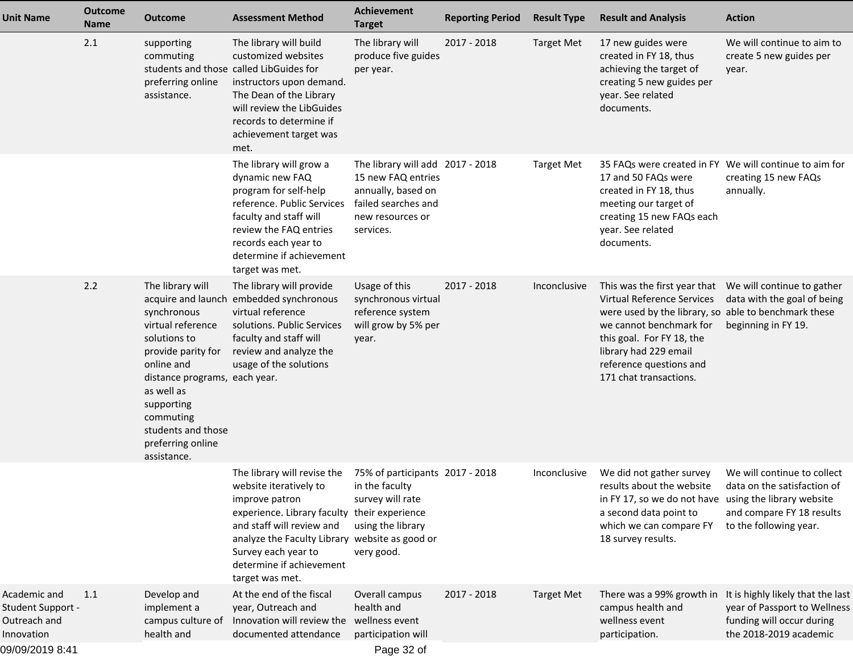| <b>Unit Name</b>                                                                   | <b>Outcome</b><br>Name | Outcome                                                                                                                                                                                                                                                            | <b>Assessment Method</b>                                                                                                                                                                                                                                                     | <b>Achievement</b><br><b>Target</b>                                                                                                  | <b>Reporting Period</b> | <b>Result Type</b> | <b>Result and Analysis</b>                                                                                                                                                                                                                                                          | <b>Action</b>                                                                                                            |
|------------------------------------------------------------------------------------|------------------------|--------------------------------------------------------------------------------------------------------------------------------------------------------------------------------------------------------------------------------------------------------------------|------------------------------------------------------------------------------------------------------------------------------------------------------------------------------------------------------------------------------------------------------------------------------|--------------------------------------------------------------------------------------------------------------------------------------|-------------------------|--------------------|-------------------------------------------------------------------------------------------------------------------------------------------------------------------------------------------------------------------------------------------------------------------------------------|--------------------------------------------------------------------------------------------------------------------------|
|                                                                                    | 2.1                    | supporting<br>commuting<br>preferring online<br>assistance.                                                                                                                                                                                                        | The library will build<br>customized websites<br>students and those called LibGuides for<br>instructors upon demand.<br>The Dean of the Library<br>will review the LibGuides<br>records to determine if<br>achievement target was<br>met.                                    | The library will<br>produce five guides<br>per year.                                                                                 | 2017 - 2018             | <b>Target Met</b>  | 17 new guides were<br>created in FY 18, thus<br>achieving the target of<br>creating 5 new guides per<br>year. See related<br>documents.                                                                                                                                             | We will continue to aim to<br>create 5 new guides per<br>year.                                                           |
|                                                                                    |                        |                                                                                                                                                                                                                                                                    | The library will grow a<br>dynamic new FAQ<br>program for self-help<br>reference. Public Services<br>faculty and staff will<br>review the FAQ entries<br>records each year to<br>determine if achievement<br>target was met.                                                 | The library will add 2017 - 2018<br>15 new FAQ entries<br>annually, based on<br>failed searches and<br>new resources or<br>services. |                         | <b>Target Met</b>  | 35 FAQs were created in FY We will continue to aim for<br>17 and 50 FAQs were<br>created in FY 18, thus<br>meeting our target of<br>creating 15 new FAQs each<br>year. See related<br>documents.                                                                                    | creating 15 new FAQs<br>annually.                                                                                        |
|                                                                                    | 2.2                    | The library will<br>acquire and launch<br>synchronous<br>virtual reference<br>solutions to<br>provide parity for<br>online and<br>distance programs, each year.<br>as well as<br>supporting<br>commuting<br>students and those<br>preferring online<br>assistance. | The library will provide<br>embedded synchronous<br>virtual reference<br>solutions. Public Services<br>faculty and staff will<br>review and analyze the<br>usage of the solutions                                                                                            | Usage of this<br>synchronous virtual<br>reference system<br>will grow by 5% per<br>year.                                             | 2017 - 2018             | Inconclusive       | This was the first year that We will continue to gather<br>Virtual Reference Services<br>were used by the library, so able to benchmark these<br>we cannot benchmark for<br>this goal. For FY 18, the<br>library had 229 email<br>reference questions and<br>171 chat transactions. | data with the goal of being<br>beginning in FY 19.                                                                       |
|                                                                                    |                        |                                                                                                                                                                                                                                                                    | The library will revise the<br>website iteratively to<br>improve patron<br>experience. Library faculty their experience<br>and staff will review and<br>analyze the Faculty Library website as good or<br>Survey each year to<br>determine if achievement<br>target was met. | 75% of participants 2017 - 2018<br>in the faculty<br>survey will rate<br>using the library<br>very good.                             |                         | Inconclusive       | We did not gather survey<br>results about the website<br>in FY 17, so we do not have using the library website<br>a second data point to<br>which we can compare FY<br>18 survey results.                                                                                           | We will continue to collect<br>data on the satisfaction of<br>and compare FY 18 results<br>to the following year.        |
| Academic and<br>Student Support -<br>Outreach and<br>Innovation<br>09/09/2019 8:41 | 1.1                    | Develop and<br>implement a<br>campus culture of<br>health and                                                                                                                                                                                                      | At the end of the fiscal<br>year, Outreach and<br>Innovation will review the<br>documented attendance                                                                                                                                                                        | Overall campus<br>health and<br>wellness event<br>participation will<br>Page 32 of                                                   | 2017 - 2018             | <b>Target Met</b>  | There was a 99% growth in<br>campus health and<br>wellness event<br>participation.                                                                                                                                                                                                  | It is highly likely that the last<br>year of Passport to Wellness<br>funding will occur during<br>the 2018-2019 academic |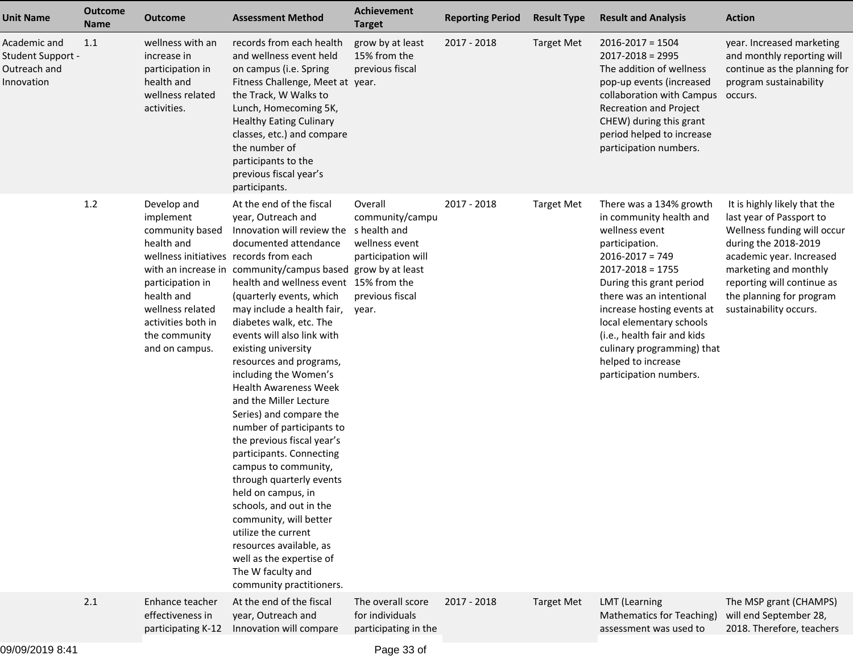| <b>Unit Name</b>                                                       | <b>Outcome</b><br><b>Name</b> | <b>Outcome</b>                                                                                                                                                                                                     | <b>Assessment Method</b>                                                                                                                                                                                                                                                                                                                                                                                                                                                                                                                                                                                                                                                                                                                                                                                                                                           | Achievement<br><b>Target</b>                                                                   | <b>Reporting Period</b> | <b>Result Type</b> | <b>Result and Analysis</b>                                                                                                                                                                                                                                                                                                                                           | <b>Action</b>                                                                                                                                                                                                                                            |
|------------------------------------------------------------------------|-------------------------------|--------------------------------------------------------------------------------------------------------------------------------------------------------------------------------------------------------------------|--------------------------------------------------------------------------------------------------------------------------------------------------------------------------------------------------------------------------------------------------------------------------------------------------------------------------------------------------------------------------------------------------------------------------------------------------------------------------------------------------------------------------------------------------------------------------------------------------------------------------------------------------------------------------------------------------------------------------------------------------------------------------------------------------------------------------------------------------------------------|------------------------------------------------------------------------------------------------|-------------------------|--------------------|----------------------------------------------------------------------------------------------------------------------------------------------------------------------------------------------------------------------------------------------------------------------------------------------------------------------------------------------------------------------|----------------------------------------------------------------------------------------------------------------------------------------------------------------------------------------------------------------------------------------------------------|
| Academic and<br><b>Student Support -</b><br>Outreach and<br>Innovation | 1.1                           | wellness with an<br>increase in<br>participation in<br>health and<br>wellness related<br>activities.                                                                                                               | records from each health<br>and wellness event held<br>on campus (i.e. Spring<br>Fitness Challenge, Meet at year.<br>the Track, W Walks to<br>Lunch, Homecoming 5K,<br><b>Healthy Eating Culinary</b><br>classes, etc.) and compare<br>the number of<br>participants to the<br>previous fiscal year's<br>participants.                                                                                                                                                                                                                                                                                                                                                                                                                                                                                                                                             | grow by at least<br>15% from the<br>previous fiscal                                            | 2017 - 2018             | <b>Target Met</b>  | $2016 - 2017 = 1504$<br>$2017 - 2018 = 2995$<br>The addition of wellness<br>pop-up events (increased<br>collaboration with Campus<br>Recreation and Project<br>CHEW) during this grant<br>period helped to increase<br>participation numbers.                                                                                                                        | year. Increased marketing<br>and monthly reporting will<br>continue as the planning for<br>program sustainability<br>occurs.                                                                                                                             |
|                                                                        | 1.2                           | Develop and<br>implement<br>community based<br>health and<br>wellness initiatives records from each<br>participation in<br>health and<br>wellness related<br>activities both in<br>the community<br>and on campus. | At the end of the fiscal<br>year, Outreach and<br>Innovation will review the shealth and<br>documented attendance<br>with an increase in community/campus based grow by at least<br>health and wellness event 15% from the<br>(quarterly events, which<br>may include a health fair,<br>diabetes walk, etc. The<br>events will also link with<br>existing university<br>resources and programs,<br>including the Women's<br><b>Health Awareness Week</b><br>and the Miller Lecture<br>Series) and compare the<br>number of participants to<br>the previous fiscal year's<br>participants. Connecting<br>campus to community,<br>through quarterly events<br>held on campus, in<br>schools, and out in the<br>community, will better<br>utilize the current<br>resources available, as<br>well as the expertise of<br>The W faculty and<br>community practitioners. | Overall<br>community/campu<br>wellness event<br>participation will<br>previous fiscal<br>year. | 2017 - 2018             | <b>Target Met</b>  | There was a 134% growth<br>in community health and<br>wellness event<br>participation.<br>$2016 - 2017 = 749$<br>$2017 - 2018 = 1755$<br>During this grant period<br>there was an intentional<br>increase hosting events at<br>local elementary schools<br>(i.e., health fair and kids<br>culinary programming) that<br>helped to increase<br>participation numbers. | It is highly likely that the<br>last year of Passport to<br>Wellness funding will occur<br>during the 2018-2019<br>academic year. Increased<br>marketing and monthly<br>reporting will continue as<br>the planning for program<br>sustainability occurs. |
|                                                                        | 2.1                           | Enhance teacher<br>effectiveness in<br>participating K-12                                                                                                                                                          | At the end of the fiscal<br>year, Outreach and<br>Innovation will compare                                                                                                                                                                                                                                                                                                                                                                                                                                                                                                                                                                                                                                                                                                                                                                                          | The overall score<br>for individuals<br>participating in the                                   | 2017 - 2018             | <b>Target Met</b>  | <b>LMT</b> (Learning<br><b>Mathematics for Teaching)</b><br>assessment was used to                                                                                                                                                                                                                                                                                   | The MSP grant (CHAMPS)<br>will end September 28,<br>2018. Therefore, teachers                                                                                                                                                                            |

Page 33 of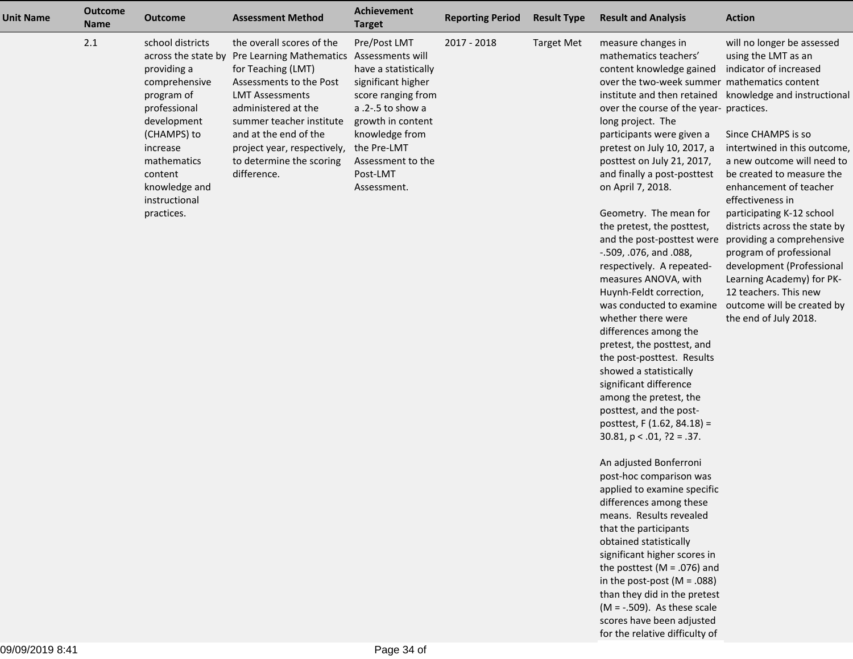| <b>Unit Name</b> | <b>Outcome</b><br><b>Name</b> | <b>Outcome</b>                                                                                                                                                                                                            | <b>Assessment Method</b>                                                                                                                                                                                                                                                                                | <b>Achievement</b><br><b>Target</b>                                                                                                                                                                         | <b>Reporting Period</b> | <b>Result Type</b> | <b>Result and Analysis</b>                                                                                                                                                                                                                                                                                                                                                                                                                                                                                                                                                                                                                                                                                                                                                                                                                                                                                                                                                                                                                                                                                                                                                                                                                               | <b>Action</b>                                                                                                                                                                                                                                                                                                                                                                                                                                                                                                                                                         |
|------------------|-------------------------------|---------------------------------------------------------------------------------------------------------------------------------------------------------------------------------------------------------------------------|---------------------------------------------------------------------------------------------------------------------------------------------------------------------------------------------------------------------------------------------------------------------------------------------------------|-------------------------------------------------------------------------------------------------------------------------------------------------------------------------------------------------------------|-------------------------|--------------------|----------------------------------------------------------------------------------------------------------------------------------------------------------------------------------------------------------------------------------------------------------------------------------------------------------------------------------------------------------------------------------------------------------------------------------------------------------------------------------------------------------------------------------------------------------------------------------------------------------------------------------------------------------------------------------------------------------------------------------------------------------------------------------------------------------------------------------------------------------------------------------------------------------------------------------------------------------------------------------------------------------------------------------------------------------------------------------------------------------------------------------------------------------------------------------------------------------------------------------------------------------|-----------------------------------------------------------------------------------------------------------------------------------------------------------------------------------------------------------------------------------------------------------------------------------------------------------------------------------------------------------------------------------------------------------------------------------------------------------------------------------------------------------------------------------------------------------------------|
|                  | 2.1                           | school districts<br>across the state by<br>providing a<br>comprehensive<br>program of<br>professional<br>development<br>(CHAMPS) to<br>increase<br>mathematics<br>content<br>knowledge and<br>instructional<br>practices. | the overall scores of the<br>Pre Learning Mathematics Assessments will<br>for Teaching (LMT)<br>Assessments to the Post<br><b>LMT Assessments</b><br>administered at the<br>summer teacher institute<br>and at the end of the<br>project year, respectively,<br>to determine the scoring<br>difference. | Pre/Post LMT<br>have a statistically<br>significant higher<br>score ranging from<br>a .2-.5 to show a<br>growth in content<br>knowledge from<br>the Pre-LMT<br>Assessment to the<br>Post-LMT<br>Assessment. | 2017 - 2018             | <b>Target Met</b>  | measure changes in<br>mathematics teachers'<br>content knowledge gained<br>over the two-week summer mathematics content<br>over the course of the year- practices.<br>long project. The<br>participants were given a<br>pretest on July 10, 2017, a<br>posttest on July 21, 2017,<br>and finally a post-posttest<br>on April 7, 2018.<br>Geometry. The mean for<br>the pretest, the posttest,<br>and the post-posttest were<br>-.509, .076, and .088,<br>respectively. A repeated-<br>measures ANOVA, with<br>Huynh-Feldt correction,<br>was conducted to examine<br>whether there were<br>differences among the<br>pretest, the posttest, and<br>the post-posttest. Results<br>showed a statistically<br>significant difference<br>among the pretest, the<br>posttest, and the post-<br>posttest, F (1.62, 84.18) =<br>$30.81$ , $p < .01$ , $?2 = .37$ .<br>An adjusted Bonferroni<br>post-hoc comparison was<br>applied to examine specific<br>differences among these<br>means. Results revealed<br>that the participants<br>obtained statistically<br>significant higher scores in<br>the posttest (M = .076) and<br>in the post-post ( $M = .088$ )<br>than they did in the pretest<br>$(M = -.509)$ . As these scale<br>scores have been adjusted | will no longer be assessed<br>using the LMT as an<br>indicator of increased<br>institute and then retained knowledge and instructional<br>Since CHAMPS is so<br>intertwined in this outcome,<br>a new outcome will need to<br>be created to measure the<br>enhancement of teacher<br>effectiveness in<br>participating K-12 school<br>districts across the state by<br>providing a comprehensive<br>program of professional<br>development (Professional<br>Learning Academy) for PK-<br>12 teachers. This new<br>outcome will be created by<br>the end of July 2018. |

for the relative difficulty of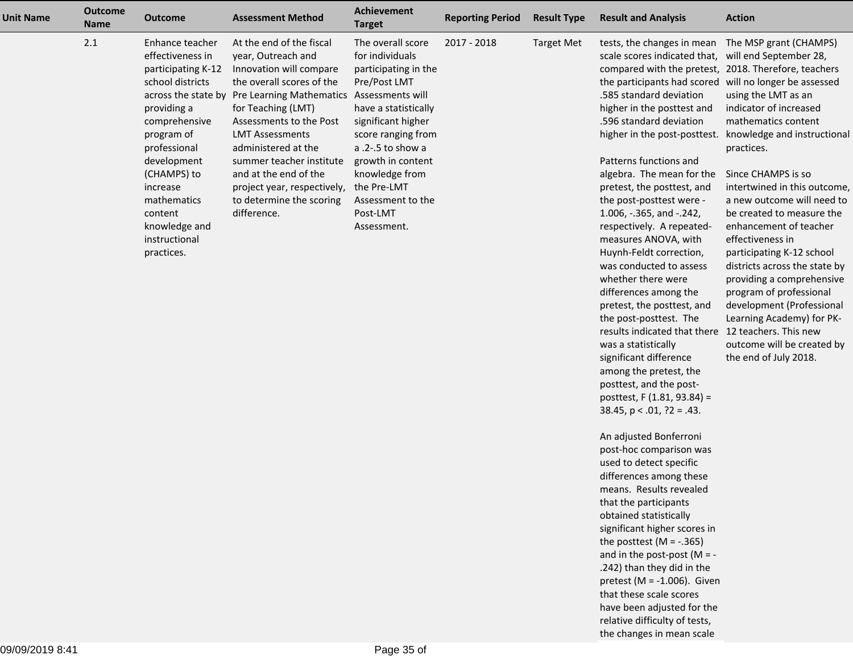| <b>Unit Name</b> | <b>Outcome</b><br><b>Name</b> | <b>Outcome</b>                                                                                                                                                                                                                                                                         | <b>Assessment Method</b>                                                                                                                                                                                                                                                                                                                                            | Achievement<br><b>Target</b>                                                                                                                                                                                                                                                                        | <b>Reporting Period</b> | <b>Result Type</b> | <b>Result and Analysis</b>                                                                                                                                                                                                                                                                                                                                                                                                                                                                                                                                                                                                                                                                                                                    | <b>Action</b>                                                                                                                                                                                                                                                                                                                                                                                                                                                                                                                                     |
|------------------|-------------------------------|----------------------------------------------------------------------------------------------------------------------------------------------------------------------------------------------------------------------------------------------------------------------------------------|---------------------------------------------------------------------------------------------------------------------------------------------------------------------------------------------------------------------------------------------------------------------------------------------------------------------------------------------------------------------|-----------------------------------------------------------------------------------------------------------------------------------------------------------------------------------------------------------------------------------------------------------------------------------------------------|-------------------------|--------------------|-----------------------------------------------------------------------------------------------------------------------------------------------------------------------------------------------------------------------------------------------------------------------------------------------------------------------------------------------------------------------------------------------------------------------------------------------------------------------------------------------------------------------------------------------------------------------------------------------------------------------------------------------------------------------------------------------------------------------------------------------|---------------------------------------------------------------------------------------------------------------------------------------------------------------------------------------------------------------------------------------------------------------------------------------------------------------------------------------------------------------------------------------------------------------------------------------------------------------------------------------------------------------------------------------------------|
|                  | 2.1                           | Enhance teacher<br>effectiveness in<br>participating K-12<br>school districts<br>across the state by<br>providing a<br>comprehensive<br>program of<br>professional<br>development<br>(CHAMPS) to<br>increase<br>mathematics<br>content<br>knowledge and<br>instructional<br>practices. | At the end of the fiscal<br>year, Outreach and<br>Innovation will compare<br>the overall scores of the<br>Pre Learning Mathematics<br>for Teaching (LMT)<br>Assessments to the Post<br><b>LMT Assessments</b><br>administered at the<br>summer teacher institute<br>and at the end of the<br>project year, respectively,<br>to determine the scoring<br>difference. | The overall score<br>for individuals<br>participating in the<br>Pre/Post LMT<br>Assessments will<br>have a statistically<br>significant higher<br>score ranging from<br>a $.2 - .5$ to show a<br>growth in content<br>knowledge from<br>the Pre-LMT<br>Assessment to the<br>Post-LMT<br>Assessment. | 2017 - 2018             | <b>Target Met</b>  | tests, the changes in mean<br>scale scores indicated that, will end September 28,<br>compared with the pretest, 2018. Therefore, teachers<br>the participants had scored will no longer be assessed<br>.585 standard deviation<br>higher in the posttest and<br>.596 standard deviation<br>higher in the post-posttest.<br>Patterns functions and<br>algebra. The mean for the<br>pretest, the posttest, and<br>the post-posttest were -<br>1.006, -.365, and -.242,<br>respectively. A repeated-<br>measures ANOVA, with<br>Huynh-Feldt correction,<br>was conducted to assess<br>whether there were<br>differences among the<br>pretest, the posttest, and<br>the post-posttest. The<br>results indicated that there<br>was a statistically | The MSP grant (CHAMPS)<br>using the LMT as an<br>indicator of increased<br>mathematics content<br>knowledge and instructional<br>practices.<br>Since CHAMPS is so<br>intertwined in this outcome,<br>a new outcome will need to<br>be created to measure the<br>enhancement of teacher<br>effectiveness in<br>participating K-12 school<br>districts across the state by<br>providing a comprehensive<br>program of professional<br>development (Professional<br>Learning Academy) for PK-<br>12 teachers. This new<br>outcome will be created by |

outcome will be created bythe end of July 2018.

An adjusted Bonferroni post-hoc comparison wasused to detect specific differences among these means. Results revealedthat the participants obtained statistically significant higher scores inthe posttest  $(M = -.365)$ and in the post-post  $(M = -1)$ .242) than they did in the pretest (M = -1.006). Giventhat these scale scores have been adjusted for therelative difficulty of tests,the changes in mean scale

 significant difference among the pretest, the posttest, and the postposttest, F (1.81, 93.84) =38.45, p < .01, ?2 = .43.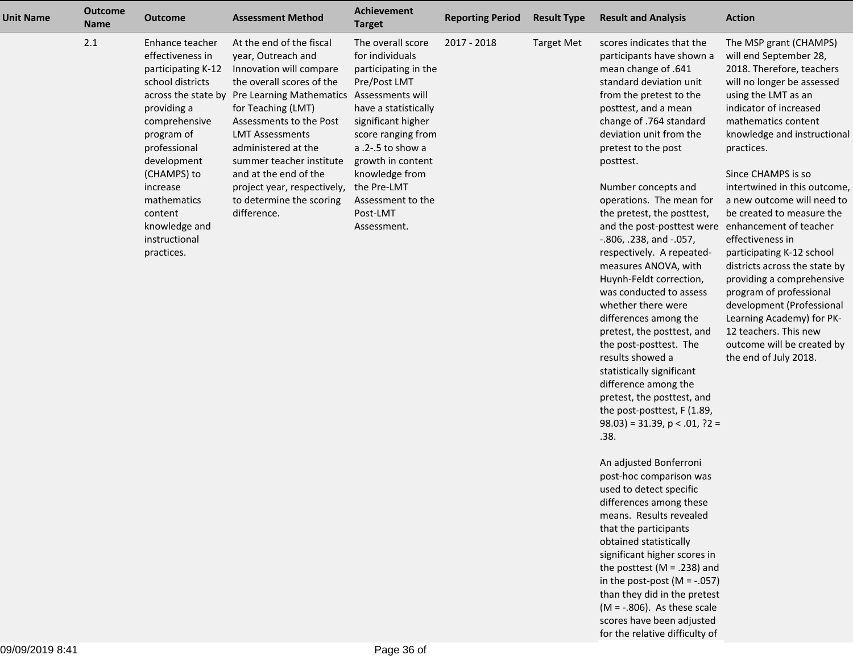| Unit Name | <b>Outcome</b><br><b>Name</b> | <b>Outcome</b>                                                                                                                                                                                                                                                                         | <b>Assessment Method</b>                                                                                                                                                                                                                                                                                                                                            | <b>Achievement</b><br><b>Target</b>                                                                                                                                                                                                                                                               | <b>Reporting Period</b> | <b>Result Type</b> | <b>Result and Analysis</b>                                                                                                                                                                                                                                                                                                                                                                                                                                                                                   | <b>Action</b>                                                                                                                                                                                                                                                                                                                                                                                                                                                                                                         |
|-----------|-------------------------------|----------------------------------------------------------------------------------------------------------------------------------------------------------------------------------------------------------------------------------------------------------------------------------------|---------------------------------------------------------------------------------------------------------------------------------------------------------------------------------------------------------------------------------------------------------------------------------------------------------------------------------------------------------------------|---------------------------------------------------------------------------------------------------------------------------------------------------------------------------------------------------------------------------------------------------------------------------------------------------|-------------------------|--------------------|--------------------------------------------------------------------------------------------------------------------------------------------------------------------------------------------------------------------------------------------------------------------------------------------------------------------------------------------------------------------------------------------------------------------------------------------------------------------------------------------------------------|-----------------------------------------------------------------------------------------------------------------------------------------------------------------------------------------------------------------------------------------------------------------------------------------------------------------------------------------------------------------------------------------------------------------------------------------------------------------------------------------------------------------------|
|           | 2.1                           | Enhance teacher<br>effectiveness in<br>participating K-12<br>school districts<br>across the state by<br>providing a<br>comprehensive<br>program of<br>professional<br>development<br>(CHAMPS) to<br>increase<br>mathematics<br>content<br>knowledge and<br>instructional<br>practices. | At the end of the fiscal<br>year, Outreach and<br>Innovation will compare<br>the overall scores of the<br>Pre Learning Mathematics<br>for Teaching (LMT)<br>Assessments to the Post<br><b>LMT Assessments</b><br>administered at the<br>summer teacher institute<br>and at the end of the<br>project year, respectively,<br>to determine the scoring<br>difference. | The overall score<br>for individuals<br>participating in the<br>Pre/Post LMT<br>Assessments will<br>have a statistically<br>significant higher<br>score ranging from<br>$a.2 - 5$ to show a<br>growth in content<br>knowledge from<br>the Pre-LMT<br>Assessment to the<br>Post-LMT<br>Assessment. | 2017 - 2018             | <b>Target Met</b>  | scores indicates that the<br>participants have shown a<br>mean change of .641<br>standard deviation unit<br>from the pretest to the<br>posttest, and a mean<br>change of .764 standard<br>deviation unit from the<br>pretest to the post<br>posttest.<br>Number concepts and<br>operations. The mean for<br>the pretest, the posttest,<br>and the post-posttest were<br>$-.806, .238, and -.057,$<br>respectively. A repeated-<br>measures ANOVA, with<br>Huynh-Feldt correction,<br>was conducted to assess | The MSP grant (CHAMPS)<br>will end September 28,<br>2018. Therefore, teachers<br>will no longer be assessed<br>using the LMT as an<br>indicator of increased<br>mathematics content<br>knowledge and instructional<br>practices.<br>Since CHAMPS is so<br>intertwined in this outcome,<br>a new outcome will need to<br>be created to measure the<br>enhancement of teacher<br>effectiveness in<br>participating K-12 school<br>districts across the state by<br>providing a comprehensive<br>program of professional |

whether there were differences among the pretest, the posttest, andthe post-posttest. Theresults showed a statistically significant difference among the pretest, the posttest, and the post-posttest, F (1.89, $(98.03) = 31.39, p < .01, ?2 =$  development (ProfessionalLearning Academy) for PK-12 teachers. This new outcome will be created bythe end of July 2018.

An adjusted Bonferroni post-hoc comparison wasused to detect specific differences among these means. Results revealedthat the participants obtained statistically significant higher scores in the posttest (M = .238) and in the post-post (M = -.057) than they did in the pretest $(M = -.806)$ . As these scale scores have been adjustedfor the relative difficulty of

.38.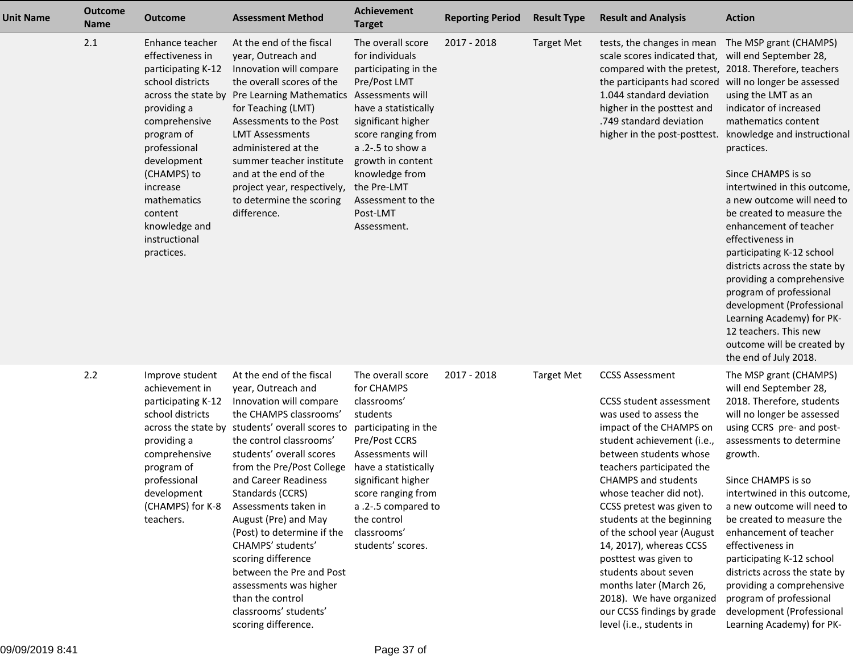| <b>Unit Name</b> | <b>Outcome</b><br><b>Name</b> | <b>Outcome</b>                                                                                                                                                                                                                                                  | <b>Assessment Method</b>                                                                                                                                                                                                                                                                                                                                                                                                                                                                                                                  | Achievement<br><b>Target</b>                                                                                                                                                                                                                                                                    | <b>Reporting Period</b> | <b>Result Type</b> | <b>Result and Analysis</b>                                                                                                                                                                                                                                                                                                                                                                                                                                                                                                                       | <b>Action</b>                                                                                                                                                                                                                                                                                                                                                                                                                                                                                                                                                                                                                      |
|------------------|-------------------------------|-----------------------------------------------------------------------------------------------------------------------------------------------------------------------------------------------------------------------------------------------------------------|-------------------------------------------------------------------------------------------------------------------------------------------------------------------------------------------------------------------------------------------------------------------------------------------------------------------------------------------------------------------------------------------------------------------------------------------------------------------------------------------------------------------------------------------|-------------------------------------------------------------------------------------------------------------------------------------------------------------------------------------------------------------------------------------------------------------------------------------------------|-------------------------|--------------------|--------------------------------------------------------------------------------------------------------------------------------------------------------------------------------------------------------------------------------------------------------------------------------------------------------------------------------------------------------------------------------------------------------------------------------------------------------------------------------------------------------------------------------------------------|------------------------------------------------------------------------------------------------------------------------------------------------------------------------------------------------------------------------------------------------------------------------------------------------------------------------------------------------------------------------------------------------------------------------------------------------------------------------------------------------------------------------------------------------------------------------------------------------------------------------------------|
|                  | 2.1                           | Enhance teacher<br>effectiveness in<br>participating K-12<br>school districts<br>providing a<br>comprehensive<br>program of<br>professional<br>development<br>(CHAMPS) to<br>increase<br>mathematics<br>content<br>knowledge and<br>instructional<br>practices. | At the end of the fiscal<br>year, Outreach and<br>Innovation will compare<br>the overall scores of the<br>across the state by Pre Learning Mathematics<br>for Teaching (LMT)<br>Assessments to the Post<br><b>LMT Assessments</b><br>administered at the<br>summer teacher institute<br>and at the end of the<br>project year, respectively,<br>to determine the scoring<br>difference.                                                                                                                                                   | The overall score<br>for individuals<br>participating in the<br>Pre/Post LMT<br>Assessments will<br>have a statistically<br>significant higher<br>score ranging from<br>a .2-.5 to show a<br>growth in content<br>knowledge from<br>the Pre-LMT<br>Assessment to the<br>Post-LMT<br>Assessment. | 2017 - 2018             | <b>Target Met</b>  | tests, the changes in mean<br>scale scores indicated that,<br>compared with the pretest, 2018. Therefore, teachers<br>the participants had scored<br>1.044 standard deviation<br>higher in the posttest and<br>.749 standard deviation<br>higher in the post-posttest.                                                                                                                                                                                                                                                                           | The MSP grant (CHAMPS)<br>will end September 28,<br>will no longer be assessed<br>using the LMT as an<br>indicator of increased<br>mathematics content<br>knowledge and instructional<br>practices.<br>Since CHAMPS is so<br>intertwined in this outcome,<br>a new outcome will need to<br>be created to measure the<br>enhancement of teacher<br>effectiveness in<br>participating K-12 school<br>districts across the state by<br>providing a comprehensive<br>program of professional<br>development (Professional<br>Learning Academy) for PK-<br>12 teachers. This new<br>outcome will be created by<br>the end of July 2018. |
|                  | 2.2                           | Improve student<br>achievement in<br>participating K-12<br>school districts<br>providing a<br>comprehensive<br>program of<br>professional<br>development<br>(CHAMPS) for K-8<br>teachers.                                                                       | At the end of the fiscal<br>year, Outreach and<br>Innovation will compare<br>the CHAMPS classrooms'<br>across the state by students' overall scores to<br>the control classrooms'<br>students' overall scores<br>from the Pre/Post College<br>and Career Readiness<br>Standards (CCRS)<br>Assessments taken in<br>August (Pre) and May<br>(Post) to determine if the<br>CHAMPS' students'<br>scoring difference<br>between the Pre and Post<br>assessments was higher<br>than the control<br>classrooms' students'<br>scoring difference. | The overall score<br>for CHAMPS<br>classrooms'<br>students<br>participating in the<br>Pre/Post CCRS<br>Assessments will<br>have a statistically<br>significant higher<br>score ranging from<br>a .2-.5 compared to<br>the control<br>classrooms'<br>students' scores.                           | 2017 - 2018             | <b>Target Met</b>  | <b>CCSS Assessment</b><br><b>CCSS</b> student assessment<br>was used to assess the<br>impact of the CHAMPS on<br>student achievement (i.e.,<br>between students whose<br>teachers participated the<br><b>CHAMPS and students</b><br>whose teacher did not).<br>CCSS pretest was given to<br>students at the beginning<br>of the school year (August<br>14, 2017), whereas CCSS<br>posttest was given to<br>students about seven<br>months later (March 26,<br>2018). We have organized<br>our CCSS findings by grade<br>level (i.e., students in | The MSP grant (CHAMPS)<br>will end September 28,<br>2018. Therefore, students<br>will no longer be assessed<br>using CCRS pre- and post-<br>assessments to determine<br>growth.<br>Since CHAMPS is so<br>intertwined in this outcome,<br>a new outcome will need to<br>be created to measure the<br>enhancement of teacher<br>effectiveness in<br>participating K-12 school<br>districts across the state by<br>providing a comprehensive<br>program of professional<br>development (Professional<br>Learning Academy) for PK-                                                                                                     |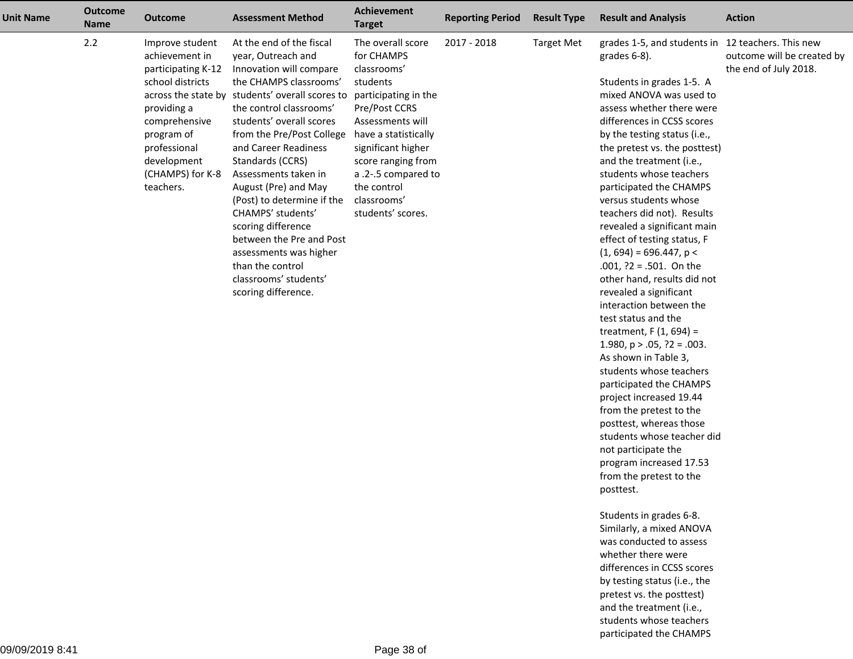| <b>Unit Name</b> | <b>Outcome</b><br><b>Name</b> | <b>Outcome</b>                                          | <b>Assessment Method</b>                                                  | <b>Achievement</b><br><b>Target</b>            | <b>Reporting Period</b> | <b>Result Type</b>        | <b>Result and Analysis</b>                                           | <b>Action</b>                                       |
|------------------|-------------------------------|---------------------------------------------------------|---------------------------------------------------------------------------|------------------------------------------------|-------------------------|---------------------------|----------------------------------------------------------------------|-----------------------------------------------------|
|                  | 2.2                           | Improve student<br>achievement in<br>participating K-12 | At the end of the fiscal<br>year, Outreach and<br>Innovation will compare | The overall score<br>for CHAMPS<br>classrooms' | 2017 - 2018             | <b>Target Met</b>         | grades 1-5, and students in 12 teachers. This new<br>grades $6-8$ ). | outcome will be created by<br>the end of July 2018. |
|                  |                               | school districts                                        | the CHAMPS classrooms'                                                    | students                                       |                         |                           | Students in grades 1-5. A                                            |                                                     |
|                  |                               |                                                         | across the state by students' overall scores to                           | participating in the                           |                         |                           | mixed ANOVA was used to                                              |                                                     |
|                  |                               | providing a                                             | the control classrooms'                                                   | Pre/Post CCRS                                  |                         |                           | assess whether there were                                            |                                                     |
|                  |                               | comprehensive                                           | students' overall scores                                                  | Assessments will                               |                         |                           | differences in CCSS scores                                           |                                                     |
|                  |                               | program of                                              | from the Pre/Post College                                                 | have a statistically                           |                         |                           | by the testing status (i.e.,                                         |                                                     |
|                  |                               | professional                                            | and Career Readiness                                                      | significant higher                             |                         |                           | the pretest vs. the posttest)                                        |                                                     |
|                  |                               | development                                             | Standards (CCRS)                                                          | score ranging from                             |                         |                           | and the treatment (i.e.,                                             |                                                     |
|                  |                               | (CHAMPS) for K-8                                        | Assessments taken in                                                      | a .2-.5 compared to                            |                         |                           | students whose teachers                                              |                                                     |
|                  |                               | teachers.                                               | August (Pre) and May                                                      | the control                                    |                         |                           | participated the CHAMPS                                              |                                                     |
|                  |                               |                                                         | (Post) to determine if the                                                | classrooms'                                    |                         |                           | versus students whose                                                |                                                     |
|                  |                               |                                                         | CHAMPS' students'                                                         | students' scores.                              |                         |                           | teachers did not). Results                                           |                                                     |
|                  |                               |                                                         | scoring difference                                                        |                                                |                         |                           | revealed a significant main                                          |                                                     |
|                  |                               |                                                         | between the Pre and Post                                                  |                                                |                         |                           | effect of testing status, F                                          |                                                     |
|                  |                               |                                                         | assessments was higher                                                    |                                                |                         |                           | $(1, 694) = 696.447$ , p <                                           |                                                     |
|                  |                               | than the control                                        |                                                                           |                                                |                         | $.001, ?2 = .501.$ On the |                                                                      |                                                     |
|                  |                               |                                                         | classrooms' students'                                                     |                                                |                         |                           | other hand, results did not                                          |                                                     |
|                  |                               |                                                         | scoring difference.                                                       |                                                |                         |                           | revealed a significant                                               |                                                     |
|                  |                               |                                                         |                                                                           |                                                |                         |                           | interaction between the                                              |                                                     |
|                  |                               |                                                         |                                                                           |                                                |                         |                           | test status and the                                                  |                                                     |
|                  |                               |                                                         |                                                                           |                                                |                         |                           | treatment, $F(1, 694) =$                                             |                                                     |
|                  |                               |                                                         |                                                                           |                                                |                         |                           | 1.980, $p > .05$ , $?2 = .003$ .                                     |                                                     |
|                  |                               |                                                         |                                                                           |                                                |                         |                           | As shown in Table 3,                                                 |                                                     |
|                  |                               |                                                         |                                                                           |                                                |                         |                           | students whose teachers                                              |                                                     |
|                  |                               |                                                         |                                                                           |                                                |                         |                           | participated the CHAMPS                                              |                                                     |
|                  |                               |                                                         |                                                                           |                                                |                         |                           | project increased 19.44                                              |                                                     |
|                  |                               |                                                         |                                                                           |                                                |                         |                           | from the pretest to the                                              |                                                     |
|                  |                               |                                                         |                                                                           |                                                |                         |                           | posttest, whereas those                                              |                                                     |
|                  |                               |                                                         |                                                                           |                                                |                         |                           | students whose teacher did                                           |                                                     |
|                  |                               |                                                         |                                                                           |                                                |                         |                           | not participate the                                                  |                                                     |
|                  |                               |                                                         |                                                                           |                                                |                         |                           | program increased 17.53                                              |                                                     |
|                  |                               |                                                         |                                                                           |                                                |                         |                           | from the pretest to the                                              |                                                     |
|                  |                               |                                                         |                                                                           |                                                |                         |                           | posttest.                                                            |                                                     |
|                  |                               |                                                         |                                                                           |                                                |                         |                           | Students in grades 6-8.                                              |                                                     |
|                  |                               |                                                         |                                                                           |                                                |                         |                           | Similarly, a mixed ANOVA                                             |                                                     |
|                  |                               |                                                         |                                                                           |                                                |                         |                           | was conducted to assess                                              |                                                     |
|                  |                               |                                                         |                                                                           |                                                |                         |                           | whether there were                                                   |                                                     |
|                  |                               |                                                         |                                                                           |                                                |                         |                           | differences in CCSS scores                                           |                                                     |

 by testing status (i.e., the pretest vs. the posttest) and the treatment (i.e., students whose teachersparticipated the CHAMPS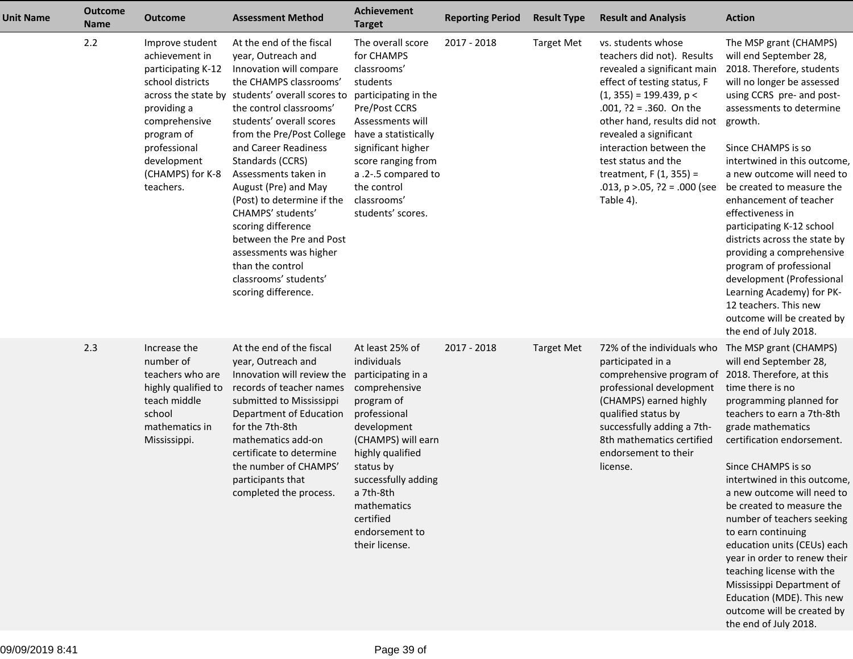| <b>Unit Name</b> | <b>Outcome</b><br><b>Name</b> | <b>Outcome</b>                                                                                                                                                                            | <b>Assessment Method</b>                                                                                                                                                                                                                                                                                                                                                                                                                                                                                                                  | <b>Achievement</b><br><b>Target</b>                                                                                                                                                                                                                                           | <b>Reporting Period</b> | <b>Result Type</b> | <b>Result and Analysis</b>                                                                                                                                                                                                                                                                                                                                           | <b>Action</b>                                                                                                                                                                                                                                                                                                                                                                                                                                                                                                                                                                                                  |
|------------------|-------------------------------|-------------------------------------------------------------------------------------------------------------------------------------------------------------------------------------------|-------------------------------------------------------------------------------------------------------------------------------------------------------------------------------------------------------------------------------------------------------------------------------------------------------------------------------------------------------------------------------------------------------------------------------------------------------------------------------------------------------------------------------------------|-------------------------------------------------------------------------------------------------------------------------------------------------------------------------------------------------------------------------------------------------------------------------------|-------------------------|--------------------|----------------------------------------------------------------------------------------------------------------------------------------------------------------------------------------------------------------------------------------------------------------------------------------------------------------------------------------------------------------------|----------------------------------------------------------------------------------------------------------------------------------------------------------------------------------------------------------------------------------------------------------------------------------------------------------------------------------------------------------------------------------------------------------------------------------------------------------------------------------------------------------------------------------------------------------------------------------------------------------------|
|                  | 2.2                           | Improve student<br>achievement in<br>participating K-12<br>school districts<br>providing a<br>comprehensive<br>program of<br>professional<br>development<br>(CHAMPS) for K-8<br>teachers. | At the end of the fiscal<br>year, Outreach and<br>Innovation will compare<br>the CHAMPS classrooms'<br>across the state by students' overall scores to<br>the control classrooms'<br>students' overall scores<br>from the Pre/Post College<br>and Career Readiness<br>Standards (CCRS)<br>Assessments taken in<br>August (Pre) and May<br>(Post) to determine if the<br>CHAMPS' students'<br>scoring difference<br>between the Pre and Post<br>assessments was higher<br>than the control<br>classrooms' students'<br>scoring difference. | The overall score<br>for CHAMPS<br>classrooms'<br>students<br>participating in the<br>Pre/Post CCRS<br>Assessments will<br>have a statistically<br>significant higher<br>score ranging from<br>a .2-.5 compared to<br>the control<br>classrooms'<br>students' scores.         | 2017 - 2018             | <b>Target Met</b>  | vs. students whose<br>teachers did not). Results<br>revealed a significant main<br>effect of testing status, F<br>$(1, 355) = 199.439, p <$<br>$.001, ?2 = .360.$ On the<br>other hand, results did not<br>revealed a significant<br>interaction between the<br>test status and the<br>treatment, $F(1, 355) =$<br>.013, $p > 0.05$ , $?2 = 0.000$ (see<br>Table 4). | The MSP grant (CHAMPS)<br>will end September 28,<br>2018. Therefore, students<br>will no longer be assessed<br>using CCRS pre- and post-<br>assessments to determine<br>growth.<br>Since CHAMPS is so<br>intertwined in this outcome,<br>a new outcome will need to<br>be created to measure the<br>enhancement of teacher<br>effectiveness in<br>participating K-12 school<br>districts across the state by<br>providing a comprehensive<br>program of professional<br>development (Professional<br>Learning Academy) for PK-<br>12 teachers. This new<br>outcome will be created by<br>the end of July 2018. |
|                  | 2.3                           | Increase the<br>number of<br>teachers who are<br>highly qualified to<br>teach middle<br>school<br>mathematics in<br>Mississippi.                                                          | At the end of the fiscal<br>year, Outreach and<br>Innovation will review the<br>records of teacher names<br>submitted to Mississippi<br>Department of Education<br>for the 7th-8th<br>mathematics add-on<br>certificate to determine<br>the number of CHAMPS'<br>participants that<br>completed the process.                                                                                                                                                                                                                              | At least 25% of<br>individuals<br>participating in a<br>comprehensive<br>program of<br>professional<br>development<br>(CHAMPS) will earn<br>highly qualified<br>status by<br>successfully adding<br>a 7th-8th<br>mathematics<br>certified<br>endorsement to<br>their license. | 2017 - 2018             | Target Met         | 72% of the individuals who<br>participated in a<br>comprehensive program of<br>professional development<br>(CHAMPS) earned highly<br>qualified status by<br>successfully adding a 7th-<br>8th mathematics certified<br>endorsement to their<br>license.                                                                                                              | The MSP grant (CHAMPS)<br>will end September 28,<br>2018. Therefore, at this<br>time there is no<br>programming planned for<br>teachers to earn a 7th-8th<br>grade mathematics<br>certification endorsement.<br>Since CHAMPS is so<br>intertwined in this outcome,<br>a new outcome will need to<br>be created to measure the<br>number of teachers seeking<br>to earn continuing<br>education units (CEUs) each<br>year in order to renew their<br>teaching license with the<br>Mississippi Department of<br>Education (MDE). This new<br>outcome will be created by<br>the end of July 2018.                 |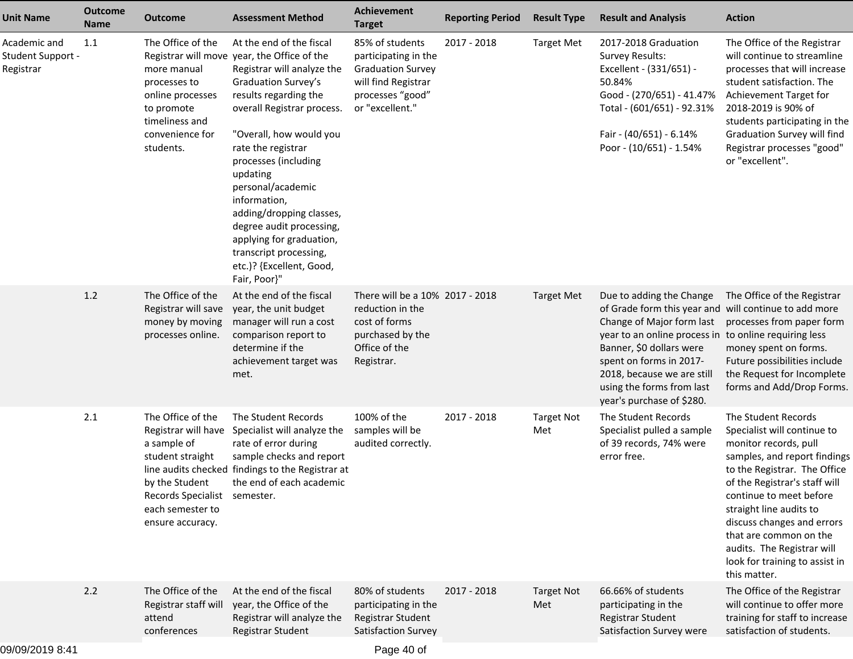| <b>Unit Name</b>                               | <b>Outcome</b><br><b>Name</b> | <b>Outcome</b>                                                                                                                                                        | <b>Assessment Method</b>                                                                                                                                                                                                                                                                                                                                                                                                                                                | <b>Achievement</b><br><b>Target</b>                                                                                               | <b>Reporting Period</b> | <b>Result Type</b>       | <b>Result and Analysis</b>                                                                                                                                                                                                                                                                                             | <b>Action</b>                                                                                                                                                                                                                                                                                                                                                              |
|------------------------------------------------|-------------------------------|-----------------------------------------------------------------------------------------------------------------------------------------------------------------------|-------------------------------------------------------------------------------------------------------------------------------------------------------------------------------------------------------------------------------------------------------------------------------------------------------------------------------------------------------------------------------------------------------------------------------------------------------------------------|-----------------------------------------------------------------------------------------------------------------------------------|-------------------------|--------------------------|------------------------------------------------------------------------------------------------------------------------------------------------------------------------------------------------------------------------------------------------------------------------------------------------------------------------|----------------------------------------------------------------------------------------------------------------------------------------------------------------------------------------------------------------------------------------------------------------------------------------------------------------------------------------------------------------------------|
| Academic and<br>Student Support -<br>Registrar | 1.1                           | The Office of the<br>more manual<br>processes to<br>online processes<br>to promote<br>timeliness and<br>convenience for<br>students.                                  | At the end of the fiscal<br>Registrar will move year, the Office of the<br>Registrar will analyze the<br>Graduation Survey's<br>results regarding the<br>overall Registrar process.<br>"Overall, how would you<br>rate the registrar<br>processes (including<br>updating<br>personal/academic<br>information,<br>adding/dropping classes,<br>degree audit processing,<br>applying for graduation,<br>transcript processing,<br>etc.)? {Excellent, Good,<br>Fair, Poor}" | 85% of students<br>participating in the<br><b>Graduation Survey</b><br>will find Registrar<br>processes "good"<br>or "excellent." | 2017 - 2018             | <b>Target Met</b>        | 2017-2018 Graduation<br><b>Survey Results:</b><br>Excellent - (331/651) -<br>50.84%<br>Good - (270/651) - 41.47%<br>Total - (601/651) - 92.31%<br>Fair - (40/651) - 6.14%<br>Poor - (10/651) - 1.54%                                                                                                                   | The Office of the Registrar<br>will continue to streamline<br>processes that will increase<br>student satisfaction. The<br>Achievement Target for<br>2018-2019 is 90% of<br>students participating in the<br>Graduation Survey will find<br>Registrar processes "good"<br>or "excellent".                                                                                  |
|                                                | 1.2                           | The Office of the<br>Registrar will save<br>money by moving<br>processes online.                                                                                      | At the end of the fiscal<br>year, the unit budget<br>manager will run a cost<br>comparison report to<br>determine if the<br>achievement target was<br>met.                                                                                                                                                                                                                                                                                                              | There will be a 10% 2017 - 2018<br>reduction in the<br>cost of forms<br>purchased by the<br>Office of the<br>Registrar.           |                         | <b>Target Met</b>        | Due to adding the Change<br>of Grade form this year and will continue to add more<br>Change of Major form last<br>year to an online process in to online requiring less<br>Banner, \$0 dollars were<br>spent on forms in 2017-<br>2018, because we are still<br>using the forms from last<br>year's purchase of \$280. | The Office of the Registrar<br>processes from paper form<br>money spent on forms.<br>Future possibilities include<br>the Request for Incomplete<br>forms and Add/Drop Forms.                                                                                                                                                                                               |
|                                                | 2.1                           | The Office of the<br>Registrar will have<br>a sample of<br>student straight<br>by the Student<br>Records Specialist semester.<br>each semester to<br>ensure accuracy. | The Student Records<br>Specialist will analyze the<br>rate of error during<br>sample checks and report<br>line audits checked findings to the Registrar at<br>the end of each academic                                                                                                                                                                                                                                                                                  | 100% of the<br>samples will be<br>audited correctly.                                                                              | 2017 - 2018             | <b>Target Not</b><br>Met | The Student Records<br>Specialist pulled a sample<br>of 39 records, 74% were<br>error free.                                                                                                                                                                                                                            | The Student Records<br>Specialist will continue to<br>monitor records, pull<br>samples, and report findings<br>to the Registrar. The Office<br>of the Registrar's staff will<br>continue to meet before<br>straight line audits to<br>discuss changes and errors<br>that are common on the<br>audits. The Registrar will<br>look for training to assist in<br>this matter. |
|                                                | 2.2                           | The Office of the<br>Registrar staff will<br>attend<br>conferences                                                                                                    | At the end of the fiscal<br>year, the Office of the<br>Registrar will analyze the<br>Registrar Student                                                                                                                                                                                                                                                                                                                                                                  | 80% of students<br>participating in the<br>Registrar Student<br>Satisfaction Survey                                               | 2017 - 2018             | <b>Target Not</b><br>Met | 66.66% of students<br>participating in the<br>Registrar Student<br>Satisfaction Survey were                                                                                                                                                                                                                            | The Office of the Registrar<br>will continue to offer more<br>training for staff to increase<br>satisfaction of students.                                                                                                                                                                                                                                                  |

Page 40 of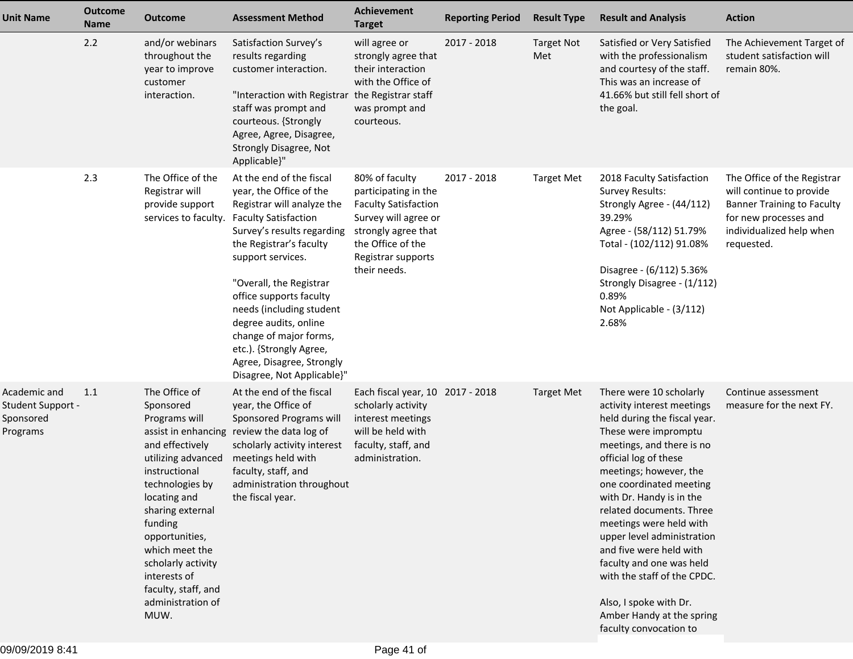| <b>Unit Name</b>                                           | <b>Outcome</b><br><b>Name</b> | <b>Outcome</b>                                                                                                                                                                                                                                                                                        | <b>Assessment Method</b>                                                                                                                                                                                                                                                                                                                                                                                                  | <b>Achievement</b><br><b>Target</b>                                                                                                                                             | <b>Reporting Period</b> | <b>Result Type</b>       | <b>Result and Analysis</b>                                                                                                                                                                                                                                                                                                                                                                                                                                                                                       | <b>Action</b>                                                                                                                                                   |
|------------------------------------------------------------|-------------------------------|-------------------------------------------------------------------------------------------------------------------------------------------------------------------------------------------------------------------------------------------------------------------------------------------------------|---------------------------------------------------------------------------------------------------------------------------------------------------------------------------------------------------------------------------------------------------------------------------------------------------------------------------------------------------------------------------------------------------------------------------|---------------------------------------------------------------------------------------------------------------------------------------------------------------------------------|-------------------------|--------------------------|------------------------------------------------------------------------------------------------------------------------------------------------------------------------------------------------------------------------------------------------------------------------------------------------------------------------------------------------------------------------------------------------------------------------------------------------------------------------------------------------------------------|-----------------------------------------------------------------------------------------------------------------------------------------------------------------|
|                                                            | 2.2                           | and/or webinars<br>throughout the<br>year to improve<br>customer<br>interaction.                                                                                                                                                                                                                      | Satisfaction Survey's<br>results regarding<br>customer interaction.<br>"Interaction with Registrar the Registrar staff<br>staff was prompt and<br>courteous. {Strongly<br>Agree, Agree, Disagree,<br>Strongly Disagree, Not<br>Applicable}"                                                                                                                                                                               | will agree or<br>strongly agree that<br>their interaction<br>with the Office of<br>was prompt and<br>courteous.                                                                 | 2017 - 2018             | <b>Target Not</b><br>Met | Satisfied or Very Satisfied<br>with the professionalism<br>and courtesy of the staff.<br>This was an increase of<br>41.66% but still fell short of<br>the goal.                                                                                                                                                                                                                                                                                                                                                  | The Achievement Target of<br>student satisfaction will<br>remain 80%.                                                                                           |
|                                                            | 2.3                           | The Office of the<br>Registrar will<br>provide support<br>services to faculty.                                                                                                                                                                                                                        | At the end of the fiscal<br>year, the Office of the<br>Registrar will analyze the<br><b>Faculty Satisfaction</b><br>Survey's results regarding<br>the Registrar's faculty<br>support services.<br>"Overall, the Registrar<br>office supports faculty<br>needs (including student<br>degree audits, online<br>change of major forms,<br>etc.). {Strongly Agree,<br>Agree, Disagree, Strongly<br>Disagree, Not Applicable}" | 80% of faculty<br>participating in the<br><b>Faculty Satisfaction</b><br>Survey will agree or<br>strongly agree that<br>the Office of the<br>Registrar supports<br>their needs. | 2017 - 2018             | <b>Target Met</b>        | 2018 Faculty Satisfaction<br><b>Survey Results:</b><br>Strongly Agree - (44/112)<br>39.29%<br>Agree - (58/112) 51.79%<br>Total - (102/112) 91.08%<br>Disagree - (6/112) 5.36%<br>Strongly Disagree - (1/112)<br>0.89%<br>Not Applicable - (3/112)<br>2.68%                                                                                                                                                                                                                                                       | The Office of the Registrar<br>will continue to provide<br><b>Banner Training to Faculty</b><br>for new processes and<br>individualized help when<br>requested. |
| Academic and<br>Student Support -<br>Sponsored<br>Programs | 1.1                           | The Office of<br>Sponsored<br>Programs will<br>and effectively<br>utilizing advanced<br>instructional<br>technologies by<br>locating and<br>sharing external<br>funding<br>opportunities,<br>which meet the<br>scholarly activity<br>interests of<br>faculty, staff, and<br>administration of<br>MUW. | At the end of the fiscal<br>year, the Office of<br>Sponsored Programs will<br>assist in enhancing review the data log of<br>scholarly activity interest<br>meetings held with<br>faculty, staff, and<br>administration throughout<br>the fiscal year.                                                                                                                                                                     | Each fiscal year, 10 2017 - 2018<br>scholarly activity<br>interest meetings<br>will be held with<br>faculty, staff, and<br>administration.                                      |                         | <b>Target Met</b>        | There were 10 scholarly<br>activity interest meetings<br>held during the fiscal year.<br>These were impromptu<br>meetings, and there is no<br>official log of these<br>meetings; however, the<br>one coordinated meeting<br>with Dr. Handy is in the<br>related documents. Three<br>meetings were held with<br>upper level administration<br>and five were held with<br>faculty and one was held<br>with the staff of the CPDC.<br>Also, I spoke with Dr.<br>Amber Handy at the spring<br>faculty convocation to | Continue assessment<br>measure for the next FY.                                                                                                                 |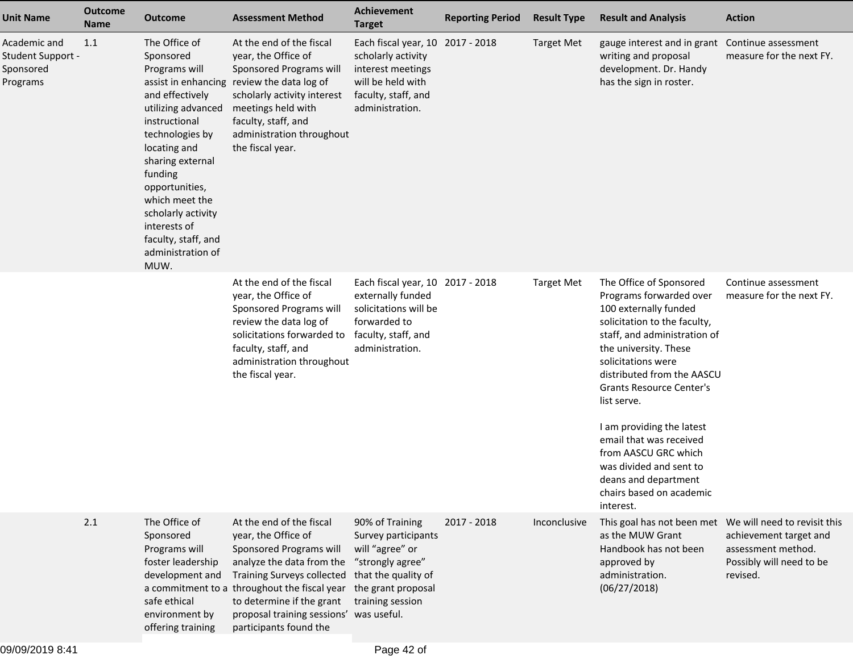| <b>Unit Name</b>                                           | <b>Outcome</b><br><b>Name</b> | <b>Outcome</b>                                                                                                                                                                                                                                                                                                               | <b>Assessment Method</b>                                                                                                                                                                                                                                                     | Achievement<br><b>Target</b>                                                                                                                   | <b>Reporting Period</b> | <b>Result Type</b> | <b>Result and Analysis</b>                                                                                                                                                                                                                                                                                                                                                                                                                             | <b>Action</b>                                                                        |
|------------------------------------------------------------|-------------------------------|------------------------------------------------------------------------------------------------------------------------------------------------------------------------------------------------------------------------------------------------------------------------------------------------------------------------------|------------------------------------------------------------------------------------------------------------------------------------------------------------------------------------------------------------------------------------------------------------------------------|------------------------------------------------------------------------------------------------------------------------------------------------|-------------------------|--------------------|--------------------------------------------------------------------------------------------------------------------------------------------------------------------------------------------------------------------------------------------------------------------------------------------------------------------------------------------------------------------------------------------------------------------------------------------------------|--------------------------------------------------------------------------------------|
| Academic and<br>Student Support -<br>Sponsored<br>Programs | 1.1                           | The Office of<br>Sponsored<br>Programs will<br>assist in enhancing<br>and effectively<br>utilizing advanced<br>instructional<br>technologies by<br>locating and<br>sharing external<br>funding<br>opportunities,<br>which meet the<br>scholarly activity<br>interests of<br>faculty, staff, and<br>administration of<br>MUW. | At the end of the fiscal<br>year, the Office of<br>Sponsored Programs will<br>review the data log of<br>scholarly activity interest<br>meetings held with<br>faculty, staff, and<br>administration throughout<br>the fiscal year.                                            | Each fiscal year, 10 2017 - 2018<br>scholarly activity<br>interest meetings<br>will be held with<br>faculty, staff, and<br>administration.     |                         | <b>Target Met</b>  | gauge interest and in grant<br>writing and proposal<br>development. Dr. Handy<br>has the sign in roster.                                                                                                                                                                                                                                                                                                                                               | Continue assessment<br>measure for the next FY.                                      |
|                                                            |                               |                                                                                                                                                                                                                                                                                                                              | At the end of the fiscal<br>year, the Office of<br>Sponsored Programs will<br>review the data log of<br>solicitations forwarded to<br>faculty, staff, and<br>administration throughout<br>the fiscal year.                                                                   | Each fiscal year, 10 2017 - 2018<br>externally funded<br>solicitations will be<br>forwarded to<br>faculty, staff, and<br>administration.       |                         | <b>Target Met</b>  | The Office of Sponsored<br>Programs forwarded over<br>100 externally funded<br>solicitation to the faculty,<br>staff, and administration of<br>the university. These<br>solicitations were<br>distributed from the AASCU<br><b>Grants Resource Center's</b><br>list serve.<br>I am providing the latest<br>email that was received<br>from AASCU GRC which<br>was divided and sent to<br>deans and department<br>chairs based on academic<br>interest. | Continue assessment<br>measure for the next FY.                                      |
|                                                            | 2.1                           | The Office of<br>Sponsored<br>Programs will<br>foster leadership<br>development and<br>a commitment to a<br>safe ethical<br>environment by<br>offering training                                                                                                                                                              | At the end of the fiscal<br>year, the Office of<br>Sponsored Programs will<br>analyze the data from the<br><b>Training Surveys collected</b><br>throughout the fiscal year<br>to determine if the grant<br>proposal training sessions' was useful.<br>participants found the | 90% of Training<br>Survey participants<br>will "agree" or<br>"strongly agree"<br>that the quality of<br>the grant proposal<br>training session | 2017 - 2018             | Inconclusive       | This goal has not been met We will need to revisit this<br>as the MUW Grant<br>Handbook has not been<br>approved by<br>administration.<br>(06/27/2018)                                                                                                                                                                                                                                                                                                 | achievement target and<br>assessment method.<br>Possibly will need to be<br>revised. |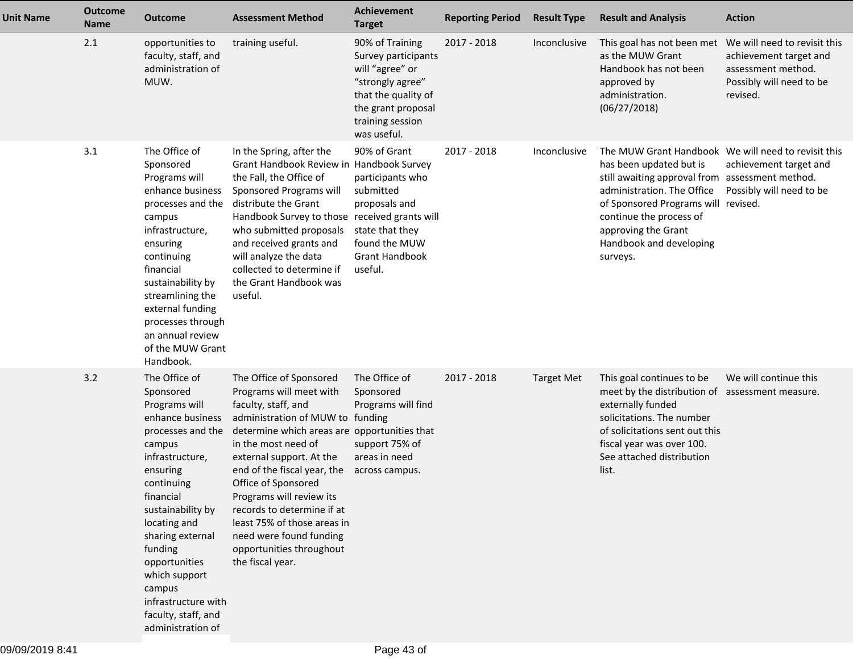| <b>Unit Name</b> | <b>Outcome</b><br>Name | <b>Outcome</b>                                                                                                                                                                                                                                                                                                                              | <b>Assessment Method</b>                                                                                                                                                                                                                                                                                                                                                                                                                   | <b>Achievement</b><br><b>Target</b>                                                                                                                           | <b>Reporting Period</b> | <b>Result Type</b> | <b>Result and Analysis</b>                                                                                                                                                                                                                                                                      | <b>Action</b>                                                                                                        |
|------------------|------------------------|---------------------------------------------------------------------------------------------------------------------------------------------------------------------------------------------------------------------------------------------------------------------------------------------------------------------------------------------|--------------------------------------------------------------------------------------------------------------------------------------------------------------------------------------------------------------------------------------------------------------------------------------------------------------------------------------------------------------------------------------------------------------------------------------------|---------------------------------------------------------------------------------------------------------------------------------------------------------------|-------------------------|--------------------|-------------------------------------------------------------------------------------------------------------------------------------------------------------------------------------------------------------------------------------------------------------------------------------------------|----------------------------------------------------------------------------------------------------------------------|
|                  | 2.1                    | opportunities to<br>faculty, staff, and<br>administration of<br>MUW.                                                                                                                                                                                                                                                                        | training useful.                                                                                                                                                                                                                                                                                                                                                                                                                           | 90% of Training<br>Survey participants<br>will "agree" or<br>"strongly agree"<br>that the quality of<br>the grant proposal<br>training session<br>was useful. | 2017 - 2018             | Inconclusive       | This goal has not been met<br>as the MUW Grant<br>Handbook has not been<br>approved by<br>administration.<br>(06/27/2018)                                                                                                                                                                       | We will need to revisit this<br>achievement target and<br>assessment method.<br>Possibly will need to be<br>revised. |
|                  | 3.1                    | The Office of<br>Sponsored<br>Programs will<br>enhance business<br>processes and the<br>campus<br>infrastructure,<br>ensuring<br>continuing<br>financial<br>sustainability by<br>streamlining the<br>external funding<br>processes through<br>an annual review<br>of the MUW Grant<br>Handbook.                                             | In the Spring, after the<br>Grant Handbook Review in Handbook Survey<br>the Fall, the Office of<br>Sponsored Programs will<br>distribute the Grant<br>Handbook Survey to those received grants will<br>who submitted proposals<br>and received grants and<br>will analyze the data<br>collected to determine if<br>the Grant Handbook was<br>useful.                                                                                       | 90% of Grant<br>participants who<br>submitted<br>proposals and<br>state that they<br>found the MUW<br><b>Grant Handbook</b><br>useful.                        | 2017 - 2018             | Inconclusive       | The MUW Grant Handbook We will need to revisit this<br>has been updated but is<br>still awaiting approval from assessment method.<br>administration. The Office<br>of Sponsored Programs will revised.<br>continue the process of<br>approving the Grant<br>Handbook and developing<br>surveys. | achievement target and<br>Possibly will need to be                                                                   |
|                  | 3.2                    | The Office of<br>Sponsored<br>Programs will<br>enhance business<br>processes and the<br>campus<br>infrastructure,<br>ensuring<br>continuing<br>financial<br>sustainability by<br>locating and<br>sharing external<br>funding<br>opportunities<br>which support<br>campus<br>infrastructure with<br>faculty, staff, and<br>administration of | The Office of Sponsored<br>Programs will meet with<br>faculty, staff, and<br>administration of MUW to funding<br>determine which areas are opportunities that<br>in the most need of<br>external support. At the<br>end of the fiscal year, the<br>Office of Sponsored<br>Programs will review its<br>records to determine if at<br>least 75% of those areas in<br>need were found funding<br>opportunities throughout<br>the fiscal year. | The Office of<br>Sponsored<br>Programs will find<br>support 75% of<br>areas in need<br>across campus.                                                         | 2017 - 2018             | <b>Target Met</b>  | This goal continues to be<br>meet by the distribution of assessment measure.<br>externally funded<br>solicitations. The number<br>of solicitations sent out this<br>fiscal year was over 100.<br>See attached distribution<br>list.                                                             | We will continue this                                                                                                |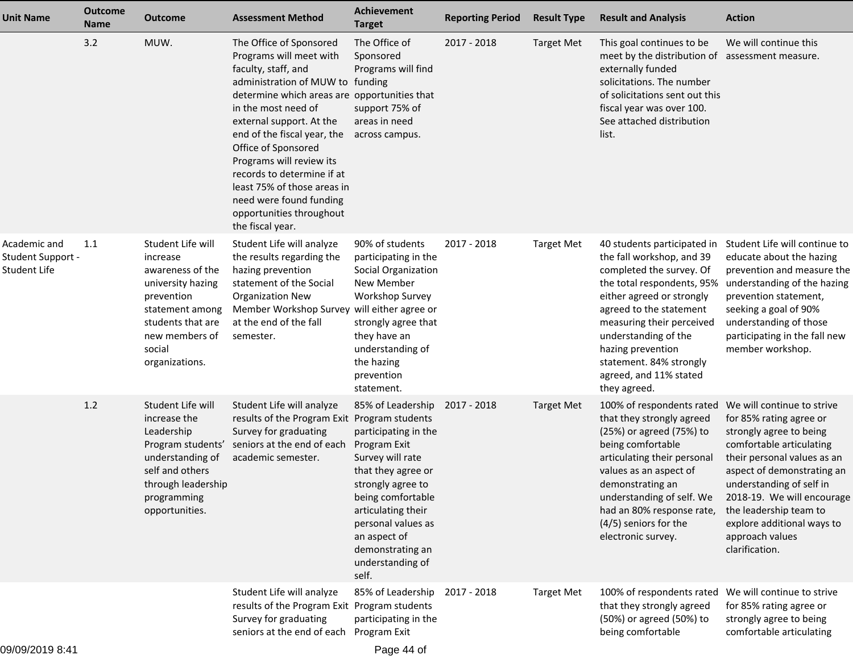| Unit Name                                         | <b>Outcome</b><br><b>Name</b> | <b>Outcome</b>                                                                                                                                                             | <b>Assessment Method</b>                                                                                                                                                                                                                                                                                                                                                                                                                   | <b>Achievement</b><br><b>Target</b>                                                                                                                                                                                                                        | <b>Reporting Period</b> | <b>Result Type</b> | <b>Result and Analysis</b>                                                                                                                                                                                                                                                                                                | <b>Action</b>                                                                                                                                                                                                                                                                                                                    |
|---------------------------------------------------|-------------------------------|----------------------------------------------------------------------------------------------------------------------------------------------------------------------------|--------------------------------------------------------------------------------------------------------------------------------------------------------------------------------------------------------------------------------------------------------------------------------------------------------------------------------------------------------------------------------------------------------------------------------------------|------------------------------------------------------------------------------------------------------------------------------------------------------------------------------------------------------------------------------------------------------------|-------------------------|--------------------|---------------------------------------------------------------------------------------------------------------------------------------------------------------------------------------------------------------------------------------------------------------------------------------------------------------------------|----------------------------------------------------------------------------------------------------------------------------------------------------------------------------------------------------------------------------------------------------------------------------------------------------------------------------------|
|                                                   | 3.2                           | MUW.                                                                                                                                                                       | The Office of Sponsored<br>Programs will meet with<br>faculty, staff, and<br>administration of MUW to funding<br>determine which areas are opportunities that<br>in the most need of<br>external support. At the<br>end of the fiscal year, the<br>Office of Sponsored<br>Programs will review its<br>records to determine if at<br>least 75% of those areas in<br>need were found funding<br>opportunities throughout<br>the fiscal year. | The Office of<br>Sponsored<br>Programs will find<br>support 75% of<br>areas in need<br>across campus.                                                                                                                                                      | 2017 - 2018             | <b>Target Met</b>  | This goal continues to be<br>meet by the distribution of assessment measure.<br>externally funded<br>solicitations. The number<br>of solicitations sent out this<br>fiscal year was over 100.<br>See attached distribution<br>list.                                                                                       | We will continue this                                                                                                                                                                                                                                                                                                            |
| Academic and<br>Student Support -<br>Student Life | 1.1                           | Student Life will<br>increase<br>awareness of the<br>university hazing<br>prevention<br>statement among<br>students that are<br>new members of<br>social<br>organizations. | Student Life will analyze<br>the results regarding the<br>hazing prevention<br>statement of the Social<br><b>Organization New</b><br>Member Workshop Survey<br>at the end of the fall<br>semester.                                                                                                                                                                                                                                         | 90% of students<br>participating in the<br>Social Organization<br>New Member<br>Workshop Survey<br>will either agree or<br>strongly agree that<br>they have an<br>understanding of<br>the hazing<br>prevention<br>statement.                               | 2017 - 2018             | <b>Target Met</b>  | 40 students participated in<br>the fall workshop, and 39<br>completed the survey. Of<br>the total respondents, 95%<br>either agreed or strongly<br>agreed to the statement<br>measuring their perceived<br>understanding of the<br>hazing prevention<br>statement. 84% strongly<br>agreed, and 11% stated<br>they agreed. | Student Life will continue to<br>educate about the hazing<br>prevention and measure the<br>understanding of the hazing<br>prevention statement,<br>seeking a goal of 90%<br>understanding of those<br>participating in the fall new<br>member workshop.                                                                          |
|                                                   | 1.2                           | Student Life will<br>increase the<br>Leadership<br>Program students'<br>understanding of<br>self and others<br>through leadership<br>programming<br>opportunities.         | Student Life will analyze<br>results of the Program Exit Program students<br>Survey for graduating<br>seniors at the end of each<br>academic semester.                                                                                                                                                                                                                                                                                     | 85% of Leadership<br>participating in the<br>Program Exit<br>Survey will rate<br>that they agree or<br>strongly agree to<br>being comfortable<br>articulating their<br>personal values as<br>an aspect of<br>demonstrating an<br>understanding of<br>self. | 2017 - 2018             | <b>Target Met</b>  | 100% of respondents rated<br>that they strongly agreed<br>(25%) or agreed (75%) to<br>being comfortable<br>articulating their personal<br>values as an aspect of<br>demonstrating an<br>understanding of self. We<br>had an 80% response rate,<br>(4/5) seniors for the<br>electronic survey.                             | We will continue to strive<br>for 85% rating agree or<br>strongly agree to being<br>comfortable articulating<br>their personal values as an<br>aspect of demonstrating an<br>understanding of self in<br>2018-19. We will encourage<br>the leadership team to<br>explore additional ways to<br>approach values<br>clarification. |
|                                                   |                               |                                                                                                                                                                            | Student Life will analyze<br>results of the Program Exit Program students<br>Survey for graduating<br>seniors at the end of each                                                                                                                                                                                                                                                                                                           | 85% of Leadership<br>participating in the<br>Program Exit                                                                                                                                                                                                  | 2017 - 2018             | <b>Target Met</b>  | 100% of respondents rated<br>that they strongly agreed<br>(50%) or agreed (50%) to<br>being comfortable                                                                                                                                                                                                                   | We will continue to strive<br>for 85% rating agree or<br>strongly agree to being<br>comfortable articulating                                                                                                                                                                                                                     |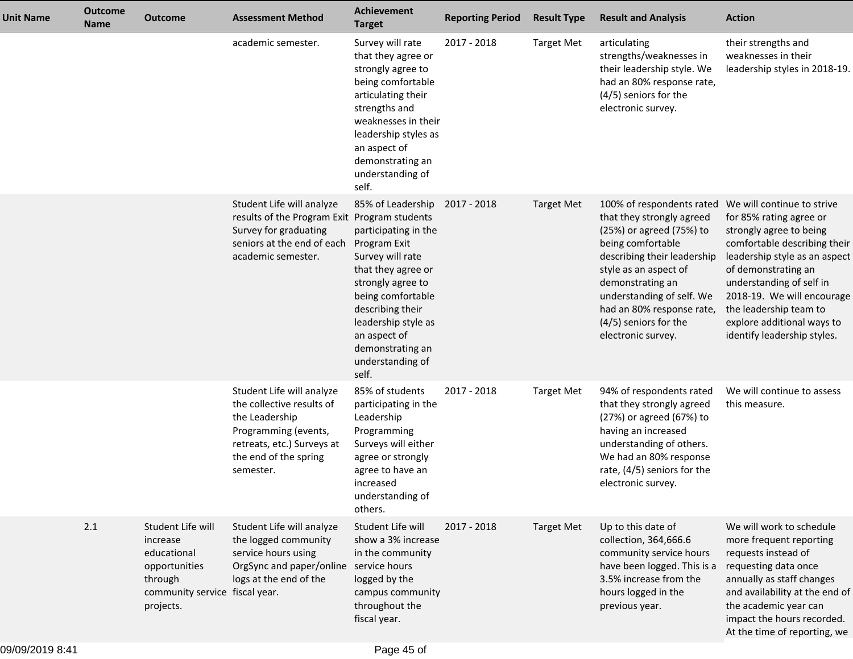| Unit Name | <b>Outcome</b><br><b>Name</b> | <b>Outcome</b>                                                                                                          | <b>Assessment Method</b>                                                                                                                                             | Achievement<br><b>Target</b>                                                                                                                                                                                                                              | <b>Reporting Period</b> | <b>Result Type</b> | <b>Result and Analysis</b>                                                                                                                                                                                                                                                                   | <b>Action</b>                                                                                                                                                                                                                                                                                                             |
|-----------|-------------------------------|-------------------------------------------------------------------------------------------------------------------------|----------------------------------------------------------------------------------------------------------------------------------------------------------------------|-----------------------------------------------------------------------------------------------------------------------------------------------------------------------------------------------------------------------------------------------------------|-------------------------|--------------------|----------------------------------------------------------------------------------------------------------------------------------------------------------------------------------------------------------------------------------------------------------------------------------------------|---------------------------------------------------------------------------------------------------------------------------------------------------------------------------------------------------------------------------------------------------------------------------------------------------------------------------|
|           |                               |                                                                                                                         | academic semester.                                                                                                                                                   | Survey will rate<br>that they agree or<br>strongly agree to<br>being comfortable<br>articulating their<br>strengths and<br>weaknesses in their<br>leadership styles as<br>an aspect of<br>demonstrating an<br>understanding of<br>self.                   | 2017 - 2018             | <b>Target Met</b>  | articulating<br>strengths/weaknesses in<br>their leadership style. We<br>had an 80% response rate,<br>(4/5) seniors for the<br>electronic survey.                                                                                                                                            | their strengths and<br>weaknesses in their<br>leadership styles in 2018-19.                                                                                                                                                                                                                                               |
|           |                               |                                                                                                                         | Student Life will analyze<br>results of the Program Exit Program students<br>Survey for graduating<br>seniors at the end of each<br>academic semester.               | 85% of Leadership<br>participating in the<br>Program Exit<br>Survey will rate<br>that they agree or<br>strongly agree to<br>being comfortable<br>describing their<br>leadership style as<br>an aspect of<br>demonstrating an<br>understanding of<br>self. | 2017 - 2018             | <b>Target Met</b>  | 100% of respondents rated<br>that they strongly agreed<br>(25%) or agreed (75%) to<br>being comfortable<br>describing their leadership<br>style as an aspect of<br>demonstrating an<br>understanding of self. We<br>had an 80% response rate,<br>(4/5) seniors for the<br>electronic survey. | We will continue to strive<br>for 85% rating agree or<br>strongly agree to being<br>comfortable describing their<br>leadership style as an aspect<br>of demonstrating an<br>understanding of self in<br>2018-19. We will encourage<br>the leadership team to<br>explore additional ways to<br>identify leadership styles. |
|           |                               |                                                                                                                         | Student Life will analyze<br>the collective results of<br>the Leadership<br>Programming (events,<br>retreats, etc.) Surveys at<br>the end of the spring<br>semester. | 85% of students<br>participating in the<br>Leadership<br>Programming<br>Surveys will either<br>agree or strongly<br>agree to have an<br>increased<br>understanding of<br>others.                                                                          | 2017 - 2018             | <b>Target Met</b>  | 94% of respondents rated<br>that they strongly agreed<br>(27%) or agreed (67%) to<br>having an increased<br>understanding of others.<br>We had an 80% response<br>rate, (4/5) seniors for the<br>electronic survey.                                                                          | We will continue to assess<br>this measure.                                                                                                                                                                                                                                                                               |
|           | 2.1                           | Student Life will<br>increase<br>educational<br>opportunities<br>through<br>community service fiscal year.<br>projects. | Student Life will analyze<br>the logged community<br>service hours using<br>OrgSync and paper/online service hours<br>logs at the end of the                         | Student Life will<br>show a 3% increase<br>in the community<br>logged by the<br>campus community<br>throughout the<br>fiscal year.                                                                                                                        | 2017 - 2018             | <b>Target Met</b>  | Up to this date of<br>collection, 364,666.6<br>community service hours<br>have been logged. This is a<br>3.5% increase from the<br>hours logged in the<br>previous year.                                                                                                                     | We will work to schedule<br>more frequent reporting<br>requests instead of<br>requesting data once<br>annually as staff changes<br>and availability at the end of<br>the academic year can<br>impact the hours recorded.<br>At the time of reporting, we                                                                  |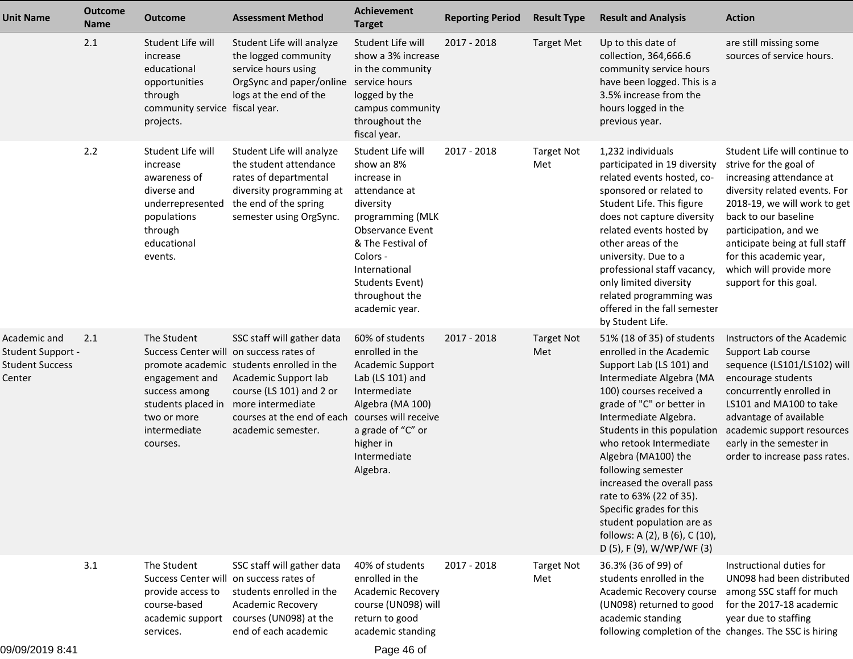| <b>Unit Name</b>                                                      | <b>Outcome</b><br><b>Name</b> | <b>Outcome</b>                                                                                                                         | <b>Assessment Method</b>                                                                                                                                                                                                    | <b>Achievement</b><br><b>Target</b>                                                                                                                                                                                                  | <b>Reporting Period</b> | <b>Result Type</b>       | <b>Result and Analysis</b>                                                                                                                                                                                                                                                                                                                                                                                                                                                              | <b>Action</b>                                                                                                                                                                                                                                                                                                           |
|-----------------------------------------------------------------------|-------------------------------|----------------------------------------------------------------------------------------------------------------------------------------|-----------------------------------------------------------------------------------------------------------------------------------------------------------------------------------------------------------------------------|--------------------------------------------------------------------------------------------------------------------------------------------------------------------------------------------------------------------------------------|-------------------------|--------------------------|-----------------------------------------------------------------------------------------------------------------------------------------------------------------------------------------------------------------------------------------------------------------------------------------------------------------------------------------------------------------------------------------------------------------------------------------------------------------------------------------|-------------------------------------------------------------------------------------------------------------------------------------------------------------------------------------------------------------------------------------------------------------------------------------------------------------------------|
|                                                                       | 2.1                           | Student Life will<br>increase<br>educational<br>opportunities<br>through<br>community service fiscal year.<br>projects.                | Student Life will analyze<br>the logged community<br>service hours using<br>OrgSync and paper/online service hours<br>logs at the end of the                                                                                | Student Life will<br>show a 3% increase<br>in the community<br>logged by the<br>campus community<br>throughout the<br>fiscal year.                                                                                                   | 2017 - 2018             | <b>Target Met</b>        | Up to this date of<br>collection, 364,666.6<br>community service hours<br>have been logged. This is a<br>3.5% increase from the<br>hours logged in the<br>previous year.                                                                                                                                                                                                                                                                                                                | are still missing some<br>sources of service hours.                                                                                                                                                                                                                                                                     |
|                                                                       | 2.2                           | Student Life will<br>increase<br>awareness of<br>diverse and<br>underrepresented<br>populations<br>through<br>educational<br>events.   | Student Life will analyze<br>the student attendance<br>rates of departmental<br>diversity programming at<br>the end of the spring<br>semester using OrgSync.                                                                | Student Life will<br>show an 8%<br>increase in<br>attendance at<br>diversity<br>programming (MLK<br><b>Observance Event</b><br>& The Festival of<br>Colors -<br>International<br>Students Event)<br>throughout the<br>academic year. | 2017 - 2018             | <b>Target Not</b><br>Met | 1,232 individuals<br>participated in 19 diversity<br>related events hosted, co-<br>sponsored or related to<br>Student Life. This figure<br>does not capture diversity<br>related events hosted by<br>other areas of the<br>university. Due to a<br>professional staff vacancy,<br>only limited diversity<br>related programming was<br>offered in the fall semester<br>by Student Life.                                                                                                 | Student Life will continue to<br>strive for the goal of<br>increasing attendance at<br>diversity related events. For<br>2018-19, we will work to get<br>back to our baseline<br>participation, and we<br>anticipate being at full staff<br>for this academic year,<br>which will provide more<br>support for this goal. |
| Academic and<br>Student Support -<br><b>Student Success</b><br>Center | 2.1                           | The Student<br>Success Center will<br>engagement and<br>success among<br>students placed in<br>two or more<br>intermediate<br>courses. | SSC staff will gather data<br>on success rates of<br>promote academic students enrolled in the<br>Academic Support lab<br>course (LS 101) and 2 or<br>more intermediate<br>courses at the end of each<br>academic semester. | 60% of students<br>enrolled in the<br>Academic Support<br>Lab (LS 101) and<br>Intermediate<br>Algebra (MA 100)<br>courses will receive<br>a grade of "C" or<br>higher in<br>Intermediate<br>Algebra.                                 | 2017 - 2018             | <b>Target Not</b><br>Met | 51% (18 of 35) of students<br>enrolled in the Academic<br>Support Lab (LS 101) and<br>Intermediate Algebra (MA<br>100) courses received a<br>grade of "C" or better in<br>Intermediate Algebra.<br>Students in this population<br>who retook Intermediate<br>Algebra (MA100) the<br>following semester<br>increased the overall pass<br>rate to 63% (22 of 35).<br>Specific grades for this<br>student population are as<br>follows: A (2), B (6), C (10),<br>D (5), F (9), W/WP/WF (3) | Instructors of the Academic<br>Support Lab course<br>sequence (LS101/LS102) will<br>encourage students<br>concurrently enrolled in<br>LS101 and MA100 to take<br>advantage of available<br>academic support resources<br>early in the semester in<br>order to increase pass rates.                                      |
|                                                                       | 3.1                           | The Student<br>Success Center will on success rates of<br>provide access to<br>course-based<br>academic support<br>services.           | SSC staff will gather data<br>students enrolled in the<br>Academic Recovery<br>courses (UN098) at the<br>end of each academic                                                                                               | 40% of students<br>enrolled in the<br>Academic Recovery<br>course (UN098) will<br>return to good<br>academic standing                                                                                                                | 2017 - 2018             | <b>Target Not</b><br>Met | 36.3% (36 of 99) of<br>students enrolled in the<br>Academic Recovery course<br>(UN098) returned to good<br>academic standing<br>following completion of the changes. The SSC is hiring                                                                                                                                                                                                                                                                                                  | Instructional duties for<br>UN098 had been distributed<br>among SSC staff for much<br>for the 2017-18 academic<br>year due to staffing                                                                                                                                                                                  |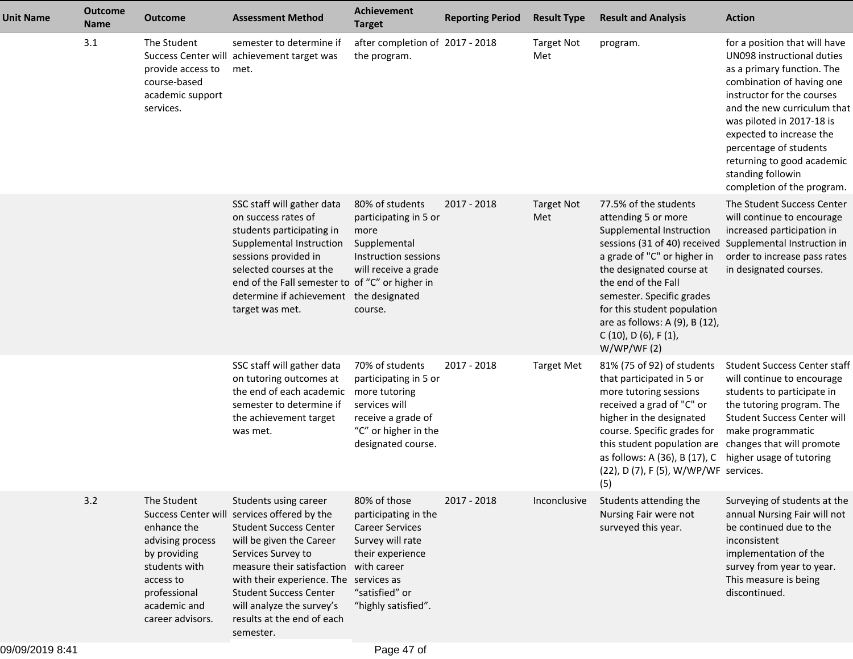| <b>Unit Name</b> | <b>Outcome</b><br><b>Name</b> | <b>Outcome</b>                                                                                                                                                                 | <b>Assessment Method</b>                                                                                                                                                                                                                                                                                             | <b>Achievement</b><br><b>Target</b>                                                                                                                            | <b>Reporting Period</b> | <b>Result Type</b>       | <b>Result and Analysis</b>                                                                                                                                                                                                                                                                            | <b>Action</b>                                                                                                                                                                                                                                                                                                                                           |
|------------------|-------------------------------|--------------------------------------------------------------------------------------------------------------------------------------------------------------------------------|----------------------------------------------------------------------------------------------------------------------------------------------------------------------------------------------------------------------------------------------------------------------------------------------------------------------|----------------------------------------------------------------------------------------------------------------------------------------------------------------|-------------------------|--------------------------|-------------------------------------------------------------------------------------------------------------------------------------------------------------------------------------------------------------------------------------------------------------------------------------------------------|---------------------------------------------------------------------------------------------------------------------------------------------------------------------------------------------------------------------------------------------------------------------------------------------------------------------------------------------------------|
|                  | 3.1                           | The Student<br>provide access to<br>course-based<br>academic support<br>services.                                                                                              | semester to determine if<br>Success Center will achievement target was<br>met.                                                                                                                                                                                                                                       | after completion of 2017 - 2018<br>the program.                                                                                                                |                         | <b>Target Not</b><br>Met | program.                                                                                                                                                                                                                                                                                              | for a position that will have<br>UN098 instructional duties<br>as a primary function. The<br>combination of having one<br>instructor for the courses<br>and the new curriculum that<br>was piloted in 2017-18 is<br>expected to increase the<br>percentage of students<br>returning to good academic<br>standing followin<br>completion of the program. |
|                  |                               |                                                                                                                                                                                | SSC staff will gather data<br>on success rates of<br>students participating in<br>Supplemental Instruction<br>sessions provided in<br>selected courses at the<br>end of the Fall semester to of "C" or higher in<br>determine if achievement the designated<br>target was met.                                       | 80% of students<br>participating in 5 or<br>more<br>Supplemental<br>Instruction sessions<br>will receive a grade<br>course.                                    | 2017 - 2018             | <b>Target Not</b><br>Met | 77.5% of the students<br>attending 5 or more<br>Supplemental Instruction<br>a grade of "C" or higher in<br>the designated course at<br>the end of the Fall<br>semester. Specific grades<br>for this student population<br>are as follows: A (9), B (12),<br>$C(10)$ , $D(6)$ , $F(1)$ ,<br>W/WP/WF(2) | The Student Success Center<br>will continue to encourage<br>increased participation in<br>sessions (31 of 40) received Supplemental Instruction in<br>order to increase pass rates<br>in designated courses.                                                                                                                                            |
|                  |                               |                                                                                                                                                                                | SSC staff will gather data<br>on tutoring outcomes at<br>the end of each academic<br>semester to determine if<br>the achievement target<br>was met.                                                                                                                                                                  | 70% of students<br>participating in 5 or<br>more tutoring<br>services will<br>receive a grade of<br>"C" or higher in the<br>designated course.                 | 2017 - 2018             | <b>Target Met</b>        | 81% (75 of 92) of students<br>that participated in 5 or<br>more tutoring sessions<br>received a grad of "C" or<br>higher in the designated<br>course. Specific grades for<br>this student population are<br>as follows: A (36), B (17), C<br>(22), D (7), F (5), W/WP/WF services.<br>(5)             | <b>Student Success Center staff</b><br>will continue to encourage<br>students to participate in<br>the tutoring program. The<br><b>Student Success Center will</b><br>make programmatic<br>changes that will promote<br>higher usage of tutoring                                                                                                        |
|                  | 3.2                           | The Student<br><b>Success Center will</b><br>enhance the<br>advising process<br>by providing<br>students with<br>access to<br>professional<br>academic and<br>career advisors. | Students using career<br>services offered by the<br><b>Student Success Center</b><br>will be given the Career<br>Services Survey to<br>measure their satisfaction<br>with their experience. The services as<br><b>Student Success Center</b><br>will analyze the survey's<br>results at the end of each<br>semester. | 80% of those<br>participating in the<br><b>Career Services</b><br>Survey will rate<br>their experience<br>with career<br>"satisfied" or<br>"highly satisfied". | 2017 - 2018             | Inconclusive             | Students attending the<br>Nursing Fair were not<br>surveyed this year.                                                                                                                                                                                                                                | Surveying of students at the<br>annual Nursing Fair will not<br>be continued due to the<br>inconsistent<br>implementation of the<br>survey from year to year.<br>This measure is being<br>discontinued.                                                                                                                                                 |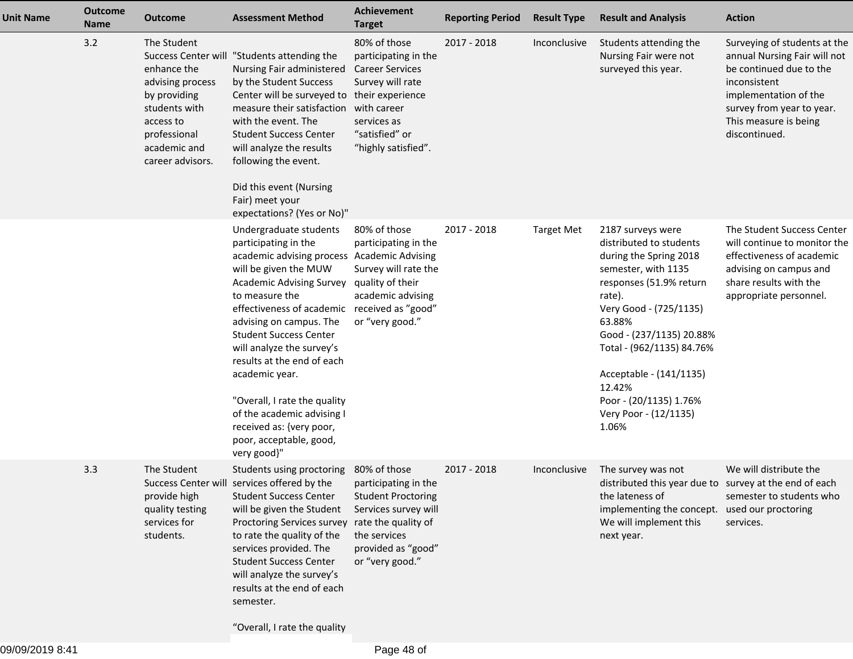| <b>Unit Name</b> | <b>Outcome</b><br>Name | <b>Outcome</b>                                                                                                                                   | <b>Assessment Method</b>                                                                                                                                                                                                                                                                                                                                                                                                                                                              | <b>Achievement</b><br><b>Target</b>                                                                                                            | <b>Reporting Period</b> | <b>Result Type</b> | <b>Result and Analysis</b>                                                                                                                                                                                                                                                                                                       | <b>Action</b>                                                                                                                                                                                           |
|------------------|------------------------|--------------------------------------------------------------------------------------------------------------------------------------------------|---------------------------------------------------------------------------------------------------------------------------------------------------------------------------------------------------------------------------------------------------------------------------------------------------------------------------------------------------------------------------------------------------------------------------------------------------------------------------------------|------------------------------------------------------------------------------------------------------------------------------------------------|-------------------------|--------------------|----------------------------------------------------------------------------------------------------------------------------------------------------------------------------------------------------------------------------------------------------------------------------------------------------------------------------------|---------------------------------------------------------------------------------------------------------------------------------------------------------------------------------------------------------|
|                  | 3.2                    | The Student<br>enhance the<br>advising process<br>by providing<br>students with<br>access to<br>professional<br>academic and<br>career advisors. | Success Center will "Students attending the<br>Nursing Fair administered<br>by the Student Success<br>Center will be surveyed to their experience<br>measure their satisfaction with career<br>with the event. The<br><b>Student Success Center</b><br>will analyze the results<br>following the event.<br>Did this event (Nursing<br>Fair) meet your<br>expectations? (Yes or No)"                                                                                                   | 80% of those<br>participating in the<br><b>Career Services</b><br>Survey will rate<br>services as<br>"satisfied" or<br>"highly satisfied".     | 2017 - 2018             | Inconclusive       | Students attending the<br>Nursing Fair were not<br>surveyed this year.                                                                                                                                                                                                                                                           | Surveying of students at the<br>annual Nursing Fair will not<br>be continued due to the<br>inconsistent<br>implementation of the<br>survey from year to year.<br>This measure is being<br>discontinued. |
|                  |                        |                                                                                                                                                  | Undergraduate students<br>participating in the<br>academic advising process Academic Advising<br>will be given the MUW<br><b>Academic Advising Survey</b><br>to measure the<br>effectiveness of academic<br>advising on campus. The<br><b>Student Success Center</b><br>will analyze the survey's<br>results at the end of each<br>academic year.<br>"Overall, I rate the quality<br>of the academic advising I<br>received as: {very poor,<br>poor, acceptable, good,<br>very good}" | 80% of those<br>participating in the<br>Survey will rate the<br>quality of their<br>academic advising<br>received as "good"<br>or "very good." | 2017 - 2018             | <b>Target Met</b>  | 2187 surveys were<br>distributed to students<br>during the Spring 2018<br>semester, with 1135<br>responses (51.9% return<br>rate).<br>Very Good - (725/1135)<br>63.88%<br>Good - (237/1135) 20.88%<br>Total - (962/1135) 84.76%<br>Acceptable - (141/1135)<br>12.42%<br>Poor - (20/1135) 1.76%<br>Very Poor - (12/1135)<br>1.06% | The Student Success Center<br>will continue to monitor the<br>effectiveness of academic<br>advising on campus and<br>share results with the<br>appropriate personnel.                                   |
|                  | 3.3                    | The Student<br>provide high<br>quality testing<br>services for<br>students.                                                                      | Students using proctoring 80% of those<br>Success Center will services offered by the<br><b>Student Success Center</b><br>will be given the Student<br>Proctoring Services survey rate the quality of<br>to rate the quality of the<br>services provided. The<br><b>Student Success Center</b><br>will analyze the survey's<br>results at the end of each<br>semester.<br>"Overall, I rate the quality                                                                                | participating in the<br><b>Student Proctoring</b><br>Services survey will<br>the services<br>provided as "good"<br>or "very good."             | 2017 - 2018             | Inconclusive       | The survey was not<br>distributed this year due to survey at the end of each<br>the lateness of<br>implementing the concept. used our proctoring<br>We will implement this<br>next year.                                                                                                                                         | We will distribute the<br>semester to students who<br>services.                                                                                                                                         |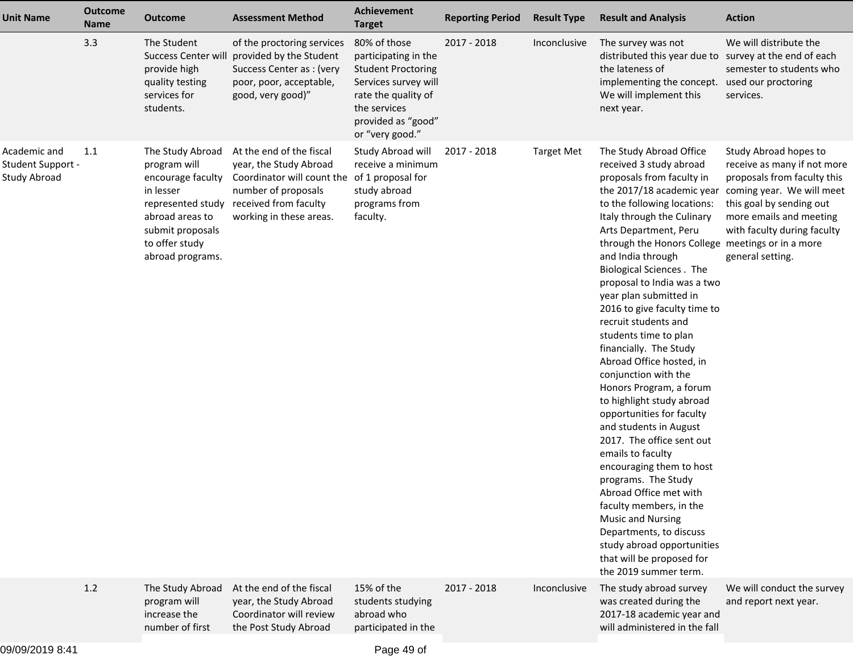| <b>Unit Name</b>                                  | <b>Outcome</b><br><b>Name</b> | <b>Outcome</b>                                                                                                                                                       | <b>Assessment Method</b>                                                                                                                                                      | <b>Achievement</b><br><b>Target</b>                                                                                                                                       | <b>Reporting Period</b> | <b>Result Type</b> | <b>Result and Analysis</b>                                                                                                                                                                                                                                                                                                                                                                                                                                                                                                                                                                                                                                                                                                                                                                                                                                                                                                                                  | <b>Action</b>                                                                                                                                                                                                              |
|---------------------------------------------------|-------------------------------|----------------------------------------------------------------------------------------------------------------------------------------------------------------------|-------------------------------------------------------------------------------------------------------------------------------------------------------------------------------|---------------------------------------------------------------------------------------------------------------------------------------------------------------------------|-------------------------|--------------------|-------------------------------------------------------------------------------------------------------------------------------------------------------------------------------------------------------------------------------------------------------------------------------------------------------------------------------------------------------------------------------------------------------------------------------------------------------------------------------------------------------------------------------------------------------------------------------------------------------------------------------------------------------------------------------------------------------------------------------------------------------------------------------------------------------------------------------------------------------------------------------------------------------------------------------------------------------------|----------------------------------------------------------------------------------------------------------------------------------------------------------------------------------------------------------------------------|
|                                                   | 3.3                           | The Student<br>Success Center will<br>provide high<br>quality testing<br>services for<br>students.                                                                   | of the proctoring services<br>provided by the Student<br>Success Center as : (very<br>poor, poor, acceptable,<br>good, very good)"                                            | 80% of those<br>participating in the<br><b>Student Proctoring</b><br>Services survey will<br>rate the quality of<br>the services<br>provided as "good"<br>or "very good." | 2017 - 2018             | Inconclusive       | The survey was not<br>distributed this year due to survey at the end of each<br>the lateness of<br>implementing the concept.<br>We will implement this<br>next year.                                                                                                                                                                                                                                                                                                                                                                                                                                                                                                                                                                                                                                                                                                                                                                                        | We will distribute the<br>semester to students who<br>used our proctoring<br>services.                                                                                                                                     |
| Academic and<br>Student Support -<br>Study Abroad | 1.1                           | The Study Abroad<br>program will<br>encourage faculty<br>in lesser<br>represented study<br>abroad areas to<br>submit proposals<br>to offer study<br>abroad programs. | At the end of the fiscal<br>year, the Study Abroad<br>Coordinator will count the of 1 proposal for<br>number of proposals<br>received from faculty<br>working in these areas. | Study Abroad will<br>receive a minimum<br>study abroad<br>programs from<br>faculty.                                                                                       | 2017 - 2018             | <b>Target Met</b>  | The Study Abroad Office<br>received 3 study abroad<br>proposals from faculty in<br>the 2017/18 academic year<br>to the following locations:<br>Italy through the Culinary<br>Arts Department, Peru<br>through the Honors College meetings or in a more<br>and India through<br><b>Biological Sciences</b> . The<br>proposal to India was a two<br>year plan submitted in<br>2016 to give faculty time to<br>recruit students and<br>students time to plan<br>financially. The Study<br>Abroad Office hosted, in<br>conjunction with the<br>Honors Program, a forum<br>to highlight study abroad<br>opportunities for faculty<br>and students in August<br>2017. The office sent out<br>emails to faculty<br>encouraging them to host<br>programs. The Study<br>Abroad Office met with<br>faculty members, in the<br><b>Music and Nursing</b><br>Departments, to discuss<br>study abroad opportunities<br>that will be proposed for<br>the 2019 summer term. | Study Abroad hopes to<br>receive as many if not more<br>proposals from faculty this<br>coming year. We will meet<br>this goal by sending out<br>more emails and meeting<br>with faculty during faculty<br>general setting. |
|                                                   | 1.2                           | The Study Abroad<br>program will<br>increase the<br>number of first                                                                                                  | At the end of the fiscal<br>year, the Study Abroad<br>Coordinator will review<br>the Post Study Abroad                                                                        | 15% of the<br>students studying<br>abroad who<br>participated in the                                                                                                      | 2017 - 2018             | Inconclusive       | The study abroad survey<br>was created during the<br>2017-18 academic year and<br>will administered in the fall                                                                                                                                                                                                                                                                                                                                                                                                                                                                                                                                                                                                                                                                                                                                                                                                                                             | We will conduct the survey<br>and report next year.                                                                                                                                                                        |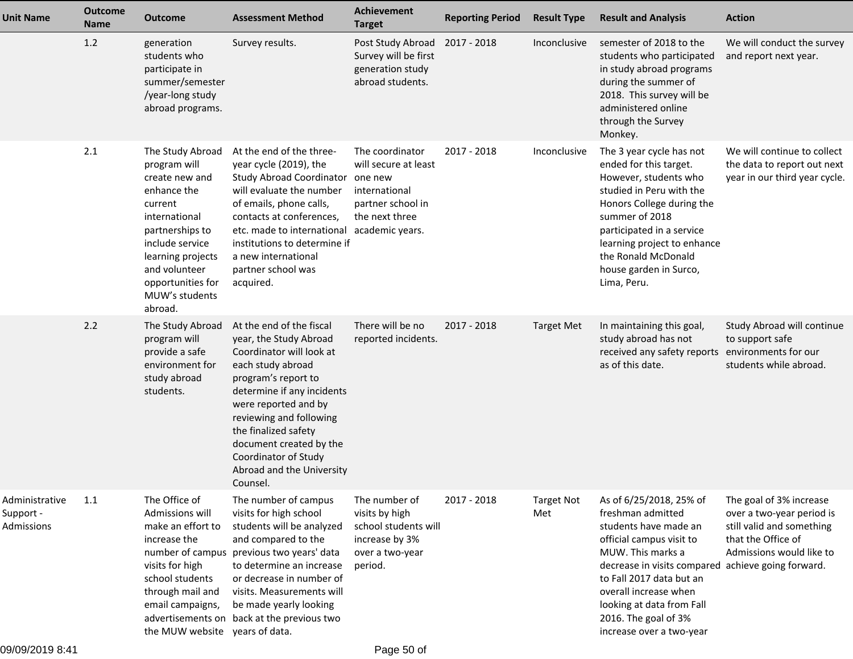| <b>Unit Name</b>                          | <b>Outcome</b><br>Name | <b>Outcome</b>                                                                                                                                                                                                              | <b>Assessment Method</b>                                                                                                                                                                                                                                                                                                        | Achievement<br><b>Target</b>                                                                                       | <b>Reporting Period</b> | <b>Result Type</b>       | <b>Result and Analysis</b>                                                                                                                                                                                                                                                                                         | <b>Action</b>                                                                                                                       |
|-------------------------------------------|------------------------|-----------------------------------------------------------------------------------------------------------------------------------------------------------------------------------------------------------------------------|---------------------------------------------------------------------------------------------------------------------------------------------------------------------------------------------------------------------------------------------------------------------------------------------------------------------------------|--------------------------------------------------------------------------------------------------------------------|-------------------------|--------------------------|--------------------------------------------------------------------------------------------------------------------------------------------------------------------------------------------------------------------------------------------------------------------------------------------------------------------|-------------------------------------------------------------------------------------------------------------------------------------|
|                                           | 1.2                    | generation<br>students who<br>participate in<br>summer/semester<br>/year-long study<br>abroad programs.                                                                                                                     | Survey results.                                                                                                                                                                                                                                                                                                                 | Post Study Abroad<br>Survey will be first<br>generation study<br>abroad students.                                  | 2017 - 2018             | Inconclusive             | semester of 2018 to the<br>students who participated<br>in study abroad programs<br>during the summer of<br>2018. This survey will be<br>administered online<br>through the Survey<br>Monkey.                                                                                                                      | We will conduct the survey<br>and report next year.                                                                                 |
|                                           | 2.1                    | The Study Abroad<br>program will<br>create new and<br>enhance the<br>current<br>international<br>partnerships to<br>include service<br>learning projects<br>and volunteer<br>opportunities for<br>MUW's students<br>abroad. | At the end of the three-<br>year cycle (2019), the<br>Study Abroad Coordinator one new<br>will evaluate the number<br>of emails, phone calls,<br>contacts at conferences,<br>etc. made to international<br>institutions to determine if<br>a new international<br>partner school was<br>acquired.                               | The coordinator<br>will secure at least<br>international<br>partner school in<br>the next three<br>academic years. | 2017 - 2018             | Inconclusive             | The 3 year cycle has not<br>ended for this target.<br>However, students who<br>studied in Peru with the<br>Honors College during the<br>summer of 2018<br>participated in a service<br>learning project to enhance<br>the Ronald McDonald<br>house garden in Surco,<br>Lima, Peru.                                 | We will continue to collect<br>the data to report out next<br>year in our third year cycle.                                         |
|                                           | 2.2                    | The Study Abroad<br>program will<br>provide a safe<br>environment for<br>study abroad<br>students.                                                                                                                          | At the end of the fiscal<br>year, the Study Abroad<br>Coordinator will look at<br>each study abroad<br>program's report to<br>determine if any incidents<br>were reported and by<br>reviewing and following<br>the finalized safety<br>document created by the<br>Coordinator of Study<br>Abroad and the University<br>Counsel. | There will be no<br>reported incidents.                                                                            | 2017 - 2018             | <b>Target Met</b>        | In maintaining this goal,<br>study abroad has not<br>received any safety reports<br>as of this date.                                                                                                                                                                                                               | Study Abroad will continue<br>to support safe<br>environments for our<br>students while abroad.                                     |
| Administrative<br>Support -<br>Admissions | 1.1                    | The Office of<br>Admissions will<br>make an effort to<br>increase the<br>number of campus<br>visits for high<br>school students<br>through mail and<br>email campaigns,<br>the MUW website years of data.                   | The number of campus<br>visits for high school<br>students will be analyzed<br>and compared to the<br>previous two years' data<br>to determine an increase<br>or decrease in number of<br>visits. Measurements will<br>be made yearly looking<br>advertisements on back at the previous two                                     | The number of<br>visits by high<br>school students will<br>increase by 3%<br>over a two-year<br>period.            | 2017 - 2018             | <b>Target Not</b><br>Met | As of 6/25/2018, 25% of<br>freshman admitted<br>students have made an<br>official campus visit to<br>MUW. This marks a<br>decrease in visits compared achieve going forward.<br>to Fall 2017 data but an<br>overall increase when<br>looking at data from Fall<br>2016. The goal of 3%<br>increase over a two-year | The goal of 3% increase<br>over a two-year period is<br>still valid and something<br>that the Office of<br>Admissions would like to |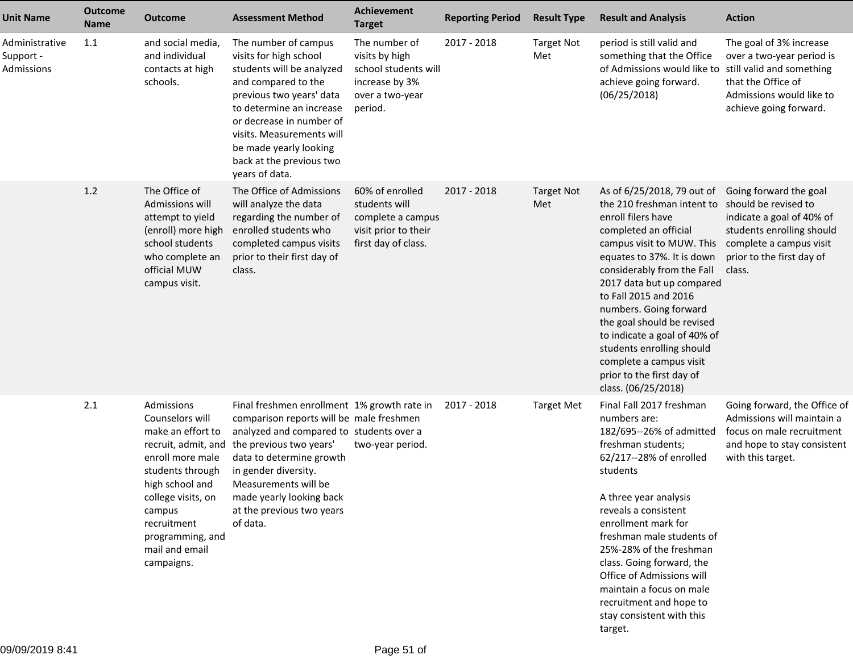| <b>Unit Name</b>                          | <b>Outcome</b><br><b>Name</b> | <b>Outcome</b>                                                                                                                                                                                                                          | <b>Assessment Method</b>                                                                                                                                                                                                                                                                                        | Achievement<br><b>Target</b>                                                                            | <b>Reporting Period</b> | <b>Result Type</b>       | <b>Result and Analysis</b>                                                                                                                                                                                                                                                                                                                                                                                                                                 | <b>Action</b>                                                                                                                                                              |
|-------------------------------------------|-------------------------------|-----------------------------------------------------------------------------------------------------------------------------------------------------------------------------------------------------------------------------------------|-----------------------------------------------------------------------------------------------------------------------------------------------------------------------------------------------------------------------------------------------------------------------------------------------------------------|---------------------------------------------------------------------------------------------------------|-------------------------|--------------------------|------------------------------------------------------------------------------------------------------------------------------------------------------------------------------------------------------------------------------------------------------------------------------------------------------------------------------------------------------------------------------------------------------------------------------------------------------------|----------------------------------------------------------------------------------------------------------------------------------------------------------------------------|
| Administrative<br>Support -<br>Admissions | 1.1                           | and social media,<br>and individual<br>contacts at high<br>schools.                                                                                                                                                                     | The number of campus<br>visits for high school<br>students will be analyzed<br>and compared to the<br>previous two years' data<br>to determine an increase<br>or decrease in number of<br>visits. Measurements will<br>be made yearly looking<br>back at the previous two<br>years of data.                     | The number of<br>visits by high<br>school students will<br>increase by 3%<br>over a two-year<br>period. | 2017 - 2018             | <b>Target Not</b><br>Met | period is still valid and<br>something that the Office<br>of Admissions would like to<br>achieve going forward.<br>(06/25/2018)                                                                                                                                                                                                                                                                                                                            | The goal of 3% increase<br>over a two-year period is<br>still valid and something<br>that the Office of<br>Admissions would like to<br>achieve going forward.              |
|                                           | 1.2                           | The Office of<br>Admissions will<br>attempt to yield<br>(enroll) more high<br>school students<br>who complete an<br>official MUW<br>campus visit.                                                                                       | The Office of Admissions<br>will analyze the data<br>regarding the number of<br>enrolled students who<br>completed campus visits<br>prior to their first day of<br>class.                                                                                                                                       | 60% of enrolled<br>students will<br>complete a campus<br>visit prior to their<br>first day of class.    | 2017 - 2018             | <b>Target Not</b><br>Met | As of 6/25/2018, 79 out of<br>the 210 freshman intent to<br>enroll filers have<br>completed an official<br>campus visit to MUW. This<br>equates to 37%. It is down<br>considerably from the Fall<br>2017 data but up compared<br>to Fall 2015 and 2016<br>numbers. Going forward<br>the goal should be revised<br>to indicate a goal of 40% of<br>students enrolling should<br>complete a campus visit<br>prior to the first day of<br>class. (06/25/2018) | Going forward the goal<br>should be revised to<br>indicate a goal of 40% of<br>students enrolling should<br>complete a campus visit<br>prior to the first day of<br>class. |
|                                           | 2.1                           | Admissions<br>Counselors will<br>make an effort to<br>recruit, admit, and<br>enroll more male<br>students through<br>high school and<br>college visits, on<br>campus<br>recruitment<br>programming, and<br>mail and email<br>campaigns. | Final freshmen enrollment 1% growth rate in<br>comparison reports will be male freshmen<br>analyzed and compared to students over a<br>the previous two years'<br>data to determine growth<br>in gender diversity.<br>Measurements will be<br>made yearly looking back<br>at the previous two years<br>of data. | two-year period.                                                                                        | 2017 - 2018             | <b>Target Met</b>        | Final Fall 2017 freshman<br>numbers are:<br>182/695--26% of admitted<br>freshman students;<br>62/217 -- 28% of enrolled<br>students<br>A three year analysis<br>reveals a consistent<br>enrollment mark for<br>freshman male students of<br>25%-28% of the freshman<br>class. Going forward, the<br>Office of Admissions will<br>maintain a focus on male<br>recruitment and hope to<br>stay consistent with this<br>target.                               | Going forward, the Office of<br>Admissions will maintain a<br>focus on male recruitment<br>and hope to stay consistent<br>with this target.                                |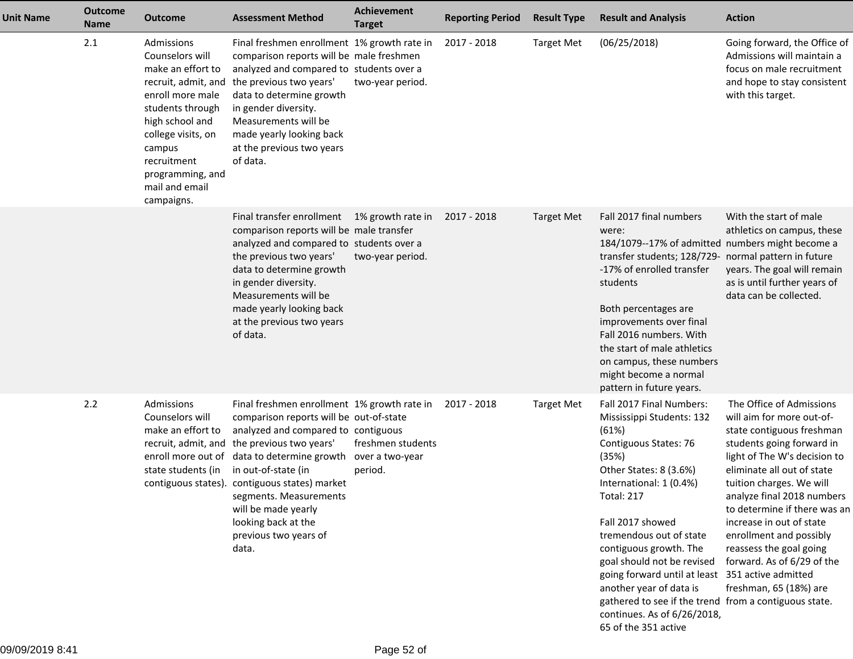| Unit Name | <b>Outcome</b><br><b>Name</b> | <b>Outcome</b>                                                                                                                                                                                                   | <b>Assessment Method</b>                                                                                                                                                                                                                                                                                                                                                                                      | <b>Achievement</b><br><b>Target</b>             | <b>Reporting Period</b> | <b>Result Type</b> | <b>Result and Analysis</b>                                                                                                                                                                                                                                                                                                                                                                                                                                                       | <b>Action</b>                                                                                                                                                                                                                                                                                                                                                                                                     |
|-----------|-------------------------------|------------------------------------------------------------------------------------------------------------------------------------------------------------------------------------------------------------------|---------------------------------------------------------------------------------------------------------------------------------------------------------------------------------------------------------------------------------------------------------------------------------------------------------------------------------------------------------------------------------------------------------------|-------------------------------------------------|-------------------------|--------------------|----------------------------------------------------------------------------------------------------------------------------------------------------------------------------------------------------------------------------------------------------------------------------------------------------------------------------------------------------------------------------------------------------------------------------------------------------------------------------------|-------------------------------------------------------------------------------------------------------------------------------------------------------------------------------------------------------------------------------------------------------------------------------------------------------------------------------------------------------------------------------------------------------------------|
|           | 2.1                           | Admissions<br>Counselors will<br>make an effort to<br>enroll more male<br>students through<br>high school and<br>college visits, on<br>campus<br>recruitment<br>programming, and<br>mail and email<br>campaigns. | Final freshmen enrollment 1% growth rate in<br>comparison reports will be male freshmen<br>analyzed and compared to students over a<br>recruit, admit, and the previous two years'<br>data to determine growth<br>in gender diversity.<br>Measurements will be<br>made yearly looking back<br>at the previous two years<br>of data.                                                                           | two-year period.                                | 2017 - 2018             | <b>Target Met</b>  | (06/25/2018)                                                                                                                                                                                                                                                                                                                                                                                                                                                                     | Going forward, the Office of<br>Admissions will maintain a<br>focus on male recruitment<br>and hope to stay consistent<br>with this target.                                                                                                                                                                                                                                                                       |
|           |                               |                                                                                                                                                                                                                  | Final transfer enrollment<br>comparison reports will be male transfer<br>analyzed and compared to students over a<br>the previous two years'<br>data to determine growth<br>in gender diversity.<br>Measurements will be<br>made yearly looking back<br>at the previous two years<br>of data.                                                                                                                 | 1% growth rate in<br>two-year period.           | 2017 - 2018             | <b>Target Met</b>  | Fall 2017 final numbers<br>were:<br>184/1079--17% of admitted numbers might become a<br>transfer students; 128/729- normal pattern in future<br>-17% of enrolled transfer<br>students<br>Both percentages are<br>improvements over final<br>Fall 2016 numbers. With<br>the start of male athletics<br>on campus, these numbers<br>might become a normal<br>pattern in future years.                                                                                              | With the start of male<br>athletics on campus, these<br>years. The goal will remain<br>as is until further years of<br>data can be collected.                                                                                                                                                                                                                                                                     |
|           | 2.2                           | Admissions<br>Counselors will<br>make an effort to<br>state students (in                                                                                                                                         | Final freshmen enrollment 1% growth rate in<br>comparison reports will be out-of-state<br>analyzed and compared to contiguous<br>recruit, admit, and the previous two years'<br>enroll more out of data to determine growth<br>in out-of-state (in<br>contiguous states). contiguous states) market<br>segments. Measurements<br>will be made yearly<br>looking back at the<br>previous two years of<br>data. | freshmen students<br>over a two-year<br>period. | 2017 - 2018             | <b>Target Met</b>  | Fall 2017 Final Numbers:<br>Mississippi Students: 132<br>(61%)<br>Contiguous States: 76<br>(35%)<br>Other States: 8 (3.6%)<br>International: 1 (0.4%)<br><b>Total: 217</b><br>Fall 2017 showed<br>tremendous out of state<br>contiguous growth. The<br>goal should not be revised<br>going forward until at least 351 active admitted<br>another year of data is<br>gathered to see if the trend from a contiguous state.<br>continues. As of 6/26/2018,<br>65 of the 351 active | The Office of Admissions<br>will aim for more out-of-<br>state contiguous freshman<br>students going forward in<br>light of The W's decision to<br>eliminate all out of state<br>tuition charges. We will<br>analyze final 2018 numbers<br>to determine if there was an<br>increase in out of state<br>enrollment and possibly<br>reassess the goal going<br>forward. As of 6/29 of the<br>freshman, 65 (18%) are |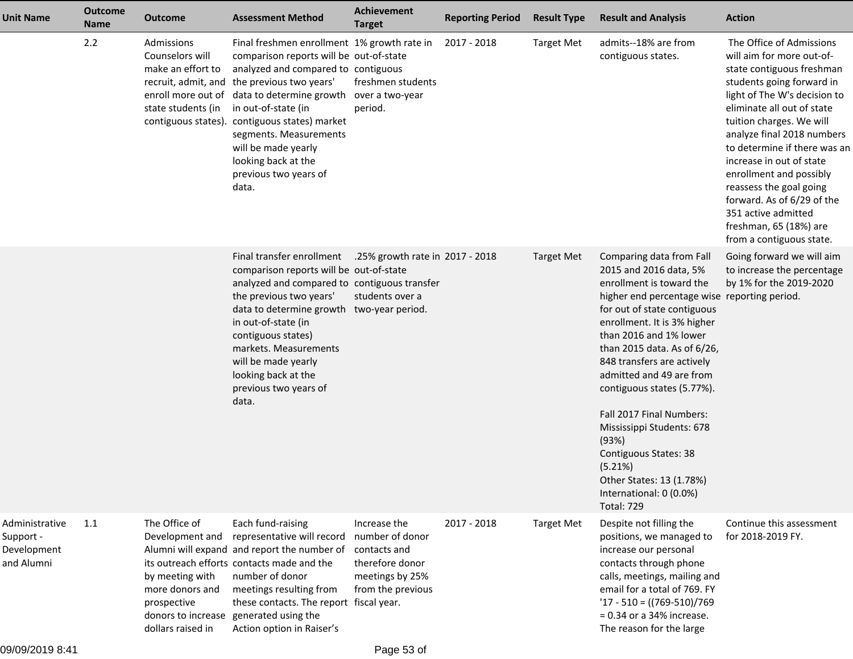| Unit Name                                                | Outcome<br><b>Name</b> | <b>Outcome</b>                                                                                             | <b>Assessment Method</b>                                                                                                                                                                                                                                                                                                                                                                                                      | <b>Achievement</b><br><b>Target</b>                                                                        | <b>Reporting Period</b> | <b>Result Type</b> | <b>Result and Analysis</b>                                                                                                                                                                                                                                                                                                                                                                                                                                                                                                      | <b>Action</b>                                                                                                                                                                                                                                                                                                                                                                                                                                                        |
|----------------------------------------------------------|------------------------|------------------------------------------------------------------------------------------------------------|-------------------------------------------------------------------------------------------------------------------------------------------------------------------------------------------------------------------------------------------------------------------------------------------------------------------------------------------------------------------------------------------------------------------------------|------------------------------------------------------------------------------------------------------------|-------------------------|--------------------|---------------------------------------------------------------------------------------------------------------------------------------------------------------------------------------------------------------------------------------------------------------------------------------------------------------------------------------------------------------------------------------------------------------------------------------------------------------------------------------------------------------------------------|----------------------------------------------------------------------------------------------------------------------------------------------------------------------------------------------------------------------------------------------------------------------------------------------------------------------------------------------------------------------------------------------------------------------------------------------------------------------|
|                                                          | 2.2                    | Admissions<br>Counselors will<br>make an effort to<br>state students (in                                   | Final freshmen enrollment 1% growth rate in<br>comparison reports will be out-of-state<br>analyzed and compared to contiguous<br>recruit, admit, and the previous two years'<br>enroll more out of data to determine growth over a two-year<br>in out-of-state (in<br>contiguous states). contiguous states) market<br>segments. Measurements<br>will be made yearly<br>looking back at the<br>previous two years of<br>data. | freshmen students<br>period.                                                                               | 2017 - 2018             | <b>Target Met</b>  | admits--18% are from<br>contiguous states.                                                                                                                                                                                                                                                                                                                                                                                                                                                                                      | The Office of Admissions<br>will aim for more out-of-<br>state contiguous freshman<br>students going forward in<br>light of The W's decision to<br>eliminate all out of state<br>tuition charges. We will<br>analyze final 2018 numbers<br>to determine if there was an<br>increase in out of state<br>enrollment and possibly<br>reassess the goal going<br>forward. As of 6/29 of the<br>351 active admitted<br>freshman, 65 (18%) are<br>from a contiguous state. |
|                                                          |                        |                                                                                                            | Final transfer enrollment<br>comparison reports will be out-of-state<br>analyzed and compared to contiguous transfer<br>the previous two years'<br>data to determine growth two-year period.<br>in out-of-state (in<br>contiguous states)<br>markets. Measurements<br>will be made yearly<br>looking back at the<br>previous two years of<br>data.                                                                            | .25% growth rate in 2017 - 2018<br>students over a                                                         |                         | <b>Target Met</b>  | Comparing data from Fall<br>2015 and 2016 data, 5%<br>enrollment is toward the<br>higher end percentage wise reporting period.<br>for out of state contiguous<br>enrollment. It is 3% higher<br>than 2016 and 1% lower<br>than 2015 data. As of 6/26,<br>848 transfers are actively<br>admitted and 49 are from<br>contiguous states (5.77%).<br>Fall 2017 Final Numbers:<br>Mississippi Students: 678<br>(93%)<br>Contiguous States: 38<br>(5.21%)<br>Other States: 13 (1.78%)<br>International: 0 (0.0%)<br><b>Total: 729</b> | Going forward we will aim<br>to increase the percentage<br>by 1% for the 2019-2020                                                                                                                                                                                                                                                                                                                                                                                   |
| Administrative<br>Support -<br>Development<br>and Alumni | 1.1                    | The Office of<br>Development and<br>by meeting with<br>more donors and<br>prospective<br>dollars raised in | Each fund-raising<br>representative will record<br>Alumni will expand and report the number of<br>its outreach efforts contacts made and the<br>number of donor<br>meetings resulting from<br>these contacts. The report fiscal year.<br>donors to increase generated using the<br>Action option in Raiser's                                                                                                                  | Increase the<br>number of donor<br>contacts and<br>therefore donor<br>meetings by 25%<br>from the previous | 2017 - 2018             | <b>Target Met</b>  | Despite not filling the<br>positions, we managed to<br>increase our personal<br>contacts through phone<br>calls, meetings, mailing and<br>email for a total of 769. FY<br>$'17 - 510 = ((769-510)/769)$<br>$= 0.34$ or a 34% increase.<br>The reason for the large                                                                                                                                                                                                                                                              | Continue this assessment<br>for 2018-2019 FY.                                                                                                                                                                                                                                                                                                                                                                                                                        |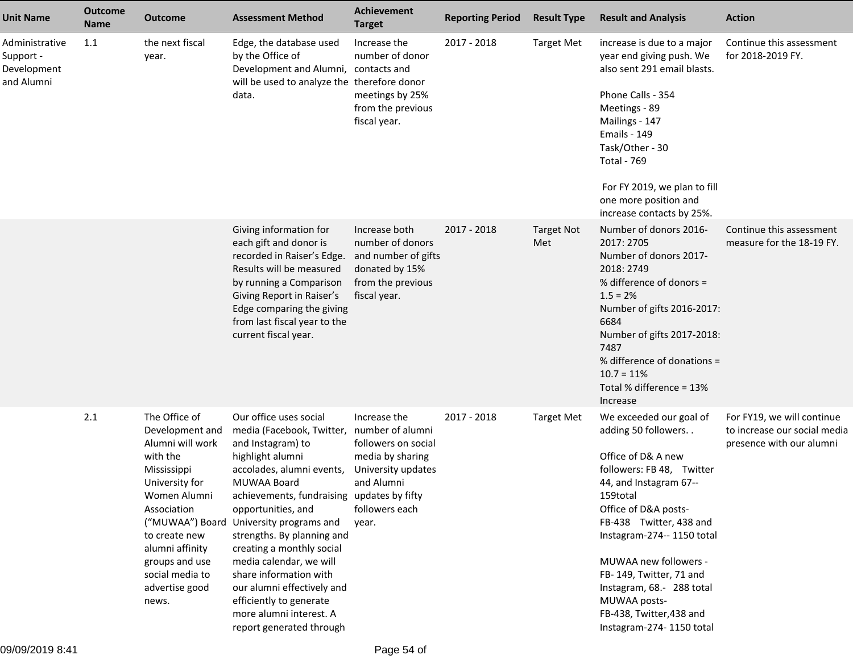| <b>Unit Name</b>                                         | <b>Outcome</b><br><b>Name</b> | <b>Outcome</b>                                                                                                                                                                                                                       | <b>Assessment Method</b>                                                                                                                                                                                                                                                                                                                                                                                                                                                                                 | <b>Achievement</b><br><b>Target</b>                                                                                    | <b>Reporting Period</b> | <b>Result Type</b>       | <b>Result and Analysis</b>                                                                                                                                                                                                                                                                                                                                                        | <b>Action</b>                                                                          |
|----------------------------------------------------------|-------------------------------|--------------------------------------------------------------------------------------------------------------------------------------------------------------------------------------------------------------------------------------|----------------------------------------------------------------------------------------------------------------------------------------------------------------------------------------------------------------------------------------------------------------------------------------------------------------------------------------------------------------------------------------------------------------------------------------------------------------------------------------------------------|------------------------------------------------------------------------------------------------------------------------|-------------------------|--------------------------|-----------------------------------------------------------------------------------------------------------------------------------------------------------------------------------------------------------------------------------------------------------------------------------------------------------------------------------------------------------------------------------|----------------------------------------------------------------------------------------|
| Administrative<br>Support -<br>Development<br>and Alumni | 1.1                           | the next fiscal<br>year.                                                                                                                                                                                                             | Edge, the database used<br>by the Office of<br>Development and Alumni, contacts and<br>will be used to analyze the therefore donor<br>data.                                                                                                                                                                                                                                                                                                                                                              | Increase the<br>number of donor<br>meetings by 25%<br>from the previous<br>fiscal year.                                | 2017 - 2018             | <b>Target Met</b>        | increase is due to a major<br>year end giving push. We<br>also sent 291 email blasts.<br>Phone Calls - 354<br>Meetings - 89<br>Mailings - 147<br><b>Emails - 149</b><br>Task/Other - 30<br><b>Total - 769</b><br>For FY 2019, we plan to fill<br>one more position and<br>increase contacts by 25%.                                                                               | Continue this assessment<br>for 2018-2019 FY.                                          |
|                                                          |                               |                                                                                                                                                                                                                                      | Giving information for<br>each gift and donor is<br>recorded in Raiser's Edge.<br>Results will be measured<br>by running a Comparison<br>Giving Report in Raiser's<br>Edge comparing the giving<br>from last fiscal year to the<br>current fiscal year.                                                                                                                                                                                                                                                  | Increase both<br>number of donors<br>and number of gifts<br>donated by 15%<br>from the previous<br>fiscal year.        | 2017 - 2018             | <b>Target Not</b><br>Met | Number of donors 2016-<br>2017: 2705<br>Number of donors 2017-<br>2018: 2749<br>% difference of donors =<br>$1.5 = 2%$<br>Number of gifts 2016-2017:<br>6684<br>Number of gifts 2017-2018:<br>7487<br>% difference of donations =<br>$10.7 = 11%$<br>Total % difference = 13%<br>Increase                                                                                         | Continue this assessment<br>measure for the 18-19 FY.                                  |
|                                                          | 2.1                           | The Office of<br>Development and<br>Alumni will work<br>with the<br>Mississippi<br>University for<br>Women Alumni<br>Association<br>to create new<br>alumni affinity<br>groups and use<br>social media to<br>advertise good<br>news. | Our office uses social<br>media (Facebook, Twitter, number of alumni<br>and Instagram) to<br>highlight alumni<br>accolades, alumni events,<br>MUWAA Board<br>achievements, fundraising updates by fifty<br>opportunities, and<br>("MUWAA") Board University programs and<br>strengths. By planning and<br>creating a monthly social<br>media calendar, we will<br>share information with<br>our alumni effectively and<br>efficiently to generate<br>more alumni interest. A<br>report generated through | Increase the<br>followers on social<br>media by sharing<br>University updates<br>and Alumni<br>followers each<br>year. | 2017 - 2018             | <b>Target Met</b>        | We exceeded our goal of<br>adding 50 followers<br>Office of D& A new<br>followers: FB 48, Twitter<br>44, and Instagram 67--<br>159total<br>Office of D&A posts-<br>FB-438 Twitter, 438 and<br>Instagram-274-- 1150 total<br>MUWAA new followers -<br>FB-149, Twitter, 71 and<br>Instagram, 68.- 288 total<br>MUWAA posts-<br>FB-438, Twitter, 438 and<br>Instagram-274-1150 total | For FY19, we will continue<br>to increase our social media<br>presence with our alumni |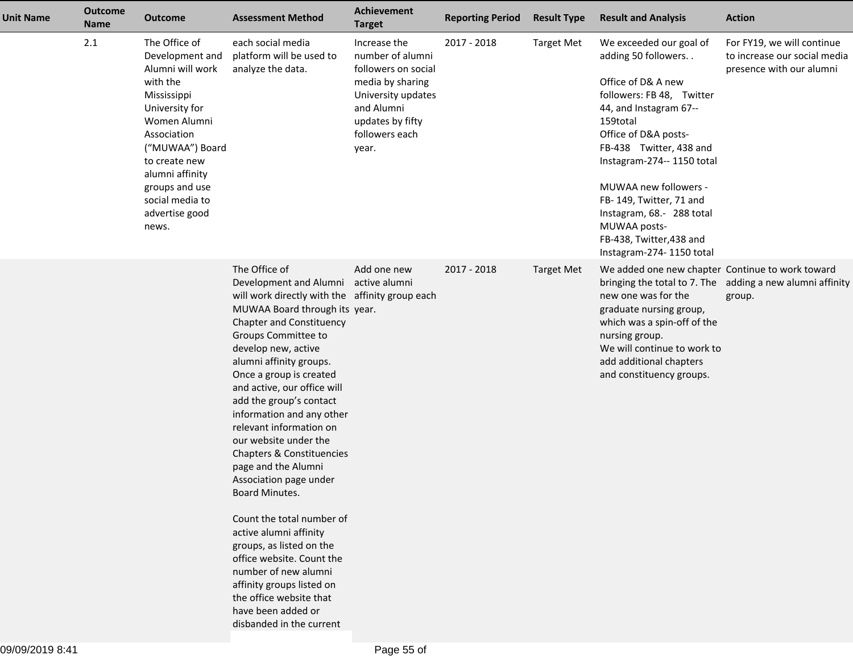| <b>Unit Name</b> | <b>Outcome</b><br><b>Name</b> | <b>Outcome</b>                                                                                                                                                                                                                                          | <b>Assessment Method</b>                                                                                                                                                                                                                                                                                                                                                                                                                                                                                                                                                                                                                                                                                                                                               | Achievement<br><b>Target</b>                                                                                                                                   | <b>Reporting Period</b> | <b>Result Type</b> | <b>Result and Analysis</b>                                                                                                                                                                                                                                                                                                                                                         | <b>Action</b>                                                                          |
|------------------|-------------------------------|---------------------------------------------------------------------------------------------------------------------------------------------------------------------------------------------------------------------------------------------------------|------------------------------------------------------------------------------------------------------------------------------------------------------------------------------------------------------------------------------------------------------------------------------------------------------------------------------------------------------------------------------------------------------------------------------------------------------------------------------------------------------------------------------------------------------------------------------------------------------------------------------------------------------------------------------------------------------------------------------------------------------------------------|----------------------------------------------------------------------------------------------------------------------------------------------------------------|-------------------------|--------------------|------------------------------------------------------------------------------------------------------------------------------------------------------------------------------------------------------------------------------------------------------------------------------------------------------------------------------------------------------------------------------------|----------------------------------------------------------------------------------------|
|                  | 2.1                           | The Office of<br>Development and<br>Alumni will work<br>with the<br>Mississippi<br>University for<br>Women Alumni<br>Association<br>("MUWAA") Board<br>to create new<br>alumni affinity<br>groups and use<br>social media to<br>advertise good<br>news. | each social media<br>platform will be used to<br>analyze the data.                                                                                                                                                                                                                                                                                                                                                                                                                                                                                                                                                                                                                                                                                                     | Increase the<br>number of alumni<br>followers on social<br>media by sharing<br>University updates<br>and Alumni<br>updates by fifty<br>followers each<br>year. | 2017 - 2018             | <b>Target Met</b>  | We exceeded our goal of<br>adding 50 followers<br>Office of D& A new<br>followers: FB 48, Twitter<br>44, and Instagram 67--<br>159total<br>Office of D&A posts-<br>FB-438 Twitter, 438 and<br>Instagram-274-- 1150 total<br>MUWAA new followers -<br>FB-149, Twitter, 71 and<br>Instagram, 68 .- 288 total<br>MUWAA posts-<br>FB-438, Twitter, 438 and<br>Instagram-274-1150 total | For FY19, we will continue<br>to increase our social media<br>presence with our alumni |
|                  |                               |                                                                                                                                                                                                                                                         | The Office of<br>Development and Alumni active alumni<br>will work directly with the affinity group each<br>MUWAA Board through its year.<br>Chapter and Constituency<br>Groups Committee to<br>develop new, active<br>alumni affinity groups.<br>Once a group is created<br>and active, our office will<br>add the group's contact<br>information and any other<br>relevant information on<br>our website under the<br>Chapters & Constituencies<br>page and the Alumni<br>Association page under<br>Board Minutes.<br>Count the total number of<br>active alumni affinity<br>groups, as listed on the<br>office website. Count the<br>number of new alumni<br>affinity groups listed on<br>the office website that<br>have been added or<br>disbanded in the current | Add one new                                                                                                                                                    | 2017 - 2018             | <b>Target Met</b>  | We added one new chapter Continue to work toward<br>new one was for the<br>graduate nursing group,<br>which was a spin-off of the<br>nursing group.<br>We will continue to work to<br>add additional chapters<br>and constituency groups.                                                                                                                                          | bringing the total to 7. The adding a new alumni affinity<br>group.                    |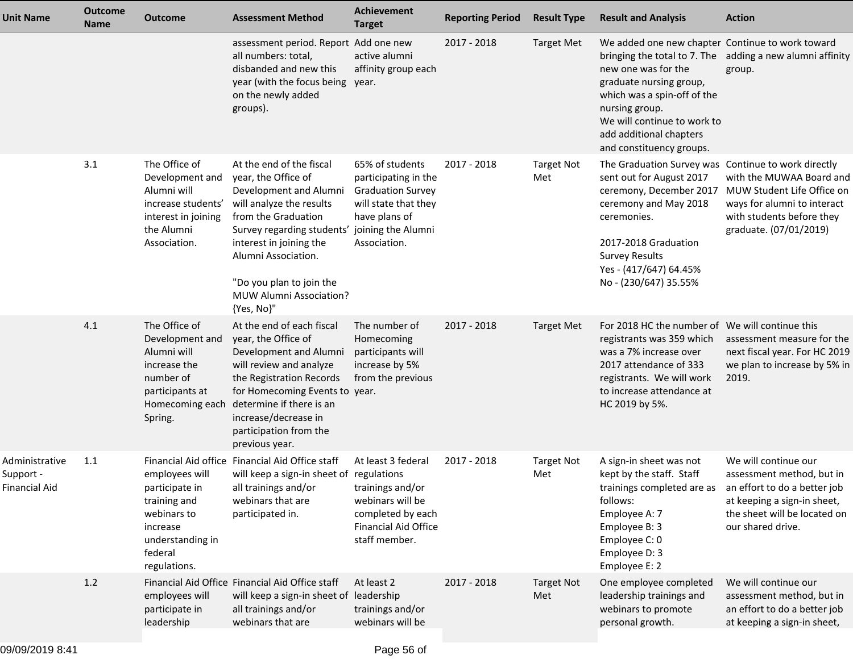| <b>Unit Name</b>                             | Outcome<br>Name | <b>Outcome</b>                                                                                                             | <b>Assessment Method</b>                                                                                                                                                                                                                                                                                    | Achievement<br><b>Target</b>                                                                                                    | <b>Reporting Period</b> | <b>Result Type</b>       | <b>Result and Analysis</b>                                                                                                                                                                                                                             | <b>Action</b>                                                                                                                                                                                    |
|----------------------------------------------|-----------------|----------------------------------------------------------------------------------------------------------------------------|-------------------------------------------------------------------------------------------------------------------------------------------------------------------------------------------------------------------------------------------------------------------------------------------------------------|---------------------------------------------------------------------------------------------------------------------------------|-------------------------|--------------------------|--------------------------------------------------------------------------------------------------------------------------------------------------------------------------------------------------------------------------------------------------------|--------------------------------------------------------------------------------------------------------------------------------------------------------------------------------------------------|
|                                              |                 |                                                                                                                            | assessment period. Report Add one new<br>all numbers: total,<br>disbanded and new this<br>year (with the focus being<br>on the newly added<br>groups).                                                                                                                                                      | active alumni<br>affinity group each<br>year.                                                                                   | 2017 - 2018             | <b>Target Met</b>        | We added one new chapter Continue to work toward<br>new one was for the<br>graduate nursing group,<br>which was a spin-off of the<br>nursing group.<br>We will continue to work to<br>add additional chapters<br>and constituency groups.              | bringing the total to 7. The adding a new alumni affinity<br>group.                                                                                                                              |
|                                              | 3.1             | The Office of<br>Development and<br>Alumni will<br>increase students'<br>interest in joining<br>the Alumni<br>Association. | At the end of the fiscal<br>year, the Office of<br>Development and Alumni<br>will analyze the results<br>from the Graduation<br>Survey regarding students' joining the Alumni<br>interest in joining the<br>Alumni Association.<br>"Do you plan to join the<br><b>MUW Alumni Association?</b><br>{Yes, No}" | 65% of students<br>participating in the<br><b>Graduation Survey</b><br>will state that they<br>have plans of<br>Association.    | 2017 - 2018             | <b>Target Not</b><br>Met | The Graduation Survey was Continue to work directly<br>sent out for August 2017<br>ceremony, December 2017<br>ceremony and May 2018<br>ceremonies.<br>2017-2018 Graduation<br><b>Survey Results</b><br>Yes - (417/647) 64.45%<br>No - (230/647) 35.55% | with the MUWAA Board and<br>MUW Student Life Office on<br>ways for alumni to interact<br>with students before they<br>graduate. (07/01/2019)                                                     |
|                                              | 4.1             | The Office of<br>Development and<br>Alumni will<br>increase the<br>number of<br>participants at<br>Spring.                 | At the end of each fiscal<br>year, the Office of<br>Development and Alumni<br>will review and analyze<br>the Registration Records<br>for Homecoming Events to year.<br>Homecoming each determine if there is an<br>increase/decrease in<br>participation from the<br>previous year.                         | The number of<br>Homecoming<br>participants will<br>increase by 5%<br>from the previous                                         | 2017 - 2018             | <b>Target Met</b>        | For 2018 HC the number of We will continue this<br>registrants was 359 which<br>was a 7% increase over<br>2017 attendance of 333<br>registrants. We will work<br>to increase attendance at<br>HC 2019 by 5%.                                           | assessment measure for the<br>next fiscal year. For HC 2019<br>we plan to increase by 5% in<br>2019.                                                                                             |
| Administrative<br>Support -<br>Financial Aid | 1.1             | employees will<br>participate in<br>training and<br>webinars to<br>increase<br>understanding in<br>federal<br>regulations. | Financial Aid office Financial Aid Office staff<br>will keep a sign-in sheet of regulations<br>all trainings and/or<br>webinars that are<br>participated in.                                                                                                                                                | At least 3 federal<br>trainings and/or<br>webinars will be<br>completed by each<br><b>Financial Aid Office</b><br>staff member. | 2017 - 2018             | <b>Target Not</b><br>Met | A sign-in sheet was not<br>kept by the staff. Staff<br>follows:<br>Employee A: 7<br>Employee B: 3<br>Employee C: 0<br>Employee D: 3<br>Employee E: 2                                                                                                   | We will continue our<br>assessment method, but in<br>trainings completed are as an effort to do a better job<br>at keeping a sign-in sheet,<br>the sheet will be located on<br>our shared drive. |
|                                              | 1.2             | employees will<br>participate in<br>leadership                                                                             | Financial Aid Office Financial Aid Office staff<br>will keep a sign-in sheet of leadership<br>all trainings and/or<br>webinars that are                                                                                                                                                                     | At least 2<br>trainings and/or<br>webinars will be                                                                              | 2017 - 2018             | <b>Target Not</b><br>Met | One employee completed<br>leadership trainings and<br>webinars to promote<br>personal growth.                                                                                                                                                          | We will continue our<br>assessment method, but in<br>an effort to do a better job<br>at keeping a sign-in sheet,                                                                                 |
|                                              |                 |                                                                                                                            |                                                                                                                                                                                                                                                                                                             |                                                                                                                                 |                         |                          |                                                                                                                                                                                                                                                        |                                                                                                                                                                                                  |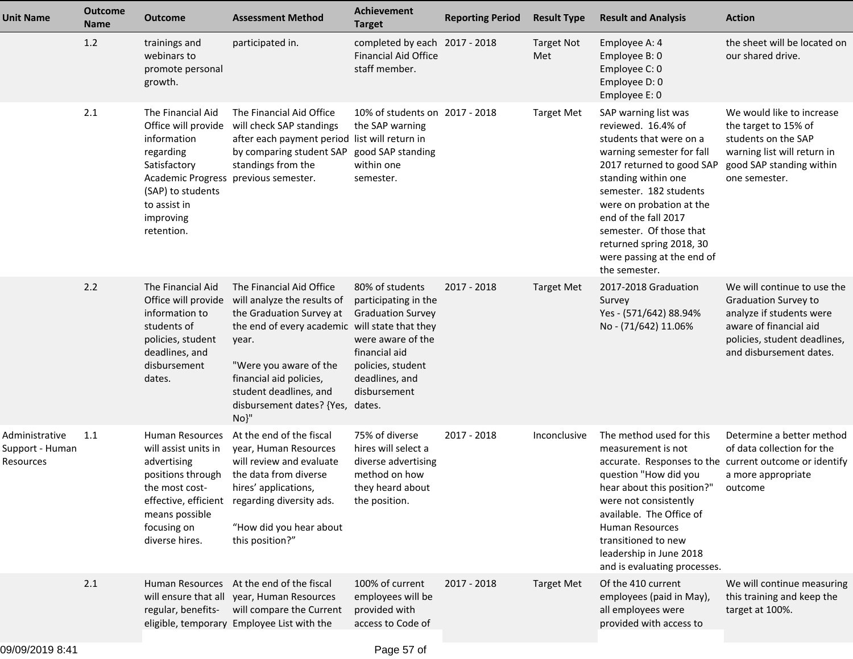| <b>Unit Name</b>                               | <b>Outcome</b><br><b>Name</b> | <b>Outcome</b>                                                                                                                                                                               | <b>Assessment Method</b>                                                                                                                                                                                                                                                               | Achievement<br><b>Target</b>                                                                                                                                     | <b>Reporting Period</b> | <b>Result Type</b>       | <b>Result and Analysis</b>                                                                                                                                                                                                                                                                                                                 | <b>Action</b>                                                                                                                                                               |
|------------------------------------------------|-------------------------------|----------------------------------------------------------------------------------------------------------------------------------------------------------------------------------------------|----------------------------------------------------------------------------------------------------------------------------------------------------------------------------------------------------------------------------------------------------------------------------------------|------------------------------------------------------------------------------------------------------------------------------------------------------------------|-------------------------|--------------------------|--------------------------------------------------------------------------------------------------------------------------------------------------------------------------------------------------------------------------------------------------------------------------------------------------------------------------------------------|-----------------------------------------------------------------------------------------------------------------------------------------------------------------------------|
|                                                | 1.2                           | trainings and<br>webinars to<br>promote personal<br>growth.                                                                                                                                  | participated in.                                                                                                                                                                                                                                                                       | completed by each 2017 - 2018<br><b>Financial Aid Office</b><br>staff member.                                                                                    |                         | <b>Target Not</b><br>Met | Employee A: 4<br>Employee B: 0<br>Employee C: 0<br>Employee D: 0<br>Employee E: 0                                                                                                                                                                                                                                                          | the sheet will be located on<br>our shared drive.                                                                                                                           |
|                                                | 2.1                           | The Financial Aid<br>Office will provide<br>information<br>regarding<br>Satisfactory<br>Academic Progress previous semester.<br>(SAP) to students<br>to assist in<br>improving<br>retention. | The Financial Aid Office<br>will check SAP standings<br>after each payment period list will return in<br>by comparing student SAP<br>standings from the                                                                                                                                | 10% of students on 2017 - 2018<br>the SAP warning<br>good SAP standing<br>within one<br>semester.                                                                |                         | <b>Target Met</b>        | SAP warning list was<br>reviewed. 16.4% of<br>students that were on a<br>warning semester for fall<br>2017 returned to good SAP<br>standing within one<br>semester. 182 students<br>were on probation at the<br>end of the fall 2017<br>semester. Of those that<br>returned spring 2018, 30<br>were passing at the end of<br>the semester. | We would like to increase<br>the target to 15% of<br>students on the SAP<br>warning list will return in<br>good SAP standing within<br>one semester.                        |
|                                                | 2.2                           | The Financial Aid<br>Office will provide<br>information to<br>students of<br>policies, student<br>deadlines, and<br>disbursement<br>dates.                                                   | The Financial Aid Office<br>will analyze the results of<br>the Graduation Survey at<br>the end of every academic will state that they<br>year.<br>"Were you aware of the<br>financial aid policies,<br>student deadlines, and<br>disbursement dates? {Yes, dates.<br>$No$ <sup>"</sup> | 80% of students<br>participating in the<br><b>Graduation Survey</b><br>were aware of the<br>financial aid<br>policies, student<br>deadlines, and<br>disbursement | 2017 - 2018             | <b>Target Met</b>        | 2017-2018 Graduation<br>Survey<br>Yes - (571/642) 88.94%<br>No - (71/642) 11.06%                                                                                                                                                                                                                                                           | We will continue to use the<br><b>Graduation Survey to</b><br>analyze if students were<br>aware of financial aid<br>policies, student deadlines,<br>and disbursement dates. |
| Administrative<br>Support - Human<br>Resources | 1.1                           | Human Resources<br>will assist units in<br>advertising<br>positions through<br>the most cost-<br>means possible<br>focusing on<br>diverse hires.                                             | At the end of the fiscal<br>year, Human Resources<br>will review and evaluate<br>the data from diverse<br>hires' applications,<br>effective, efficient regarding diversity ads.<br>"How did you hear about<br>this position?"                                                          | 75% of diverse<br>hires will select a<br>diverse advertising<br>method on how<br>they heard about<br>the position.                                               | 2017 - 2018             | Inconclusive             | The method used for this<br>measurement is not<br>accurate. Responses to the current outcome or identify<br>question "How did you<br>hear about this position?" outcome<br>were not consistently<br>available. The Office of<br>Human Resources<br>transitioned to new<br>leadership in June 2018<br>and is evaluating processes.          | Determine a better method<br>of data collection for the<br>a more appropriate                                                                                               |
|                                                | 2.1                           | regular, benefits-                                                                                                                                                                           | Human Resources At the end of the fiscal<br>will ensure that all year, Human Resources<br>will compare the Current<br>eligible, temporary Employee List with the                                                                                                                       | 100% of current<br>employees will be<br>provided with<br>access to Code of                                                                                       | 2017 - 2018             | <b>Target Met</b>        | Of the 410 current<br>employees (paid in May),<br>all employees were<br>provided with access to                                                                                                                                                                                                                                            | We will continue measuring<br>this training and keep the<br>target at 100%.                                                                                                 |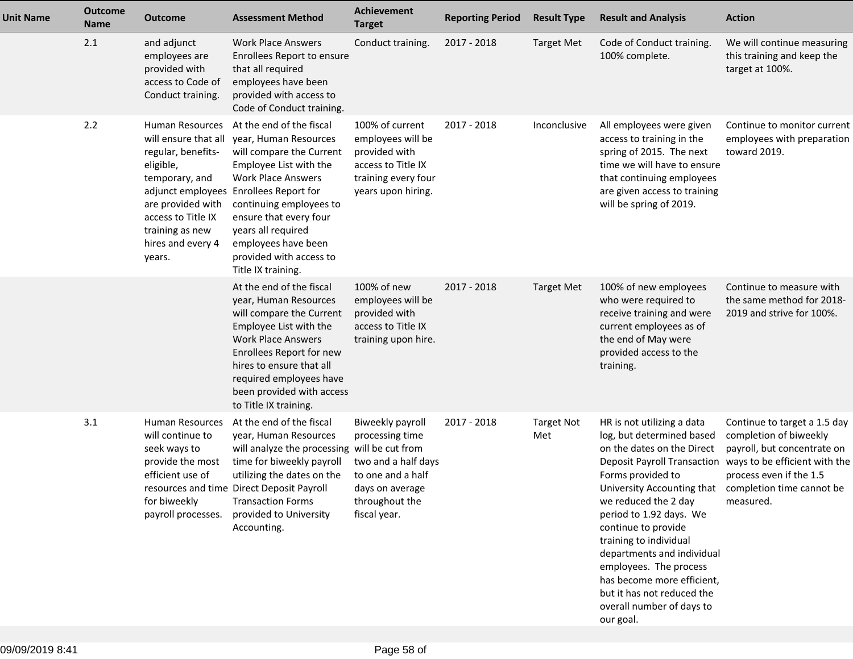| <b>Unit Name</b> | <b>Outcome</b><br>Name | Outcome                                                                                                                                                                                   | <b>Assessment Method</b>                                                                                                                                                                                                                                                                                                          | Achievement<br><b>Target</b>                                                                                                         | <b>Reporting Period</b> | <b>Result Type</b>       | <b>Result and Analysis</b>                                                                                                                                                                                                                                                                                                                                                                                                                                                 | <b>Action</b>                                                                                                                                                  |
|------------------|------------------------|-------------------------------------------------------------------------------------------------------------------------------------------------------------------------------------------|-----------------------------------------------------------------------------------------------------------------------------------------------------------------------------------------------------------------------------------------------------------------------------------------------------------------------------------|--------------------------------------------------------------------------------------------------------------------------------------|-------------------------|--------------------------|----------------------------------------------------------------------------------------------------------------------------------------------------------------------------------------------------------------------------------------------------------------------------------------------------------------------------------------------------------------------------------------------------------------------------------------------------------------------------|----------------------------------------------------------------------------------------------------------------------------------------------------------------|
|                  | 2.1                    | and adjunct<br>employees are<br>provided with<br>access to Code of<br>Conduct training.                                                                                                   | <b>Work Place Answers</b><br>Enrollees Report to ensure<br>that all required<br>employees have been<br>provided with access to<br>Code of Conduct training.                                                                                                                                                                       | Conduct training.                                                                                                                    | 2017 - 2018             | <b>Target Met</b>        | Code of Conduct training.<br>100% complete.                                                                                                                                                                                                                                                                                                                                                                                                                                | We will continue measuring<br>this training and keep the<br>target at 100%.                                                                                    |
|                  | 2.2                    | Human Resources<br>will ensure that all<br>regular, benefits-<br>eligible,<br>temporary, and<br>are provided with<br>access to Title IX<br>training as new<br>hires and every 4<br>years. | At the end of the fiscal<br>year, Human Resources<br>will compare the Current<br>Employee List with the<br><b>Work Place Answers</b><br>adjunct employees Enrollees Report for<br>continuing employees to<br>ensure that every four<br>years all required<br>employees have been<br>provided with access to<br>Title IX training. | 100% of current<br>employees will be<br>provided with<br>access to Title IX<br>training every four<br>years upon hiring.             | 2017 - 2018             | Inconclusive             | All employees were given<br>access to training in the<br>spring of 2015. The next<br>time we will have to ensure<br>that continuing employees<br>are given access to training<br>will be spring of 2019.                                                                                                                                                                                                                                                                   | Continue to monitor current<br>employees with preparation<br>toward 2019.                                                                                      |
|                  |                        |                                                                                                                                                                                           | At the end of the fiscal<br>year, Human Resources<br>will compare the Current<br>Employee List with the<br><b>Work Place Answers</b><br>Enrollees Report for new<br>hires to ensure that all<br>required employees have<br>been provided with access<br>to Title IX training.                                                     | 100% of new<br>employees will be<br>provided with<br>access to Title IX<br>training upon hire.                                       | 2017 - 2018             | <b>Target Met</b>        | 100% of new employees<br>who were required to<br>receive training and were<br>current employees as of<br>the end of May were<br>provided access to the<br>training.                                                                                                                                                                                                                                                                                                        | Continue to measure with<br>the same method for 2018-<br>2019 and strive for 100%.                                                                             |
|                  | 3.1                    | Human Resources<br>will continue to<br>seek ways to<br>provide the most<br>efficient use of<br>for biweekly<br>payroll processes.                                                         | At the end of the fiscal<br>year, Human Resources<br>will analyze the processing will be cut from<br>time for biweekly payroll<br>utilizing the dates on the<br>resources and time Direct Deposit Payroll<br><b>Transaction Forms</b><br>provided to University<br>Accounting.                                                    | Biweekly payroll<br>processing time<br>two and a half days<br>to one and a half<br>days on average<br>throughout the<br>fiscal year. | 2017 - 2018             | <b>Target Not</b><br>Met | HR is not utilizing a data<br>log, but determined based<br>on the dates on the Direct<br><b>Deposit Payroll Transaction</b><br>Forms provided to<br>University Accounting that completion time cannot be<br>we reduced the 2 day<br>period to 1.92 days. We<br>continue to provide<br>training to individual<br>departments and individual<br>employees. The process<br>has become more efficient,<br>but it has not reduced the<br>overall number of days to<br>our goal. | Continue to target a 1.5 day<br>completion of biweekly<br>payroll, but concentrate on<br>ways to be efficient with the<br>process even if the 1.5<br>measured. |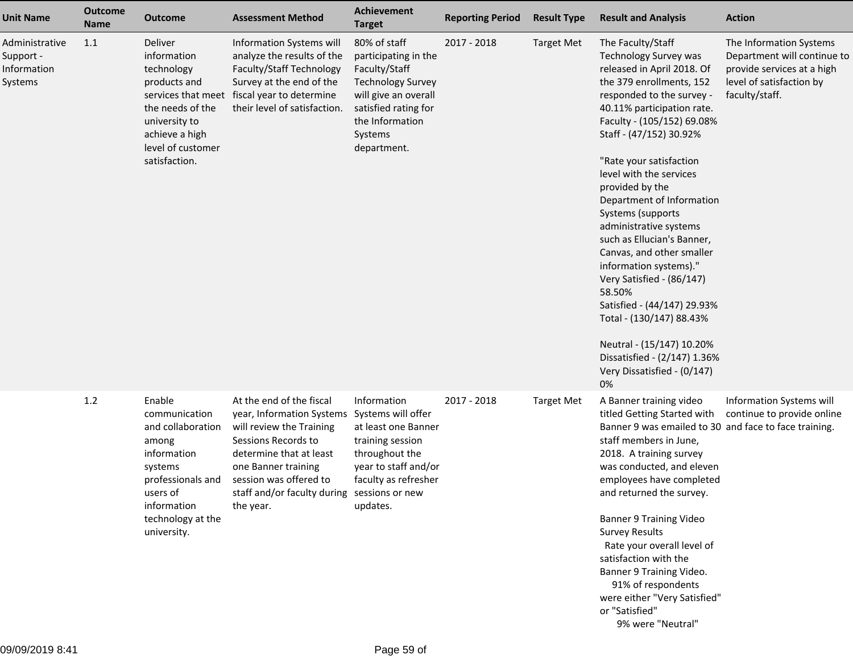| <b>Unit Name</b>                                      | <b>Outcome</b><br><b>Name</b> | <b>Outcome</b>                                                                                                                                                      | <b>Assessment Method</b>                                                                                                                                                                                                                         | <b>Achievement</b><br><b>Target</b>                                                                                                                                            | <b>Reporting Period</b> | <b>Result Type</b> | <b>Result and Analysis</b>                                                                                                                                                                                                                                                                                                                                                                                                                                                                                                                                                                                                                                                    | <b>Action</b>                                                                                                                      |
|-------------------------------------------------------|-------------------------------|---------------------------------------------------------------------------------------------------------------------------------------------------------------------|--------------------------------------------------------------------------------------------------------------------------------------------------------------------------------------------------------------------------------------------------|--------------------------------------------------------------------------------------------------------------------------------------------------------------------------------|-------------------------|--------------------|-------------------------------------------------------------------------------------------------------------------------------------------------------------------------------------------------------------------------------------------------------------------------------------------------------------------------------------------------------------------------------------------------------------------------------------------------------------------------------------------------------------------------------------------------------------------------------------------------------------------------------------------------------------------------------|------------------------------------------------------------------------------------------------------------------------------------|
| Administrative<br>Support -<br>Information<br>Systems | 1.1                           | Deliver<br>information<br>technology<br>products and<br>the needs of the<br>university to<br>achieve a high<br>level of customer<br>satisfaction.                   | Information Systems will<br>analyze the results of the<br>Faculty/Staff Technology<br>Survey at the end of the<br>services that meet fiscal year to determine<br>their level of satisfaction.                                                    | 80% of staff<br>participating in the<br>Faculty/Staff<br><b>Technology Survey</b><br>will give an overall<br>satisfied rating for<br>the Information<br>Systems<br>department. | 2017 - 2018             | <b>Target Met</b>  | The Faculty/Staff<br><b>Technology Survey was</b><br>released in April 2018. Of<br>the 379 enrollments, 152<br>responded to the survey -<br>40.11% participation rate.<br>Faculty - (105/152) 69.08%<br>Staff - (47/152) 30.92%<br>"Rate your satisfaction<br>level with the services<br>provided by the<br>Department of Information<br>Systems (supports<br>administrative systems<br>such as Ellucian's Banner,<br>Canvas, and other smaller<br>information systems)."<br>Very Satisfied - (86/147)<br>58.50%<br>Satisfied - (44/147) 29.93%<br>Total - (130/147) 88.43%<br>Neutral - (15/147) 10.20%<br>Dissatisfied - (2/147) 1.36%<br>Very Dissatisfied - (0/147)<br>0% | The Information Systems<br>Department will continue to<br>provide services at a high<br>level of satisfaction by<br>faculty/staff. |
|                                                       | 1.2                           | Enable<br>communication<br>and collaboration<br>among<br>information<br>systems<br>professionals and<br>users of<br>information<br>technology at the<br>university. | At the end of the fiscal<br>year, Information Systems<br>will review the Training<br>Sessions Records to<br>determine that at least<br>one Banner training<br>session was offered to<br>staff and/or faculty during sessions or new<br>the year. | Information<br>Systems will offer<br>at least one Banner<br>training session<br>throughout the<br>year to staff and/or<br>faculty as refresher<br>updates.                     | 2017 - 2018             | <b>Target Met</b>  | A Banner training video<br>titled Getting Started with<br>Banner 9 was emailed to 30 and face to face training.<br>staff members in June,<br>2018. A training survey<br>was conducted, and eleven<br>employees have completed<br>and returned the survey.<br><b>Banner 9 Training Video</b><br><b>Survey Results</b><br>Rate your overall level of<br>satisfaction with the<br>Banner 9 Training Video.<br>91% of respondents<br>were either "Very Satisfied"<br>or "Satisfied"<br>9% were "Neutral"                                                                                                                                                                          | Information Systems will<br>continue to provide online                                                                             |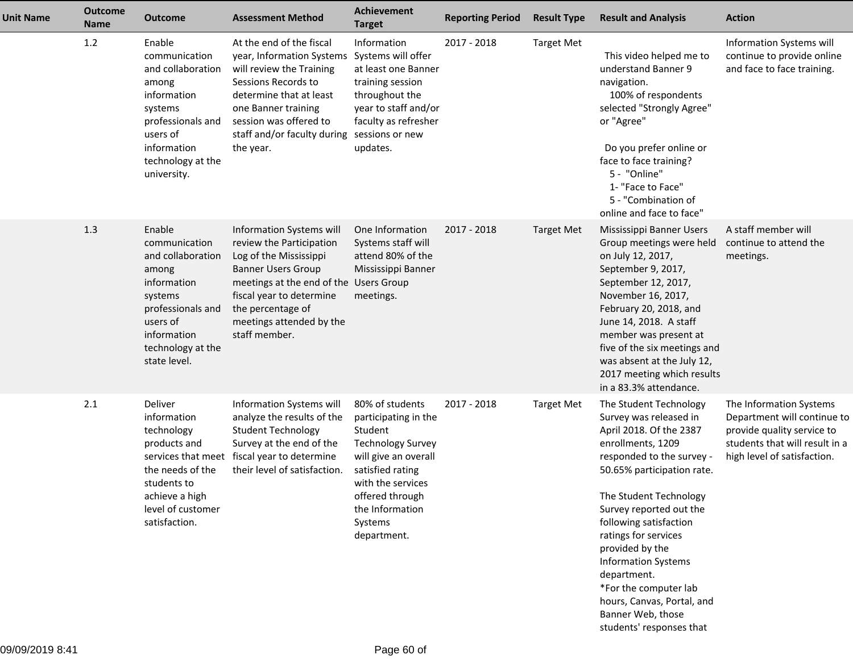| <b>Unit Name</b> | <b>Outcome</b><br><b>Name</b> | <b>Outcome</b>                                                                                                                                                        | <b>Assessment Method</b>                                                                                                                                                                                                                            | <b>Achievement</b><br><b>Target</b>                                                                                                                                                                             | <b>Reporting Period</b> | <b>Result Type</b> | <b>Result and Analysis</b>                                                                                                                                                                                                                                                                                                                                                                                                                 | <b>Action</b>                                                                                                                                         |
|------------------|-------------------------------|-----------------------------------------------------------------------------------------------------------------------------------------------------------------------|-----------------------------------------------------------------------------------------------------------------------------------------------------------------------------------------------------------------------------------------------------|-----------------------------------------------------------------------------------------------------------------------------------------------------------------------------------------------------------------|-------------------------|--------------------|--------------------------------------------------------------------------------------------------------------------------------------------------------------------------------------------------------------------------------------------------------------------------------------------------------------------------------------------------------------------------------------------------------------------------------------------|-------------------------------------------------------------------------------------------------------------------------------------------------------|
|                  | 1.2                           | Enable<br>communication<br>and collaboration<br>among<br>information<br>systems<br>professionals and<br>users of<br>information<br>technology at the<br>university.   | At the end of the fiscal<br>year, Information Systems<br>will review the Training<br>Sessions Records to<br>determine that at least<br>one Banner training<br>session was offered to<br>staff and/or faculty during<br>the year.                    | Information<br>Systems will offer<br>at least one Banner<br>training session<br>throughout the<br>year to staff and/or<br>faculty as refresher<br>sessions or new<br>updates.                                   | 2017 - 2018             | <b>Target Met</b>  | This video helped me to<br>understand Banner 9<br>navigation.<br>100% of respondents<br>selected "Strongly Agree"<br>or "Agree"<br>Do you prefer online or<br>face to face training?<br>5 - "Online"<br>1- "Face to Face"<br>5 - "Combination of<br>online and face to face"                                                                                                                                                               | Information Systems will<br>continue to provide online<br>and face to face training.                                                                  |
|                  | 1.3                           | Enable<br>communication<br>and collaboration<br>among<br>information<br>systems<br>professionals and<br>users of<br>information<br>technology at the<br>state level.  | Information Systems will<br>review the Participation<br>Log of the Mississippi<br><b>Banner Users Group</b><br>meetings at the end of the Users Group<br>fiscal year to determine<br>the percentage of<br>meetings attended by the<br>staff member. | One Information<br>Systems staff will<br>attend 80% of the<br>Mississippi Banner<br>meetings.                                                                                                                   | 2017 - 2018             | <b>Target Met</b>  | Mississippi Banner Users<br>Group meetings were held<br>on July 12, 2017,<br>September 9, 2017,<br>September 12, 2017,<br>November 16, 2017,<br>February 20, 2018, and<br>June 14, 2018. A staff<br>member was present at<br>five of the six meetings and<br>was absent at the July 12,<br>2017 meeting which results<br>in a 83.3% attendance.                                                                                            | A staff member will<br>continue to attend the<br>meetings.                                                                                            |
|                  | 2.1                           | Deliver<br>information<br>technology<br>products and<br>services that meet<br>the needs of the<br>students to<br>achieve a high<br>level of customer<br>satisfaction. | Information Systems will<br>analyze the results of the<br><b>Student Technology</b><br>Survey at the end of the<br>fiscal year to determine<br>their level of satisfaction.                                                                         | 80% of students<br>participating in the<br>Student<br><b>Technology Survey</b><br>will give an overall<br>satisfied rating<br>with the services<br>offered through<br>the Information<br>Systems<br>department. | 2017 - 2018             | <b>Target Met</b>  | The Student Technology<br>Survey was released in<br>April 2018. Of the 2387<br>enrollments, 1209<br>responded to the survey -<br>50.65% participation rate.<br>The Student Technology<br>Survey reported out the<br>following satisfaction<br>ratings for services<br>provided by the<br><b>Information Systems</b><br>department.<br>*For the computer lab<br>hours, Canvas, Portal, and<br>Banner Web, those<br>students' responses that | The Information Systems<br>Department will continue to<br>provide quality service to<br>students that will result in a<br>high level of satisfaction. |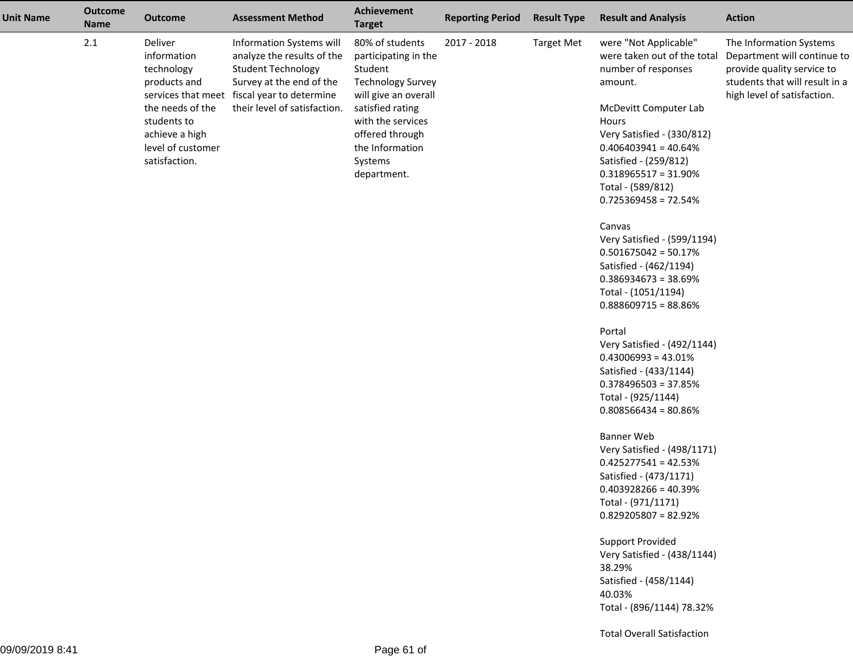| <b>Unit Name</b> | <b>Outcome</b><br><b>Name</b> | <b>Outcome</b>                                                                                                                                  | <b>Assessment Method</b>                                                                                                                                                                       | <b>Target</b>                                                                                                                                                                                                                         | <b>Reporting Period</b> | <b>Result Type</b> | <b>Result and Analysis</b>                                                                                                                                                                                                                                                                                                                                                                                                                                                                                            | <b>Action</b>                                                                                                                                         |
|------------------|-------------------------------|-------------------------------------------------------------------------------------------------------------------------------------------------|------------------------------------------------------------------------------------------------------------------------------------------------------------------------------------------------|---------------------------------------------------------------------------------------------------------------------------------------------------------------------------------------------------------------------------------------|-------------------------|--------------------|-----------------------------------------------------------------------------------------------------------------------------------------------------------------------------------------------------------------------------------------------------------------------------------------------------------------------------------------------------------------------------------------------------------------------------------------------------------------------------------------------------------------------|-------------------------------------------------------------------------------------------------------------------------------------------------------|
|                  | $2.1\,$                       | Deliver<br>information<br>technology<br>products and<br>the needs of the<br>students to<br>achieve a high<br>level of customer<br>satisfaction. | Information Systems will<br>analyze the results of the<br><b>Student Technology</b><br>Survey at the end of the<br>services that meet fiscal year to determine<br>their level of satisfaction. | <b>Achievement</b><br>80% of students<br>participating in the<br>Student<br><b>Technology Survey</b><br>will give an overall<br>satisfied rating<br>with the services<br>offered through<br>the Information<br>Systems<br>department. | 2017 - 2018             | <b>Target Met</b>  | were "Not Applicable"<br>were taken out of the total<br>number of responses<br>amount.<br>McDevitt Computer Lab<br>Hours<br>Very Satisfied - (330/812)<br>$0.406403941 = 40.64%$<br>Satisfied - (259/812)<br>$0.318965517 = 31.90\%$<br>Total - (589/812)<br>$0.725369458 = 72.54%$<br>Canvas<br>Very Satisfied - (599/1194)<br>$0.501675042 = 50.17%$<br>Satisfied - (462/1194)<br>$0.386934673 = 38.69\%$<br>Total - (1051/1194)                                                                                    | The Information Systems<br>Department will continue to<br>provide quality service to<br>students that will result in a<br>high level of satisfaction. |
|                  |                               |                                                                                                                                                 |                                                                                                                                                                                                |                                                                                                                                                                                                                                       |                         |                    | $0.888609715 = 88.86\%$<br>Portal<br>Very Satisfied - (492/1144)<br>$0.43006993 = 43.01\%$<br>Satisfied - (433/1144)<br>$0.378496503 = 37.85%$<br>Total - (925/1144)<br>$0.808566434 = 80.86%$<br><b>Banner Web</b><br>Very Satisfied - (498/1171)<br>$0.425277541 = 42.53%$<br>Satisfied - (473/1171)<br>$0.403928266 = 40.39%$<br>Total - (971/1171)<br>$0.829205807 = 82.92%$<br><b>Support Provided</b><br>Very Satisfied - (438/1144)<br>38.29%<br>Satisfied - (458/1144)<br>40.03%<br>Total - (896/1144) 78.32% |                                                                                                                                                       |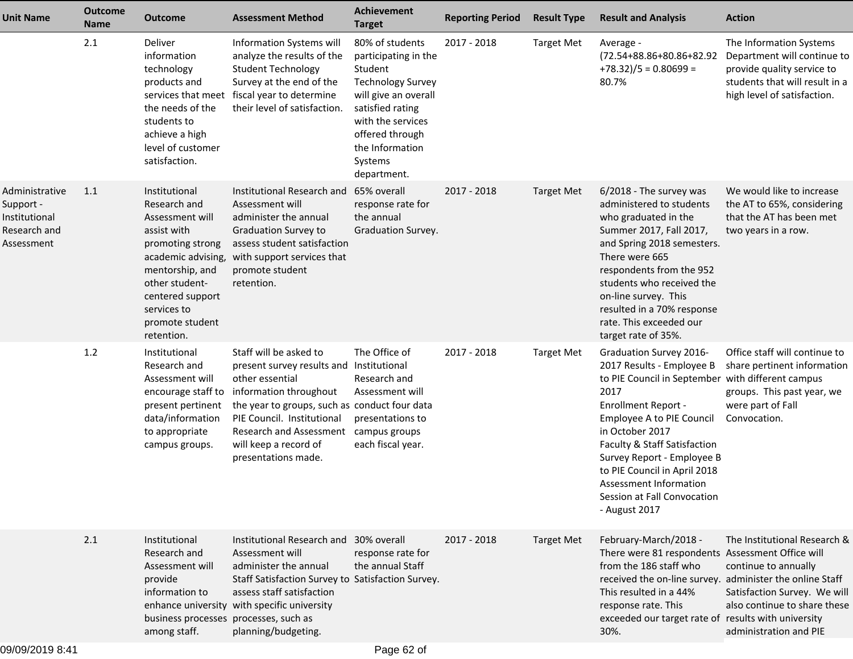| <b>Unit Name</b>                                                           | <b>Outcome</b><br>Name | <b>Outcome</b>                                                                                                                                                                                                     | <b>Assessment Method</b>                                                                                                                                                                                                                                                  | <b>Achievement</b><br><b>Target</b>                                                                                                                                                                             | <b>Reporting Period</b> | <b>Result Type</b> | <b>Result and Analysis</b>                                                                                                                                                                                                                                                                                                                                              | <b>Action</b>                                                                                                                                         |
|----------------------------------------------------------------------------|------------------------|--------------------------------------------------------------------------------------------------------------------------------------------------------------------------------------------------------------------|---------------------------------------------------------------------------------------------------------------------------------------------------------------------------------------------------------------------------------------------------------------------------|-----------------------------------------------------------------------------------------------------------------------------------------------------------------------------------------------------------------|-------------------------|--------------------|-------------------------------------------------------------------------------------------------------------------------------------------------------------------------------------------------------------------------------------------------------------------------------------------------------------------------------------------------------------------------|-------------------------------------------------------------------------------------------------------------------------------------------------------|
|                                                                            | 2.1                    | Deliver<br>information<br>technology<br>products and<br>the needs of the<br>students to<br>achieve a high<br>level of customer<br>satisfaction.                                                                    | Information Systems will<br>analyze the results of the<br><b>Student Technology</b><br>Survey at the end of the<br>services that meet fiscal year to determine<br>their level of satisfaction.                                                                            | 80% of students<br>participating in the<br>Student<br><b>Technology Survey</b><br>will give an overall<br>satisfied rating<br>with the services<br>offered through<br>the Information<br>Systems<br>department. | 2017 - 2018             | <b>Target Met</b>  | Average -<br>(72.54+88.86+80.86+82.92<br>$+78.32)/5 = 0.80699 =$<br>80.7%                                                                                                                                                                                                                                                                                               | The Information Systems<br>Department will continue to<br>provide quality service to<br>students that will result in a<br>high level of satisfaction. |
| Administrative<br>Support -<br>Institutional<br>Research and<br>Assessment | 1.1                    | Institutional<br>Research and<br>Assessment will<br>assist with<br>promoting strong<br>academic advising,<br>mentorship, and<br>other student-<br>centered support<br>services to<br>promote student<br>retention. | Institutional Research and<br>Assessment will<br>administer the annual<br><b>Graduation Survey to</b><br>assess student satisfaction<br>with support services that<br>promote student<br>retention.                                                                       | 65% overall<br>response rate for<br>the annual<br>Graduation Survey.                                                                                                                                            | 2017 - 2018             | <b>Target Met</b>  | 6/2018 - The survey was<br>administered to students<br>who graduated in the<br>Summer 2017, Fall 2017,<br>and Spring 2018 semesters.<br>There were 665<br>respondents from the 952<br>students who received the<br>on-line survey. This<br>resulted in a 70% response<br>rate. This exceeded our<br>target rate of 35%.                                                 | We would like to increase<br>the AT to 65%, considering<br>that the AT has been met<br>two years in a row.                                            |
|                                                                            | 1.2                    | Institutional<br>Research and<br>Assessment will<br>encourage staff to<br>present pertinent<br>data/information<br>to appropriate<br>campus groups.                                                                | Staff will be asked to<br>present survey results and Institutional<br>other essential<br>information throughout<br>the year to groups, such as conduct four data<br>PIE Council. Institutional<br>Research and Assessment<br>will keep a record of<br>presentations made. | The Office of<br>Research and<br>Assessment will<br>presentations to<br>campus groups<br>each fiscal year.                                                                                                      | 2017 - 2018             | <b>Target Met</b>  | Graduation Survey 2016-<br>2017 Results - Employee B<br>to PIE Council in September with different campus<br>2017<br><b>Enrollment Report -</b><br>Employee A to PIE Council<br>in October 2017<br>Faculty & Staff Satisfaction<br>Survey Report - Employee B<br>to PIE Council in April 2018<br>Assessment Information<br>Session at Fall Convocation<br>- August 2017 | Office staff will continue to<br>share pertinent information<br>groups. This past year, we<br>were part of Fall<br>Convocation.                       |
|                                                                            | 2.1                    | Institutional<br>Research and<br>Assessment will<br>provide<br>information to<br>enhance university<br>business processes processes, such as<br>among staff.                                                       | Institutional Research and 30% overall<br>Assessment will<br>administer the annual<br>Staff Satisfaction Survey to Satisfaction Survey.<br>assess staff satisfaction<br>with specific university<br>planning/budgeting.                                                   | response rate for<br>the annual Staff                                                                                                                                                                           | 2017 - 2018             | <b>Target Met</b>  | February-March/2018 -<br>There were 81 respondents Assessment Office will<br>from the 186 staff who<br>received the on-line survey. administer the online Staff<br>This resulted in a 44%<br>response rate. This<br>exceeded our target rate of results with university<br>30%.                                                                                         | The Institutional Research &<br>continue to annually<br>Satisfaction Survey. We will<br>also continue to share these<br>administration and PIE        |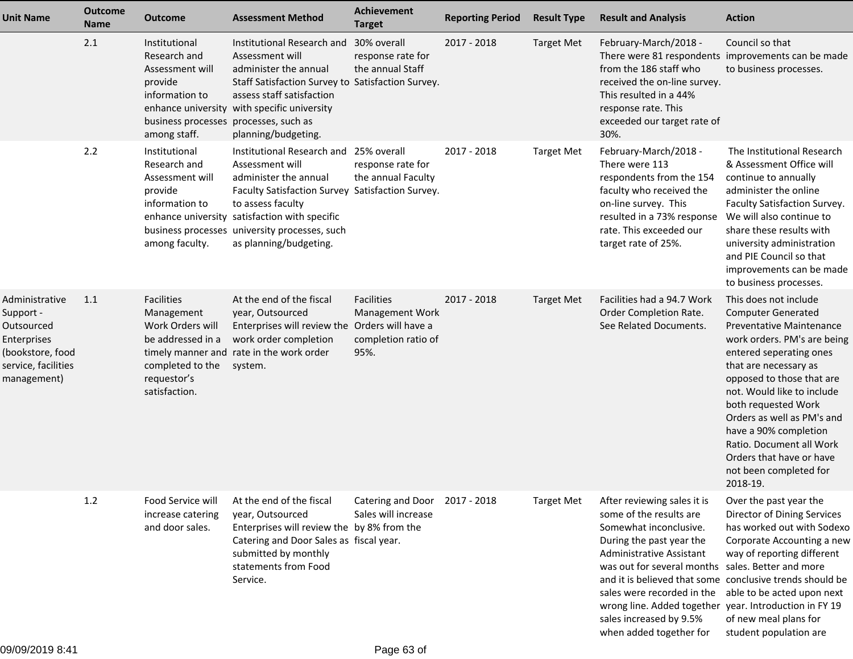| <b>Unit Name</b>                                                                                                   | <b>Outcome</b><br><b>Name</b> | <b>Outcome</b>                                                                                                                         | <b>Assessment Method</b>                                                                                                                                                                                                                                                                | <b>Achievement</b><br><b>Target</b>                          | <b>Reporting Period</b> | <b>Result Type</b> | <b>Result and Analysis</b>                                                                                                                                                                                                                                                                                                                                                                              | <b>Action</b>                                                                                                                                                                                                                                                                                                                                                                                                   |
|--------------------------------------------------------------------------------------------------------------------|-------------------------------|----------------------------------------------------------------------------------------------------------------------------------------|-----------------------------------------------------------------------------------------------------------------------------------------------------------------------------------------------------------------------------------------------------------------------------------------|--------------------------------------------------------------|-------------------------|--------------------|---------------------------------------------------------------------------------------------------------------------------------------------------------------------------------------------------------------------------------------------------------------------------------------------------------------------------------------------------------------------------------------------------------|-----------------------------------------------------------------------------------------------------------------------------------------------------------------------------------------------------------------------------------------------------------------------------------------------------------------------------------------------------------------------------------------------------------------|
|                                                                                                                    | 2.1                           | Institutional<br>Research and<br>Assessment will<br>provide<br>information to<br>business processes processes, such as<br>among staff. | Institutional Research and 30% overall<br>Assessment will<br>administer the annual<br>Staff Satisfaction Survey to Satisfaction Survey.<br>assess staff satisfaction<br>enhance university with specific university<br>planning/budgeting.                                              | response rate for<br>the annual Staff                        | 2017 - 2018             | <b>Target Met</b>  | February-March/2018 -<br>There were 81 respondents improvements can be made<br>from the 186 staff who<br>received the on-line survey.<br>This resulted in a 44%<br>response rate. This<br>exceeded our target rate of<br>30%.                                                                                                                                                                           | Council so that<br>to business processes.                                                                                                                                                                                                                                                                                                                                                                       |
|                                                                                                                    | 2.2                           | Institutional<br>Research and<br>Assessment will<br>provide<br>information to<br>among faculty.                                        | Institutional Research and 25% overall<br>Assessment will<br>administer the annual<br>Faculty Satisfaction Survey Satisfaction Survey.<br>to assess faculty<br>enhance university satisfaction with specific<br>business processes university processes, such<br>as planning/budgeting. | response rate for<br>the annual Faculty                      | 2017 - 2018             | <b>Target Met</b>  | February-March/2018 -<br>There were 113<br>respondents from the 154<br>faculty who received the<br>on-line survey. This<br>resulted in a 73% response<br>rate. This exceeded our<br>target rate of 25%.                                                                                                                                                                                                 | The Institutional Research<br>& Assessment Office will<br>continue to annually<br>administer the online<br>Faculty Satisfaction Survey.<br>We will also continue to<br>share these results with<br>university administration<br>and PIE Council so that<br>improvements can be made<br>to business processes.                                                                                                   |
| Administrative<br>Support -<br>Outsourced<br>Enterprises<br>(bookstore, food<br>service, facilities<br>management) | 1.1                           | <b>Facilities</b><br>Management<br>Work Orders will<br>be addressed in a<br>completed to the<br>requestor's<br>satisfaction.           | At the end of the fiscal<br>year, Outsourced<br>Enterprises will review the Orders will have a<br>work order completion<br>timely manner and rate in the work order<br>system.                                                                                                          | Facilities<br>Management Work<br>completion ratio of<br>95%. | 2017 - 2018             | <b>Target Met</b>  | Facilities had a 94.7 Work<br>Order Completion Rate.<br>See Related Documents.                                                                                                                                                                                                                                                                                                                          | This does not include<br><b>Computer Generated</b><br><b>Preventative Maintenance</b><br>work orders. PM's are being<br>entered seperating ones<br>that are necessary as<br>opposed to those that are<br>not. Would like to include<br>both requested Work<br>Orders as well as PM's and<br>have a 90% completion<br>Ratio. Document all Work<br>Orders that have or have<br>not been completed for<br>2018-19. |
|                                                                                                                    | 1.2                           | Food Service will<br>increase catering<br>and door sales.                                                                              | At the end of the fiscal<br>year, Outsourced<br>Enterprises will review the by 8% from the<br>Catering and Door Sales as fiscal year.<br>submitted by monthly<br>statements from Food<br>Service.                                                                                       | Catering and Door 2017 - 2018<br>Sales will increase         |                         | <b>Target Met</b>  | After reviewing sales it is<br>some of the results are<br>Somewhat inconclusive.<br>During the past year the<br>Administrative Assistant<br>was out for several months sales. Better and more<br>and it is believed that some conclusive trends should be<br>sales were recorded in the<br>wrong line. Added together year. Introduction in FY 19<br>sales increased by 9.5%<br>when added together for | Over the past year the<br>Director of Dining Services<br>has worked out with Sodexo<br>Corporate Accounting a new<br>way of reporting different<br>able to be acted upon next<br>of new meal plans for<br>student population are                                                                                                                                                                                |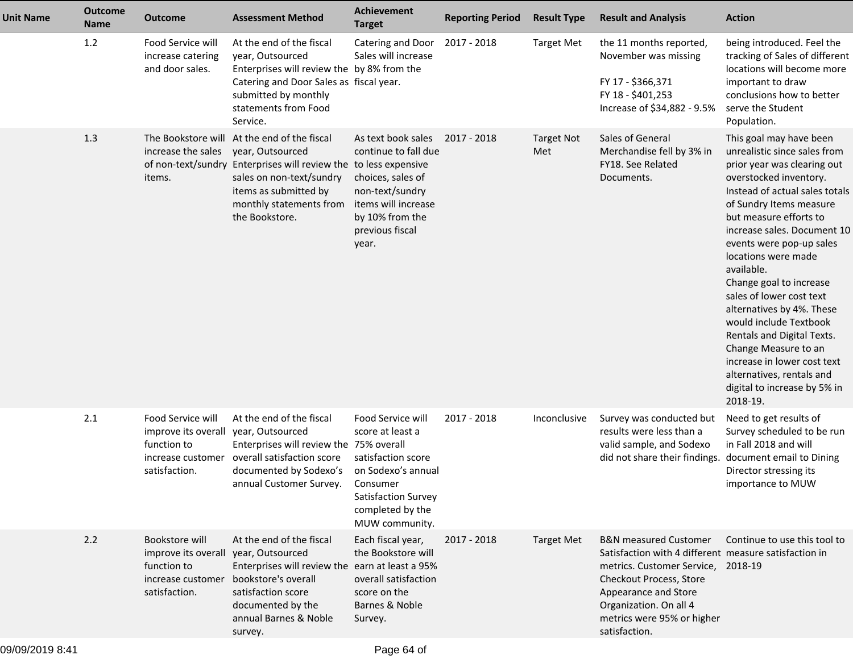| <b>Unit Name</b> | <b>Outcome</b><br><b>Name</b> | <b>Outcome</b>                                                                                                 | <b>Assessment Method</b>                                                                                                                                                                                                              | Achievement<br><b>Target</b>                                                                                                                               | <b>Reporting Period</b> | <b>Result Type</b>       | <b>Result and Analysis</b>                                                                                                                                                                                                                                  | <b>Action</b>                                                                                                                                                                                                                                                                                                                                                                                                                                                                                                                                                                       |
|------------------|-------------------------------|----------------------------------------------------------------------------------------------------------------|---------------------------------------------------------------------------------------------------------------------------------------------------------------------------------------------------------------------------------------|------------------------------------------------------------------------------------------------------------------------------------------------------------|-------------------------|--------------------------|-------------------------------------------------------------------------------------------------------------------------------------------------------------------------------------------------------------------------------------------------------------|-------------------------------------------------------------------------------------------------------------------------------------------------------------------------------------------------------------------------------------------------------------------------------------------------------------------------------------------------------------------------------------------------------------------------------------------------------------------------------------------------------------------------------------------------------------------------------------|
|                  | 1.2                           | Food Service will<br>increase catering<br>and door sales.                                                      | At the end of the fiscal<br>year, Outsourced<br>Enterprises will review the by 8% from the<br>Catering and Door Sales as fiscal year.<br>submitted by monthly<br>statements from Food<br>Service.                                     | Catering and Door<br>Sales will increase                                                                                                                   | 2017 - 2018             | <b>Target Met</b>        | the 11 months reported,<br>November was missing<br>FY 17 - \$366,371<br>FY 18 - \$401,253<br>Increase of \$34,882 - 9.5%                                                                                                                                    | being introduced. Feel the<br>tracking of Sales of different<br>locations will become more<br>important to draw<br>conclusions how to better<br>serve the Student<br>Population.                                                                                                                                                                                                                                                                                                                                                                                                    |
|                  | 1.3                           | increase the sales<br>items.                                                                                   | The Bookstore will At the end of the fiscal<br>year, Outsourced<br>of non-text/sundry Enterprises will review the to less expensive<br>sales on non-text/sundry<br>items as submitted by<br>monthly statements from<br>the Bookstore. | As text book sales<br>continue to fall due<br>choices, sales of<br>non-text/sundry<br>items will increase<br>by 10% from the<br>previous fiscal<br>year.   | 2017 - 2018             | <b>Target Not</b><br>Met | Sales of General<br>Merchandise fell by 3% in<br>FY18. See Related<br>Documents.                                                                                                                                                                            | This goal may have been<br>unrealistic since sales from<br>prior year was clearing out<br>overstocked inventory.<br>Instead of actual sales totals<br>of Sundry Items measure<br>but measure efforts to<br>increase sales. Document 10<br>events were pop-up sales<br>locations were made<br>available.<br>Change goal to increase<br>sales of lower cost text<br>alternatives by 4%. These<br>would include Textbook<br>Rentals and Digital Texts.<br>Change Measure to an<br>increase in lower cost text<br>alternatives, rentals and<br>digital to increase by 5% in<br>2018-19. |
|                  | 2.1                           | Food Service will<br>improve its overall year, Outsourced<br>function to<br>increase customer<br>satisfaction. | At the end of the fiscal<br>Enterprises will review the 75% overall<br>overall satisfaction score<br>documented by Sodexo's<br>annual Customer Survey.                                                                                | Food Service will<br>score at least a<br>satisfaction score<br>on Sodexo's annual<br>Consumer<br>Satisfaction Survey<br>completed by the<br>MUW community. | 2017 - 2018             | Inconclusive             | Survey was conducted but<br>results were less than a<br>valid sample, and Sodexo<br>did not share their findings.                                                                                                                                           | Need to get results of<br>Survey scheduled to be run<br>in Fall 2018 and will<br>document email to Dining<br>Director stressing its<br>importance to MUW                                                                                                                                                                                                                                                                                                                                                                                                                            |
|                  | 2.2                           | Bookstore will<br>improve its overall year, Outsourced<br>function to<br>increase customer<br>satisfaction.    | At the end of the fiscal<br>Enterprises will review the earn at least a 95%<br>bookstore's overall<br>satisfaction score<br>documented by the<br>annual Barnes & Noble<br>survey.                                                     | Each fiscal year,<br>the Bookstore will<br>overall satisfaction<br>score on the<br>Barnes & Noble<br>Survey.                                               | 2017 - 2018             | <b>Target Met</b>        | <b>B&amp;N</b> measured Customer<br>Satisfaction with 4 different measure satisfaction in<br>metrics. Customer Service, 2018-19<br>Checkout Process, Store<br>Appearance and Store<br>Organization. On all 4<br>metrics were 95% or higher<br>satisfaction. | Continue to use this tool to                                                                                                                                                                                                                                                                                                                                                                                                                                                                                                                                                        |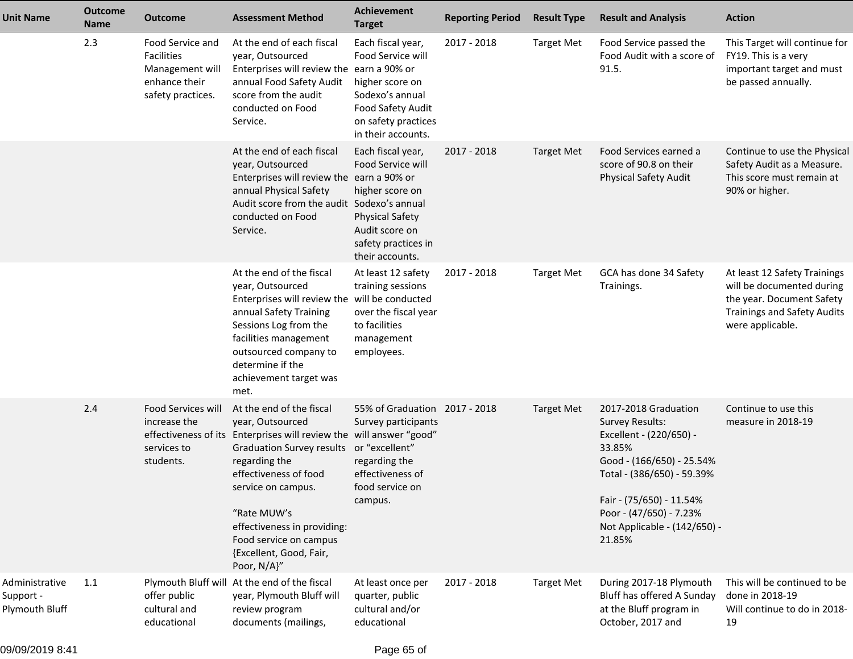| <b>Unit Name</b>                              | <b>Outcome</b><br><b>Name</b> | <b>Outcome</b>                                                                                 | <b>Assessment Method</b>                                                                                                                                                                                                                                                                                                                  | <b>Achievement</b><br><b>Target</b>                                                                                                             | <b>Reporting Period</b> | <b>Result Type</b> | <b>Result and Analysis</b>                                                                                                                                                                                                                      | <b>Action</b>                                                                                                                                    |
|-----------------------------------------------|-------------------------------|------------------------------------------------------------------------------------------------|-------------------------------------------------------------------------------------------------------------------------------------------------------------------------------------------------------------------------------------------------------------------------------------------------------------------------------------------|-------------------------------------------------------------------------------------------------------------------------------------------------|-------------------------|--------------------|-------------------------------------------------------------------------------------------------------------------------------------------------------------------------------------------------------------------------------------------------|--------------------------------------------------------------------------------------------------------------------------------------------------|
|                                               | 2.3                           | Food Service and<br><b>Facilities</b><br>Management will<br>enhance their<br>safety practices. | At the end of each fiscal<br>year, Outsourced<br>Enterprises will review the earn a 90% or<br>annual Food Safety Audit<br>score from the audit<br>conducted on Food<br>Service.                                                                                                                                                           | Each fiscal year,<br>Food Service will<br>higher score on<br>Sodexo's annual<br>Food Safety Audit<br>on safety practices<br>in their accounts.  | 2017 - 2018             | <b>Target Met</b>  | Food Service passed the<br>Food Audit with a score of<br>91.5.                                                                                                                                                                                  | This Target will continue for<br>FY19. This is a very<br>important target and must<br>be passed annually.                                        |
|                                               |                               |                                                                                                | At the end of each fiscal<br>year, Outsourced<br>Enterprises will review the earn a 90% or<br>annual Physical Safety<br>Audit score from the audit Sodexo's annual<br>conducted on Food<br>Service.                                                                                                                                       | Each fiscal year,<br>Food Service will<br>higher score on<br><b>Physical Safety</b><br>Audit score on<br>safety practices in<br>their accounts. | 2017 - 2018             | <b>Target Met</b>  | Food Services earned a<br>score of 90.8 on their<br><b>Physical Safety Audit</b>                                                                                                                                                                | Continue to use the Physical<br>Safety Audit as a Measure.<br>This score must remain at<br>90% or higher.                                        |
|                                               |                               |                                                                                                | At the end of the fiscal<br>year, Outsourced<br>Enterprises will review the will be conducted<br>annual Safety Training<br>Sessions Log from the<br>facilities management<br>outsourced company to<br>determine if the<br>achievement target was<br>met.                                                                                  | At least 12 safety<br>training sessions<br>over the fiscal year<br>to facilities<br>management<br>employees.                                    | 2017 - 2018             | <b>Target Met</b>  | GCA has done 34 Safety<br>Trainings.                                                                                                                                                                                                            | At least 12 Safety Trainings<br>will be documented during<br>the year. Document Safety<br><b>Trainings and Safety Audits</b><br>were applicable. |
|                                               | 2.4                           | Food Services will<br>increase the<br>services to<br>students.                                 | At the end of the fiscal<br>year, Outsourced<br>effectiveness of its Enterprises will review the will answer "good"<br><b>Graduation Survey results</b><br>regarding the<br>effectiveness of food<br>service on campus.<br>"Rate MUW's<br>effectiveness in providing:<br>Food service on campus<br>{Excellent, Good, Fair,<br>Poor, N/A}" | 55% of Graduation 2017 - 2018<br>Survey participants<br>or "excellent"<br>regarding the<br>effectiveness of<br>food service on<br>campus.       |                         | <b>Target Met</b>  | 2017-2018 Graduation<br><b>Survey Results:</b><br>Excellent - (220/650) -<br>33.85%<br>Good - (166/650) - 25.54%<br>Total - (386/650) - 59.39%<br>Fair - (75/650) - 11.54%<br>Poor - (47/650) - 7.23%<br>Not Applicable - (142/650) -<br>21.85% | Continue to use this<br>measure in 2018-19                                                                                                       |
| Administrative<br>Support -<br>Plymouth Bluff | 1.1                           | offer public<br>cultural and<br>educational                                                    | Plymouth Bluff will At the end of the fiscal<br>year, Plymouth Bluff will<br>review program<br>documents (mailings,                                                                                                                                                                                                                       | At least once per<br>quarter, public<br>cultural and/or<br>educational                                                                          | 2017 - 2018             | <b>Target Met</b>  | During 2017-18 Plymouth<br>Bluff has offered A Sunday<br>at the Bluff program in<br>October, 2017 and                                                                                                                                           | This will be continued to be<br>done in 2018-19<br>Will continue to do in 2018-<br>19                                                            |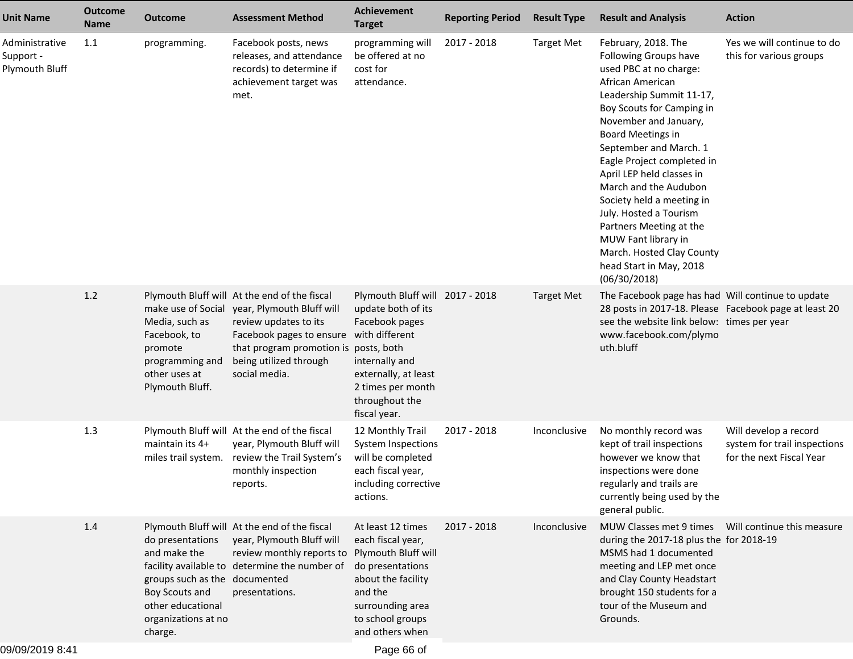| <b>Outcome</b><br>Name | <b>Outcome</b>                                                                                                         | <b>Assessment Method</b>                             | Achievement<br><b>Target</b>                                                                                                                                                                                                                                                                                                                                                                                                  | <b>Reporting Period</b>                                                                                                                                                                                                                                                                                                                                                | <b>Result Type</b>              | <b>Result and Analysis</b>                                                                                                                                                                                                                                                                                                                                                                                                                                                                              | <b>Action</b>                                                                     |
|------------------------|------------------------------------------------------------------------------------------------------------------------|------------------------------------------------------|-------------------------------------------------------------------------------------------------------------------------------------------------------------------------------------------------------------------------------------------------------------------------------------------------------------------------------------------------------------------------------------------------------------------------------|------------------------------------------------------------------------------------------------------------------------------------------------------------------------------------------------------------------------------------------------------------------------------------------------------------------------------------------------------------------------|---------------------------------|---------------------------------------------------------------------------------------------------------------------------------------------------------------------------------------------------------------------------------------------------------------------------------------------------------------------------------------------------------------------------------------------------------------------------------------------------------------------------------------------------------|-----------------------------------------------------------------------------------|
| 1.1                    | programming.                                                                                                           | releases, and attendance<br>records) to determine if | programming will<br>attendance.                                                                                                                                                                                                                                                                                                                                                                                               | 2017 - 2018                                                                                                                                                                                                                                                                                                                                                            | <b>Target Met</b>               | February, 2018. The<br>Following Groups have<br>used PBC at no charge:<br>African American<br>Leadership Summit 11-17,<br>Boy Scouts for Camping in<br>November and January,<br><b>Board Meetings in</b><br>September and March. 1<br>Eagle Project completed in<br>April LEP held classes in<br>March and the Audubon<br>Society held a meeting in<br>July. Hosted a Tourism<br>Partners Meeting at the<br>MUW Fant library in<br>March. Hosted Clay County<br>head Start in May, 2018<br>(06/30/2018) | Yes we will continue to do<br>this for various groups                             |
| 1.2                    | make use of Social<br>Media, such as<br>Facebook, to<br>promote<br>programming and<br>other uses at<br>Plymouth Bluff. | review updates to its<br>being utilized through      | Facebook pages<br>internally and<br>externally, at least<br>2 times per month<br>throughout the                                                                                                                                                                                                                                                                                                                               |                                                                                                                                                                                                                                                                                                                                                                        | <b>Target Met</b>               | The Facebook page has had Will continue to update<br>28 posts in 2017-18. Please Facebook page at least 20<br>see the website link below: times per year<br>www.facebook.com/plymo<br>uth.bluff                                                                                                                                                                                                                                                                                                         |                                                                                   |
| 1.3                    | maintain its 4+<br>miles trail system.                                                                                 | monthly inspection<br>reports.                       | each fiscal year,<br>including corrective<br>actions.                                                                                                                                                                                                                                                                                                                                                                         | 2017 - 2018                                                                                                                                                                                                                                                                                                                                                            | Inconclusive                    | No monthly record was<br>kept of trail inspections<br>however we know that<br>inspections were done<br>regularly and trails are<br>currently being used by the<br>general public.                                                                                                                                                                                                                                                                                                                       | Will develop a record<br>system for trail inspections<br>for the next Fiscal Year |
| 1.4                    | do presentations<br>and make the<br>Boy Scouts and<br>other educational<br>organizations at no<br>charge.              | presentations.                                       | about the facility<br>and the<br>to school groups<br>and others when                                                                                                                                                                                                                                                                                                                                                          | 2017 - 2018                                                                                                                                                                                                                                                                                                                                                            | <i>Inconclusive</i>             | MUW Classes met 9 times     Will continue this measure<br>during the 2017-18 plus the for 2018-19<br>MSMS had 1 documented<br>meeting and LEP met once<br>and Clay County Headstart<br>brought 150 students for a<br>tour of the Museum and<br>Grounds.                                                                                                                                                                                                                                                 |                                                                                   |
|                        |                                                                                                                        |                                                      | Facebook posts, news<br>achievement target was<br>met.<br>Plymouth Bluff will At the end of the fiscal<br>year, Plymouth Bluff will<br>social media.<br>Plymouth Bluff will At the end of the fiscal<br>year, Plymouth Bluff will<br>review the Trail System's<br>Plymouth Bluff will At the end of the fiscal<br>year, Plymouth Bluff will<br>facility available to determine the number of<br>groups such as the documented | be offered at no<br>cost for<br>update both of its<br>Facebook pages to ensure with different<br>that program promotion is posts, both<br>fiscal year.<br>12 Monthly Trail<br>System Inspections<br>will be completed<br>At least 12 times<br>each fiscal year,<br>review monthly reports to Plymouth Bluff will<br>do presentations<br>surrounding area<br>Page 66 of | Plymouth Bluff will 2017 - 2018 |                                                                                                                                                                                                                                                                                                                                                                                                                                                                                                         |                                                                                   |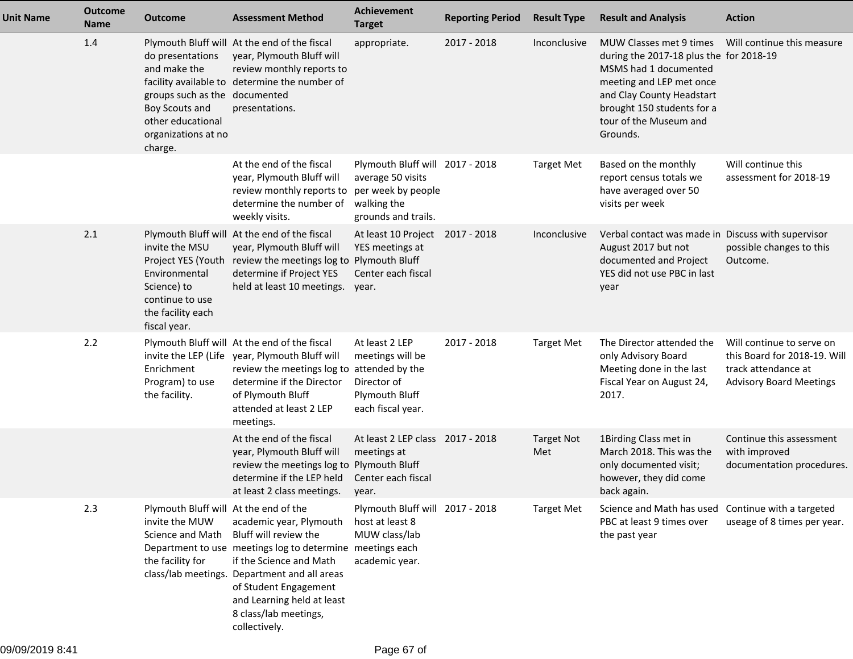| <b>Unit Name</b> | <b>Outcome</b><br><b>Name</b> | <b>Outcome</b>                                                                                                                             | <b>Assessment Method</b>                                                                                                                                                                                                                                                                  | <b>Achievement</b><br><b>Target</b>                                                                     | <b>Reporting Period</b> | <b>Result Type</b>       | <b>Result and Analysis</b>                                                                                                                                                                                               | <b>Action</b>                                                                                                      |
|------------------|-------------------------------|--------------------------------------------------------------------------------------------------------------------------------------------|-------------------------------------------------------------------------------------------------------------------------------------------------------------------------------------------------------------------------------------------------------------------------------------------|---------------------------------------------------------------------------------------------------------|-------------------------|--------------------------|--------------------------------------------------------------------------------------------------------------------------------------------------------------------------------------------------------------------------|--------------------------------------------------------------------------------------------------------------------|
|                  | 1.4                           | do presentations<br>and make the<br>groups such as the documented<br>Boy Scouts and<br>other educational<br>organizations at no<br>charge. | Plymouth Bluff will At the end of the fiscal<br>year, Plymouth Bluff will<br>review monthly reports to<br>facility available to determine the number of<br>presentations.                                                                                                                 | appropriate.                                                                                            | 2017 - 2018             | Inconclusive             | MUW Classes met 9 times<br>during the 2017-18 plus the for 2018-19<br>MSMS had 1 documented<br>meeting and LEP met once<br>and Clay County Headstart<br>brought 150 students for a<br>tour of the Museum and<br>Grounds. | Will continue this measure                                                                                         |
|                  |                               |                                                                                                                                            | At the end of the fiscal<br>year, Plymouth Bluff will<br>review monthly reports to per week by people<br>determine the number of<br>weekly visits.                                                                                                                                        | Plymouth Bluff will 2017 - 2018<br>average 50 visits<br>walking the<br>grounds and trails.              |                         | <b>Target Met</b>        | Based on the monthly<br>report census totals we<br>have averaged over 50<br>visits per week                                                                                                                              | Will continue this<br>assessment for 2018-19                                                                       |
|                  | 2.1                           | invite the MSU<br>Environmental<br>Science) to<br>continue to use<br>the facility each<br>fiscal year.                                     | Plymouth Bluff will At the end of the fiscal<br>year, Plymouth Bluff will<br>Project YES (Youth review the meetings log to Plymouth Bluff<br>determine if Project YES<br>held at least 10 meetings.                                                                                       | At least 10 Project 2017 - 2018<br>YES meetings at<br>Center each fiscal<br>year.                       |                         | Inconclusive             | Verbal contact was made in Discuss with supervisor<br>August 2017 but not<br>documented and Project<br>YES did not use PBC in last<br>year                                                                               | possible changes to this<br>Outcome.                                                                               |
|                  | 2.2                           | Enrichment<br>Program) to use<br>the facility.                                                                                             | Plymouth Bluff will At the end of the fiscal<br>invite the LEP (Life year, Plymouth Bluff will<br>review the meetings log to attended by the<br>determine if the Director<br>of Plymouth Bluff<br>attended at least 2 LEP<br>meetings.                                                    | At least 2 LEP<br>meetings will be<br>Director of<br>Plymouth Bluff<br>each fiscal year.                | 2017 - 2018             | <b>Target Met</b>        | The Director attended the<br>only Advisory Board<br>Meeting done in the last<br>Fiscal Year on August 24,<br>2017.                                                                                                       | Will continue to serve on<br>this Board for 2018-19. Will<br>track attendance at<br><b>Advisory Board Meetings</b> |
|                  |                               |                                                                                                                                            | At the end of the fiscal<br>year, Plymouth Bluff will<br>review the meetings log to<br>determine if the LEP held<br>at least 2 class meetings.                                                                                                                                            | At least 2 LEP class 2017 - 2018<br>meetings at<br><b>Plymouth Bluff</b><br>Center each fiscal<br>year. |                         | <b>Target Not</b><br>Met | 1Birding Class met in<br>March 2018. This was the<br>only documented visit;<br>however, they did come<br>back again.                                                                                                     | Continue this assessment<br>with improved<br>documentation procedures.                                             |
|                  | 2.3                           | Plymouth Bluff will At the end of the<br>invite the MUW<br>Science and Math<br>the facility for                                            | academic year, Plymouth<br>Bluff will review the<br>Department to use meetings log to determine meetings each<br>if the Science and Math<br>class/lab meetings. Department and all areas<br>of Student Engagement<br>and Learning held at least<br>8 class/lab meetings,<br>collectively. | Plymouth Bluff will 2017 - 2018<br>host at least 8<br>MUW class/lab<br>academic year.                   |                         | <b>Target Met</b>        | Science and Math has used<br>PBC at least 9 times over<br>the past year                                                                                                                                                  | Continue with a targeted<br>useage of 8 times per year.                                                            |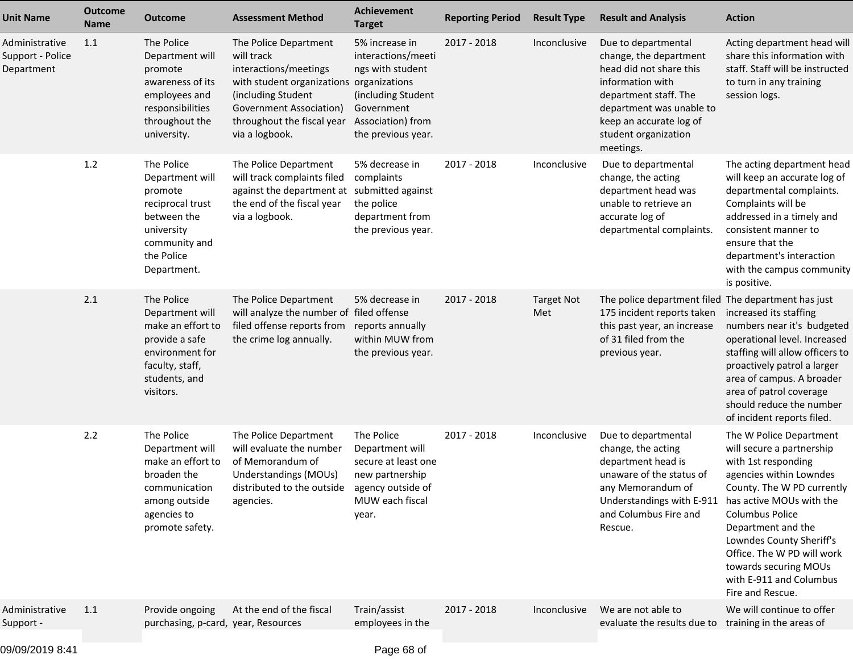| <b>Unit Name</b>                                 | <b>Outcome</b><br><b>Name</b> | <b>Outcome</b>                                                                                                                           | <b>Assessment Method</b>                                                                                                                                                                                  | <b>Achievement</b><br><b>Target</b>                                                                                                     | <b>Reporting Period</b> | <b>Result Type</b>       | <b>Result and Analysis</b>                                                                                                                                                                                        | <b>Action</b>                                                                                                                                                                                                                                                                                                                                      |
|--------------------------------------------------|-------------------------------|------------------------------------------------------------------------------------------------------------------------------------------|-----------------------------------------------------------------------------------------------------------------------------------------------------------------------------------------------------------|-----------------------------------------------------------------------------------------------------------------------------------------|-------------------------|--------------------------|-------------------------------------------------------------------------------------------------------------------------------------------------------------------------------------------------------------------|----------------------------------------------------------------------------------------------------------------------------------------------------------------------------------------------------------------------------------------------------------------------------------------------------------------------------------------------------|
| Administrative<br>Support - Police<br>Department | 1.1                           | The Police<br>Department will<br>promote<br>awareness of its<br>employees and<br>responsibilities<br>throughout the<br>university.       | The Police Department<br>will track<br>interactions/meetings<br>with student organizations organizations<br>(including Student<br>Government Association)<br>throughout the fiscal year<br>via a logbook. | 5% increase in<br>interactions/meeti<br>ngs with student<br>(including Student<br>Government<br>Association) from<br>the previous year. | $2017 - 2018$           | Inconclusive             | Due to departmental<br>change, the department<br>head did not share this<br>information with<br>department staff. The<br>department was unable to<br>keep an accurate log of<br>student organization<br>meetings. | Acting department head will<br>share this information with<br>staff. Staff will be instructed<br>to turn in any training<br>session logs.                                                                                                                                                                                                          |
|                                                  | 1.2                           | The Police<br>Department will<br>promote<br>reciprocal trust<br>between the<br>university<br>community and<br>the Police<br>Department.  | The Police Department<br>will track complaints filed<br>against the department at<br>the end of the fiscal year<br>via a logbook.                                                                         | 5% decrease in<br>complaints<br>submitted against<br>the police<br>department from<br>the previous year.                                | 2017 - 2018             | Inconclusive             | Due to departmental<br>change, the acting<br>department head was<br>unable to retrieve an<br>accurate log of<br>departmental complaints.                                                                          | The acting department head<br>will keep an accurate log of<br>departmental complaints.<br>Complaints will be<br>addressed in a timely and<br>consistent manner to<br>ensure that the<br>department's interaction<br>with the campus community<br>is positive.                                                                                      |
|                                                  | 2.1                           | The Police<br>Department will<br>make an effort to<br>provide a safe<br>environment for<br>faculty, staff,<br>students, and<br>visitors. | The Police Department<br>will analyze the number of filed offense<br>filed offense reports from<br>the crime log annually.                                                                                | 5% decrease in<br>reports annually<br>within MUW from<br>the previous year.                                                             | 2017 - 2018             | <b>Target Not</b><br>Met | The police department filed The department has just<br>175 incident reports taken<br>this past year, an increase<br>of 31 filed from the<br>previous year.                                                        | increased its staffing<br>numbers near it's budgeted<br>operational level. Increased<br>staffing will allow officers to<br>proactively patrol a larger<br>area of campus. A broader<br>area of patrol coverage<br>should reduce the number<br>of incident reports filed.                                                                           |
|                                                  | 2.2                           | The Police<br>Department will<br>make an effort to<br>broaden the<br>communication<br>among outside<br>agencies to<br>promote safety.    | The Police Department<br>will evaluate the number<br>of Memorandum of<br>Understandings (MOUs)<br>distributed to the outside agency outside of<br>agencies.                                               | The Police<br>Department will<br>secure at least one<br>new partnership<br>MUW each fiscal<br>year.                                     | 2017 - 2018             | Inconclusive             | Due to departmental<br>change, the acting<br>department head is<br>unaware of the status of<br>any Memorandum of<br>Understandings with E-911<br>and Columbus Fire and<br>Rescue.                                 | The W Police Department<br>will secure a partnership<br>with 1st responding<br>agencies within Lowndes<br>County. The W PD currently<br>has active MOUs with the<br><b>Columbus Police</b><br>Department and the<br>Lowndes County Sheriff's<br>Office. The W PD will work<br>towards securing MOUs<br>with E-911 and Columbus<br>Fire and Rescue. |
| Administrative<br>Support -                      | 1.1                           | Provide ongoing<br>purchasing, p-card, year, Resources                                                                                   | At the end of the fiscal                                                                                                                                                                                  | Train/assist<br>employees in the                                                                                                        | 2017 - 2018             | Inconclusive             | We are not able to<br>evaluate the results due to                                                                                                                                                                 | We will continue to offer<br>training in the areas of                                                                                                                                                                                                                                                                                              |
|                                                  |                               |                                                                                                                                          |                                                                                                                                                                                                           |                                                                                                                                         |                         |                          |                                                                                                                                                                                                                   |                                                                                                                                                                                                                                                                                                                                                    |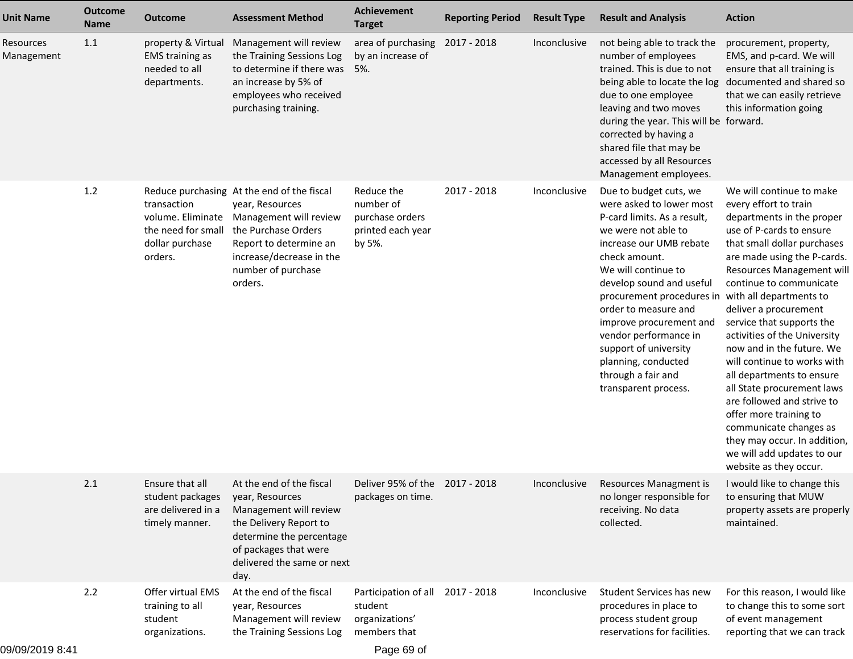| <b>Unit Name</b>        | <b>Outcome</b><br>Name | <b>Outcome</b>                                                                       | <b>Assessment Method</b>                                                                                                                                                                              | <b>Achievement</b><br><b>Target</b>                                       | <b>Reporting Period</b> | <b>Result Type</b> | <b>Result and Analysis</b>                                                                                                                                                                                                                                                                                                                                                                                     | <b>Action</b>                                                                                                                                                                                                                                                                                                                                                                                                                                                                                                                                                                                                                                      |
|-------------------------|------------------------|--------------------------------------------------------------------------------------|-------------------------------------------------------------------------------------------------------------------------------------------------------------------------------------------------------|---------------------------------------------------------------------------|-------------------------|--------------------|----------------------------------------------------------------------------------------------------------------------------------------------------------------------------------------------------------------------------------------------------------------------------------------------------------------------------------------------------------------------------------------------------------------|----------------------------------------------------------------------------------------------------------------------------------------------------------------------------------------------------------------------------------------------------------------------------------------------------------------------------------------------------------------------------------------------------------------------------------------------------------------------------------------------------------------------------------------------------------------------------------------------------------------------------------------------------|
| Resources<br>Management | 1.1                    | property & Virtual<br><b>EMS</b> training as<br>needed to all<br>departments.        | Management will review<br>the Training Sessions Log<br>to determine if there was<br>an increase by 5% of<br>employees who received<br>purchasing training.                                            | area of purchasing<br>by an increase of<br>5%.                            | 2017 - 2018             | Inconclusive       | not being able to track the<br>number of employees<br>trained. This is due to not<br>being able to locate the log<br>due to one employee<br>leaving and two moves<br>during the year. This will be forward.<br>corrected by having a<br>shared file that may be<br>accessed by all Resources<br>Management employees.                                                                                          | procurement, property,<br>EMS, and p-card. We will<br>ensure that all training is<br>documented and shared so<br>that we can easily retrieve<br>this information going                                                                                                                                                                                                                                                                                                                                                                                                                                                                             |
|                         | 1.2                    | transaction<br>volume. Eliminate<br>the need for small<br>dollar purchase<br>orders. | Reduce purchasing At the end of the fiscal<br>year, Resources<br>Management will review<br>the Purchase Orders<br>Report to determine an<br>increase/decrease in the<br>number of purchase<br>orders. | Reduce the<br>number of<br>purchase orders<br>printed each year<br>by 5%. | 2017 - 2018             | Inconclusive       | Due to budget cuts, we<br>were asked to lower most<br>P-card limits. As a result,<br>we were not able to<br>increase our UMB rebate<br>check amount.<br>We will continue to<br>develop sound and useful<br>procurement procedures in<br>order to measure and<br>improve procurement and<br>vendor performance in<br>support of university<br>planning, conducted<br>through a fair and<br>transparent process. | We will continue to make<br>every effort to train<br>departments in the proper<br>use of P-cards to ensure<br>that small dollar purchases<br>are made using the P-cards.<br>Resources Management will<br>continue to communicate<br>with all departments to<br>deliver a procurement<br>service that supports the<br>activities of the University<br>now and in the future. We<br>will continue to works with<br>all departments to ensure<br>all State procurement laws<br>are followed and strive to<br>offer more training to<br>communicate changes as<br>they may occur. In addition,<br>we will add updates to our<br>website as they occur. |
|                         | 2.1                    | Ensure that all<br>student packages<br>are delivered in a<br>timely manner.          | At the end of the fiscal<br>year, Resources<br>Management will review<br>the Delivery Report to<br>determine the percentage<br>of packages that were<br>delivered the same or next<br>day.            | Deliver 95% of the 2017 - 2018<br>packages on time.                       |                         | Inconclusive       | Resources Managment is<br>no longer responsible for<br>receiving. No data<br>collected.                                                                                                                                                                                                                                                                                                                        | I would like to change this<br>to ensuring that MUW<br>property assets are properly<br>maintained.                                                                                                                                                                                                                                                                                                                                                                                                                                                                                                                                                 |
|                         | 2.2                    | Offer virtual EMS<br>training to all<br>student<br>organizations.                    | At the end of the fiscal<br>year, Resources<br>Management will review<br>the Training Sessions Log                                                                                                    | Participation of all<br>student<br>organizations'<br>members that         | 2017 - 2018             | Inconclusive       | Student Services has new<br>procedures in place to<br>process student group<br>reservations for facilities.                                                                                                                                                                                                                                                                                                    | For this reason, I would like<br>to change this to some sort<br>of event management<br>reporting that we can track                                                                                                                                                                                                                                                                                                                                                                                                                                                                                                                                 |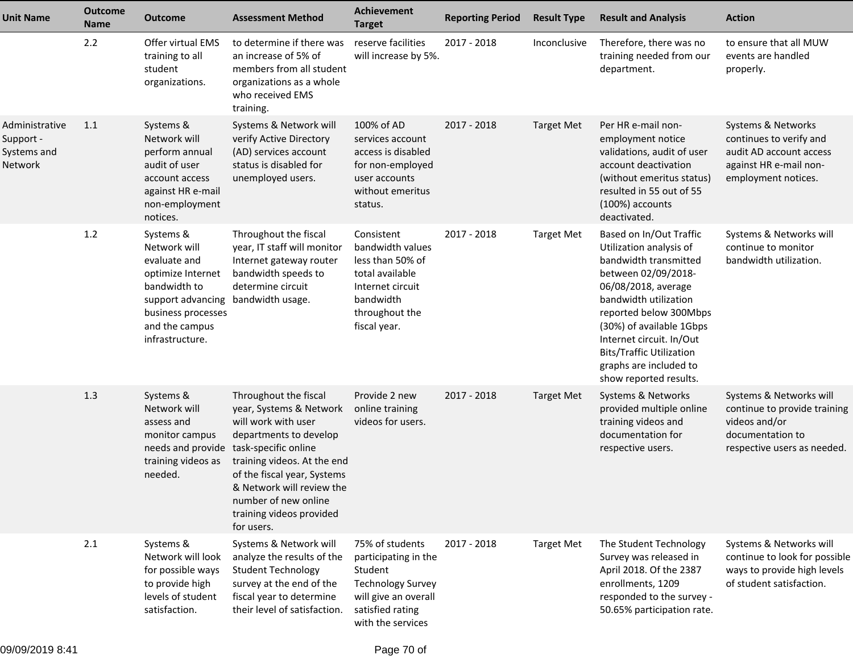| <b>Unit Name</b>                                             | <b>Outcome</b><br><b>Name</b> | <b>Outcome</b>                                                                                                                                                 | <b>Assessment Method</b>                                                                                                                                                                                                                                       | Achievement<br><b>Target</b>                                                                                                                    | <b>Reporting Period</b> | <b>Result Type</b> | <b>Result and Analysis</b>                                                                                                                                                                                                                                                                                                  | <b>Action</b>                                                                                                               |
|--------------------------------------------------------------|-------------------------------|----------------------------------------------------------------------------------------------------------------------------------------------------------------|----------------------------------------------------------------------------------------------------------------------------------------------------------------------------------------------------------------------------------------------------------------|-------------------------------------------------------------------------------------------------------------------------------------------------|-------------------------|--------------------|-----------------------------------------------------------------------------------------------------------------------------------------------------------------------------------------------------------------------------------------------------------------------------------------------------------------------------|-----------------------------------------------------------------------------------------------------------------------------|
|                                                              | 2.2                           | Offer virtual EMS<br>training to all<br>student<br>organizations.                                                                                              | to determine if there was<br>an increase of 5% of<br>members from all student<br>organizations as a whole<br>who received EMS<br>training.                                                                                                                     | reserve facilities<br>will increase by 5%.                                                                                                      | 2017 - 2018             | Inconclusive       | Therefore, there was no<br>training needed from our<br>department.                                                                                                                                                                                                                                                          | to ensure that all MUW<br>events are handled<br>properly.                                                                   |
| Administrative<br>Support -<br>Systems and<br><b>Network</b> | 1.1                           | Systems &<br>Network will<br>perform annual<br>audit of user<br>account access<br>against HR e-mail<br>non-employment<br>notices.                              | Systems & Network will<br>verify Active Directory<br>(AD) services account<br>status is disabled for<br>unemployed users.                                                                                                                                      | 100% of AD<br>services account<br>access is disabled<br>for non-employed<br>user accounts<br>without emeritus<br>status.                        | 2017 - 2018             | <b>Target Met</b>  | Per HR e-mail non-<br>employment notice<br>validations, audit of user<br>account deactivation<br>(without emeritus status)<br>resulted in 55 out of 55<br>(100%) accounts<br>deactivated.                                                                                                                                   | Systems & Networks<br>continues to verify and<br>audit AD account access<br>against HR e-mail non-<br>employment notices.   |
|                                                              | 1.2                           | Systems &<br>Network will<br>evaluate and<br>optimize Internet<br>bandwidth to<br>support advancing<br>business processes<br>and the campus<br>infrastructure. | Throughout the fiscal<br>year, IT staff will monitor<br>Internet gateway router<br>bandwidth speeds to<br>determine circuit<br>bandwidth usage.                                                                                                                | Consistent<br>bandwidth values<br>less than 50% of<br>total available<br>Internet circuit<br>bandwidth<br>throughout the<br>fiscal year.        | 2017 - 2018             | <b>Target Met</b>  | Based on In/Out Traffic<br>Utilization analysis of<br>bandwidth transmitted<br>between 02/09/2018-<br>06/08/2018, average<br>bandwidth utilization<br>reported below 300Mbps<br>(30%) of available 1Gbps<br>Internet circuit. In/Out<br><b>Bits/Traffic Utilization</b><br>graphs are included to<br>show reported results. | Systems & Networks will<br>continue to monitor<br>bandwidth utilization.                                                    |
|                                                              | 1.3                           | Systems &<br>Network will<br>assess and<br>monitor campus<br>needs and provide task-specific online<br>training videos as<br>needed.                           | Throughout the fiscal<br>year, Systems & Network<br>will work with user<br>departments to develop<br>training videos. At the end<br>of the fiscal year, Systems<br>& Network will review the<br>number of new online<br>training videos provided<br>for users. | Provide 2 new<br>online training<br>videos for users.                                                                                           | 2017 - 2018             | <b>Target Met</b>  | Systems & Networks<br>provided multiple online<br>training videos and<br>documentation for<br>respective users.                                                                                                                                                                                                             | Systems & Networks will<br>continue to provide training<br>videos and/or<br>documentation to<br>respective users as needed. |
|                                                              | 2.1                           | Systems &<br>Network will look<br>for possible ways<br>to provide high<br>levels of student<br>satisfaction.                                                   | Systems & Network will<br>analyze the results of the<br><b>Student Technology</b><br>survey at the end of the<br>fiscal year to determine<br>their level of satisfaction.                                                                                      | 75% of students<br>participating in the<br>Student<br><b>Technology Survey</b><br>will give an overall<br>satisfied rating<br>with the services | 2017 - 2018             | <b>Target Met</b>  | The Student Technology<br>Survey was released in<br>April 2018. Of the 2387<br>enrollments, 1209<br>responded to the survey -<br>50.65% participation rate.                                                                                                                                                                 | Systems & Networks will<br>continue to look for possible<br>ways to provide high levels<br>of student satisfaction.         |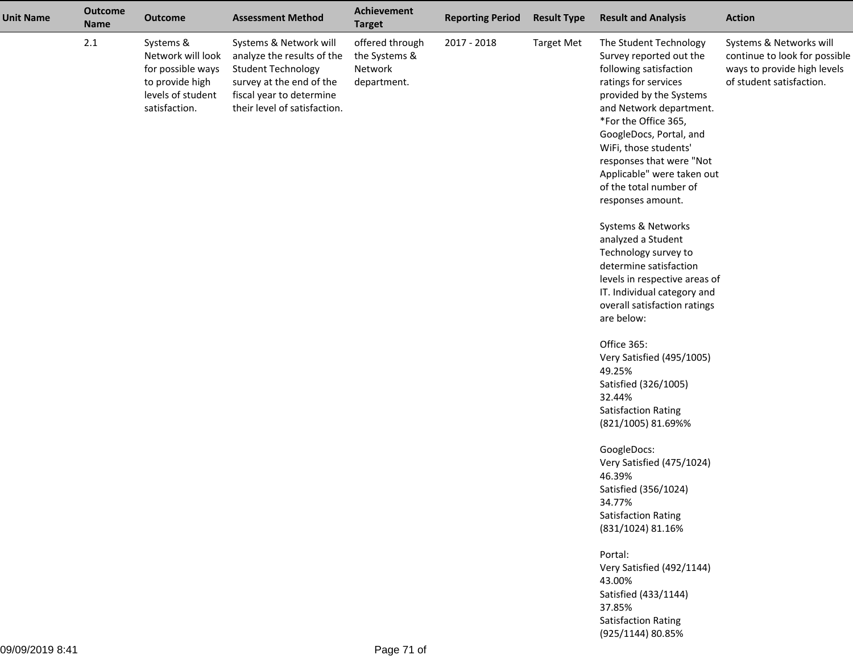| <b>Unit Name</b> | <b>Outcome</b><br>Name | <b>Outcome</b>                                                                                               | <b>Assessment Method</b>                                                                                                                                                  | <b>Achievement</b><br><b>Target</b>                        | <b>Reporting Period</b> | <b>Result Type</b> | <b>Result and Analysis</b>                                                                                                                                                                                                                                                                                                                     | <b>Action</b>                                                                                                       |
|------------------|------------------------|--------------------------------------------------------------------------------------------------------------|---------------------------------------------------------------------------------------------------------------------------------------------------------------------------|------------------------------------------------------------|-------------------------|--------------------|------------------------------------------------------------------------------------------------------------------------------------------------------------------------------------------------------------------------------------------------------------------------------------------------------------------------------------------------|---------------------------------------------------------------------------------------------------------------------|
|                  | $2.1\,$                | Systems &<br>Network will look<br>for possible ways<br>to provide high<br>levels of student<br>satisfaction. | Systems & Network will<br>analyze the results of the<br><b>Student Technology</b><br>survey at the end of the<br>fiscal year to determine<br>their level of satisfaction. | offered through<br>the Systems &<br>Network<br>department. | 2017 - 2018             | <b>Target Met</b>  | The Student Technology<br>Survey reported out the<br>following satisfaction<br>ratings for services<br>provided by the Systems<br>and Network department.<br>*For the Office 365,<br>GoogleDocs, Portal, and<br>WiFi, those students'<br>responses that were "Not<br>Applicable" were taken out<br>of the total number of<br>responses amount. | Systems & Networks will<br>continue to look for possible<br>ways to provide high levels<br>of student satisfaction. |
|                  |                        |                                                                                                              |                                                                                                                                                                           |                                                            |                         |                    | Systems & Networks<br>analyzed a Student<br>Technology survey to<br>determine satisfaction<br>levels in respective areas of<br>IT. Individual category and<br>overall satisfaction ratings<br>are below:                                                                                                                                       |                                                                                                                     |
|                  |                        |                                                                                                              |                                                                                                                                                                           |                                                            |                         |                    | Office 365:<br>Very Satisfied (495/1005)<br>49.25%<br>Satisfied (326/1005)<br>32.44%<br><b>Satisfaction Rating</b><br>(821/1005) 81.69%%                                                                                                                                                                                                       |                                                                                                                     |
|                  |                        |                                                                                                              |                                                                                                                                                                           |                                                            |                         |                    | GoogleDocs:<br>Very Satisfied (475/1024)<br>46.39%<br>Satisfied (356/1024)<br>34.77%<br><b>Satisfaction Rating</b><br>(831/1024) 81.16%                                                                                                                                                                                                        |                                                                                                                     |
|                  |                        |                                                                                                              |                                                                                                                                                                           |                                                            |                         |                    | Portal:<br>Very Satisfied (492/1144)<br>43.00%<br>Satisfied (433/1144)<br>37.85%<br><b>Satisfaction Rating</b><br>(925/1144) 80.85%                                                                                                                                                                                                            |                                                                                                                     |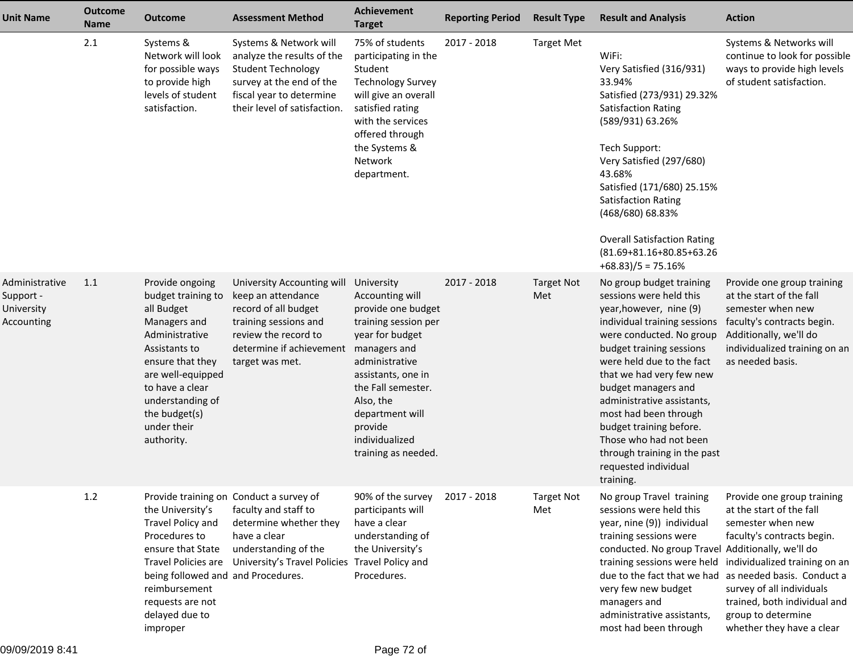| <b>Unit Name</b>                                        | <b>Outcome</b><br><b>Name</b> | <b>Outcome</b>                                                                                                                                                                                                                       | <b>Assessment Method</b>                                                                                                                                                            | Achievement<br><b>Target</b>                                                                                                                                                                                                                                     | <b>Reporting Period</b> | <b>Result Type</b>       | <b>Result and Analysis</b>                                                                                                                                                                                                                                                                                                                                                                                                              | <b>Action</b>                                                                                                                                                                                                                                                                                                        |
|---------------------------------------------------------|-------------------------------|--------------------------------------------------------------------------------------------------------------------------------------------------------------------------------------------------------------------------------------|-------------------------------------------------------------------------------------------------------------------------------------------------------------------------------------|------------------------------------------------------------------------------------------------------------------------------------------------------------------------------------------------------------------------------------------------------------------|-------------------------|--------------------------|-----------------------------------------------------------------------------------------------------------------------------------------------------------------------------------------------------------------------------------------------------------------------------------------------------------------------------------------------------------------------------------------------------------------------------------------|----------------------------------------------------------------------------------------------------------------------------------------------------------------------------------------------------------------------------------------------------------------------------------------------------------------------|
|                                                         | 2.1                           | Systems &<br>Network will look<br>for possible ways<br>to provide high<br>levels of student<br>satisfaction.                                                                                                                         | Systems & Network will<br>analyze the results of the<br><b>Student Technology</b><br>survey at the end of the<br>fiscal year to determine<br>their level of satisfaction.           | 75% of students<br>participating in the<br>Student<br><b>Technology Survey</b><br>will give an overall<br>satisfied rating<br>with the services<br>offered through<br>the Systems &<br>Network<br>department.                                                    | 2017 - 2018             | <b>Target Met</b>        | WiFi:<br>Very Satisfied (316/931)<br>33.94%<br>Satisfied (273/931) 29.32%<br><b>Satisfaction Rating</b><br>(589/931) 63.26%<br>Tech Support:<br>Very Satisfied (297/680)<br>43.68%<br>Satisfied (171/680) 25.15%<br><b>Satisfaction Rating</b><br>(468/680) 68.83%<br><b>Overall Satisfaction Rating</b><br>(81.69+81.16+80.85+63.26<br>$+68.83$ )/5 = 75.16%                                                                           | Systems & Networks will<br>continue to look for possible<br>ways to provide high levels<br>of student satisfaction.                                                                                                                                                                                                  |
| Administrative<br>Support -<br>University<br>Accounting | 1.1                           | Provide ongoing<br>budget training to<br>all Budget<br>Managers and<br>Administrative<br>Assistants to<br>ensure that they<br>are well-equipped<br>to have a clear<br>understanding of<br>the budget(s)<br>under their<br>authority. | University Accounting will<br>keep an attendance<br>record of all budget<br>training sessions and<br>review the record to<br>determine if achievement<br>target was met.            | University<br>Accounting will<br>provide one budget<br>training session per<br>year for budget<br>managers and<br>administrative<br>assistants, one in<br>the Fall semester.<br>Also, the<br>department will<br>provide<br>individualized<br>training as needed. | 2017 - 2018             | <b>Target Not</b><br>Met | No group budget training<br>sessions were held this<br>year, however, nine (9)<br>individual training sessions<br>were conducted. No group<br>budget training sessions<br>were held due to the fact<br>that we had very few new<br>budget managers and<br>administrative assistants,<br>most had been through<br>budget training before.<br>Those who had not been<br>through training in the past<br>requested individual<br>training. | Provide one group training<br>at the start of the fall<br>semester when new<br>faculty's contracts begin.<br>Additionally, we'll do<br>individualized training on an<br>as needed basis.                                                                                                                             |
|                                                         | 1.2                           | the University's<br>Travel Policy and<br>Procedures to<br>ensure that State<br>Travel Policies are<br>being followed and and Procedures.<br>reimbursement<br>requests are not<br>delayed due to<br>improper                          | Provide training on Conduct a survey of<br>faculty and staff to<br>determine whether they<br>have a clear<br>understanding of the<br>University's Travel Policies Travel Policy and | 90% of the survey<br>participants will<br>have a clear<br>understanding of<br>the University's<br>Procedures.                                                                                                                                                    | 2017 - 2018             | <b>Target Not</b><br>Met | No group Travel training<br>sessions were held this<br>year, nine (9)) individual<br>training sessions were<br>conducted. No group Travel Additionally, we'll do<br>due to the fact that we had<br>very few new budget<br>managers and<br>administrative assistants,<br>most had been through                                                                                                                                           | Provide one group training<br>at the start of the fall<br>semester when new<br>faculty's contracts begin.<br>training sessions were held individualized training on an<br>as needed basis. Conduct a<br>survey of all individuals<br>trained, both individual and<br>group to determine<br>whether they have a clear |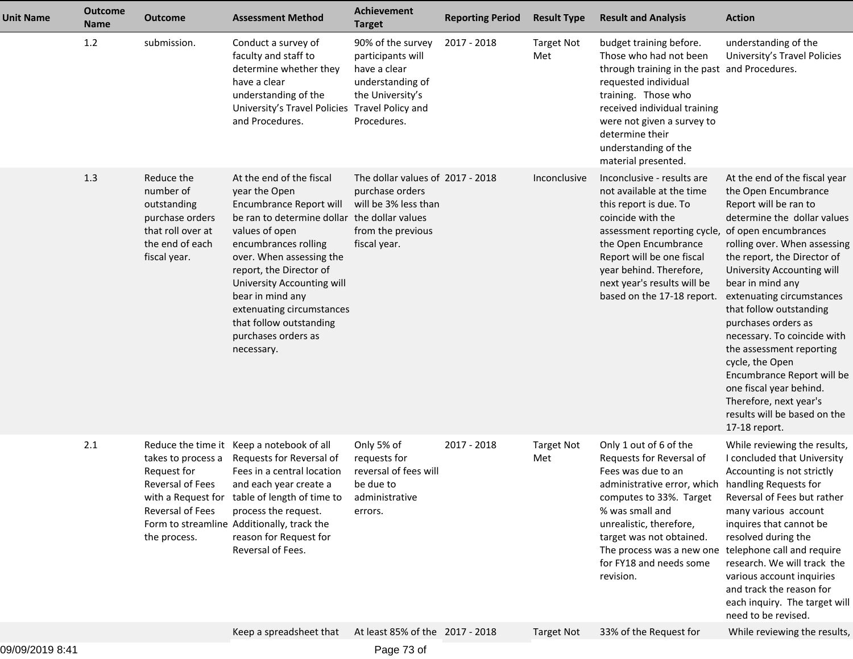| <b>Unit Name</b> | <b>Outcome</b><br><b>Name</b> | <b>Outcome</b>                                                                                                    | <b>Assessment Method</b>                                                                                                                                                                                                                                                                                                                                             | <b>Achievement</b><br><b>Target</b>                                                                              | <b>Reporting Period</b> | <b>Result Type</b>       | <b>Result and Analysis</b>                                                                                                                                                                                                                                                                              | <b>Action</b>                                                                                                                                                                                                                                                                                                                                                                                                                                                                                                                                           |
|------------------|-------------------------------|-------------------------------------------------------------------------------------------------------------------|----------------------------------------------------------------------------------------------------------------------------------------------------------------------------------------------------------------------------------------------------------------------------------------------------------------------------------------------------------------------|------------------------------------------------------------------------------------------------------------------|-------------------------|--------------------------|---------------------------------------------------------------------------------------------------------------------------------------------------------------------------------------------------------------------------------------------------------------------------------------------------------|---------------------------------------------------------------------------------------------------------------------------------------------------------------------------------------------------------------------------------------------------------------------------------------------------------------------------------------------------------------------------------------------------------------------------------------------------------------------------------------------------------------------------------------------------------|
|                  | 1.2                           | submission.                                                                                                       | Conduct a survey of<br>faculty and staff to<br>determine whether they<br>have a clear<br>understanding of the<br>University's Travel Policies Travel Policy and<br>and Procedures.                                                                                                                                                                                   | 90% of the survey<br>participants will<br>have a clear<br>understanding of<br>the University's<br>Procedures.    | 2017 - 2018             | <b>Target Not</b><br>Met | budget training before.<br>Those who had not been<br>through training in the past and Procedures.<br>requested individual<br>training. Those who<br>received individual training<br>were not given a survey to<br>determine their<br>understanding of the<br>material presented.                        | understanding of the<br>University's Travel Policies                                                                                                                                                                                                                                                                                                                                                                                                                                                                                                    |
|                  | 1.3                           | Reduce the<br>number of<br>outstanding<br>purchase orders<br>that roll over at<br>the end of each<br>fiscal year. | At the end of the fiscal<br>year the Open<br>Encumbrance Report will<br>be ran to determine dollar the dollar values<br>values of open<br>encumbrances rolling<br>over. When assessing the<br>report, the Director of<br>University Accounting will<br>bear in mind any<br>extenuating circumstances<br>that follow outstanding<br>purchases orders as<br>necessary. | The dollar values of 2017 - 2018<br>purchase orders<br>will be 3% less than<br>from the previous<br>fiscal year. |                         | Inconclusive             | Inconclusive - results are<br>not available at the time<br>this report is due. To<br>coincide with the<br>assessment reporting cycle,<br>the Open Encumbrance<br>Report will be one fiscal<br>year behind. Therefore,<br>next year's results will be<br>based on the 17-18 report.                      | At the end of the fiscal year<br>the Open Encumbrance<br>Report will be ran to<br>determine the dollar values<br>of open encumbrances<br>rolling over. When assessing<br>the report, the Director of<br>University Accounting will<br>bear in mind any<br>extenuating circumstances<br>that follow outstanding<br>purchases orders as<br>necessary. To coincide with<br>the assessment reporting<br>cycle, the Open<br>Encumbrance Report will be<br>one fiscal year behind.<br>Therefore, next year's<br>results will be based on the<br>17-18 report. |
|                  | 2.1                           | takes to process a<br>Request for<br>Reversal of Fees<br>Reversal of Fees<br>the process.                         | Reduce the time it Keep a notebook of all<br>Requests for Reversal of<br>Fees in a central location<br>and each year create a<br>with a Request for table of length of time to<br>process the request.<br>Form to streamline Additionally, track the<br>reason for Request for<br>Reversal of Fees.                                                                  | Only 5% of<br>requests for<br>reversal of fees will<br>be due to<br>administrative<br>errors.                    | 2017 - 2018             | <b>Target Not</b><br>Met | Only 1 out of 6 of the<br>Requests for Reversal of<br>Fees was due to an<br>administrative error, which handling Requests for<br>computes to 33%. Target<br>% was small and<br>unrealistic, therefore,<br>target was not obtained.<br>The process was a new one<br>for FY18 and needs some<br>revision. | While reviewing the results,<br>I concluded that University<br>Accounting is not strictly<br>Reversal of Fees but rather<br>many various account<br>inquires that cannot be<br>resolved during the<br>telephone call and require<br>research. We will track the<br>various account inquiries<br>and track the reason for<br>each inquiry. The target will<br>need to be revised.                                                                                                                                                                        |
|                  |                               |                                                                                                                   | Keep a spreadsheet that                                                                                                                                                                                                                                                                                                                                              | At least 85% of the 2017 - 2018                                                                                  |                         | <b>Target Not</b>        | 33% of the Request for                                                                                                                                                                                                                                                                                  | While reviewing the results,                                                                                                                                                                                                                                                                                                                                                                                                                                                                                                                            |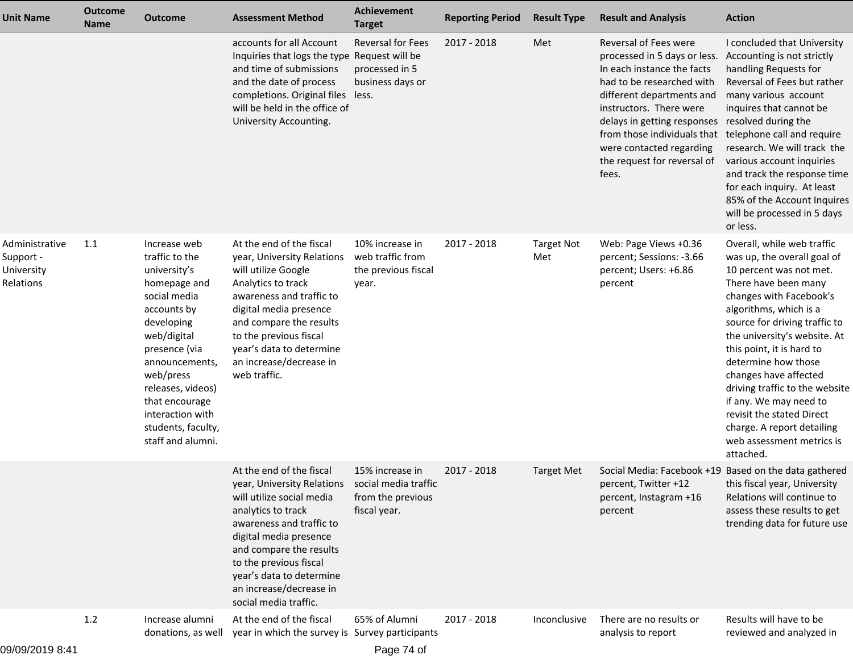| <b>Unit Name</b>                                       | <b>Outcome</b><br><b>Name</b> | <b>Outcome</b>                                                                                                                                                                                                                                                                   | <b>Assessment Method</b>                                                                                                                                                                                                                                                                                                  | Achievement<br><b>Target</b>                                        | <b>Reporting Period</b> | <b>Result Type</b>       | <b>Result and Analysis</b>                                                                                                                                                                                                                                                                                 | <b>Action</b>                                                                                                                                                                                                                                                                                                                                                                                                                                                                    |
|--------------------------------------------------------|-------------------------------|----------------------------------------------------------------------------------------------------------------------------------------------------------------------------------------------------------------------------------------------------------------------------------|---------------------------------------------------------------------------------------------------------------------------------------------------------------------------------------------------------------------------------------------------------------------------------------------------------------------------|---------------------------------------------------------------------|-------------------------|--------------------------|------------------------------------------------------------------------------------------------------------------------------------------------------------------------------------------------------------------------------------------------------------------------------------------------------------|----------------------------------------------------------------------------------------------------------------------------------------------------------------------------------------------------------------------------------------------------------------------------------------------------------------------------------------------------------------------------------------------------------------------------------------------------------------------------------|
|                                                        |                               |                                                                                                                                                                                                                                                                                  | accounts for all Account<br>Inquiries that logs the type Request will be<br>and time of submissions<br>and the date of process<br>completions. Original files less.<br>will be held in the office of<br>University Accounting.                                                                                            | <b>Reversal for Fees</b><br>processed in 5<br>business days or      | 2017 - 2018             | Met                      | Reversal of Fees were<br>processed in 5 days or less.<br>In each instance the facts<br>had to be researched with<br>different departments and<br>instructors. There were<br>delays in getting responses<br>from those individuals that<br>were contacted regarding<br>the request for reversal of<br>fees. | I concluded that University<br>Accounting is not strictly<br>handling Requests for<br>Reversal of Fees but rather<br>many various account<br>inquires that cannot be<br>resolved during the<br>telephone call and require<br>research. We will track the<br>various account inquiries<br>and track the response time<br>for each inquiry. At least<br>85% of the Account Inquires<br>will be processed in 5 days<br>or less.                                                     |
| Administrative<br>Support -<br>University<br>Relations | 1.1                           | Increase web<br>traffic to the<br>university's<br>homepage and<br>social media<br>accounts by<br>developing<br>web/digital<br>presence (via<br>announcements,<br>web/press<br>releases, videos)<br>that encourage<br>interaction with<br>students, faculty,<br>staff and alumni. | At the end of the fiscal<br>year, University Relations<br>will utilize Google<br>Analytics to track<br>awareness and traffic to<br>digital media presence<br>and compare the results<br>to the previous fiscal<br>year's data to determine<br>an increase/decrease in<br>web traffic.                                     | 10% increase in<br>web traffic from<br>the previous fiscal<br>year. | 2017 - 2018             | <b>Target Not</b><br>Met | Web: Page Views +0.36<br>percent; Sessions: -3.66<br>percent; Users: +6.86<br>percent                                                                                                                                                                                                                      | Overall, while web traffic<br>was up, the overall goal of<br>10 percent was not met.<br>There have been many<br>changes with Facebook's<br>algorithms, which is a<br>source for driving traffic to<br>the university's website. At<br>this point, it is hard to<br>determine how those<br>changes have affected<br>driving traffic to the website<br>if any. We may need to<br>revisit the stated Direct<br>charge. A report detailing<br>web assessment metrics is<br>attached. |
|                                                        |                               |                                                                                                                                                                                                                                                                                  | At the end of the fiscal<br>year, University Relations social media traffic<br>will utilize social media<br>analytics to track<br>awareness and traffic to<br>digital media presence<br>and compare the results<br>to the previous fiscal<br>year's data to determine<br>an increase/decrease in<br>social media traffic. | 15% increase in<br>from the previous<br>fiscal year.                | 2017 - 2018             | <b>Target Met</b>        | Social Media: Facebook +19 Based on the data gathered<br>percent, Twitter +12<br>percent, Instagram +16<br>percent                                                                                                                                                                                         | this fiscal year, University<br>Relations will continue to<br>assess these results to get<br>trending data for future use                                                                                                                                                                                                                                                                                                                                                        |
| 09/09/2019 8:41                                        | 1.2                           | Increase alumni<br>donations, as well                                                                                                                                                                                                                                            | At the end of the fiscal<br>year in which the survey is Survey participants                                                                                                                                                                                                                                               | 65% of Alumni<br>Page 74 of                                         | 2017 - 2018             | Inconclusive             | There are no results or<br>analysis to report                                                                                                                                                                                                                                                              | Results will have to be<br>reviewed and analyzed in                                                                                                                                                                                                                                                                                                                                                                                                                              |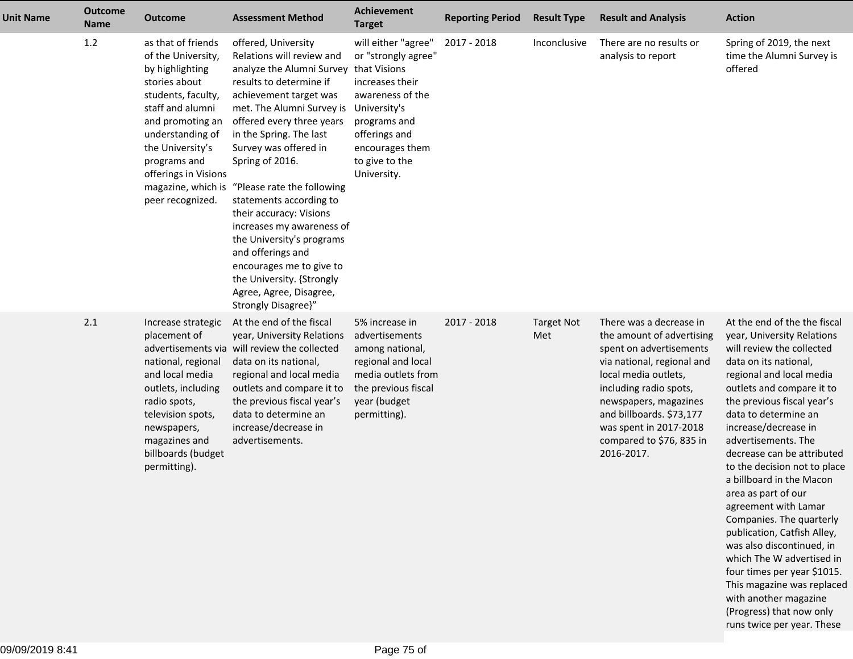| <b>Unit Name</b> | <b>Outcome</b><br>Name | <b>Outcome</b>                                                                                                                                                                                                                                                       | <b>Assessment Method</b>                                                                                                                                                                                                                                                                                                                                                                                                                                                                                                                                       | <b>Achievement</b><br><b>Target</b>                                                                                                                                                    | <b>Reporting Period</b> | <b>Result Type</b>       | <b>Result and Analysis</b>                                                                                                                                                                                                                                                               | <b>Action</b>                                                                                                                                                                                                                                                                                                                                                                                                                                                                                                                                                                                                                                                                                |
|------------------|------------------------|----------------------------------------------------------------------------------------------------------------------------------------------------------------------------------------------------------------------------------------------------------------------|----------------------------------------------------------------------------------------------------------------------------------------------------------------------------------------------------------------------------------------------------------------------------------------------------------------------------------------------------------------------------------------------------------------------------------------------------------------------------------------------------------------------------------------------------------------|----------------------------------------------------------------------------------------------------------------------------------------------------------------------------------------|-------------------------|--------------------------|------------------------------------------------------------------------------------------------------------------------------------------------------------------------------------------------------------------------------------------------------------------------------------------|----------------------------------------------------------------------------------------------------------------------------------------------------------------------------------------------------------------------------------------------------------------------------------------------------------------------------------------------------------------------------------------------------------------------------------------------------------------------------------------------------------------------------------------------------------------------------------------------------------------------------------------------------------------------------------------------|
|                  | 1.2                    | as that of friends<br>of the University,<br>by highlighting<br>stories about<br>students, faculty,<br>staff and alumni<br>and promoting an<br>understanding of<br>the University's<br>programs and<br>offerings in Visions<br>magazine, which is<br>peer recognized. | offered, University<br>Relations will review and<br>analyze the Alumni Survey that Visions<br>results to determine if<br>achievement target was<br>met. The Alumni Survey is<br>offered every three years<br>in the Spring. The last<br>Survey was offered in<br>Spring of 2016.<br>"Please rate the following<br>statements according to<br>their accuracy: Visions<br>increases my awareness of<br>the University's programs<br>and offerings and<br>encourages me to give to<br>the University. {Strongly<br>Agree, Agree, Disagree,<br>Strongly Disagree}" | will either "agree"<br>or "strongly agree"<br>increases their<br>awareness of the<br>University's<br>programs and<br>offerings and<br>encourages them<br>to give to the<br>University. | 2017 - 2018             | Inconclusive             | There are no results or<br>analysis to report                                                                                                                                                                                                                                            | Spring of 2019, the next<br>time the Alumni Survey is<br>offered                                                                                                                                                                                                                                                                                                                                                                                                                                                                                                                                                                                                                             |
|                  | 2.1                    | Increase strategic<br>placement of<br>national, regional<br>and local media<br>outlets, including<br>radio spots,<br>television spots,<br>newspapers,<br>magazines and<br>billboards (budget<br>permitting).                                                         | At the end of the fiscal<br>year, University Relations<br>advertisements via will review the collected<br>data on its national,<br>regional and local media<br>outlets and compare it to<br>the previous fiscal year's<br>data to determine an<br>increase/decrease in<br>advertisements.                                                                                                                                                                                                                                                                      | 5% increase in<br>advertisements<br>among national,<br>regional and local<br>media outlets from<br>the previous fiscal<br>year (budget<br>permitting).                                 | 2017 - 2018             | <b>Target Not</b><br>Met | There was a decrease in<br>the amount of advertising<br>spent on advertisements<br>via national, regional and<br>local media outlets,<br>including radio spots,<br>newspapers, magazines<br>and billboards. \$73,177<br>was spent in 2017-2018<br>compared to \$76, 835 in<br>2016-2017. | At the end of the the fiscal<br>year, University Relations<br>will review the collected<br>data on its national,<br>regional and local media<br>outlets and compare it to<br>the previous fiscal year's<br>data to determine an<br>increase/decrease in<br>advertisements. The<br>decrease can be attributed<br>to the decision not to place<br>a billboard in the Macon<br>area as part of our<br>agreement with Lamar<br>Companies. The quarterly<br>publication, Catfish Alley,<br>was also discontinued, in<br>which The W advertised in<br>four times per year \$1015.<br>This magazine was replaced<br>with another magazine<br>(Progress) that now only<br>runs twice per year. These |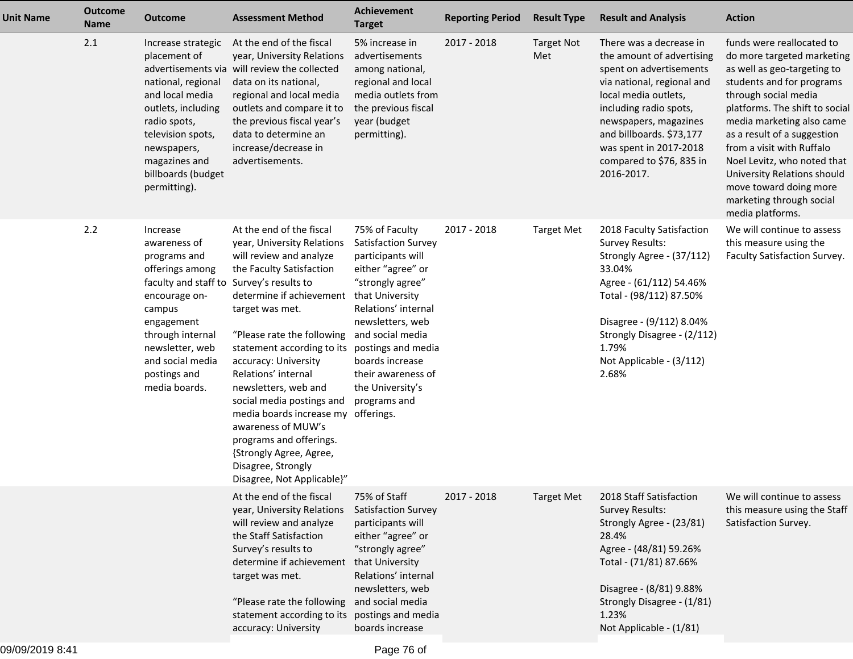| <b>Unit Name</b> | <b>Outcome</b><br><b>Name</b> | <b>Outcome</b>                                                                                                                                                                                                                               | <b>Assessment Method</b>                                                                                                                                                                                                                                                                                                                                                                                                                                                                            | Achievement<br><b>Target</b>                                                                                                                                                                                                                                                             | <b>Reporting Period</b> | <b>Result Type</b>       | <b>Result and Analysis</b>                                                                                                                                                                                                                                                               | <b>Action</b>                                                                                                                                                                                                                                                                                                                                                                                                  |
|------------------|-------------------------------|----------------------------------------------------------------------------------------------------------------------------------------------------------------------------------------------------------------------------------------------|-----------------------------------------------------------------------------------------------------------------------------------------------------------------------------------------------------------------------------------------------------------------------------------------------------------------------------------------------------------------------------------------------------------------------------------------------------------------------------------------------------|------------------------------------------------------------------------------------------------------------------------------------------------------------------------------------------------------------------------------------------------------------------------------------------|-------------------------|--------------------------|------------------------------------------------------------------------------------------------------------------------------------------------------------------------------------------------------------------------------------------------------------------------------------------|----------------------------------------------------------------------------------------------------------------------------------------------------------------------------------------------------------------------------------------------------------------------------------------------------------------------------------------------------------------------------------------------------------------|
|                  | 2.1                           | Increase strategic<br>placement of<br>national, regional<br>and local media<br>outlets, including<br>radio spots,<br>television spots,<br>newspapers,<br>magazines and<br>billboards (budget<br>permitting).                                 | At the end of the fiscal<br>year, University Relations<br>advertisements via will review the collected<br>data on its national,<br>regional and local media<br>outlets and compare it to<br>the previous fiscal year's<br>data to determine an<br>increase/decrease in<br>advertisements.                                                                                                                                                                                                           | 5% increase in<br>advertisements<br>among national,<br>regional and local<br>media outlets from<br>the previous fiscal<br>year (budget<br>permitting).                                                                                                                                   | 2017 - 2018             | <b>Target Not</b><br>Met | There was a decrease in<br>the amount of advertising<br>spent on advertisements<br>via national, regional and<br>local media outlets,<br>including radio spots,<br>newspapers, magazines<br>and billboards. \$73,177<br>was spent in 2017-2018<br>compared to \$76, 835 in<br>2016-2017. | funds were reallocated to<br>do more targeted marketing<br>as well as geo-targeting to<br>students and for programs<br>through social media<br>platforms. The shift to social<br>media marketing also came<br>as a result of a suggestion<br>from a visit with Ruffalo<br>Noel Levitz, who noted that<br>University Relations should<br>move toward doing more<br>marketing through social<br>media platforms. |
|                  | 2.2                           | Increase<br>awareness of<br>programs and<br>offerings among<br>faculty and staff to Survey's results to<br>encourage on-<br>campus<br>engagement<br>through internal<br>newsletter, web<br>and social media<br>postings and<br>media boards. | At the end of the fiscal<br>year, University Relations<br>will review and analyze<br>the Faculty Satisfaction<br>determine if achievement<br>target was met.<br>"Please rate the following<br>statement according to its<br>accuracy: University<br>Relations' internal<br>newsletters, web and<br>social media postings and<br>media boards increase my offerings.<br>awareness of MUW's<br>programs and offerings.<br>{Strongly Agree, Agree,<br>Disagree, Strongly<br>Disagree, Not Applicable}" | 75% of Faculty<br>Satisfaction Survey<br>participants will<br>either "agree" or<br>"strongly agree"<br>that University<br>Relations' internal<br>newsletters, web<br>and social media<br>postings and media<br>boards increase<br>their awareness of<br>the University's<br>programs and | 2017 - 2018             | <b>Target Met</b>        | 2018 Faculty Satisfaction<br><b>Survey Results:</b><br>Strongly Agree - (37/112)<br>33.04%<br>Agree - (61/112) 54.46%<br>Total - (98/112) 87.50%<br>Disagree - (9/112) 8.04%<br>Strongly Disagree - (2/112)<br>1.79%<br>Not Applicable - (3/112)<br>2.68%                                | We will continue to assess<br>this measure using the<br>Faculty Satisfaction Survey.                                                                                                                                                                                                                                                                                                                           |
|                  |                               |                                                                                                                                                                                                                                              | At the end of the fiscal<br>year, University Relations<br>will review and analyze<br>the Staff Satisfaction<br>Survey's results to<br>determine if achievement<br>target was met.<br>"Please rate the following<br>statement according to its<br>accuracy: University                                                                                                                                                                                                                               | 75% of Staff<br>Satisfaction Survey<br>participants will<br>either "agree" or<br>"strongly agree"<br>that University<br>Relations' internal<br>newsletters, web<br>and social media<br>postings and media<br>boards increase                                                             | 2017 - 2018             | <b>Target Met</b>        | 2018 Staff Satisfaction<br><b>Survey Results:</b><br>Strongly Agree - (23/81)<br>28.4%<br>Agree - (48/81) 59.26%<br>Total - (71/81) 87.66%<br>Disagree - (8/81) 9.88%<br>Strongly Disagree - (1/81)<br>1.23%<br>Not Applicable - (1/81)                                                  | We will continue to assess<br>this measure using the Staff<br>Satisfaction Survey.                                                                                                                                                                                                                                                                                                                             |